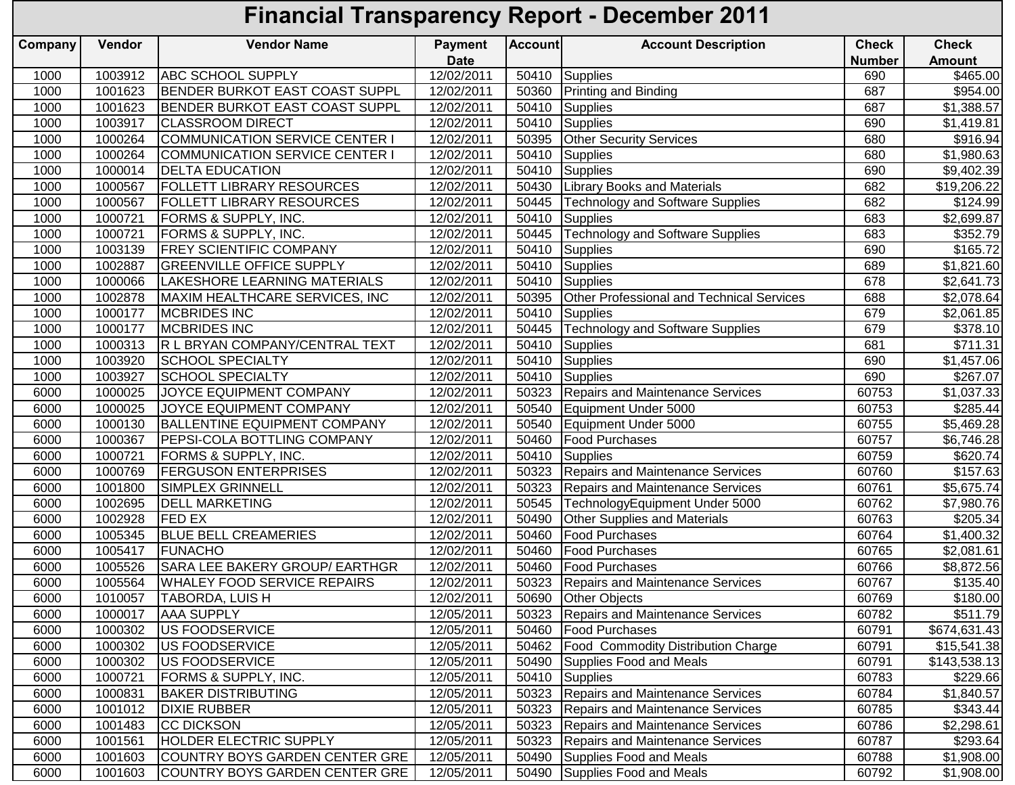## **Financial Transparency Report - December 2011**

| Company | Vendor  | <b>Vendor Name</b>                    | <b>Payment</b> | <b>Account</b> | <b>Account Description</b>                | <b>Check</b>  | <b>Check</b>            |
|---------|---------|---------------------------------------|----------------|----------------|-------------------------------------------|---------------|-------------------------|
|         |         |                                       | <b>Date</b>    |                |                                           | <b>Number</b> | <b>Amount</b>           |
| 1000    | 1003912 | <b>ABC SCHOOL SUPPLY</b>              | 12/02/2011     | 50410          | Supplies                                  | 690           | \$465.00                |
| 1000    | 1001623 | <b>BENDER BURKOT EAST COAST SUPPL</b> | 12/02/2011     | 50360          | <b>Printing and Binding</b>               | 687           | \$954.00                |
| 1000    | 1001623 | BENDER BURKOT EAST COAST SUPPL        | 12/02/2011     | 50410          | Supplies                                  | 687           | \$1,388.57              |
| 1000    | 1003917 | <b>CLASSROOM DIRECT</b>               | 12/02/2011     | 50410          | Supplies                                  | 690           | \$1,419.81              |
| 1000    | 1000264 | COMMUNICATION SERVICE CENTER I        | 12/02/2011     | 50395          | <b>Other Security Services</b>            | 680           | \$916.94                |
| 1000    | 1000264 | COMMUNICATION SERVICE CENTER I        | 12/02/2011     | 50410          | <b>Supplies</b>                           | 680           | \$1,980.63              |
| 1000    | 1000014 | <b>DELTA EDUCATION</b>                | 12/02/2011     | 50410          | Supplies                                  | 690           | \$9,402.39              |
| 1000    | 1000567 | <b>FOLLETT LIBRARY RESOURCES</b>      | 12/02/2011     | 50430          | <b>Library Books and Materials</b>        | 682           | \$19,206.22             |
| 1000    | 1000567 | <b>FOLLETT LIBRARY RESOURCES</b>      | 12/02/2011     | 50445          | <b>Technology and Software Supplies</b>   | 682           | $\overline{$}124.99$    |
| 1000    | 1000721 | <b>FORMS &amp; SUPPLY, INC.</b>       | 12/02/2011     | 50410          | Supplies                                  | 683           | \$2,699.87              |
| 1000    | 1000721 | <b>FORMS &amp; SUPPLY, INC.</b>       | 12/02/2011     | 50445          | <b>Technology and Software Supplies</b>   | 683           | \$352.79                |
| 1000    | 1003139 | <b>FREY SCIENTIFIC COMPANY</b>        | 12/02/2011     | 50410          | Supplies                                  | 690           | \$165.72                |
| 1000    | 1002887 | <b>GREENVILLE OFFICE SUPPLY</b>       | 12/02/2011     | 50410          | Supplies                                  | 689           | $\overline{\$1,821.60}$ |
| 1000    | 1000066 | LAKESHORE LEARNING MATERIALS          | 12/02/2011     | 50410          | <b>Supplies</b>                           | 678           | \$2,641.73              |
| 1000    | 1002878 | MAXIM HEALTHCARE SERVICES, INC        | 12/02/2011     | 50395          | Other Professional and Technical Services | 688           | \$2,078.64              |
| 1000    | 1000177 | <b>MCBRIDES INC</b>                   | 12/02/2011     | 50410          | Supplies                                  | 679           | \$2,061.85              |
| 1000    | 1000177 | <b>MCBRIDES INC</b>                   | 12/02/2011     | 50445          | <b>Technology and Software Supplies</b>   | 679           | \$378.10                |
| 1000    | 1000313 | R L BRYAN COMPANY/CENTRAL TEXT        | 12/02/2011     | 50410          | Supplies                                  | 681           | \$711.31                |
| 1000    | 1003920 | <b>SCHOOL SPECIALTY</b>               | 12/02/2011     | 50410          | Supplies                                  | 690           | \$1,457.06              |
| 1000    | 1003927 | <b>SCHOOL SPECIALTY</b>               | 12/02/2011     | 50410          | Supplies                                  | 690           | \$267.07                |
| 6000    | 1000025 | JOYCE EQUIPMENT COMPANY               | 12/02/2011     | 50323          | Repairs and Maintenance Services          | 60753         | \$1,037.33              |
| 6000    | 1000025 | JOYCE EQUIPMENT COMPANY               | 12/02/2011     | 50540          | Equipment Under 5000                      | 60753         | \$285.44                |
| 6000    | 1000130 | <b>BALLENTINE EQUIPMENT COMPANY</b>   | 12/02/2011     | 50540          | Equipment Under 5000                      | 60755         | \$5,469.28              |
| 6000    | 1000367 | PEPSI-COLA BOTTLING COMPANY           | 12/02/2011     | 50460          | <b>Food Purchases</b>                     | 60757         | \$6,746.28              |
| 6000    | 1000721 | <b>FORMS &amp; SUPPLY, INC.</b>       | 12/02/2011     | 50410          | <b>Supplies</b>                           | 60759         | \$620.74                |
| 6000    | 1000769 | <b>FERGUSON ENTERPRISES</b>           | 12/02/2011     | 50323          | Repairs and Maintenance Services          | 60760         | \$157.63                |
| 6000    | 1001800 | SIMPLEX GRINNELL                      | 12/02/2011     | 50323          | Repairs and Maintenance Services          | 60761         | \$5,675.74              |
| 6000    | 1002695 | <b>DELL MARKETING</b>                 | 12/02/2011     | 50545          | TechnologyEquipment Under 5000            | 60762         | \$7,980.76              |
| 6000    | 1002928 | <b>FED EX</b>                         | 12/02/2011     | 50490          | Other Supplies and Materials              | 60763         | \$205.34                |
| 6000    | 1005345 | <b>BLUE BELL CREAMERIES</b>           | 12/02/2011     | 50460          | <b>Food Purchases</b>                     | 60764         | \$1,400.32              |
| 6000    | 1005417 | <b>FUNACHO</b>                        | 12/02/2011     | 50460          | Food Purchases                            | 60765         | \$2,081.61              |
| 6000    | 1005526 | SARA LEE BAKERY GROUP/ EARTHGR        | 12/02/2011     | 50460          | <b>Food Purchases</b>                     | 60766         | $\overline{$8,872.56}$  |
| 6000    | 1005564 | <b>WHALEY FOOD SERVICE REPAIRS</b>    | 12/02/2011     | 50323          | <b>Repairs and Maintenance Services</b>   | 60767         | $\overline{$}135.40$    |
| 6000    | 1010057 | <b>TABORDA, LUIS H</b>                | 12/02/2011     | 50690          | <b>Other Objects</b>                      | 60769         | \$180.00                |
| 6000    | 1000017 | <b>AAA SUPPLY</b>                     | 12/05/2011     |                | 50323 Repairs and Maintenance Services    | 60782         | \$511.79                |
| 6000    | 1000302 | US FOODSERVICE                        | 12/05/2011     | 50460          | <b>Food Purchases</b>                     | 60791         | \$674,631.43            |
| 6000    | 1000302 | US FOODSERVICE                        | 12/05/2011     | 50462          | <b>Food Commodity Distribution Charge</b> | 60791         | \$15,541.38             |
| 6000    | 1000302 | US FOODSERVICE                        | 12/05/2011     | 50490          | Supplies Food and Meals                   | 60791         | \$143,538.13            |
| 6000    | 1000721 | <b>FORMS &amp; SUPPLY, INC.</b>       | 12/05/2011     | 50410          | <b>Supplies</b>                           | 60783         | \$229.66                |
| 6000    | 1000831 | <b>BAKER DISTRIBUTING</b>             | 12/05/2011     | 50323          | Repairs and Maintenance Services          | 60784         | \$1,840.57              |
| 6000    | 1001012 | <b>DIXIE RUBBER</b>                   | 12/05/2011     | 50323          | Repairs and Maintenance Services          | 60785         | \$343.44                |
| 6000    | 1001483 | <b>CC DICKSON</b>                     | 12/05/2011     | 50323          | Repairs and Maintenance Services          | 60786         | \$2,298.61              |
| 6000    | 1001561 | <b>HOLDER ELECTRIC SUPPLY</b>         | 12/05/2011     | 50323          | Repairs and Maintenance Services          | 60787         | \$293.64                |
| 6000    | 1001603 | COUNTRY BOYS GARDEN CENTER GRE        | 12/05/2011     | 50490          | Supplies Food and Meals                   | 60788         | \$1,908.00              |
| 6000    | 1001603 | COUNTRY BOYS GARDEN CENTER GRE        | 12/05/2011     | 50490          | Supplies Food and Meals                   | 60792         | \$1,908.00              |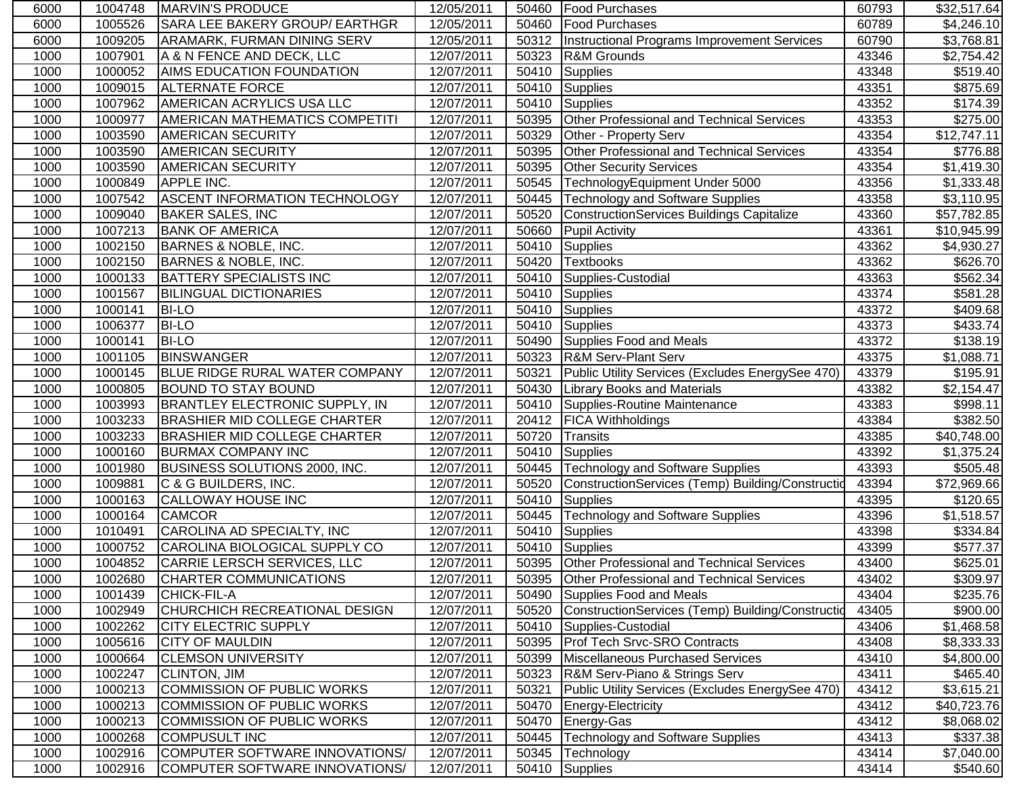| 6000 | 1004748 | <b>IMARVIN'S PRODUCE</b>              | 12/05/2011 |       | 50460   Food Purchases                             | 60793 | \$32,517.64          |
|------|---------|---------------------------------------|------------|-------|----------------------------------------------------|-------|----------------------|
| 6000 | 1005526 | SARA LEE BAKERY GROUP/ EARTHGR        | 12/05/2011 | 50460 | <b>Food Purchases</b>                              | 60789 | \$4,246.10           |
| 6000 | 1009205 | ARAMARK, FURMAN DINING SERV           | 12/05/2011 | 50312 | <b>Instructional Programs Improvement Services</b> | 60790 | \$3,768.81           |
| 1000 | 1007901 | A & N FENCE AND DECK, LLC             | 12/07/2011 | 50323 | R&M Grounds                                        | 43346 | \$2,754.42           |
| 1000 | 1000052 | <b>AIMS EDUCATION FOUNDATION</b>      | 12/07/2011 | 50410 | Supplies                                           | 43348 | \$519.40             |
| 1000 | 1009015 | <b>ALTERNATE FORCE</b>                | 12/07/2011 | 50410 | <b>Supplies</b>                                    | 43351 | \$875.69             |
| 1000 | 1007962 | <b>AMERICAN ACRYLICS USA LLC</b>      | 12/07/2011 | 50410 | Supplies                                           | 43352 | \$174.39             |
| 1000 | 1000977 | <b>AMERICAN MATHEMATICS COMPETITI</b> | 12/07/2011 | 50395 | Other Professional and Technical Services          | 43353 | \$275.00             |
| 1000 | 1003590 | <b>AMERICAN SECURITY</b>              | 12/07/2011 | 50329 | Other - Property Serv                              | 43354 | \$12,747.11          |
| 1000 | 1003590 | AMERICAN SECURITY                     | 12/07/2011 | 50395 | Other Professional and Technical Services          | 43354 | \$776.88             |
| 1000 | 1003590 | AMERICAN SECURITY                     | 12/07/2011 | 50395 | <b>Other Security Services</b>                     | 43354 | \$1,419.30           |
| 1000 | 1000849 | <b>APPLE INC.</b>                     | 12/07/2011 | 50545 | TechnologyEquipment Under 5000                     | 43356 | \$1,333.48           |
| 1000 | 1007542 | <b>ASCENT INFORMATION TECHNOLOGY</b>  | 12/07/2011 | 50445 | <b>Technology and Software Supplies</b>            | 43358 | \$3,110.95           |
| 1000 | 1009040 | <b>BAKER SALES, INC</b>               | 12/07/2011 | 50520 | <b>ConstructionServices Buildings Capitalize</b>   | 43360 | \$57,782.85          |
| 1000 | 1007213 | <b>BANK OF AMERICA</b>                | 12/07/2011 | 50660 | <b>Pupil Activity</b>                              | 43361 | \$10,945.99          |
| 1000 | 1002150 | <b>BARNES &amp; NOBLE, INC.</b>       | 12/07/2011 | 50410 | <b>Supplies</b>                                    | 43362 | \$4,930.27           |
| 1000 | 1002150 | <b>BARNES &amp; NOBLE, INC.</b>       | 12/07/2011 | 50420 | <b>Textbooks</b>                                   | 43362 | \$626.70             |
| 1000 | 1000133 | <b>BATTERY SPECIALISTS INC</b>        | 12/07/2011 | 50410 | Supplies-Custodial                                 | 43363 | \$562.34             |
| 1000 | 1001567 | <b>BILINGUAL DICTIONARIES</b>         | 12/07/2011 | 50410 | Supplies                                           | 43374 | \$581.28             |
| 1000 | 1000141 | <b>BI-LO</b>                          | 12/07/2011 | 50410 | Supplies                                           | 43372 | \$409.68             |
| 1000 | 1006377 | <b>BI-LO</b>                          | 12/07/2011 | 50410 | <b>Supplies</b>                                    | 43373 | \$433.74             |
| 1000 | 1000141 | <b>BI-LO</b>                          | 12/07/2011 | 50490 | Supplies Food and Meals                            | 43372 | $\overline{$}138.19$ |
| 1000 | 1001105 | <b>BINSWANGER</b>                     | 12/07/2011 | 50323 | <b>R&amp;M Serv-Plant Serv</b>                     | 43375 | \$1,088.71           |
| 1000 | 1000145 | <b>BLUE RIDGE RURAL WATER COMPANY</b> | 12/07/2011 | 50321 | Public Utility Services (Excludes EnergySee 470)   | 43379 | \$195.91             |
| 1000 | 1000805 | <b>BOUND TO STAY BOUND</b>            | 12/07/2011 | 50430 | <b>Library Books and Materials</b>                 | 43382 | \$2,154.47           |
| 1000 | 1003993 | <b>BRANTLEY ELECTRONIC SUPPLY, IN</b> | 12/07/2011 | 50410 | Supplies-Routine Maintenance                       | 43383 | \$998.11             |
| 1000 | 1003233 | <b>BRASHIER MID COLLEGE CHARTER</b>   | 12/07/2011 | 20412 | <b>FICA Withholdings</b>                           | 43384 | $\overline{$}382.50$ |
| 1000 | 1003233 | <b>BRASHIER MID COLLEGE CHARTER</b>   | 12/07/2011 | 50720 | <b>Transits</b>                                    | 43385 | \$40,748.00          |
| 1000 | 1000160 | <b>BURMAX COMPANY INC</b>             | 12/07/2011 | 50410 | <b>Supplies</b>                                    | 43392 | \$1,375.24           |
| 1000 | 1001980 | BUSINESS SOLUTIONS 2000, INC.         | 12/07/2011 | 50445 | <b>Technology and Software Supplies</b>            | 43393 | \$505.48             |
| 1000 | 1009881 | C & G BUILDERS, INC.                  | 12/07/2011 | 50520 | ConstructionServices (Temp) Building/Constructio   | 43394 | \$72,969.66          |
| 1000 | 1000163 | <b>CALLOWAY HOUSE INC</b>             | 12/07/2011 | 50410 | <b>Supplies</b>                                    | 43395 | \$120.65             |
| 1000 | 1000164 | <b>CAMCOR</b>                         | 12/07/2011 | 50445 | <b>Technology and Software Supplies</b>            | 43396 | \$1,518.57           |
| 1000 | 1010491 | CAROLINA AD SPECIALTY, INC            | 12/07/2011 | 50410 | Supplies                                           | 43398 | \$334.84             |
| 1000 | 1000752 | CAROLINA BIOLOGICAL SUPPLY CO         | 12/07/2011 | 50410 | Supplies                                           | 43399 | \$577.37             |
| 1000 | 1004852 | CARRIE LERSCH SERVICES, LLC           | 12/07/2011 | 50395 | Other Professional and Technical Services          | 43400 | \$625.01             |
| 1000 | 1002680 | CHARTER COMMUNICATIONS                | 12/07/2011 |       | 50395 Other Professional and Technical Services    | 43402 | \$309.97             |
| 1000 | 1001439 | <b>CHICK-FIL-A</b>                    | 12/07/2011 | 50490 | Supplies Food and Meals                            | 43404 | \$235.76             |
| 1000 | 1002949 | CHURCHICH RECREATIONAL DESIGN         | 12/07/2011 | 50520 | ConstructionServices (Temp) Building/Constructid   | 43405 | \$900.00             |
| 1000 | 1002262 | <b>CITY ELECTRIC SUPPLY</b>           | 12/07/2011 | 50410 | Supplies-Custodial                                 | 43406 | \$1,468.58           |
| 1000 | 1005616 | <b>CITY OF MAULDIN</b>                | 12/07/2011 |       | 50395   Prof Tech Srvc-SRO Contracts               | 43408 | \$8,333.33           |
| 1000 | 1000664 | <b>CLEMSON UNIVERSITY</b>             | 12/07/2011 | 50399 | Miscellaneous Purchased Services                   | 43410 | \$4,800.00           |
| 1000 | 1002247 | <b>CLINTON, JIM</b>                   | 12/07/2011 | 50323 | R&M Serv-Piano & Strings Serv                      | 43411 | \$465.40             |
| 1000 | 1000213 | <b>COMMISSION OF PUBLIC WORKS</b>     | 12/07/2011 | 50321 | Public Utility Services (Excludes EnergySee 470)   | 43412 | \$3,615.21           |
| 1000 | 1000213 | COMMISSION OF PUBLIC WORKS            | 12/07/2011 | 50470 | Energy-Electricity                                 | 43412 | \$40,723.76          |
| 1000 | 1000213 | COMMISSION OF PUBLIC WORKS            | 12/07/2011 | 50470 | Energy-Gas                                         | 43412 | \$8,068.02           |
| 1000 | 1000268 | <b>COMPUSULT INC</b>                  | 12/07/2011 | 50445 | Technology and Software Supplies                   | 43413 | \$337.38             |
| 1000 | 1002916 | COMPUTER SOFTWARE INNOVATIONS/        | 12/07/2011 | 50345 | Technology                                         | 43414 | \$7,040.00           |
| 1000 | 1002916 | COMPUTER SOFTWARE INNOVATIONS/        | 12/07/2011 | 50410 | Supplies                                           | 43414 | \$540.60             |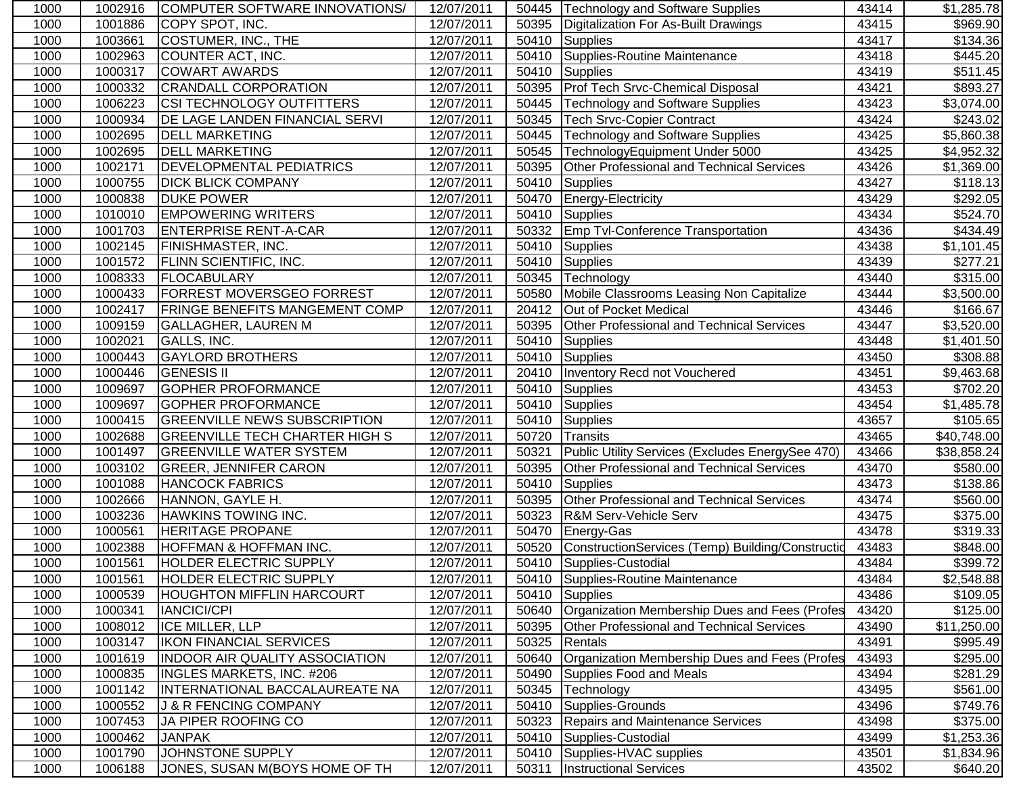| 1000 | 1002916 | COMPUTER SOFTWARE INNOVATIONS/        | 12/07/2011 | 50445 | <b>Technology and Software Supplies</b>          | 43414 | \$1,285.78  |
|------|---------|---------------------------------------|------------|-------|--------------------------------------------------|-------|-------------|
| 1000 | 1001886 | COPY SPOT, INC.                       | 12/07/2011 | 50395 | Digitalization For As-Built Drawings             | 43415 | \$969.90    |
| 1000 | 1003661 | COSTUMER, INC., THE                   | 12/07/2011 | 50410 | Supplies                                         | 43417 | \$134.36    |
| 1000 | 1002963 | COUNTER ACT, INC.                     | 12/07/2011 | 50410 | Supplies-Routine Maintenance                     | 43418 | \$445.20    |
| 1000 | 1000317 | <b>COWART AWARDS</b>                  | 12/07/2011 | 50410 | Supplies                                         | 43419 | \$511.45    |
| 1000 | 1000332 | <b>CRANDALL CORPORATION</b>           | 12/07/2011 | 50395 | Prof Tech Srvc-Chemical Disposal                 | 43421 | \$893.27    |
| 1000 | 1006223 | <b>CSI TECHNOLOGY OUTFITTERS</b>      | 12/07/2011 | 50445 | <b>Technology and Software Supplies</b>          | 43423 | \$3,074.00  |
| 1000 | 1000934 | <b>DE LAGE LANDEN FINANCIAL SERVI</b> | 12/07/2011 | 50345 | <b>Tech Srvc-Copier Contract</b>                 | 43424 | \$243.02    |
| 1000 | 1002695 | <b>DELL MARKETING</b>                 | 12/07/2011 | 50445 | <b>Technology and Software Supplies</b>          | 43425 | \$5,860.38  |
| 1000 | 1002695 | <b>DELL MARKETING</b>                 | 12/07/2011 | 50545 | TechnologyEquipment Under 5000                   | 43425 | \$4,952.32  |
| 1000 | 1002171 | <b>DEVELOPMENTAL PEDIATRICS</b>       | 12/07/2011 | 50395 | Other Professional and Technical Services        | 43426 | \$1,369.00  |
| 1000 | 1000755 | <b>DICK BLICK COMPANY</b>             | 12/07/2011 | 50410 | <b>Supplies</b>                                  | 43427 | \$118.13    |
| 1000 | 1000838 | <b>DUKE POWER</b>                     | 12/07/2011 | 50470 | Energy-Electricity                               | 43429 | \$292.05    |
| 1000 | 1010010 | <b>EMPOWERING WRITERS</b>             | 12/07/2011 | 50410 | <b>Supplies</b>                                  | 43434 | \$524.70    |
| 1000 | 1001703 | <b>ENTERPRISE RENT-A-CAR</b>          | 12/07/2011 | 50332 | <b>Emp Tvl-Conference Transportation</b>         | 43436 | \$434.49    |
| 1000 | 1002145 | <b>FINISHMASTER, INC.</b>             | 12/07/2011 | 50410 | Supplies                                         | 43438 | \$1,101.45  |
| 1000 | 1001572 | <b>FLINN SCIENTIFIC, INC.</b>         | 12/07/2011 | 50410 | Supplies                                         | 43439 | \$277.21    |
| 1000 | 1008333 | <b>FLOCABULARY</b>                    | 12/07/2011 | 50345 | Technology                                       | 43440 | \$315.00    |
| 1000 | 1000433 | <b>FORREST MOVERSGEO FORREST</b>      | 12/07/2011 | 50580 | Mobile Classrooms Leasing Non Capitalize         | 43444 | \$3,500.00  |
| 1000 | 1002417 | <b>FRINGE BENEFITS MANGEMENT COMP</b> | 12/07/2011 | 20412 | Out of Pocket Medical                            | 43446 | \$166.67    |
| 1000 | 1009159 | <b>GALLAGHER, LAUREN M</b>            | 12/07/2011 | 50395 | <b>Other Professional and Technical Services</b> | 43447 | \$3,520.00  |
| 1000 | 1002021 | GALLS, INC.                           | 12/07/2011 | 50410 | Supplies                                         | 43448 | \$1,401.50  |
| 1000 | 1000443 | <b>GAYLORD BROTHERS</b>               | 12/07/2011 | 50410 | Supplies                                         | 43450 | \$308.88    |
| 1000 | 1000446 | <b>GENESIS II</b>                     | 12/07/2011 | 20410 | Inventory Recd not Vouchered                     | 43451 | \$9,463.68  |
| 1000 | 1009697 | <b>GOPHER PROFORMANCE</b>             | 12/07/2011 | 50410 | Supplies                                         | 43453 | \$702.20    |
| 1000 | 1009697 | <b>GOPHER PROFORMANCE</b>             | 12/07/2011 | 50410 | Supplies                                         | 43454 | \$1,485.78  |
| 1000 | 1000415 | <b>GREENVILLE NEWS SUBSCRIPTION</b>   | 12/07/2011 | 50410 | Supplies                                         | 43657 | \$105.65    |
| 1000 | 1002688 | <b>GREENVILLE TECH CHARTER HIGH S</b> | 12/07/2011 | 50720 | <b>Transits</b>                                  | 43465 | \$40,748.00 |
| 1000 | 1001497 | <b>GREENVILLE WATER SYSTEM</b>        | 12/07/2011 | 50321 | Public Utility Services (Excludes EnergySee 470) | 43466 | \$38,858.24 |
| 1000 | 1003102 | <b>GREER, JENNIFER CARON</b>          | 12/07/2011 | 50395 | Other Professional and Technical Services        | 43470 | \$580.00    |
| 1000 | 1001088 | <b>HANCOCK FABRICS</b>                | 12/07/2011 | 50410 | Supplies                                         | 43473 | \$138.86    |
| 1000 | 1002666 | HANNON, GAYLE H.                      | 12/07/2011 | 50395 | Other Professional and Technical Services        | 43474 | \$560.00    |
| 1000 | 1003236 | <b>HAWKINS TOWING INC.</b>            | 12/07/2011 | 50323 | R&M Serv-Vehicle Serv                            | 43475 | \$375.00    |
| 1000 | 1000561 | <b>HERITAGE PROPANE</b>               | 12/07/2011 | 50470 | Energy-Gas                                       | 43478 | \$319.33    |
| 1000 | 1002388 | <b>HOFFMAN &amp; HOFFMAN INC.</b>     | 12/07/2011 | 50520 | ConstructionServices (Temp) Building/Constructid | 43483 | \$848.00    |
| 1000 | 1001561 | <b>HOLDER ELECTRIC SUPPLY</b>         | 12/07/2011 | 50410 | Supplies-Custodial                               | 43484 | \$399.72    |
| 1000 | 1001561 | HOLDER ELECTRIC SUPPLY                | 12/07/2011 |       | 50410 Supplies-Routine Maintenance               | 43484 | \$2,548.88  |
| 1000 | 1000539 | <b>HOUGHTON MIFFLIN HARCOURT</b>      | 12/07/2011 | 50410 | Supplies                                         | 43486 | \$109.05    |
| 1000 | 1000341 | <b>IANCICI/CPI</b>                    | 12/07/2011 | 50640 | Organization Membership Dues and Fees (Profes    | 43420 | \$125.00    |
| 1000 | 1008012 | <b>ICE MILLER, LLP</b>                | 12/07/2011 | 50395 | <b>Other Professional and Technical Services</b> | 43490 | \$11,250.00 |
| 1000 | 1003147 | <b>IKON FINANCIAL SERVICES</b>        | 12/07/2011 | 50325 | Rentals                                          | 43491 | \$995.49    |
| 1000 | 1001619 | <b>INDOOR AIR QUALITY ASSOCIATION</b> | 12/07/2011 | 50640 | Organization Membership Dues and Fees (Profes    | 43493 | \$295.00    |
| 1000 | 1000835 | <b>INGLES MARKETS, INC. #206</b>      | 12/07/2011 | 50490 | <b>Supplies Food and Meals</b>                   | 43494 | \$281.29    |
| 1000 | 1001142 | INTERNATIONAL BACCALAUREATE NA        | 12/07/2011 | 50345 | Technology                                       | 43495 | \$561.00    |
| 1000 | 1000552 | <b>J &amp; R FENCING COMPANY</b>      | 12/07/2011 | 50410 | Supplies-Grounds                                 | 43496 | \$749.76    |
| 1000 | 1007453 | JA PIPER ROOFING CO                   | 12/07/2011 | 50323 | Repairs and Maintenance Services                 | 43498 | \$375.00    |
| 1000 | 1000462 | <b>JANPAK</b>                         | 12/07/2011 | 50410 | Supplies-Custodial                               | 43499 | \$1,253.36  |
| 1000 | 1001790 | JOHNSTONE SUPPLY                      | 12/07/2011 | 50410 | Supplies-HVAC supplies                           | 43501 | \$1,834.96  |
| 1000 | 1006188 | JONES, SUSAN M(BOYS HOME OF TH        | 12/07/2011 | 50311 | <b>Instructional Services</b>                    | 43502 | \$640.20    |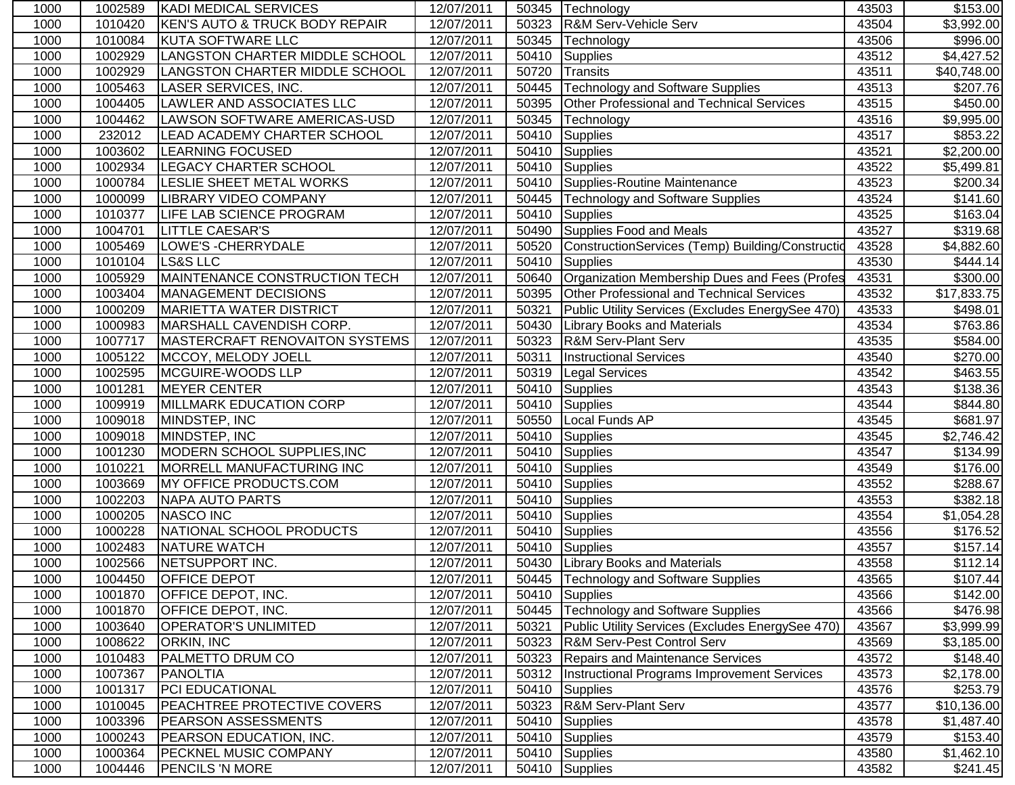| 1000 | 1002589 | <b>KADI MEDICAL SERVICES</b>          | 12/07/2011 |       | 50345   Technology                               | 43503 | \$153.00               |
|------|---------|---------------------------------------|------------|-------|--------------------------------------------------|-------|------------------------|
| 1000 | 1010420 | KEN'S AUTO & TRUCK BODY REPAIR        | 12/07/2011 | 50323 | R&M Serv-Vehicle Serv                            | 43504 | $\overline{$3,992.00}$ |
| 1000 | 1010084 | KUTA SOFTWARE LLC                     | 12/07/2011 | 50345 | Technology                                       | 43506 | \$996.00               |
| 1000 | 1002929 | LANGSTON CHARTER MIDDLE SCHOOL        | 12/07/2011 | 50410 | Supplies                                         | 43512 | \$4,427.52             |
| 1000 | 1002929 | LANGSTON CHARTER MIDDLE SCHOOL        | 12/07/2011 | 50720 | Transits                                         | 43511 | \$40,748.00            |
| 1000 | 1005463 | <b>LASER SERVICES, INC.</b>           | 12/07/2011 | 50445 | Technology and Software Supplies                 | 43513 | \$207.76               |
| 1000 | 1004405 | LAWLER AND ASSOCIATES LLC             | 12/07/2011 | 50395 | Other Professional and Technical Services        | 43515 | \$450.00               |
| 1000 | 1004462 | LAWSON SOFTWARE AMERICAS-USD          | 12/07/2011 | 50345 | Technology                                       | 43516 | \$9,995.00             |
| 1000 | 232012  | LEAD ACADEMY CHARTER SCHOOL           | 12/07/2011 | 50410 | Supplies                                         | 43517 | \$853.22               |
| 1000 | 1003602 | <b>LEARNING FOCUSED</b>               | 12/07/2011 | 50410 | Supplies                                         | 43521 | \$2,200.00             |
| 1000 | 1002934 | <b>LEGACY CHARTER SCHOOL</b>          | 12/07/2011 | 50410 | Supplies                                         | 43522 | \$5,499.81             |
| 1000 | 1000784 | LESLIE SHEET METAL WORKS              | 12/07/2011 | 50410 | Supplies-Routine Maintenance                     | 43523 | \$200.34               |
| 1000 | 1000099 | <b>LIBRARY VIDEO COMPANY</b>          | 12/07/2011 | 50445 | <b>Technology and Software Supplies</b>          | 43524 | \$141.60               |
| 1000 | 1010377 | LIFE LAB SCIENCE PROGRAM              | 12/07/2011 | 50410 | <b>Supplies</b>                                  | 43525 | \$163.04               |
| 1000 | 1004701 | <b>LITTLE CAESAR'S</b>                | 12/07/2011 | 50490 | Supplies Food and Meals                          | 43527 | \$319.68               |
| 1000 | 1005469 | LOWE'S - CHERRYDALE                   | 12/07/2011 | 50520 | ConstructionServices (Temp) Building/Constructio | 43528 | \$4,882.60             |
| 1000 | 1010104 | LS&S LLC                              | 12/07/2011 | 50410 | Supplies                                         | 43530 | \$444.14               |
| 1000 | 1005929 | MAINTENANCE CONSTRUCTION TECH         | 12/07/2011 | 50640 | Organization Membership Dues and Fees (Profes    | 43531 | \$300.00               |
| 1000 | 1003404 | MANAGEMENT DECISIONS                  | 12/07/2011 | 50395 | Other Professional and Technical Services        | 43532 | \$17,833.75            |
| 1000 | 1000209 | <b>MARIETTA WATER DISTRICT</b>        | 12/07/2011 | 50321 | Public Utility Services (Excludes EnergySee 470) | 43533 | \$498.01               |
| 1000 | 1000983 | MARSHALL CAVENDISH CORP.              | 12/07/2011 | 50430 | <b>Library Books and Materials</b>               | 43534 | \$763.86               |
| 1000 | 1007717 | <b>MASTERCRAFT RENOVAITON SYSTEMS</b> | 12/07/2011 | 50323 | <b>R&amp;M Serv-Plant Serv</b>                   | 43535 | \$584.00               |
| 1000 | 1005122 | MCCOY, MELODY JOELL                   | 12/07/2011 | 50311 | <b>Instructional Services</b>                    | 43540 | \$270.00               |
| 1000 | 1002595 | MCGUIRE-WOODS LLP                     | 12/07/2011 |       | 50319 Legal Services                             | 43542 | \$463.55               |
| 1000 | 1001281 | <b>MEYER CENTER</b>                   | 12/07/2011 | 50410 | Supplies                                         | 43543 | \$138.36               |
| 1000 | 1009919 | MILLMARK EDUCATION CORP               | 12/07/2011 | 50410 | Supplies                                         | 43544 | \$844.80               |
| 1000 | 1009018 | MINDSTEP, INC                         | 12/07/2011 | 50550 | Local Funds AP                                   | 43545 | \$681.97               |
| 1000 | 1009018 | MINDSTEP, INC                         | 12/07/2011 | 50410 | Supplies                                         | 43545 | \$2,746.42             |
| 1000 | 1001230 | MODERN SCHOOL SUPPLIES, INC           | 12/07/2011 | 50410 | Supplies                                         | 43547 | \$134.99               |
| 1000 | 1010221 | MORRELL MANUFACTURING INC             | 12/07/2011 | 50410 | Supplies                                         | 43549 | \$176.00               |
| 1000 | 1003669 | <b>MY OFFICE PRODUCTS.COM</b>         | 12/07/2011 | 50410 | Supplies                                         | 43552 | \$288.67               |
| 1000 | 1002203 | <b>NAPA AUTO PARTS</b>                | 12/07/2011 | 50410 | Supplies                                         | 43553 | \$382.18               |
| 1000 | 1000205 | NASCO INC                             | 12/07/2011 |       | 50410 Supplies                                   | 43554 | \$1,054.28             |
| 1000 | 1000228 | NATIONAL SCHOOL PRODUCTS              | 12/07/2011 | 50410 | Supplies                                         | 43556 | \$176.52               |
| 1000 | 1002483 | <b>NATURE WATCH</b>                   | 12/07/2011 | 50410 | Supplies                                         | 43557 | \$157.14               |
| 1000 | 1002566 | NETSUPPORT INC.                       | 12/07/2011 |       | 50430 Library Books and Materials                | 43558 | \$112.14               |
| 1000 | 1004450 | <b>OFFICE DEPOT</b>                   | 12/07/2011 |       | 50445   Technology and Software Supplies         | 43565 | $\sqrt{$107.44}$       |
| 1000 | 1001870 | <b>OFFICE DEPOT, INC.</b>             | 12/07/2011 | 50410 | Supplies                                         | 43566 | \$142.00               |
| 1000 | 1001870 | <b>OFFICE DEPOT, INC.</b>             | 12/07/2011 | 50445 | <b>Technology and Software Supplies</b>          | 43566 | \$476.98               |
| 1000 | 1003640 | <b>OPERATOR'S UNLIMITED</b>           | 12/07/2011 | 50321 | Public Utility Services (Excludes EnergySee 470) | 43567 | \$3,999.99             |
| 1000 | 1008622 | <b>ORKIN, INC</b>                     | 12/07/2011 |       | 50323 R&M Serv-Pest Control Serv                 | 43569 | \$3,185.00             |
| 1000 | 1010483 | <b>PALMETTO DRUM CO</b>               | 12/07/2011 |       | 50323 Repairs and Maintenance Services           | 43572 | \$148.40               |
| 1000 | 1007367 | PANOLTIA                              | 12/07/2011 | 50312 | Instructional Programs Improvement Services      | 43573 | \$2,178.00             |
| 1000 | 1001317 | <b>PCI EDUCATIONAL</b>                | 12/07/2011 | 50410 | Supplies                                         | 43576 | \$253.79               |
| 1000 | 1010045 | <b>PEACHTREE PROTECTIVE COVERS</b>    | 12/07/2011 | 50323 | R&M Serv-Plant Serv                              | 43577 | \$10,136.00            |
| 1000 | 1003396 | <b>PEARSON ASSESSMENTS</b>            | 12/07/2011 | 50410 | Supplies                                         | 43578 | \$1,487.40             |
| 1000 | 1000243 | <b>PEARSON EDUCATION, INC.</b>        | 12/07/2011 | 50410 | Supplies                                         | 43579 | \$153.40               |
| 1000 | 1000364 | <b>PECKNEL MUSIC COMPANY</b>          | 12/07/2011 | 50410 | Supplies                                         | 43580 | \$1,462.10             |
| 1000 | 1004446 | <b>PENCILS 'N MORE</b>                | 12/07/2011 |       | 50410 Supplies                                   | 43582 | \$241.45               |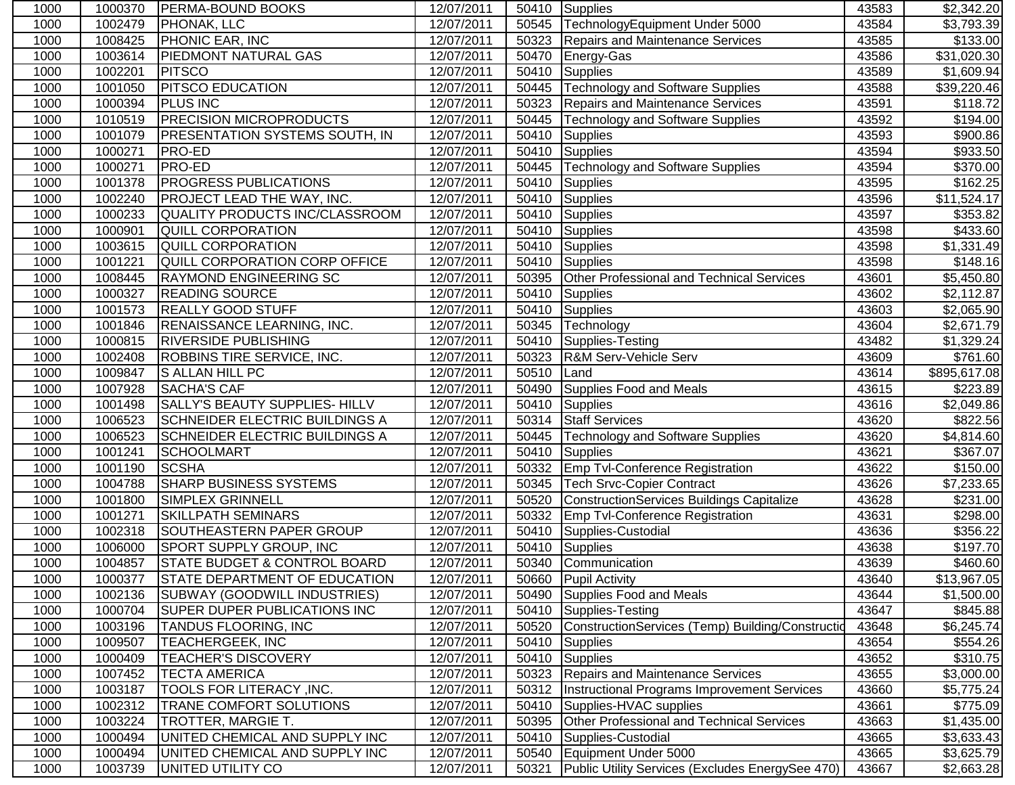| 1000 | 1000370 | <b>PERMA-BOUND BOOKS</b>              | 12/07/2011 |       | 50410 Supplies                                     | 43583 | \$2,342.20   |
|------|---------|---------------------------------------|------------|-------|----------------------------------------------------|-------|--------------|
| 1000 | 1002479 | PHONAK, LLC                           | 12/07/2011 | 50545 | TechnologyEquipment Under 5000                     | 43584 | \$3,793.39   |
| 1000 | 1008425 | <b>PHONIC EAR, INC</b>                | 12/07/2011 | 50323 | <b>Repairs and Maintenance Services</b>            | 43585 | \$133.00     |
| 1000 | 1003614 | <b>PIEDMONT NATURAL GAS</b>           | 12/07/2011 | 50470 | Energy-Gas                                         | 43586 | \$31,020.30  |
| 1000 | 1002201 | PITSCO                                | 12/07/2011 | 50410 | <b>Supplies</b>                                    | 43589 | \$1,609.94   |
| 1000 | 1001050 | <b>PITSCO EDUCATION</b>               | 12/07/2011 | 50445 | <b>Technology and Software Supplies</b>            | 43588 | \$39,220.46  |
| 1000 | 1000394 | <b>PLUS INC</b>                       | 12/07/2011 | 50323 | <b>Repairs and Maintenance Services</b>            | 43591 | \$118.72     |
| 1000 | 1010519 | <b>PRECISION MICROPRODUCTS</b>        | 12/07/2011 | 50445 | <b>Technology and Software Supplies</b>            | 43592 | \$194.00     |
| 1000 | 1001079 | PRESENTATION SYSTEMS SOUTH, IN        | 12/07/2011 | 50410 | <b>Supplies</b>                                    | 43593 | \$900.86     |
| 1000 | 1000271 | PRO-ED                                | 12/07/2011 | 50410 | <b>Supplies</b>                                    | 43594 | \$933.50     |
| 1000 | 1000271 | <b>PRO-ED</b>                         | 12/07/2011 | 50445 | <b>Technology and Software Supplies</b>            | 43594 | \$370.00     |
| 1000 | 1001378 | PROGRESS PUBLICATIONS                 | 12/07/2011 | 50410 | <b>Supplies</b>                                    | 43595 | \$162.25     |
| 1000 | 1002240 | PROJECT LEAD THE WAY, INC.            | 12/07/2011 | 50410 | <b>Supplies</b>                                    | 43596 | \$11,524.17  |
| 1000 | 1000233 | QUALITY PRODUCTS INC/CLASSROOM        | 12/07/2011 | 50410 | <b>Supplies</b>                                    | 43597 | \$353.82     |
| 1000 | 1000901 | <b>QUILL CORPORATION</b>              | 12/07/2011 | 50410 | Supplies                                           | 43598 | \$433.60     |
| 1000 | 1003615 | <b>QUILL CORPORATION</b>              | 12/07/2011 | 50410 | Supplies                                           | 43598 | \$1,331.49   |
| 1000 | 1001221 | QUILL CORPORATION CORP OFFICE         | 12/07/2011 | 50410 | Supplies                                           | 43598 | \$148.16     |
| 1000 | 1008445 | <b>RAYMOND ENGINEERING SC</b>         | 12/07/2011 | 50395 | Other Professional and Technical Services          | 43601 | \$5,450.80   |
| 1000 | 1000327 | <b>READING SOURCE</b>                 | 12/07/2011 | 50410 | Supplies                                           | 43602 | \$2,112.87   |
| 1000 | 1001573 | <b>REALLY GOOD STUFF</b>              | 12/07/2011 | 50410 | <b>Supplies</b>                                    | 43603 | \$2,065.90   |
| 1000 | 1001846 | <b>RENAISSANCE LEARNING, INC.</b>     | 12/07/2011 | 50345 | Technology                                         | 43604 | \$2,671.79   |
| 1000 | 1000815 | <b>RIVERSIDE PUBLISHING</b>           | 12/07/2011 | 50410 | Supplies-Testing                                   | 43482 | \$1,329.24   |
| 1000 | 1002408 | <b>ROBBINS TIRE SERVICE, INC.</b>     | 12/07/2011 | 50323 | <b>R&amp;M Serv-Vehicle Serv</b>                   | 43609 | \$761.60     |
| 1000 | 1009847 | S ALLAN HILL PC                       | 12/07/2011 | 50510 | Land                                               | 43614 | \$895,617.08 |
| 1000 | 1007928 | <b>SACHA'S CAF</b>                    | 12/07/2011 | 50490 | Supplies Food and Meals                            | 43615 | \$223.89     |
| 1000 | 1001498 | SALLY'S BEAUTY SUPPLIES- HILLV        | 12/07/2011 | 50410 | Supplies                                           | 43616 | \$2,049.86   |
| 1000 | 1006523 | SCHNEIDER ELECTRIC BUILDINGS A        | 12/07/2011 | 50314 | <b>Staff Services</b>                              | 43620 | \$822.56     |
| 1000 | 1006523 | <b>SCHNEIDER ELECTRIC BUILDINGS A</b> | 12/07/2011 | 50445 | <b>Technology and Software Supplies</b>            | 43620 | \$4,814.60   |
| 1000 | 1001241 | <b>SCHOOLMART</b>                     | 12/07/2011 | 50410 | <b>Supplies</b>                                    | 43621 | \$367.07     |
| 1000 | 1001190 | <b>SCSHA</b>                          | 12/07/2011 | 50332 | <b>Emp Tvl-Conference Registration</b>             | 43622 | \$150.00     |
| 1000 | 1004788 | <b>SHARP BUSINESS SYSTEMS</b>         | 12/07/2011 | 50345 | <b>Tech Srvc-Copier Contract</b>                   | 43626 | \$7,233.65   |
| 1000 | 1001800 | SIMPLEX GRINNELL                      | 12/07/2011 | 50520 | ConstructionServices Buildings Capitalize          | 43628 | \$231.00     |
| 1000 | 1001271 | <b>SKILLPATH SEMINARS</b>             | 12/07/2011 | 50332 | Emp Tvl-Conference Registration                    | 43631 | \$298.00     |
| 1000 | 1002318 | SOUTHEASTERN PAPER GROUP              | 12/07/2011 | 50410 | Supplies-Custodial                                 | 43636 | \$356.22     |
| 1000 | 1006000 | SPORT SUPPLY GROUP, INC               | 12/07/2011 | 50410 | Supplies                                           | 43638 | \$197.70     |
| 1000 | 1004857 | STATE BUDGET & CONTROL BOARD          | 12/07/2011 | 50340 | Communication                                      | 43639 | \$460.60     |
| 1000 | 1000377 | STATE DEPARTMENT OF EDUCATION         | 12/07/2011 |       | 50660 Pupil Activity                               | 43640 | \$13,967.05  |
| 1000 | 1002136 | <b>SUBWAY (GOODWILL INDUSTRIES)</b>   | 12/07/2011 | 50490 | Supplies Food and Meals                            | 43644 | \$1,500.00   |
| 1000 | 1000704 | SUPER DUPER PUBLICATIONS INC          | 12/07/2011 | 50410 | Supplies-Testing                                   | 43647 | \$845.88     |
| 1000 | 1003196 | TANDUS FLOORING, INC                  | 12/07/2011 | 50520 | ConstructionServices (Temp) Building/Constructid   | 43648 | \$6,245.74   |
| 1000 | 1009507 | TEACHERGEEK, INC                      | 12/07/2011 | 50410 | Supplies                                           | 43654 | \$554.26     |
| 1000 | 1000409 | <b>TEACHER'S DISCOVERY</b>            | 12/07/2011 |       | 50410 Supplies                                     | 43652 | \$310.75     |
| 1000 | 1007452 | <b>TECTA AMERICA</b>                  | 12/07/2011 |       | 50323 Repairs and Maintenance Services             | 43655 | \$3,000.00   |
| 1000 | 1003187 | TOOLS FOR LITERACY , INC.             | 12/07/2011 |       | 50312  Instructional Programs Improvement Services | 43660 | \$5,775.24   |
| 1000 | 1002312 | TRANE COMFORT SOLUTIONS               | 12/07/2011 | 50410 | Supplies-HVAC supplies                             | 43661 | \$775.09     |
| 1000 | 1003224 | TROTTER, MARGIE T.                    | 12/07/2011 | 50395 | <b>Other Professional and Technical Services</b>   | 43663 | \$1,435.00   |
| 1000 | 1000494 | UNITED CHEMICAL AND SUPPLY INC        | 12/07/2011 | 50410 | Supplies-Custodial                                 | 43665 | \$3,633.43   |
| 1000 | 1000494 | UNITED CHEMICAL AND SUPPLY INC        | 12/07/2011 | 50540 | Equipment Under 5000                               | 43665 | \$3,625.79   |
| 1000 | 1003739 | UNITED UTILITY CO                     | 12/07/2011 | 50321 | Public Utility Services (Excludes EnergySee 470)   | 43667 | \$2,663.28   |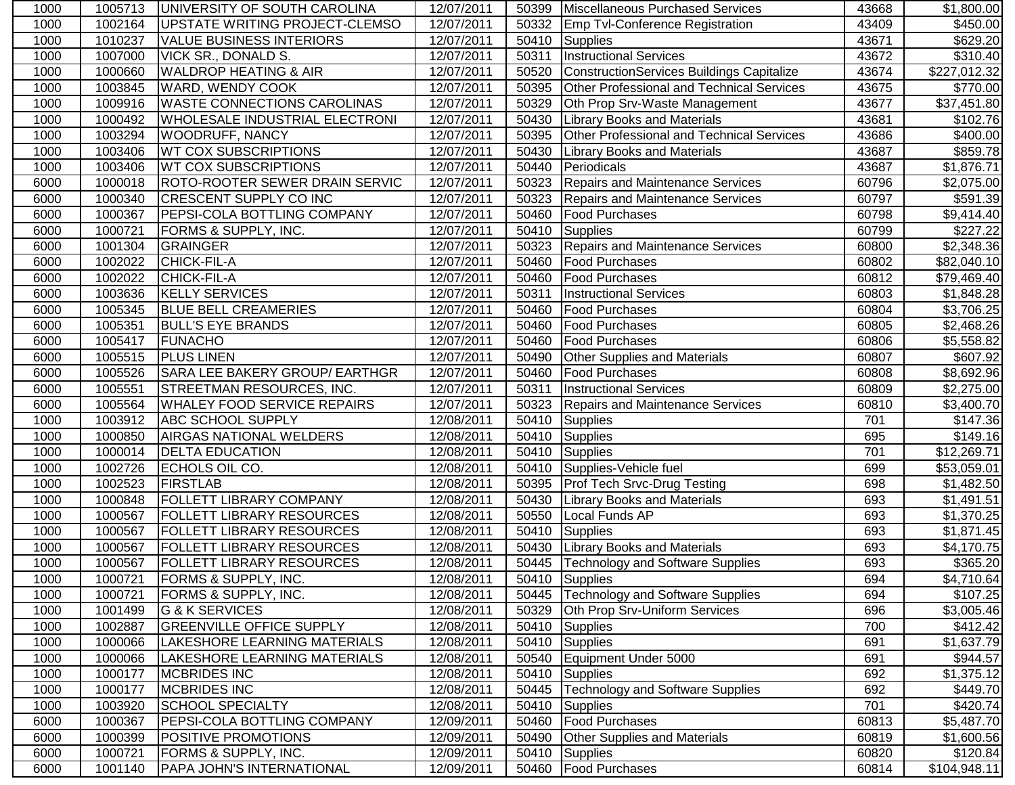| 1000 | 1005713 | <b>JUNIVERSITY OF SOUTH CAROLINA</b>  | 12/07/2011 |       | 50399 Miscellaneous Purchased Services           | 43668 | \$1,800.00   |
|------|---------|---------------------------------------|------------|-------|--------------------------------------------------|-------|--------------|
| 1000 | 1002164 | UPSTATE WRITING PROJECT-CLEMSO        | 12/07/2011 | 50332 | <b>Emp Tvl-Conference Registration</b>           | 43409 | \$450.00     |
| 1000 | 1010237 | <b>VALUE BUSINESS INTERIORS</b>       | 12/07/2011 | 50410 | Supplies                                         | 43671 | \$629.20     |
| 1000 | 1007000 | <b>VICK SR., DONALD S.</b>            | 12/07/2011 | 50311 | <b>Instructional Services</b>                    | 43672 | \$310.40     |
| 1000 | 1000660 | <b>WALDROP HEATING &amp; AIR</b>      | 12/07/2011 | 50520 | <b>ConstructionServices Buildings Capitalize</b> | 43674 | \$227,012.32 |
| 1000 | 1003845 | <b>WARD, WENDY COOK</b>               | 12/07/2011 | 50395 | Other Professional and Technical Services        | 43675 | \$770.00     |
| 1000 | 1009916 | <b>WASTE CONNECTIONS CAROLINAS</b>    | 12/07/2011 | 50329 | Oth Prop Srv-Waste Management                    | 43677 | \$37,451.80  |
| 1000 | 1000492 | <b>WHOLESALE INDUSTRIAL ELECTRONI</b> | 12/07/2011 | 50430 | <b>Library Books and Materials</b>               | 43681 | \$102.76     |
| 1000 | 1003294 | <b>WOODRUFF, NANCY</b>                | 12/07/2011 | 50395 | Other Professional and Technical Services        | 43686 | \$400.00     |
| 1000 | 1003406 | <b>WT COX SUBSCRIPTIONS</b>           | 12/07/2011 | 50430 | Library Books and Materials                      | 43687 | \$859.78     |
| 1000 | 1003406 | <b>WT COX SUBSCRIPTIONS</b>           | 12/07/2011 | 50440 | Periodicals                                      | 43687 | \$1,876.71   |
| 6000 | 1000018 | <b>ROTO-ROOTER SEWER DRAIN SERVIC</b> | 12/07/2011 | 50323 | Repairs and Maintenance Services                 | 60796 | \$2,075.00   |
| 6000 | 1000340 | <b>CRESCENT SUPPLY CO INC</b>         | 12/07/2011 | 50323 | Repairs and Maintenance Services                 | 60797 | \$591.39     |
| 6000 | 1000367 | <b>PEPSI-COLA BOTTLING COMPANY</b>    | 12/07/2011 | 50460 | <b>Food Purchases</b>                            | 60798 | \$9,414.40   |
| 6000 | 1000721 | FORMS & SUPPLY, INC.                  | 12/07/2011 | 50410 | Supplies                                         | 60799 | \$227.22     |
| 6000 | 1001304 | GRAINGER                              | 12/07/2011 | 50323 | Repairs and Maintenance Services                 | 60800 | \$2,348.36   |
| 6000 | 1002022 | CHICK-FIL-A                           | 12/07/2011 | 50460 | <b>Food Purchases</b>                            | 60802 | \$82,040.10  |
| 6000 | 1002022 | CHICK-FIL-A                           | 12/07/2011 | 50460 | <b>Food Purchases</b>                            | 60812 | \$79,469.40  |
| 6000 | 1003636 | <b>KELLY SERVICES</b>                 | 12/07/2011 | 50311 | <b>Instructional Services</b>                    | 60803 | \$1,848.28   |
| 6000 | 1005345 | <b>BLUE BELL CREAMERIES</b>           | 12/07/2011 | 50460 | <b>Food Purchases</b>                            | 60804 | \$3,706.25   |
| 6000 | 1005351 | <b>BULL'S EYE BRANDS</b>              | 12/07/2011 | 50460 | <b>Food Purchases</b>                            | 60805 | \$2,468.26   |
| 6000 | 1005417 | FUNACHO                               | 12/07/2011 | 50460 | <b>Food Purchases</b>                            | 60806 | \$5,558.82   |
| 6000 | 1005515 | <b>PLUS LINEN</b>                     | 12/07/2011 | 50490 | <b>Other Supplies and Materials</b>              | 60807 | \$607.92     |
| 6000 | 1005526 | SARA LEE BAKERY GROUP/ EARTHGR        | 12/07/2011 | 50460 | <b>Food Purchases</b>                            | 60808 | \$8,692.96   |
| 6000 | 1005551 | STREETMAN RESOURCES, INC.             | 12/07/2011 | 50311 | <b>Instructional Services</b>                    | 60809 | \$2,275.00   |
| 6000 | 1005564 | <b>WHALEY FOOD SERVICE REPAIRS</b>    | 12/07/2011 | 50323 | <b>Repairs and Maintenance Services</b>          | 60810 | \$3,400.70   |
| 1000 | 1003912 | <b>ABC SCHOOL SUPPLY</b>              | 12/08/2011 | 50410 | Supplies                                         | 701   | \$147.36     |
| 1000 | 1000850 | AIRGAS NATIONAL WELDERS               | 12/08/2011 | 50410 | Supplies                                         | 695   | \$149.16     |
| 1000 | 1000014 | <b>DELTA EDUCATION</b>                | 12/08/2011 | 50410 | Supplies                                         | 701   | \$12,269.71  |
| 1000 | 1002726 | ECHOLS OIL CO.                        | 12/08/2011 | 50410 | Supplies-Vehicle fuel                            | 699   | \$53,059.01  |
| 1000 | 1002523 | <b>FIRSTLAB</b>                       | 12/08/2011 | 50395 | <b>Prof Tech Srvc-Drug Testing</b>               | 698   | \$1,482.50   |
| 1000 | 1000848 | FOLLETT LIBRARY COMPANY               | 12/08/2011 | 50430 | <b>Library Books and Materials</b>               | 693   | \$1,491.51   |
| 1000 | 1000567 | <b>FOLLETT LIBRARY RESOURCES</b>      | 12/08/2011 | 50550 | Local Funds AP                                   | 693   | \$1,370.25   |
| 1000 | 1000567 | <b>FOLLETT LIBRARY RESOURCES</b>      | 12/08/2011 | 50410 | Supplies                                         | 693   | \$1,871.45   |
| 1000 | 1000567 | <b>FOLLETT LIBRARY RESOURCES</b>      | 12/08/2011 | 50430 | <b>Library Books and Materials</b>               | 693   | \$4,170.75   |
| 1000 | 1000567 | <b>FOLLETT LIBRARY RESOURCES</b>      | 12/08/2011 |       | 50445   Technology and Software Supplies         | 693   | \$365.20     |
| 1000 | 1000721 | <b>FORMS &amp; SUPPLY, INC.</b>       | 12/08/2011 |       | 50410 Supplies                                   | 694   | \$4,710.64   |
| 1000 | 1000721 | <b>FORMS &amp; SUPPLY, INC.</b>       | 12/08/2011 |       | 50445 Technology and Software Supplies           | 694   | \$107.25     |
| 1000 | 1001499 | G & K SERVICES                        | 12/08/2011 | 50329 | Oth Prop Srv-Uniform Services                    | 696   | \$3,005.46   |
| 1000 | 1002887 | <b>GREENVILLE OFFICE SUPPLY</b>       | 12/08/2011 |       | 50410 Supplies                                   | 700   | \$412.42]    |
| 1000 | 1000066 | LAKESHORE LEARNING MATERIALS          | 12/08/2011 |       | 50410 Supplies                                   | 691   | \$1,637.79   |
| 1000 | 1000066 | LAKESHORE LEARNING MATERIALS          | 12/08/2011 |       | 50540 Equipment Under 5000                       | 691   | \$944.57     |
| 1000 | 1000177 | <b>MCBRIDES INC</b>                   | 12/08/2011 | 50410 | Supplies                                         | 692   | \$1,375.12   |
| 1000 | 1000177 | <b>MCBRIDES INC</b>                   | 12/08/2011 | 50445 | <b>Technology and Software Supplies</b>          | 692   | \$449.70     |
| 1000 | 1003920 | <b>SCHOOL SPECIALTY</b>               | 12/08/2011 | 50410 | Supplies                                         | 701   | \$420.74]    |
| 6000 | 1000367 | <b>PEPSI-COLA BOTTLING COMPANY</b>    | 12/09/2011 | 50460 | <b>Food Purchases</b>                            | 60813 | \$5,487.70   |
| 6000 | 1000399 | POSITIVE PROMOTIONS                   | 12/09/2011 | 50490 | <b>Other Supplies and Materials</b>              | 60819 | \$1,600.56   |
| 6000 | 1000721 | FORMS & SUPPLY, INC.                  | 12/09/2011 | 50410 | Supplies                                         | 60820 | \$120.84     |
| 6000 | 1001140 | <b>PAPA JOHN'S INTERNATIONAL</b>      | 12/09/2011 |       | 50460 Food Purchases                             | 60814 | \$104,948.11 |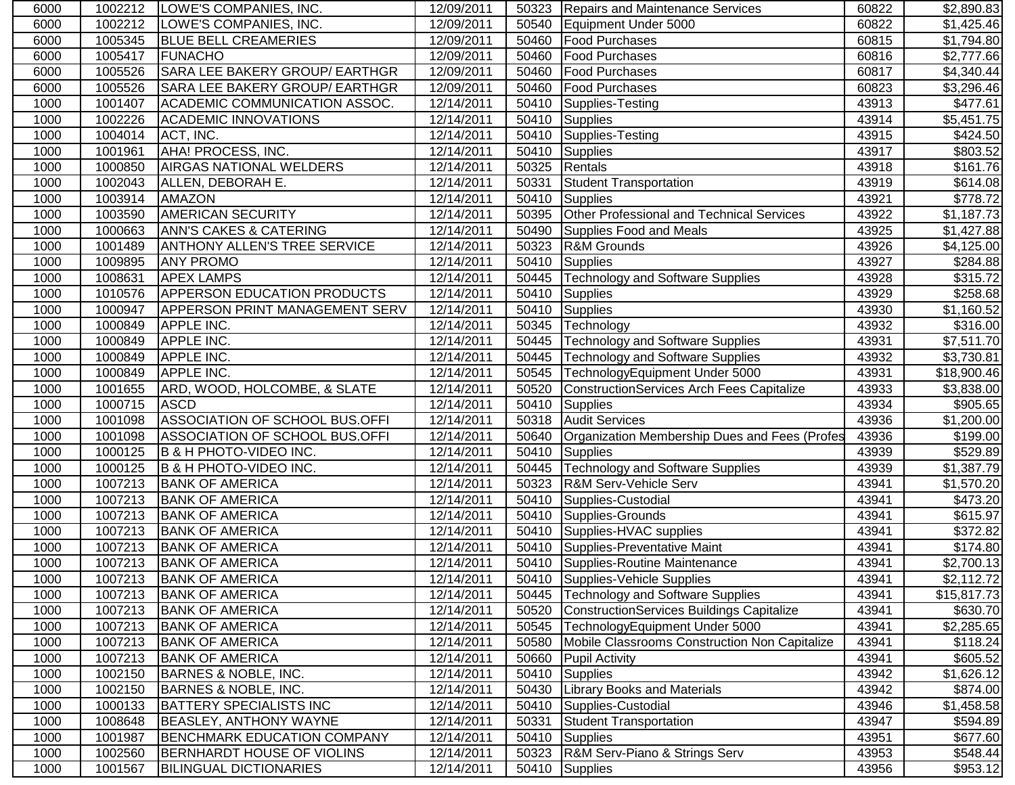| 6000 | 1002212 | LOWE'S COMPANIES, INC.                | 12/09/2011 |       | 50323 Repairs and Maintenance Services              | 60822 | \$2,890.83           |
|------|---------|---------------------------------------|------------|-------|-----------------------------------------------------|-------|----------------------|
| 6000 | 1002212 | LOWE'S COMPANIES, INC.                | 12/09/2011 | 50540 | Equipment Under 5000                                | 60822 | \$1,425.46           |
| 6000 | 1005345 | <b>BLUE BELL CREAMERIES</b>           | 12/09/2011 | 50460 | <b>Food Purchases</b>                               | 60815 | \$1,794.80           |
| 6000 | 1005417 | FUNACHO                               | 12/09/2011 | 50460 | <b>Food Purchases</b>                               | 60816 | \$2,777.66           |
| 6000 | 1005526 | SARA LEE BAKERY GROUP/ EARTHGR        | 12/09/2011 | 50460 | <b>Food Purchases</b>                               | 60817 | \$4,340.44           |
| 6000 | 1005526 | <b>SARA LEE BAKERY GROUP/ EARTHGR</b> | 12/09/2011 | 50460 | <b>Food Purchases</b>                               | 60823 | \$3,296.46           |
| 1000 | 1001407 | ACADEMIC COMMUNICATION ASSOC.         | 12/14/2011 | 50410 | Supplies-Testing                                    | 43913 | \$477.61             |
| 1000 | 1002226 | <b>ACADEMIC INNOVATIONS</b>           | 12/14/2011 |       | 50410 Supplies                                      | 43914 | \$5,451.75           |
| 1000 | 1004014 | ACT, INC.                             | 12/14/2011 |       | 50410 Supplies-Testing                              | 43915 | \$424.50             |
| 1000 | 1001961 | AHA! PROCESS, INC.                    | 12/14/2011 |       | 50410 Supplies                                      | 43917 | \$803.52             |
| 1000 | 1000850 | <b>AIRGAS NATIONAL WELDERS</b>        | 12/14/2011 | 50325 | Rentals                                             | 43918 | \$161.76             |
| 1000 | 1002043 | ALLEN, DEBORAH E.                     | 12/14/2011 | 50331 | <b>Student Transportation</b>                       | 43919 | \$614.08             |
| 1000 | 1003914 | <b>AMAZON</b>                         | 12/14/2011 | 50410 | Supplies                                            | 43921 | \$778.72             |
| 1000 | 1003590 | <b>AMERICAN SECURITY</b>              | 12/14/2011 | 50395 | Other Professional and Technical Services           | 43922 | \$1,187.73           |
| 1000 | 1000663 | <b>ANN'S CAKES &amp; CATERING</b>     | 12/14/2011 | 50490 | Supplies Food and Meals                             | 43925 | \$1,427.88           |
| 1000 | 1001489 | <b>ANTHONY ALLEN'S TREE SERVICE</b>   | 12/14/2011 |       | 50323 R&M Grounds                                   | 43926 | \$4,125.00           |
| 1000 | 1009895 | <b>ANY PROMO</b>                      | 12/14/2011 | 50410 | Supplies                                            | 43927 | \$284.88             |
| 1000 | 1008631 | <b>APEX LAMPS</b>                     | 12/14/2011 | 50445 | Technology and Software Supplies                    | 43928 | \$315.72             |
| 1000 | 1010576 | <b>APPERSON EDUCATION PRODUCTS</b>    | 12/14/2011 | 50410 | Supplies                                            | 43929 | $\overline{$}258.68$ |
| 1000 | 1000947 | <b>APPERSON PRINT MANAGEMENT SERV</b> | 12/14/2011 | 50410 | Supplies                                            | 43930 | \$1,160.52           |
| 1000 | 1000849 | <b>APPLE INC.</b>                     | 12/14/2011 | 50345 | Technology                                          | 43932 | 3316.00              |
| 1000 | 1000849 | <b>APPLE INC.</b>                     | 12/14/2011 | 50445 | <b>Technology and Software Supplies</b>             | 43931 | \$7,511.70           |
| 1000 | 1000849 | <b>APPLE INC.</b>                     | 12/14/2011 | 50445 | <b>Technology and Software Supplies</b>             | 43932 | \$3,730.81           |
| 1000 | 1000849 | <b>APPLE INC.</b>                     | 12/14/2011 | 50545 | TechnologyEquipment Under 5000                      | 43931 | \$18,900.46          |
| 1000 | 1001655 | ARD, WOOD, HOLCOMBE, & SLATE          | 12/14/2011 | 50520 | ConstructionServices Arch Fees Capitalize           | 43933 | \$3,838.00           |
| 1000 | 1000715 | <b>ASCD</b>                           | 12/14/2011 | 50410 | Supplies                                            | 43934 | \$905.65             |
| 1000 | 1001098 | ASSOCIATION OF SCHOOL BUS.OFFI        | 12/14/2011 | 50318 | <b>Audit Services</b>                               | 43936 | \$1,200.00           |
| 1000 | 1001098 | ASSOCIATION OF SCHOOL BUS.OFFI        | 12/14/2011 | 50640 | Organization Membership Dues and Fees (Profes       | 43936 | \$199.00             |
| 1000 | 1000125 | <b>B &amp; H PHOTO-VIDEO INC.</b>     | 12/14/2011 | 50410 | Supplies                                            | 43939 | \$529.89             |
| 1000 | 1000125 | <b>B &amp; H PHOTO-VIDEO INC.</b>     | 12/14/2011 | 50445 | <b>Technology and Software Supplies</b>             | 43939 | \$1,387.79           |
| 1000 | 1007213 | <b>BANK OF AMERICA</b>                | 12/14/2011 | 50323 | R&M Serv-Vehicle Serv                               | 43941 | \$1,570.20           |
| 1000 | 1007213 | <b>BANK OF AMERICA</b>                | 12/14/2011 | 50410 | Supplies-Custodial                                  | 43941 | \$473.20             |
| 1000 | 1007213 | <b>BANK OF AMERICA</b>                | 12/14/2011 |       | 50410 Supplies-Grounds                              | 43941 | \$615.97             |
| 1000 | 1007213 | <b>BANK OF AMERICA</b>                | 12/14/2011 |       | 50410 Supplies-HVAC supplies                        | 43941 | \$372.82             |
| 1000 | 1007213 | <b>BANK OF AMERICA</b>                | 12/14/2011 |       | 50410 Supplies-Preventative Maint                   | 43941 | \$174.80             |
| 1000 | 1007213 | <b>BANK OF AMERICA</b>                | 12/14/2011 |       | 50410 Supplies-Routine Maintenance                  | 43941 | \$2,700.13           |
| 1000 | 1007213 | <b>BANK OF AMERICA</b>                | 12/14/2011 |       | 50410 Supplies-Vehicle Supplies                     | 43941 | \$2,112.72           |
| 1000 | 1007213 | <b>BANK OF AMERICA</b>                | 12/14/2011 | 50445 | <b>Technology and Software Supplies</b>             | 43941 | \$15,817.73          |
| 1000 | 1007213 | <b>BANK OF AMERICA</b>                | 12/14/2011 | 50520 | ConstructionServices Buildings Capitalize           | 43941 | \$630.70             |
| 1000 | 1007213 | <b>BANK OF AMERICA</b>                | 12/14/2011 | 50545 | TechnologyEquipment Under 5000                      | 43941 | \$2,285.65           |
| 1000 | 1007213 | <b>BANK OF AMERICA</b>                | 12/14/2011 |       | 50580 Mobile Classrooms Construction Non Capitalize | 43941 | \$118.24             |
| 1000 | 1007213 | <b>BANK OF AMERICA</b>                | 12/14/2011 | 50660 | <b>Pupil Activity</b>                               | 43941 | \$605.52             |
| 1000 | 1002150 | BARNES & NOBLE, INC.                  | 12/14/2011 | 50410 | Supplies                                            | 43942 | \$1,626.12           |
| 1000 | 1002150 | <b>BARNES &amp; NOBLE, INC.</b>       | 12/14/2011 | 50430 | <b>Library Books and Materials</b>                  | 43942 | \$874.00             |
| 1000 | 1000133 | <b>BATTERY SPECIALISTS INC</b>        | 12/14/2011 | 50410 | Supplies-Custodial                                  | 43946 | \$1,458.58           |
| 1000 | 1008648 | BEASLEY, ANTHONY WAYNE                | 12/14/2011 | 50331 | Student Transportation                              | 43947 | \$594.89             |
| 1000 | 1001987 | BENCHMARK EDUCATION COMPANY           | 12/14/2011 | 50410 | Supplies                                            | 43951 | \$677.60             |
| 1000 | 1002560 | BERNHARDT HOUSE OF VIOLINS            | 12/14/2011 | 50323 | R&M Serv-Piano & Strings Serv                       | 43953 | \$548.44             |
| 1000 | 1001567 | <b>BILINGUAL DICTIONARIES</b>         | 12/14/2011 |       | 50410 Supplies                                      | 43956 | \$953.12             |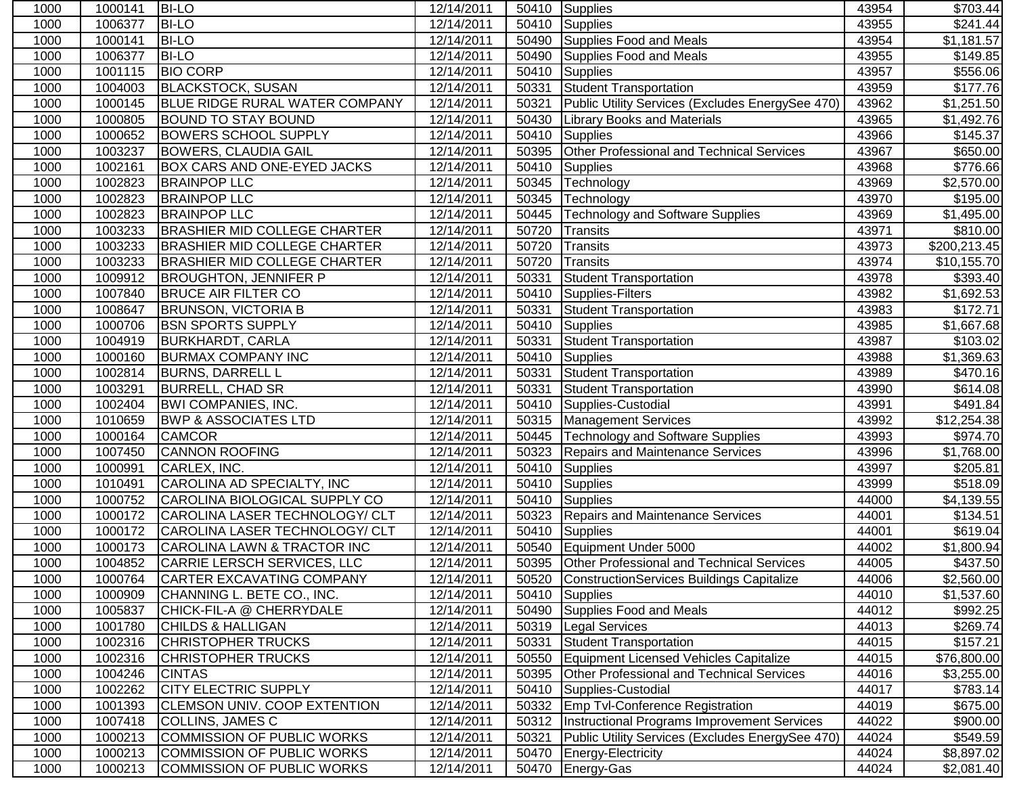| 1000 | 1000141 | <b>BI-LO</b>                          | 12/14/2011              |       | 50410 Supplies                                    | 43954 | \$703.44                |
|------|---------|---------------------------------------|-------------------------|-------|---------------------------------------------------|-------|-------------------------|
| 1000 | 1006377 | <b>BI-LO</b>                          | 12/14/2011              | 50410 | <b>Supplies</b>                                   | 43955 | $\sqrt{$241.44}$        |
| 1000 | 1000141 | <b>BI-LO</b>                          | 12/14/2011              | 50490 | Supplies Food and Meals                           | 43954 | \$1,181.57              |
| 1000 | 1006377 | <b>BI-LO</b>                          | 12/14/2011              | 50490 | <b>Supplies Food and Meals</b>                    | 43955 | \$149.85                |
| 1000 | 1001115 | <b>BIO CORP</b>                       | 12/14/2011              | 50410 | <b>Supplies</b>                                   | 43957 | \$556.06                |
| 1000 | 1004003 | <b>BLACKSTOCK, SUSAN</b>              | 12/14/2011              | 50331 | <b>Student Transportation</b>                     | 43959 | \$177.76                |
| 1000 | 1000145 | <b>BLUE RIDGE RURAL WATER COMPANY</b> | 12/14/2011              | 50321 | Public Utility Services (Excludes EnergySee 470)  | 43962 | \$1,251.50              |
| 1000 | 1000805 | <b>BOUND TO STAY BOUND</b>            | 12/14/2011              | 50430 | <b>Library Books and Materials</b>                | 43965 | \$1,492.76              |
| 1000 | 1000652 | <b>BOWERS SCHOOL SUPPLY</b>           | 12/14/2011              | 50410 | <b>Supplies</b>                                   | 43966 | \$145.37                |
| 1000 | 1003237 | <b>BOWERS, CLAUDIA GAIL</b>           | 12/14/2011              | 50395 | Other Professional and Technical Services         | 43967 | \$650.00                |
| 1000 | 1002161 | <b>BOX CARS AND ONE-EYED JACKS</b>    | 12/14/2011              | 50410 | Supplies                                          | 43968 | \$776.66                |
| 1000 | 1002823 | <b>BRAINPOP LLC</b>                   | 12/14/2011              | 50345 | Technology                                        | 43969 | \$2,570.00              |
| 1000 | 1002823 | <b>BRAINPOP LLC</b>                   | 12/14/2011              | 50345 | Technology                                        | 43970 | \$195.00                |
| 1000 | 1002823 | <b>BRAINPOP LLC</b>                   | 12/14/2011              | 50445 | <b>Technology and Software Supplies</b>           | 43969 | \$1,495.00              |
| 1000 | 1003233 | <b>BRASHIER MID COLLEGE CHARTER</b>   | 12/14/2011              | 50720 | Transits                                          | 43971 | \$810.00                |
| 1000 | 1003233 | <b>BRASHIER MID COLLEGE CHARTER</b>   | 12/14/2011              | 50720 | Transits                                          | 43973 | \$200,213.45            |
| 1000 | 1003233 | <b>BRASHIER MID COLLEGE CHARTER</b>   | 12/14/2011              | 50720 | Transits                                          | 43974 | \$10,155.70             |
| 1000 | 1009912 | <b>BROUGHTON, JENNIFER P</b>          | 12/14/2011              | 50331 | <b>Student Transportation</b>                     | 43978 | \$393.40                |
| 1000 | 1007840 | <b>BRUCE AIR FILTER CO</b>            | 12/14/2011              | 50410 | Supplies-Filters                                  | 43982 | $\overline{\$1,692.53}$ |
| 1000 | 1008647 | <b>BRUNSON, VICTORIA B</b>            | 12/14/2011              | 50331 | <b>Student Transportation</b>                     | 43983 | \$172.71                |
| 1000 | 1000706 | <b>BSN SPORTS SUPPLY</b>              | 12/14/2011              | 50410 | <b>Supplies</b>                                   | 43985 | \$1,667.68              |
| 1000 | 1004919 | <b>BURKHARDT, CARLA</b>               | 12/14/2011              | 50331 | <b>Student Transportation</b>                     | 43987 | $\overline{$}103.02$    |
| 1000 | 1000160 | <b>BURMAX COMPANY INC</b>             | 12/14/2011              | 50410 | <b>Supplies</b>                                   | 43988 | \$1,369.63              |
| 1000 | 1002814 | <b>BURNS, DARRELL L</b>               | 12/14/2011              | 50331 | Student Transportation                            | 43989 | \$470.16                |
| 1000 | 1003291 | <b>BURRELL, CHAD SR</b>               | 12/14/2011              | 50331 | Student Transportation                            | 43990 | \$614.08                |
| 1000 | 1002404 | <b>BWI COMPANIES, INC.</b>            | 12/14/2011              | 50410 | Supplies-Custodial                                | 43991 | \$491.84                |
| 1000 | 1010659 | <b>BWP &amp; ASSOCIATES LTD</b>       | 12/14/2011              | 50315 | <b>Management Services</b>                        | 43992 | \$12,254.38             |
| 1000 | 1000164 | <b>CAMCOR</b>                         | 12/14/2011              | 50445 | <b>Technology and Software Supplies</b>           | 43993 | \$974.70                |
| 1000 | 1007450 | <b>CANNON ROOFING</b>                 | 12/14/2011              | 50323 | <b>Repairs and Maintenance Services</b>           | 43996 | \$1,768.00              |
| 1000 | 1000991 | CARLEX, INC.                          | 12/14/2011              | 50410 | Supplies                                          | 43997 | \$205.81                |
| 1000 | 1010491 | CAROLINA AD SPECIALTY, INC            | 12/14/2011              | 50410 | <b>Supplies</b>                                   | 43999 | \$518.09                |
| 1000 | 1000752 | CAROLINA BIOLOGICAL SUPPLY CO         | 12/14/2011              | 50410 | Supplies                                          | 44000 | \$4,139.55              |
| 1000 | 1000172 | CAROLINA LASER TECHNOLOGY/ CLT        | 12/14/2011              | 50323 | Repairs and Maintenance Services                  | 44001 | \$134.51                |
| 1000 | 1000172 | CAROLINA LASER TECHNOLOGY/ CLT        | 12/14/2011              | 50410 | Supplies                                          | 44001 | \$619.04                |
| 1000 | 1000173 | CAROLINA LAWN & TRACTOR INC           | 12/14/2011              | 50540 | Equipment Under 5000                              | 44002 | \$1,800.94              |
| 1000 | 1004852 | CARRIE LERSCH SERVICES, LLC           | 12/14/2011              | 50395 | Other Professional and Technical Services         | 44005 | \$437.50                |
| 1000 | 1000764 | CARTER EXCAVATING COMPANY             | 12/14/2011              |       | 50520 ConstructionServices Buildings Capitalize   | 44006 | \$2,560.00              |
| 1000 | 1000909 | CHANNING L. BETE CO., INC.            | 12/14/2011              | 50410 | <b>Supplies</b>                                   | 44010 | \$1,537.60              |
| 1000 | 1005837 | CHICK-FIL-A @ CHERRYDALE              | 12/14/2011              | 50490 | Supplies Food and Meals                           | 44012 | \$992.25                |
| 1000 | 1001780 | <b>CHILDS &amp; HALLIGAN</b>          | 12/14/2011              |       | 50319   Legal Services                            | 44013 | \$269.74                |
| 1000 | 1002316 | <b>CHRISTOPHER TRUCKS</b>             | 12/14/2011              | 50331 | <b>Student Transportation</b>                     | 44015 | \$157.21                |
| 1000 | 1002316 | <b>CHRISTOPHER TRUCKS</b>             | 12/14/2011              |       | 50550 Equipment Licensed Vehicles Capitalize      | 44015 | \$76,800.00             |
| 1000 | 1004246 | <b>CINTAS</b>                         | 12/14/2011              | 50395 | Other Professional and Technical Services         | 44016 | \$3,255.00              |
| 1000 | 1002262 | <b>CITY ELECTRIC SUPPLY</b>           | 12/14/2011              | 50410 | Supplies-Custodial                                | 44017 | \$783.14                |
| 1000 | 1001393 | <b>CLEMSON UNIV. COOP EXTENTION</b>   | $\overline{12/1}4/2011$ |       | 50332 Emp Tvl-Conference Registration             | 44019 | \$675.00                |
| 1000 | 1007418 | <b>COLLINS, JAMES C</b>               | 12/14/2011              |       | 50312 Instructional Programs Improvement Services | 44022 | \$900.00                |
| 1000 | 1000213 | COMMISSION OF PUBLIC WORKS            | 12/14/2011              | 50321 | Public Utility Services (Excludes EnergySee 470)  | 44024 | \$549.59                |
| 1000 | 1000213 | COMMISSION OF PUBLIC WORKS            | 12/14/2011              | 50470 | Energy-Electricity                                | 44024 | \$8,897.02              |
| 1000 | 1000213 | COMMISSION OF PUBLIC WORKS            | 12/14/2011              |       | 50470 Energy-Gas                                  | 44024 | \$2,081.40              |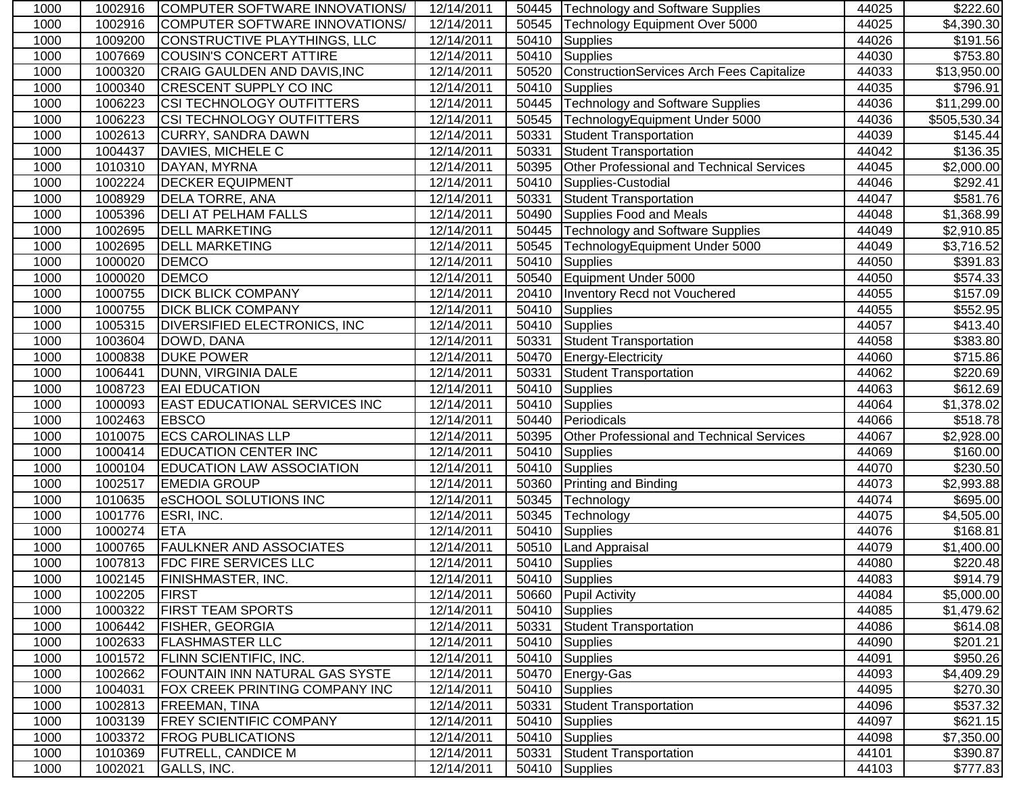| 1000 | 1002916 | COMPUTER SOFTWARE INNOVATIONS/       | 12/14/2011 | 50445 | <b>Technology and Software Supplies</b>   | 44025 | \$222.60               |
|------|---------|--------------------------------------|------------|-------|-------------------------------------------|-------|------------------------|
| 1000 | 1002916 | COMPUTER SOFTWARE INNOVATIONS/       | 12/14/2011 | 50545 | Technology Equipment Over 5000            | 44025 | \$4,390.30             |
| 1000 | 1009200 | CONSTRUCTIVE PLAYTHINGS, LLC         | 12/14/2011 | 50410 | Supplies                                  | 44026 | \$191.56               |
| 1000 | 1007669 | <b>COUSIN'S CONCERT ATTIRE</b>       | 12/14/2011 | 50410 | Supplies                                  | 44030 | \$753.80               |
| 1000 | 1000320 | CRAIG GAULDEN AND DAVIS, INC         | 12/14/2011 | 50520 | ConstructionServices Arch Fees Capitalize | 44033 | \$13,950.00            |
| 1000 | 1000340 | <b>CRESCENT SUPPLY CO INC</b>        | 12/14/2011 | 50410 | Supplies                                  | 44035 | \$796.91               |
| 1000 | 1006223 | <b>CSI TECHNOLOGY OUTFITTERS</b>     | 12/14/2011 | 50445 | <b>Technology and Software Supplies</b>   | 44036 | \$11,299.00            |
| 1000 | 1006223 | <b>CSI TECHNOLOGY OUTFITTERS</b>     | 12/14/2011 | 50545 | TechnologyEquipment Under 5000            | 44036 | \$505,530.34           |
| 1000 | 1002613 | <b>CURRY, SANDRA DAWN</b>            | 12/14/2011 | 50331 | Student Transportation                    | 44039 | \$145.44               |
| 1000 | 1004437 | DAVIES, MICHELE C                    | 12/14/2011 | 50331 | <b>Student Transportation</b>             | 44042 | \$136.35               |
| 1000 | 1010310 | DAYAN, MYRNA                         | 12/14/2011 | 50395 | Other Professional and Technical Services | 44045 | \$2,000.00             |
| 1000 | 1002224 | <b>DECKER EQUIPMENT</b>              | 12/14/2011 | 50410 | Supplies-Custodial                        | 44046 | \$292.41               |
| 1000 | 1008929 | <b>DELA TORRE, ANA</b>               | 12/14/2011 | 50331 | Student Transportation                    | 44047 | \$581.76               |
| 1000 | 1005396 | <b>DELI AT PELHAM FALLS</b>          | 12/14/2011 | 50490 | Supplies Food and Meals                   | 44048 | \$1,368.99             |
| 1000 | 1002695 | <b>DELL MARKETING</b>                | 12/14/2011 | 50445 | <b>Technology and Software Supplies</b>   | 44049 | $\overline{$}2,910.85$ |
| 1000 | 1002695 | <b>DELL MARKETING</b>                | 12/14/2011 | 50545 | TechnologyEquipment Under 5000            | 44049 | \$3,716.52             |
| 1000 | 1000020 | <b>DEMCO</b>                         | 12/14/2011 | 50410 | Supplies                                  | 44050 | \$391.83               |
| 1000 | 1000020 | <b>DEMCO</b>                         | 12/14/2011 | 50540 | Equipment Under 5000                      | 44050 | $\overline{$}574.33$   |
| 1000 | 1000755 | <b>DICK BLICK COMPANY</b>            | 12/14/2011 | 20410 | <b>Inventory Recd not Vouchered</b>       | 44055 | \$157.09               |
| 1000 | 1000755 | <b>DICK BLICK COMPANY</b>            | 12/14/2011 | 50410 | Supplies                                  | 44055 | \$552.95               |
| 1000 | 1005315 | <b>DIVERSIFIED ELECTRONICS, INC.</b> | 12/14/2011 | 50410 | Supplies                                  | 44057 | \$413.40               |
| 1000 | 1003604 | DOWD, DANA                           | 12/14/2011 | 50331 | Student Transportation                    | 44058 | \$383.80               |
| 1000 | 1000838 | <b>DUKE POWER</b>                    | 12/14/2011 | 50470 | Energy-Electricity                        | 44060 | \$715.86               |
| 1000 | 1006441 | DUNN, VIRGINIA DALE                  | 12/14/2011 | 50331 | Student Transportation                    | 44062 | \$220.69               |
| 1000 | 1008723 | <b>EAI EDUCATION</b>                 | 12/14/2011 | 50410 | <b>T</b> Supplies                         | 44063 | \$612.69               |
| 1000 | 1000093 | <b>EAST EDUCATIONAL SERVICES INC</b> | 12/14/2011 | 50410 | Supplies                                  | 44064 | \$1,378.02             |
| 1000 | 1002463 | <b>EBSCO</b>                         | 12/14/2011 | 50440 | Periodicals                               | 44066 | \$518.78               |
| 1000 | 1010075 | <b>ECS CAROLINAS LLP</b>             | 12/14/2011 | 50395 | Other Professional and Technical Services | 44067 | \$2,928.00             |
| 1000 | 1000414 | <b>EDUCATION CENTER INC</b>          | 12/14/2011 | 50410 | <b>Supplies</b>                           | 44069 | \$160.00               |
| 1000 | 1000104 | <b>EDUCATION LAW ASSOCIATION</b>     | 12/14/2011 | 50410 | <b>Supplies</b>                           | 44070 | \$230.50               |
| 1000 | 1002517 | <b>EMEDIA GROUP</b>                  | 12/14/2011 | 50360 | <b>Printing and Binding</b>               | 44073 | \$2,993.88             |
| 1000 | 1010635 | <b>eSCHOOL SOLUTIONS INC</b>         | 12/14/2011 | 50345 | Technology                                | 44074 | \$695.00               |
| 1000 | 1001776 | ESRI, INC.                           | 12/14/2011 | 50345 | Technology                                | 44075 | \$4,505.00             |
| 1000 | 1000274 | <b>ETA</b>                           | 12/14/2011 | 50410 | Supplies                                  | 44076 | \$168.81               |
| 1000 | 1000765 | <b>FAULKNER AND ASSOCIATES</b>       | 12/14/2011 | 50510 | Land Appraisal                            | 44079 | \$1,400.00             |
| 1000 | 1007813 | <b>FDC FIRE SERVICES LLC</b>         | 12/14/2011 | 50410 | Supplies                                  | 44080 | \$220.48               |
| 1000 | 1002145 | <b>FINISHMASTER, INC.</b>            | 12/14/2011 |       | 50410 Supplies                            | 44083 | \$914.79               |
| 1000 | 1002205 | <b>FIRST</b>                         | 12/14/2011 | 50660 | <b>Pupil Activity</b>                     | 44084 | \$5,000.00             |
| 1000 | 1000322 | <b>FIRST TEAM SPORTS</b>             | 12/14/2011 | 50410 | Supplies                                  | 44085 | \$1,479.62             |
| 1000 | 1006442 | <b>FISHER, GEORGIA</b>               | 12/14/2011 | 50331 | Student Transportation                    | 44086 | \$614.08               |
| 1000 | 1002633 | <b>FLASHMASTER LLC</b>               | 12/14/2011 |       | 50410 Supplies                            | 44090 | \$201.21               |
| 1000 | 1001572 | <b>FLINN SCIENTIFIC, INC.</b>        | 12/14/2011 | 50410 | Supplies                                  | 44091 | \$950.26               |
| 1000 | 1002662 | FOUNTAIN INN NATURAL GAS SYSTE       | 12/14/2011 | 50470 | Energy-Gas                                | 44093 | \$4,409.29             |
| 1000 | 1004031 | FOX CREEK PRINTING COMPANY INC       | 12/14/2011 | 50410 | Supplies                                  | 44095 | \$270.30               |
| 1000 | 1002813 | <b>FREEMAN, TINA</b>                 | 12/14/2011 | 50331 | Student Transportation                    | 44096 | \$537.32               |
| 1000 | 1003139 | <b>FREY SCIENTIFIC COMPANY</b>       | 12/14/2011 | 50410 | Supplies                                  | 44097 | \$621.15               |
| 1000 | 1003372 | <b>FROG PUBLICATIONS</b>             | 12/14/2011 | 50410 | Supplies                                  | 44098 | \$7,350.00             |
| 1000 | 1010369 | <b>FUTRELL, CANDICE M</b>            | 12/14/2011 | 50331 | Student Transportation                    | 44101 | \$390.87               |
| 1000 | 1002021 | GALLS, INC.                          | 12/14/2011 |       | 50410 Supplies                            | 44103 | \$777.83               |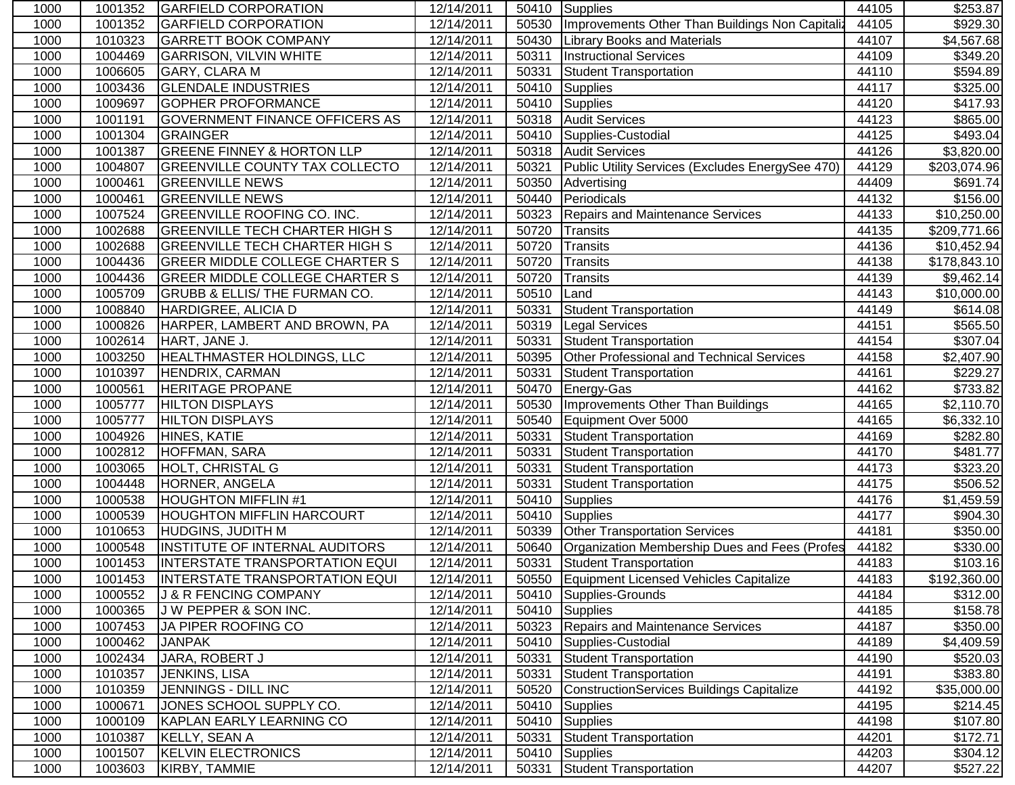| 1000 | 1001352 | <b>GARFIELD CORPORATION</b>              | 12/14/2011 |       | 50410 Supplies                                   | 44105 | \$253.87                |
|------|---------|------------------------------------------|------------|-------|--------------------------------------------------|-------|-------------------------|
| 1000 | 1001352 | <b>GARFIELD CORPORATION</b>              | 12/14/2011 | 50530 | Improvements Other Than Buildings Non Capitaliz  | 44105 | \$929.30                |
| 1000 | 1010323 | <b>GARRETT BOOK COMPANY</b>              | 12/14/2011 | 50430 | <b>Library Books and Materials</b>               | 44107 | \$4,567.68              |
| 1000 | 1004469 | <b>GARRISON, VILVIN WHITE</b>            | 12/14/2011 | 50311 | <b>Instructional Services</b>                    | 44109 | \$349.20                |
| 1000 | 1006605 | GARY, CLARA M                            | 12/14/2011 | 50331 | Student Transportation                           | 44110 | \$594.89                |
| 1000 | 1003436 | <b>GLENDALE INDUSTRIES</b>               | 12/14/2011 | 50410 | Supplies                                         | 44117 | \$325.00                |
| 1000 | 1009697 | <b>GOPHER PROFORMANCE</b>                | 12/14/2011 | 50410 | Supplies                                         | 44120 | \$417.93                |
| 1000 | 1001191 | <b>GOVERNMENT FINANCE OFFICERS AS</b>    | 12/14/2011 | 50318 | <b>Audit Services</b>                            | 44123 | \$865.00                |
| 1000 | 1001304 | GRAINGER                                 | 12/14/2011 | 50410 | Supplies-Custodial                               | 44125 | \$493.04                |
| 1000 | 1001387 | <b>GREENE FINNEY &amp; HORTON LLP</b>    | 12/14/2011 | 50318 | <b>Audit Services</b>                            | 44126 | \$3,820.00              |
| 1000 | 1004807 | <b>GREENVILLE COUNTY TAX COLLECTO</b>    | 12/14/2011 | 50321 | Public Utility Services (Excludes EnergySee 470) | 44129 | \$203,074.96            |
| 1000 | 1000461 | <b>GREENVILLE NEWS</b>                   | 12/14/2011 | 50350 | Advertising                                      | 44409 | \$691.74                |
| 1000 | 1000461 | <b>GREENVILLE NEWS</b>                   | 12/14/2011 | 50440 | Periodicals                                      | 44132 | \$156.00                |
| 1000 | 1007524 | <b>GREENVILLE ROOFING CO. INC.</b>       | 12/14/2011 | 50323 | Repairs and Maintenance Services                 | 44133 | \$10,250.00             |
| 1000 | 1002688 | <b>GREENVILLE TECH CHARTER HIGH S</b>    | 12/14/2011 | 50720 | Transits                                         | 44135 | \$209,771.66            |
| 1000 | 1002688 | <b>GREENVILLE TECH CHARTER HIGH S</b>    | 12/14/2011 | 50720 | Transits                                         | 44136 | \$10,452.94             |
| 1000 | 1004436 | <b>GREER MIDDLE COLLEGE CHARTER S</b>    | 12/14/2011 | 50720 | Transits                                         | 44138 | \$178,843.10            |
| 1000 | 1004436 | <b>GREER MIDDLE COLLEGE CHARTER S</b>    | 12/14/2011 | 50720 | <b>Transits</b>                                  | 44139 | \$9,462.14              |
| 1000 | 1005709 | <b>GRUBB &amp; ELLIS/ THE FURMAN CO.</b> | 12/14/2011 | 50510 | Land                                             | 44143 | $\overline{$10,000.00}$ |
| 1000 | 1008840 | HARDIGREE, ALICIA D                      | 12/14/2011 | 50331 | Student Transportation                           | 44149 | \$614.08                |
| 1000 | 1000826 | HARPER, LAMBERT AND BROWN, PA            | 12/14/2011 | 50319 | Legal Services                                   | 44151 | \$565.50                |
| 1000 | 1002614 | HART, JANE J.                            | 12/14/2011 | 50331 | Student Transportation                           | 44154 | \$307.04                |
| 1000 | 1003250 | HEALTHMASTER HOLDINGS, LLC               | 12/14/2011 | 50395 | Other Professional and Technical Services        | 44158 | \$2,407.90              |
| 1000 | 1010397 | HENDRIX, CARMAN                          | 12/14/2011 | 50331 | <b>Student Transportation</b>                    | 44161 | \$229.27                |
| 1000 | 1000561 | <b>HERITAGE PROPANE</b>                  | 12/14/2011 | 50470 | Energy-Gas                                       | 44162 | \$733.82                |
| 1000 | 1005777 | <b>HILTON DISPLAYS</b>                   | 12/14/2011 | 50530 | Improvements Other Than Buildings                | 44165 | \$2,110.70              |
| 1000 | 1005777 | <b>HILTON DISPLAYS</b>                   | 12/14/2011 | 50540 | Equipment Over 5000                              | 44165 | \$6,332.10              |
| 1000 | 1004926 | HINES, KATIE                             | 12/14/2011 | 50331 | <b>Student Transportation</b>                    | 44169 | \$282.80                |
| 1000 | 1002812 | <b>HOFFMAN, SARA</b>                     | 12/14/2011 | 50331 | <b>Student Transportation</b>                    | 44170 | \$481.77                |
| 1000 | 1003065 | HOLT, CHRISTAL G                         | 12/14/2011 | 50331 | <b>Student Transportation</b>                    | 44173 | \$323.20                |
| 1000 | 1004448 | HORNER, ANGELA                           | 12/14/2011 | 50331 | <b>Student Transportation</b>                    | 44175 | \$506.52                |
| 1000 | 1000538 | <b>HOUGHTON MIFFLIN#1</b>                | 12/14/2011 | 50410 | Supplies                                         | 44176 | \$1,459.59              |
| 1000 | 1000539 | <b>HOUGHTON MIFFLIN HARCOURT</b>         | 12/14/2011 | 50410 | Supplies                                         | 44177 | \$904.30                |
| 1000 | 1010653 | <b>HUDGINS, JUDITH M</b>                 | 12/14/2011 | 50339 | <b>Other Transportation Services</b>             | 44181 | \$350.00                |
| 1000 | 1000548 | INSTITUTE OF INTERNAL AUDITORS           | 12/14/2011 | 50640 | Organization Membership Dues and Fees (Profes    | 44182 | \$330.00                |
| 1000 | 1001453 | <b>INTERSTATE TRANSPORTATION EQUI</b>    | 12/14/2011 | 50331 | Student Transportation                           | 44183 | \$103.16                |
| 1000 | 1001453 | INTERSTATE TRANSPORTATION EQUI           | 12/14/2011 |       | 50550 Equipment Licensed Vehicles Capitalize     | 44183 | \$192,360.00            |
| 1000 | 1000552 | <b>J &amp; R FENCING COMPANY</b>         | 12/14/2011 | 50410 | Supplies-Grounds                                 | 44184 | \$312.00                |
| 1000 | 1000365 | J W PEPPER & SON INC.                    | 12/14/2011 | 50410 | Supplies                                         | 44185 | \$158.78                |
| 1000 | 1007453 | JA PIPER ROOFING CO                      | 12/14/2011 | 50323 | <b>Repairs and Maintenance Services</b>          | 44187 | \$350.00                |
| 1000 | 1000462 | <b>JANPAK</b>                            | 12/14/2011 | 50410 | Supplies-Custodial                               | 44189 | \$4,409.59              |
| 1000 | 1002434 | JARA, ROBERT J                           | 12/14/2011 | 50331 | Student Transportation                           | 44190 | \$520.03                |
| 1000 | 1010357 | <b>JENKINS, LISA</b>                     | 12/14/2011 | 50331 | Student Transportation                           | 44191 | \$383.80                |
| 1000 | 1010359 | JENNINGS - DILL INC                      | 12/14/2011 | 50520 | ConstructionServices Buildings Capitalize        | 44192 | \$35,000.00             |
| 1000 | 1000671 | JONES SCHOOL SUPPLY CO.                  | 12/14/2011 | 50410 | <b>Supplies</b>                                  | 44195 | \$214.45                |
| 1000 | 1000109 | KAPLAN EARLY LEARNING CO                 | 12/14/2011 | 50410 | Supplies                                         | 44198 | \$107.80                |
| 1000 | 1010387 | KELLY, SEAN A                            | 12/14/2011 | 50331 | <b>Student Transportation</b>                    | 44201 | \$172.71                |
| 1000 | 1001507 | <b>KELVIN ELECTRONICS</b>                | 12/14/2011 | 50410 | Supplies                                         | 44203 | \$304.12                |
| 1000 | 1003603 | KIRBY, TAMMIE                            | 12/14/2011 | 50331 | <b>Student Transportation</b>                    | 44207 | \$527.22                |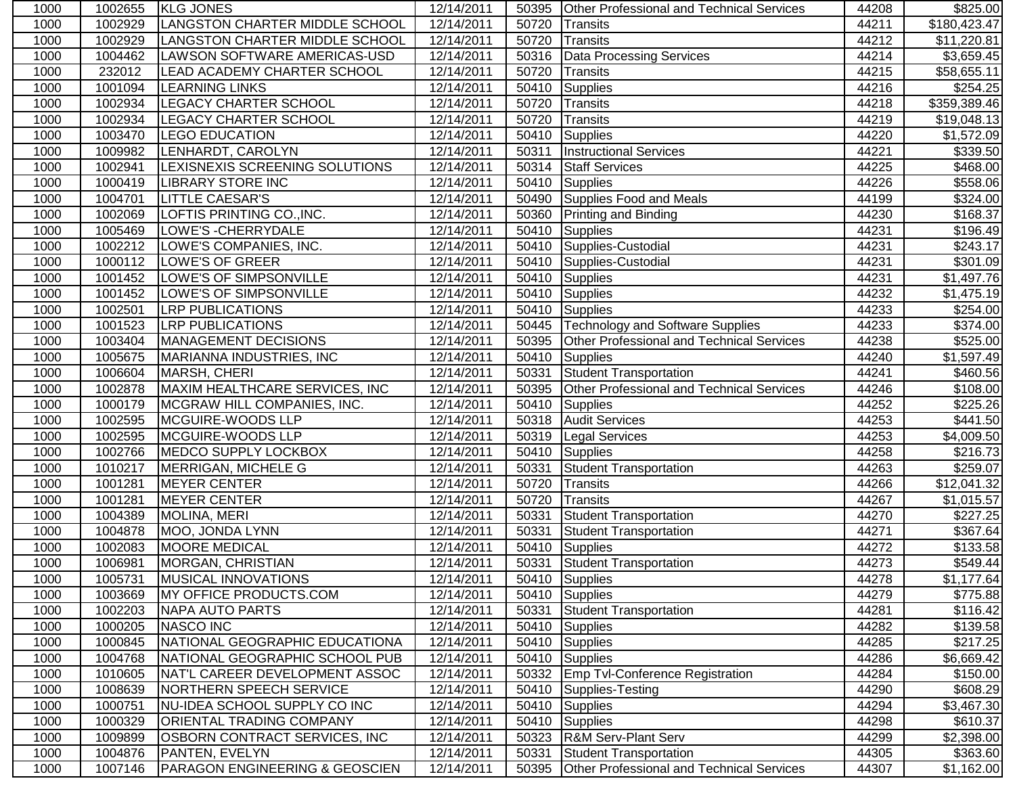| 1000 | 1002655 | <b>KLG JONES</b>                          | 12/14/2011              |       | 50395 Other Professional and Technical Services  | 44208 | \$825.00                |
|------|---------|-------------------------------------------|-------------------------|-------|--------------------------------------------------|-------|-------------------------|
| 1000 | 1002929 | LANGSTON CHARTER MIDDLE SCHOOL            | 12/14/2011              | 50720 | Transits                                         | 44211 | \$180,423.47            |
| 1000 | 1002929 | LANGSTON CHARTER MIDDLE SCHOOL            | $\overline{12}/14/2011$ | 50720 | Transits                                         | 44212 | \$11,220.81             |
| 1000 | 1004462 | LAWSON SOFTWARE AMERICAS-USD              | 12/14/2011              | 50316 | <b>Data Processing Services</b>                  | 44214 | \$3,659.45              |
| 1000 | 232012  | LEAD ACADEMY CHARTER SCHOOL               | 12/14/2011              | 50720 | Transits                                         | 44215 | \$58,655.11             |
| 1000 | 1001094 | <b>LEARNING LINKS</b>                     | 12/14/2011              | 50410 | Supplies                                         | 44216 | \$254.25                |
| 1000 | 1002934 | <b>LEGACY CHARTER SCHOOL</b>              | 12/14/2011              | 50720 | Transits                                         | 44218 | \$359,389.46            |
| 1000 | 1002934 | <b>LEGACY CHARTER SCHOOL</b>              | 12/14/2011              | 50720 | Transits                                         | 44219 | \$19,048.13             |
| 1000 | 1003470 | <b>LEGO EDUCATION</b>                     | 12/14/2011              | 50410 | Supplies                                         | 44220 | \$1,572.09              |
| 1000 | 1009982 | LENHARDT, CAROLYN                         | 12/14/2011              | 50311 | <b>Instructional Services</b>                    | 44221 | \$339.50                |
| 1000 | 1002941 | LEXISNEXIS SCREENING SOLUTIONS            | 12/14/2011              | 50314 | <b>Staff Services</b>                            | 44225 | \$468.00                |
| 1000 | 1000419 | <b>LIBRARY STORE INC</b>                  | 12/14/2011              | 50410 | Supplies                                         | 44226 | \$558.06                |
| 1000 | 1004701 | <b>LITTLE CAESAR'S</b>                    | 12/14/2011              | 50490 | Supplies Food and Meals                          | 44199 | \$324.00                |
| 1000 | 1002069 | LOFTIS PRINTING CO., INC.                 | 12/14/2011              | 50360 | Printing and Binding                             | 44230 | \$168.37                |
| 1000 | 1005469 | LOWE'S - CHERRYDALE                       | 12/14/2011              | 50410 | Supplies                                         | 44231 | \$196.49                |
| 1000 | 1002212 | LOWE'S COMPANIES, INC.                    | 12/14/2011              |       | 50410 Supplies-Custodial                         | 44231 | \$243.17                |
| 1000 | 1000112 | <b>LOWE'S OF GREER</b>                    | 12/14/2011              |       | 50410 Supplies-Custodial                         | 44231 | \$301.09                |
| 1000 | 1001452 | <b>LOWE'S OF SIMPSONVILLE</b>             | 12/14/2011              | 50410 | Supplies                                         | 44231 | \$1,497.76              |
| 1000 | 1001452 | LOWE'S OF SIMPSONVILLE                    | 12/14/2011              | 50410 | Supplies                                         | 44232 | \$1,475.19              |
| 1000 | 1002501 | <b>LRP PUBLICATIONS</b>                   | 12/14/2011              | 50410 | Supplies                                         | 44233 | \$254.00                |
| 1000 | 1001523 | <b>LRP PUBLICATIONS</b>                   | 12/14/2011              | 50445 | <b>Technology and Software Supplies</b>          | 44233 | \$374.00                |
| 1000 | 1003404 | MANAGEMENT DECISIONS                      | 12/14/2011              | 50395 | <b>Other Professional and Technical Services</b> | 44238 | \$525.00                |
| 1000 | 1005675 | MARIANNA INDUSTRIES, INC                  | 12/14/2011              | 50410 | Supplies                                         | 44240 | \$1,597.49              |
| 1000 | 1006604 | MARSH, CHERI                              | 12/14/2011              | 50331 | Student Transportation                           | 44241 | $\overline{$460.56}$    |
| 1000 | 1002878 | MAXIM HEALTHCARE SERVICES, INC            | 12/14/2011              | 50395 | <b>Other Professional and Technical Services</b> | 44246 | \$108.00                |
| 1000 | 1000179 | MCGRAW HILL COMPANIES, INC.               | 12/14/2011              | 50410 | Supplies                                         | 44252 | \$225.26                |
| 1000 | 1002595 | MCGUIRE-WOODS LLP                         | 12/14/2011              | 50318 | <b>Audit Services</b>                            | 44253 | \$441.50                |
| 1000 | 1002595 | MCGUIRE-WOODS LLP                         | 12/14/2011              | 50319 | <b>Legal Services</b>                            | 44253 | $\overline{\$4,009.50}$ |
| 1000 | 1002766 | MEDCO SUPPLY LOCKBOX                      | 12/14/2011              | 50410 | <b>Supplies</b>                                  | 44258 | \$216.73                |
| 1000 | 1010217 | MERRIGAN, MICHELE G                       | 12/14/2011              | 50331 | <b>Student Transportation</b>                    | 44263 | \$259.07                |
| 1000 | 1001281 | <b>MEYER CENTER</b>                       | 12/14/2011              | 50720 | Transits                                         | 44266 | \$12,041.32             |
| 1000 | 1001281 | <b>MEYER CENTER</b>                       | 12/14/2011              | 50720 | Transits                                         | 44267 | \$1,015.57              |
| 1000 | 1004389 | MOLINA, MERI                              | 12/14/2011              | 50331 | <b>Student Transportation</b>                    | 44270 | \$227.25                |
| 1000 | 1004878 | MOO, JONDA LYNN                           | 12/14/2011              | 50331 | Student Transportation                           | 44271 | \$367.64                |
| 1000 | 1002083 | <b>MOORE MEDICAL</b>                      | 12/14/2011              | 50410 | Supplies                                         | 44272 | \$133.58                |
| 1000 | 1006981 | MORGAN, CHRISTIAN                         | 12/14/2011              |       | 50331 Student Transportation                     | 44273 | \$549.44                |
| 1000 | 1005731 | MUSICAL INNOVATIONS                       | 12/14/2011              |       | 50410 Supplies                                   | 44278 | \$1,177.64              |
| 1000 | 1003669 | <b>MY OFFICE PRODUCTS.COM</b>             | 12/14/2011              |       | 50410 Supplies                                   | 44279 | \$775.88                |
| 1000 | 1002203 | <b>NAPA AUTO PARTS</b>                    | 12/14/2011              | 50331 | Student Transportation                           | 44281 | \$116.42                |
| 1000 | 1000205 | NASCO INC                                 | 12/14/2011              |       | 50410 Supplies                                   | 44282 | \$139.58                |
| 1000 | 1000845 | NATIONAL GEOGRAPHIC EDUCATIONA            | 12/14/2011              |       | 50410 Supplies                                   | 44285 | \$217.25                |
| 1000 | 1004768 | NATIONAL GEOGRAPHIC SCHOOL PUB            | 12/14/2011              |       | 50410 Supplies                                   | 44286 | \$6,669.42              |
| 1000 | 1010605 | <b>NAT'L CAREER DEVELOPMENT ASSOC</b>     | 12/14/2011              |       | 50332 Emp Tvl-Conference Registration            | 44284 | \$150.00                |
| 1000 | 1008639 | NORTHERN SPEECH SERVICE                   | 12/14/2011              | 50410 | Supplies-Testing                                 | 44290 | \$608.29                |
| 1000 | 1000751 | NU-IDEA SCHOOL SUPPLY CO INC              | 12/14/2011              | 50410 | Supplies                                         | 44294 | \$3,467.30              |
| 1000 | 1000329 | <b>ORIENTAL TRADING COMPANY</b>           | 12/14/2011              | 50410 | Supplies                                         | 44298 | \$610.37                |
| 1000 | 1009899 | OSBORN CONTRACT SERVICES, INC             | 12/14/2011              | 50323 | <b>R&amp;M Serv-Plant Serv</b>                   | 44299 | \$2,398.00              |
| 1000 | 1004876 | PANTEN, EVELYN                            | 12/14/2011              | 50331 | Student Transportation                           | 44305 | \$363.60                |
| 1000 | 1007146 | <b>PARAGON ENGINEERING &amp; GEOSCIEN</b> | 12/14/2011              | 50395 | <b>Other Professional and Technical Services</b> | 44307 | \$1,162.00              |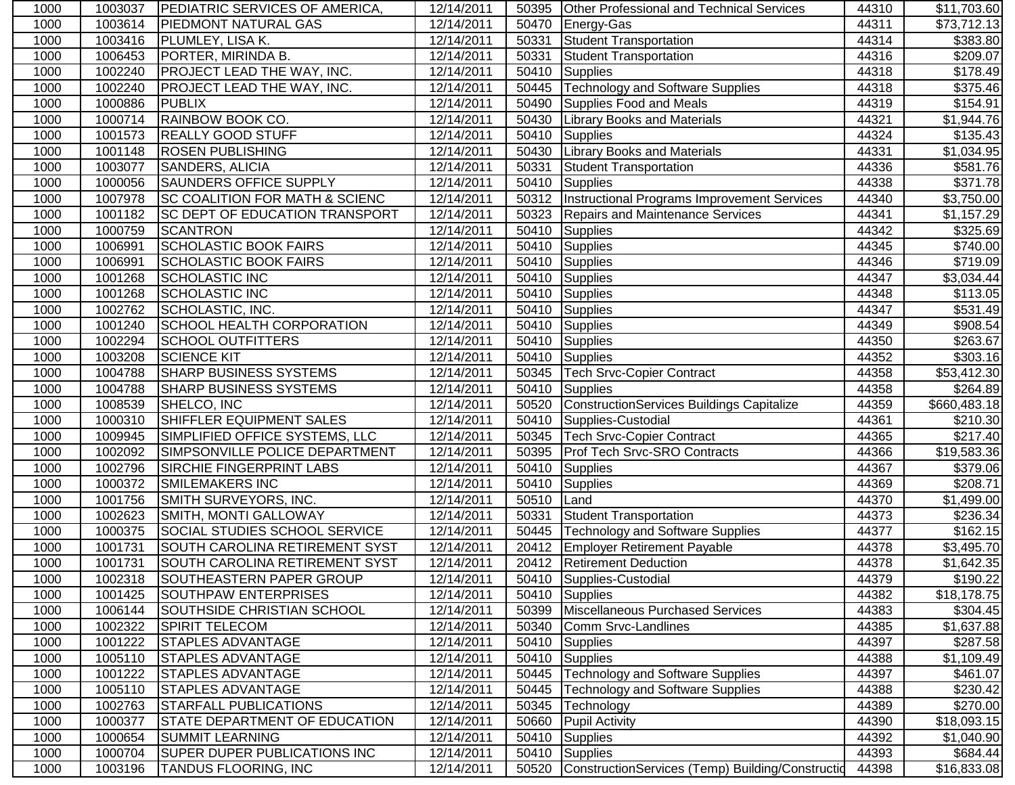| 1000 | 1003037 | <b>IPEDIATRIC SERVICES OF AMERICA,</b>    | 12/14/2011 |       | 50395 Other Professional and Technical Services    | 44310 | \$11,703.60          |
|------|---------|-------------------------------------------|------------|-------|----------------------------------------------------|-------|----------------------|
| 1000 | 1003614 | <b>PIEDMONT NATURAL GAS</b>               | 12/14/2011 | 50470 | Energy-Gas                                         | 44311 | \$73,712.13          |
| 1000 | 1003416 | <b>PLUMLEY, LISA K.</b>                   | 12/14/2011 | 50331 | Student Transportation                             | 44314 | \$383.80             |
| 1000 | 1006453 | PORTER, MIRINDA B.                        | 12/14/2011 | 50331 | Student Transportation                             | 44316 | \$209.07             |
| 1000 | 1002240 | <b>PROJECT LEAD THE WAY, INC.</b>         | 12/14/2011 | 50410 | Supplies                                           | 44318 | \$178.49             |
| 1000 | 1002240 | <b>PROJECT LEAD THE WAY, INC.</b>         | 12/14/2011 | 50445 | <b>Technology and Software Supplies</b>            | 44318 | $\overline{$}375.46$ |
| 1000 | 1000886 | <b>PUBLIX</b>                             | 12/14/2011 | 50490 | Supplies Food and Meals                            | 44319 | \$154.91             |
| 1000 | 1000714 | <b>RAINBOW BOOK CO.</b>                   | 12/14/2011 | 50430 | <b>Library Books and Materials</b>                 | 44321 | \$1,944.76           |
| 1000 | 1001573 | <b>REALLY GOOD STUFF</b>                  | 12/14/2011 | 50410 | Supplies                                           | 44324 | \$135.43             |
| 1000 | 1001148 | <b>ROSEN PUBLISHING</b>                   | 12/14/2011 | 50430 | Library Books and Materials                        | 44331 | \$1,034.95           |
| 1000 | 1003077 | <b>SANDERS, ALICIA</b>                    | 12/14/2011 | 50331 | <b>Student Transportation</b>                      | 44336 | \$581.76             |
| 1000 | 1000056 | <b>SAUNDERS OFFICE SUPPLY</b>             | 12/14/2011 | 50410 | <b>Supplies</b>                                    | 44338 | \$371.78             |
| 1000 | 1007978 | <b>SC COALITION FOR MATH &amp; SCIENC</b> | 12/14/2011 | 50312 | <b>Instructional Programs Improvement Services</b> | 44340 | \$3,750.00           |
| 1000 | 1001182 | <b>SC DEPT OF EDUCATION TRANSPORT</b>     | 12/14/2011 | 50323 | Repairs and Maintenance Services                   | 44341 | \$1,157.29           |
| 1000 | 1000759 | <b>SCANTRON</b>                           | 12/14/2011 | 50410 | Supplies                                           | 44342 | \$325.69             |
| 1000 | 1006991 | <b>SCHOLASTIC BOOK FAIRS</b>              | 12/14/2011 |       | 50410 Supplies                                     | 44345 | \$740.00             |
| 1000 | 1006991 | <b>SCHOLASTIC BOOK FAIRS</b>              | 12/14/2011 | 50410 | Supplies                                           | 44346 | \$719.09             |
| 1000 | 1001268 | <b>SCHOLASTIC INC</b>                     | 12/14/2011 | 50410 | Supplies                                           | 44347 | \$3,034.44           |
| 1000 | 1001268 | <b>SCHOLASTIC INC</b>                     | 12/14/2011 | 50410 | Supplies                                           | 44348 | \$113.05             |
| 1000 | 1002762 | SCHOLASTIC, INC.                          | 12/14/2011 | 50410 | Supplies                                           | 44347 | $\overline{$}531.49$ |
| 1000 | 1001240 | SCHOOL HEALTH CORPORATION                 | 12/14/2011 | 50410 | Supplies                                           | 44349 | \$908.54             |
| 1000 | 1002294 | <b>SCHOOL OUTFITTERS</b>                  | 12/14/2011 | 50410 | Supplies                                           | 44350 | \$263.67             |
| 1000 | 1003208 | <b>SCIENCE KIT</b>                        | 12/14/2011 | 50410 | Supplies                                           | 44352 | \$303.16             |
| 1000 | 1004788 | <b>SHARP BUSINESS SYSTEMS</b>             | 12/14/2011 | 50345 | <b>Tech Srvc-Copier Contract</b>                   | 44358 | \$53,412.30          |
| 1000 | 1004788 | <b>SHARP BUSINESS SYSTEMS</b>             | 12/14/2011 | 50410 | <b>T</b> Supplies                                  | 44358 | \$264.89             |
| 1000 | 1008539 | SHELCO, INC                               | 12/14/2011 | 50520 | ConstructionServices Buildings Capitalize          | 44359 | \$660,483.18         |
| 1000 | 1000310 | SHIFFLER EQUIPMENT SALES                  | 12/14/2011 | 50410 | Supplies-Custodial                                 | 44361 | \$210.30             |
| 1000 | 1009945 | SIMPLIFIED OFFICE SYSTEMS, LLC            | 12/14/2011 | 50345 | <b>Tech Srvc-Copier Contract</b>                   | 44365 | \$217.40             |
| 1000 | 1002092 | SIMPSONVILLE POLICE DEPARTMENT            | 12/14/2011 | 50395 | <b>Prof Tech Srvc-SRO Contracts</b>                | 44366 | \$19,583.36          |
| 1000 | 1002796 | <b>SIRCHIE FINGERPRINT LABS</b>           | 12/14/2011 | 50410 | <b>Supplies</b>                                    | 44367 | \$379.06             |
| 1000 | 1000372 | <b>SMILEMAKERS INC</b>                    | 12/14/2011 | 50410 | Supplies                                           | 44369 | \$208.71             |
| 1000 | 1001756 | SMITH SURVEYORS, INC.                     | 12/14/2011 | 50510 | Land                                               | 44370 | \$1,499.00           |
| 1000 | 1002623 | SMITH, MONTI GALLOWAY                     | 12/14/2011 | 50331 | Student Transportation                             | 44373 | \$236.34             |
| 1000 | 1000375 | SOCIAL STUDIES SCHOOL SERVICE             | 12/14/2011 | 50445 | Technology and Software Supplies                   | 44377 | \$162.15             |
| 1000 | 1001731 | SOUTH CAROLINA RETIREMENT SYST            | 12/14/2011 | 20412 | <b>Employer Retirement Payable</b>                 | 44378 | \$3,495.70           |
| 1000 | 1001731 | SOUTH CAROLINA RETIREMENT SYST            | 12/14/2011 |       | 20412   Retirement Deduction                       | 44378 | \$1,642.35           |
| 1000 | 1002318 | SOUTHEASTERN PAPER GROUP                  | 12/14/2011 |       | 50410 Supplies-Custodial                           | 44379 | \$190.22             |
| 1000 | 1001425 | SOUTHPAW ENTERPRISES                      | 12/14/2011 |       | 50410 Supplies                                     | 44382 | \$18,178.75          |
| 1000 | 1006144 | SOUTHSIDE CHRISTIAN SCHOOL                | 12/14/2011 | 50399 | Miscellaneous Purchased Services                   | 44383 | \$304.45             |
| 1000 | 1002322 | <b>SPIRIT TELECOM</b>                     | 12/14/2011 | 50340 | Comm Srvc-Landlines                                | 44385 | \$1,637.88           |
| 1000 | 1001222 | <b>STAPLES ADVANTAGE</b>                  | 12/14/2011 |       | 50410 Supplies                                     | 44397 | \$287.58             |
| 1000 | 1005110 | <b>STAPLES ADVANTAGE</b>                  | 12/14/2011 |       | 50410 Supplies                                     | 44388 | \$1,109.49           |
| 1000 | 1001222 | <b>STAPLES ADVANTAGE</b>                  | 12/14/2011 | 50445 | <b>Technology and Software Supplies</b>            | 44397 | \$461.07             |
| 1000 | 1005110 | <b>STAPLES ADVANTAGE</b>                  | 12/14/2011 | 50445 | <b>Technology and Software Supplies</b>            | 44388 | \$230.42             |
| 1000 | 1002763 | <b>STARFALL PUBLICATIONS</b>              | 12/14/2011 | 50345 | Technology                                         | 44389 | \$270.00             |
| 1000 | 1000377 | <b>STATE DEPARTMENT OF EDUCATION</b>      | 12/14/2011 | 50660 | <b>Pupil Activity</b>                              | 44390 | \$18,093.15          |
| 1000 | 1000654 | <b>SUMMIT LEARNING</b>                    | 12/14/2011 | 50410 | Supplies                                           | 44392 | \$1,040.90           |
| 1000 | 1000704 | <b>SUPER DUPER PUBLICATIONS INC</b>       | 12/14/2011 |       | 50410 Supplies                                     | 44393 | \$684.44             |
| 1000 | 1003196 | <b>TANDUS FLOORING, INC</b>               | 12/14/2011 | 50520 | ConstructionServices (Temp) Building/Construction  | 44398 | \$16,833.08          |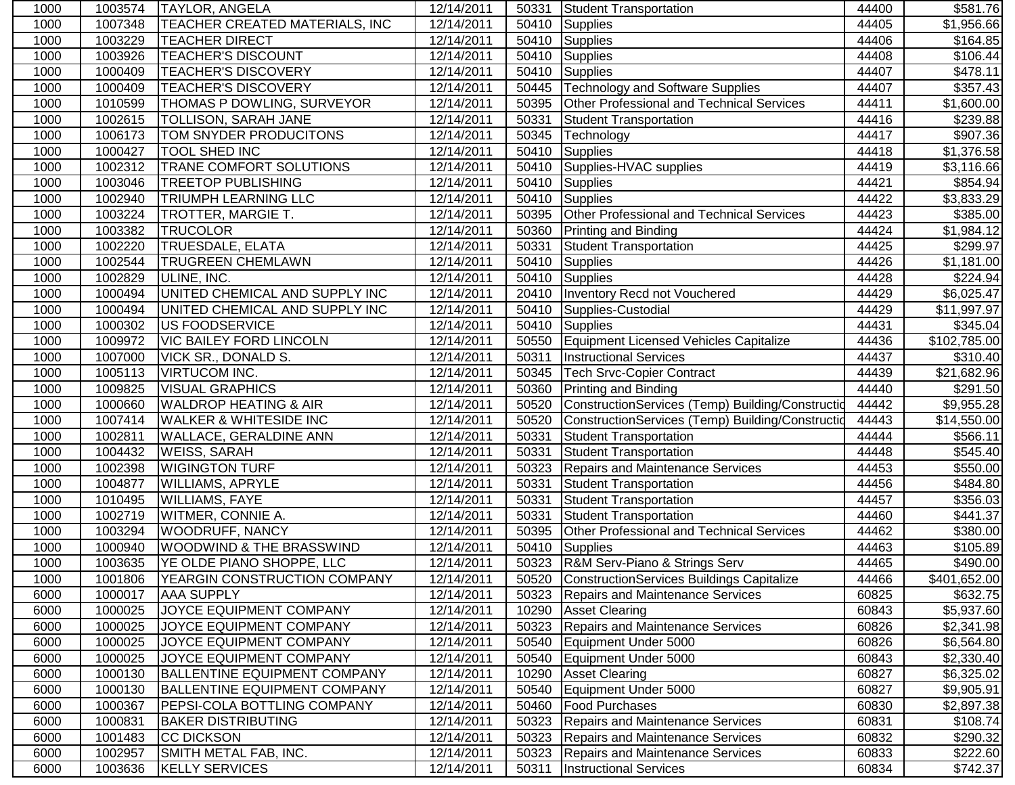| 1000 | 1003574 | <b>TAYLOR, ANGELA</b>                 | 12/14/2011 | 50331 | Student Transportation                           | 44400 | \$581.76                |
|------|---------|---------------------------------------|------------|-------|--------------------------------------------------|-------|-------------------------|
| 1000 | 1007348 | <b>TEACHER CREATED MATERIALS, INC</b> | 12/14/2011 | 50410 | Supplies                                         | 44405 | $\overline{\$1,}956.66$ |
| 1000 | 1003229 | <b>TEACHER DIRECT</b>                 | 12/14/2011 | 50410 | <b>Supplies</b>                                  | 44406 | \$164.85                |
| 1000 | 1003926 | <b>TEACHER'S DISCOUNT</b>             | 12/14/2011 | 50410 | <b>Supplies</b>                                  | 44408 | $\overline{$}106.44$    |
| 1000 | 1000409 | <b>TEACHER'S DISCOVERY</b>            | 12/14/2011 | 50410 | <b>Supplies</b>                                  | 44407 | \$478.11                |
| 1000 | 1000409 | <b>TEACHER'S DISCOVERY</b>            | 12/14/2011 | 50445 | <b>Technology and Software Supplies</b>          | 44407 | \$357.43                |
| 1000 | 1010599 | <b>THOMAS P DOWLING, SURVEYOR</b>     | 12/14/2011 | 50395 | Other Professional and Technical Services        | 44411 | \$1,600.00              |
| 1000 | 1002615 | <b>TOLLISON, SARAH JANE</b>           | 12/14/2011 | 50331 | Student Transportation                           | 44416 | \$239.88                |
| 1000 | 1006173 | <b>TOM SNYDER PRODUCITONS</b>         | 12/14/2011 | 50345 | Technology                                       | 44417 | \$907.36                |
| 1000 | 1000427 | <b>TOOL SHED INC</b>                  | 12/14/2011 | 50410 | Supplies                                         | 44418 | \$1,376.58              |
| 1000 | 1002312 | <b>TRANE COMFORT SOLUTIONS</b>        | 12/14/2011 | 50410 | Supplies-HVAC supplies                           | 44419 | \$3,116.66              |
| 1000 | 1003046 | <b>TREETOP PUBLISHING</b>             | 12/14/2011 | 50410 | <b>Supplies</b>                                  | 44421 | \$854.94                |
| 1000 | 1002940 | <b>TRIUMPH LEARNING LLC</b>           | 12/14/2011 | 50410 | <b>Supplies</b>                                  | 44422 | \$3,833.29              |
| 1000 | 1003224 | <b>TROTTER, MARGIE T.</b>             | 12/14/2011 | 50395 | Other Professional and Technical Services        | 44423 | \$385.00                |
| 1000 | 1003382 | <b>TRUCOLOR</b>                       | 12/14/2011 | 50360 | <b>Printing and Binding</b>                      | 44424 | \$1,984.12              |
| 1000 | 1002220 | <b>TRUESDALE, ELATA</b>               | 12/14/2011 | 50331 | <b>Student Transportation</b>                    | 44425 | \$299.97                |
| 1000 | 1002544 | <b>TRUGREEN CHEMLAWN</b>              | 12/14/2011 | 50410 | Supplies                                         | 44426 | \$1,181.00              |
| 1000 | 1002829 | ULINE, INC.                           | 12/14/2011 | 50410 | Supplies                                         | 44428 | \$224.94                |
| 1000 | 1000494 | UNITED CHEMICAL AND SUPPLY INC        | 12/14/2011 | 20410 | Inventory Recd not Vouchered                     | 44429 | \$6,025.47              |
| 1000 | 1000494 | UNITED CHEMICAL AND SUPPLY INC        | 12/14/2011 | 50410 | Supplies-Custodial                               | 44429 | \$11,997.97             |
| 1000 | 1000302 | US FOODSERVICE                        | 12/14/2011 | 50410 | <b>Supplies</b>                                  | 44431 | \$345.04                |
| 1000 | 1009972 | <b>VIC BAILEY FORD LINCOLN</b>        | 12/14/2011 | 50550 | Equipment Licensed Vehicles Capitalize           | 44436 | \$102,785.00            |
| 1000 | 1007000 | <b>VICK SR., DONALD S.</b>            | 12/14/2011 | 50311 | <b>Instructional Services</b>                    | 44437 | \$310.40                |
| 1000 | 1005113 | <b>VIRTUCOM INC.</b>                  | 12/14/2011 | 50345 | <b>Tech Srvc-Copier Contract</b>                 | 44439 | \$21,682.96             |
| 1000 | 1009825 | <b>VISUAL GRAPHICS</b>                | 12/14/2011 | 50360 | Printing and Binding                             | 44440 | \$291.50                |
| 1000 | 1000660 | <b>WALDROP HEATING &amp; AIR</b>      | 12/14/2011 | 50520 | ConstructionServices (Temp) Building/Constructio | 44442 | \$9,955.28              |
| 1000 | 1007414 | <b>WALKER &amp; WHITESIDE INC</b>     | 12/14/2011 | 50520 | ConstructionServices (Temp) Building/Constructio | 44443 | \$14,550.00             |
| 1000 | 1002811 | <b>WALLACE, GERALDINE ANN</b>         | 12/14/2011 | 50331 | <b>Student Transportation</b>                    | 44444 | \$566.11                |
| 1000 | 1004432 | <b>WEISS, SARAH</b>                   | 12/14/2011 | 50331 | <b>Student Transportation</b>                    | 44448 | $\overline{$}545.40$    |
| 1000 | 1002398 | <b>WIGINGTON TURF</b>                 | 12/14/2011 | 50323 | <b>Repairs and Maintenance Services</b>          | 44453 | \$550.00                |
| 1000 | 1004877 | <b>WILLIAMS, APRYLE</b>               | 12/14/2011 | 50331 | <b>Student Transportation</b>                    | 44456 | \$484.80                |
| 1000 | 1010495 | <b>WILLIAMS, FAYE</b>                 | 12/14/2011 | 50331 | <b>Student Transportation</b>                    | 44457 | 356.03                  |
| 1000 | 1002719 | <b>WITMER, CONNIE A.</b>              | 12/14/2011 | 50331 | <b>Student Transportation</b>                    | 44460 | \$441.37                |
| 1000 | 1003294 | <b>WOODRUFF, NANCY</b>                | 12/14/2011 | 50395 | Other Professional and Technical Services        | 44462 | \$380.00                |
| 1000 | 1000940 | <b>WOODWIND &amp; THE BRASSWIND</b>   | 12/14/2011 | 50410 | Supplies                                         | 44463 | \$105.89                |
| 1000 | 1003635 | YE OLDE PIANO SHOPPE, LLC             | 12/14/2011 |       | 50323 R&M Serv-Piano & Strings Serv              | 44465 | \$490.00                |
| 1000 | 1001806 | YEARGIN CONSTRUCTION COMPANY          | 12/14/2011 |       | 50520 ConstructionServices Buildings Capitalize  | 44466 | \$401,652.00            |
| 6000 | 1000017 | <b>AAA SUPPLY</b>                     | 12/14/2011 | 50323 | Repairs and Maintenance Services                 | 60825 | \$632.75                |
| 6000 | 1000025 | JOYCE EQUIPMENT COMPANY               | 12/14/2011 | 10290 | <b>Asset Clearing</b>                            | 60843 | \$5,937.60              |
| 6000 | 1000025 | JOYCE EQUIPMENT COMPANY               | 12/14/2011 | 50323 | Repairs and Maintenance Services                 | 60826 | \$2,341.98              |
| 6000 | 1000025 | JOYCE EQUIPMENT COMPANY               | 12/14/2011 | 50540 | Equipment Under 5000                             | 60826 | \$6,564.80              |
| 6000 | 1000025 | JOYCE EQUIPMENT COMPANY               | 12/14/2011 | 50540 | Equipment Under 5000                             | 60843 | \$2,330.40              |
| 6000 | 1000130 | <b>BALLENTINE EQUIPMENT COMPANY</b>   | 12/14/2011 | 10290 | <b>Asset Clearing</b>                            | 60827 | \$6,325.02              |
| 6000 | 1000130 | <b>BALLENTINE EQUIPMENT COMPANY</b>   | 12/14/2011 | 50540 | Equipment Under 5000                             | 60827 | \$9,905.91              |
| 6000 | 1000367 | <b>PEPSI-COLA BOTTLING COMPANY</b>    | 12/14/2011 | 50460 | <b>Food Purchases</b>                            | 60830 | \$2,897.38              |
| 6000 | 1000831 | <b>BAKER DISTRIBUTING</b>             | 12/14/2011 | 50323 | Repairs and Maintenance Services                 | 60831 | \$108.74                |
| 6000 | 1001483 | <b>CC DICKSON</b>                     | 12/14/2011 | 50323 | Repairs and Maintenance Services                 | 60832 | \$290.32                |
| 6000 | 1002957 | SMITH METAL FAB, INC.                 | 12/14/2011 | 50323 | <b>Repairs and Maintenance Services</b>          | 60833 | \$222.60                |
| 6000 | 1003636 | <b>KELLY SERVICES</b>                 | 12/14/2011 | 50311 | <b>Instructional Services</b>                    | 60834 | \$742.37                |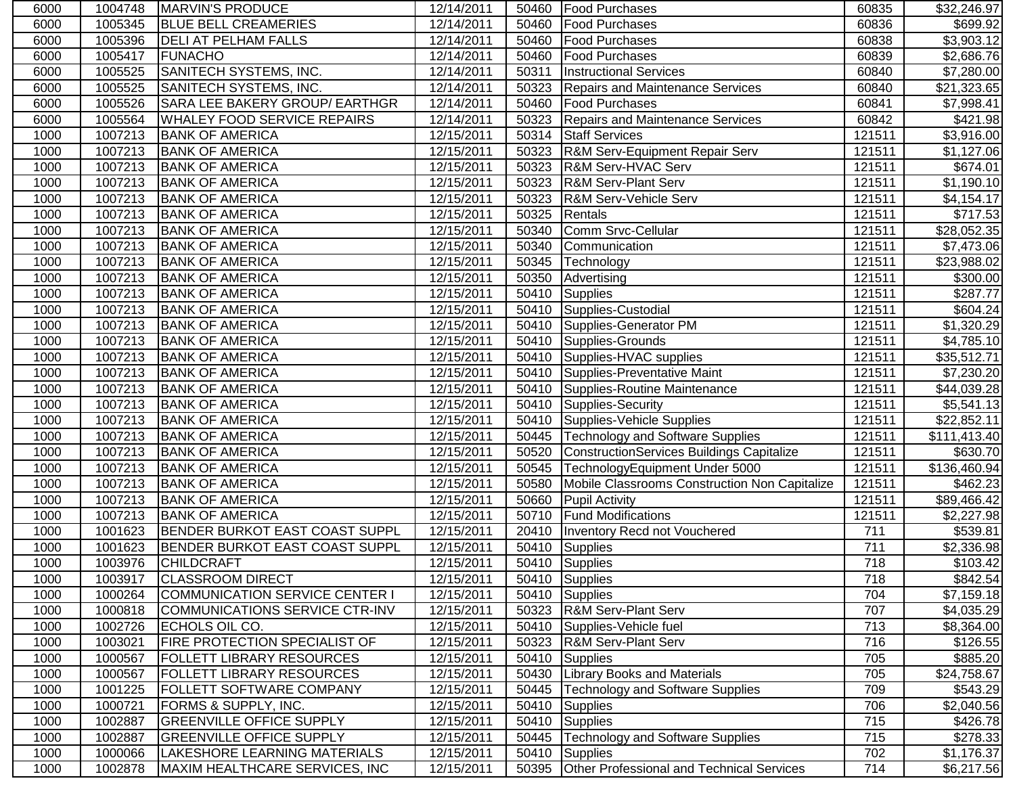| 6000 | 1004748 | <b>IMARVIN'S PRODUCE</b>              | 12/14/2011              |       | 50460   Food Purchases                           | 60835  | \$32,246.97  |
|------|---------|---------------------------------------|-------------------------|-------|--------------------------------------------------|--------|--------------|
| 6000 | 1005345 | <b>BLUE BELL CREAMERIES</b>           | 12/14/2011              | 50460 | <b>Food Purchases</b>                            | 60836  | \$699.92     |
| 6000 | 1005396 | <b>DELI AT PELHAM FALLS</b>           | 12/14/2011              | 50460 | <b>Food Purchases</b>                            | 60838  | \$3,903.12   |
| 6000 | 1005417 | <b>FUNACHO</b>                        | 12/14/2011              | 50460 | <b>Food Purchases</b>                            | 60839  | \$2,686.76   |
| 6000 | 1005525 | SANITECH SYSTEMS, INC.                | 12/14/2011              | 50311 | <b>Instructional Services</b>                    | 60840  | \$7,280.00   |
| 6000 | 1005525 | <b>SANITECH SYSTEMS, INC.</b>         | 12/14/2011              | 50323 | Repairs and Maintenance Services                 | 60840  | \$21,323.65  |
| 6000 | 1005526 | SARA LEE BAKERY GROUP/ EARTHGR        | 12/14/2011              |       | 50460   Food Purchases                           | 60841  | \$7,998.41   |
| 6000 | 1005564 | <b>WHALEY FOOD SERVICE REPAIRS</b>    | 12/14/2011              | 50323 | Repairs and Maintenance Services                 | 60842  | \$421.98     |
| 1000 | 1007213 | <b>BANK OF AMERICA</b>                | 12/15/2011              | 50314 | <b>Staff Services</b>                            | 121511 | \$3,916.00   |
| 1000 | 1007213 | <b>BANK OF AMERICA</b>                | 12/15/2011              |       | 50323 R&M Serv-Equipment Repair Serv             | 121511 | \$1,127.06   |
| 1000 | 1007213 | <b>BANK OF AMERICA</b>                | 12/15/2011              | 50323 | R&M Serv-HVAC Serv                               | 121511 | \$674.01     |
| 1000 | 1007213 | <b>BANK OF AMERICA</b>                | 12/15/2011              | 50323 | R&M Serv-Plant Serv                              | 121511 | \$1,190.10   |
| 1000 | 1007213 | <b>BANK OF AMERICA</b>                | 12/15/2011              | 50323 | R&M Serv-Vehicle Serv                            | 121511 | \$4,154.17   |
| 1000 | 1007213 | <b>BANK OF AMERICA</b>                | 12/15/2011              | 50325 | Rentals                                          | 121511 | \$717.53     |
| 1000 | 1007213 | <b>BANK OF AMERICA</b>                | 12/15/2011              | 50340 | Comm Srvc-Cellular                               | 121511 | \$28,052.35  |
| 1000 | 1007213 | <b>BANK OF AMERICA</b>                | 12/15/2011              | 50340 | Communication                                    | 121511 | \$7,473.06   |
| 1000 | 1007213 | <b>BANK OF AMERICA</b>                | 12/15/2011              | 50345 | Technology                                       | 121511 | \$23,988.02  |
| 1000 | 1007213 | <b>BANK OF AMERICA</b>                | 12/15/2011              | 50350 | Advertising                                      | 121511 | \$300.00     |
| 1000 | 1007213 | <b>BANK OF AMERICA</b>                | 12/15/2011              | 50410 | Supplies                                         | 121511 | \$287.77     |
| 1000 | 1007213 | <b>BANK OF AMERICA</b>                | $\overline{12}/15/2011$ | 50410 | Supplies-Custodial                               | 121511 | \$604.24     |
| 1000 | 1007213 | <b>BANK OF AMERICA</b>                | 12/15/2011              | 50410 | Supplies-Generator PM                            | 121511 | \$1,320.29   |
| 1000 | 1007213 | <b>BANK OF AMERICA</b>                | 12/15/2011              | 50410 | Supplies-Grounds                                 | 121511 | \$4,785.10   |
| 1000 | 1007213 | <b>BANK OF AMERICA</b>                | 12/15/2011              | 50410 | Supplies-HVAC supplies                           | 121511 | \$35,512.71  |
| 1000 | 1007213 | <b>BANK OF AMERICA</b>                | 12/15/2011              | 50410 | Supplies-Preventative Maint                      | 121511 | \$7,230.20   |
| 1000 | 1007213 | <b>BANK OF AMERICA</b>                | 12/15/2011              | 50410 | Supplies-Routine Maintenance                     | 121511 | \$44,039.28  |
| 1000 | 1007213 | <b>BANK OF AMERICA</b>                | 12/15/2011              | 50410 | Supplies-Security                                | 121511 | \$5,541.13   |
| 1000 | 1007213 | <b>BANK OF AMERICA</b>                | 12/15/2011              | 50410 | Supplies-Vehicle Supplies                        | 121511 | \$22,852.11  |
| 1000 | 1007213 | <b>BANK OF AMERICA</b>                | 12/15/2011              | 50445 | <b>Technology and Software Supplies</b>          | 121511 | \$111,413.40 |
| 1000 | 1007213 | <b>BANK OF AMERICA</b>                | 12/15/2011              | 50520 | <b>ConstructionServices Buildings Capitalize</b> | 121511 | \$630.70     |
| 1000 | 1007213 | <b>BANK OF AMERICA</b>                | 12/15/2011              | 50545 | TechnologyEquipment Under 5000                   | 121511 | \$136,460.94 |
| 1000 | 1007213 | <b>BANK OF AMERICA</b>                | 12/15/2011              | 50580 | Mobile Classrooms Construction Non Capitalize    | 121511 | \$462.23     |
| 1000 | 1007213 | <b>BANK OF AMERICA</b>                | 12/15/2011              | 50660 | <b>Pupil Activity</b>                            | 121511 | \$89,466.42  |
| 1000 | 1007213 | <b>BANK OF AMERICA</b>                | 12/15/2011              | 50710 | <b>Fund Modifications</b>                        | 121511 | \$2,227.98   |
| 1000 | 1001623 | <b>BENDER BURKOT EAST COAST SUPPL</b> | 12/15/2011              |       | 20410   Inventory Recd not Vouchered             | 711    | \$539.81     |
| 1000 | 1001623 | <b>BENDER BURKOT EAST COAST SUPPL</b> | 12/15/2011              | 50410 | Supplies                                         | 711    | \$2,336.98   |
| 1000 | 1003976 | <b>CHILDCRAFT</b>                     | 12/15/2011              |       | 50410 Supplies                                   | 718    | \$103.42     |
| 1000 | 1003917 | <b>CLASSROOM DIRECT</b>               | 12/15/2011              |       | 50410 Supplies                                   | 718    | \$842.54     |
| 1000 | 1000264 | COMMUNICATION SERVICE CENTER I        | 12/15/2011              |       | 50410 Supplies                                   | 704    | \$7,159.18   |
| 1000 | 1000818 | COMMUNICATIONS SERVICE CTR-INV        | 12/15/2011              |       | 50323 R&M Serv-Plant Serv                        | 707    | \$4,035.29   |
| 1000 | 1002726 | ECHOLS OIL CO.                        | 12/15/2011              |       | 50410 Supplies-Vehicle fuel                      | 713    | \$8,364.00   |
| 1000 | 1003021 | <b>FIRE PROTECTION SPECIALIST OF</b>  | 12/15/2011              |       | 50323   R&M Serv-Plant Serv                      | 716    | \$126.55     |
| 1000 | 1000567 | <b>FOLLETT LIBRARY RESOURCES</b>      | 12/15/2011              |       | 50410 Supplies                                   | 705    | \$885.20     |
| 1000 | 1000567 | <b>FOLLETT LIBRARY RESOURCES</b>      | 12/15/2011              | 50430 | <b>Library Books and Materials</b>               | 705    | \$24,758.67  |
| 1000 | 1001225 | <b>FOLLETT SOFTWARE COMPANY</b>       | 12/15/2011              | 50445 | <b>Technology and Software Supplies</b>          | 709    | \$543.29     |
| 1000 | 1000721 | <b>FORMS &amp; SUPPLY, INC.</b>       | 12/15/2011              | 50410 | <b>Supplies</b>                                  | 706    | \$2,040.56   |
| 1000 | 1002887 | <b>GREENVILLE OFFICE SUPPLY</b>       | 12/15/2011              | 50410 | <b>Supplies</b>                                  | 715    | \$426.78     |
| 1000 | 1002887 | <b>GREENVILLE OFFICE SUPPLY</b>       | 12/15/2011              | 50445 | <b>Technology and Software Supplies</b>          | 715    | \$278.33     |
| 1000 | 1000066 | LAKESHORE LEARNING MATERIALS          | 12/15/2011              | 50410 | <b>Supplies</b>                                  | 702    | \$1,176.37   |
| 1000 | 1002878 | MAXIM HEALTHCARE SERVICES, INC        | 12/15/2011              | 50395 | Other Professional and Technical Services        | 714    | \$6,217.56   |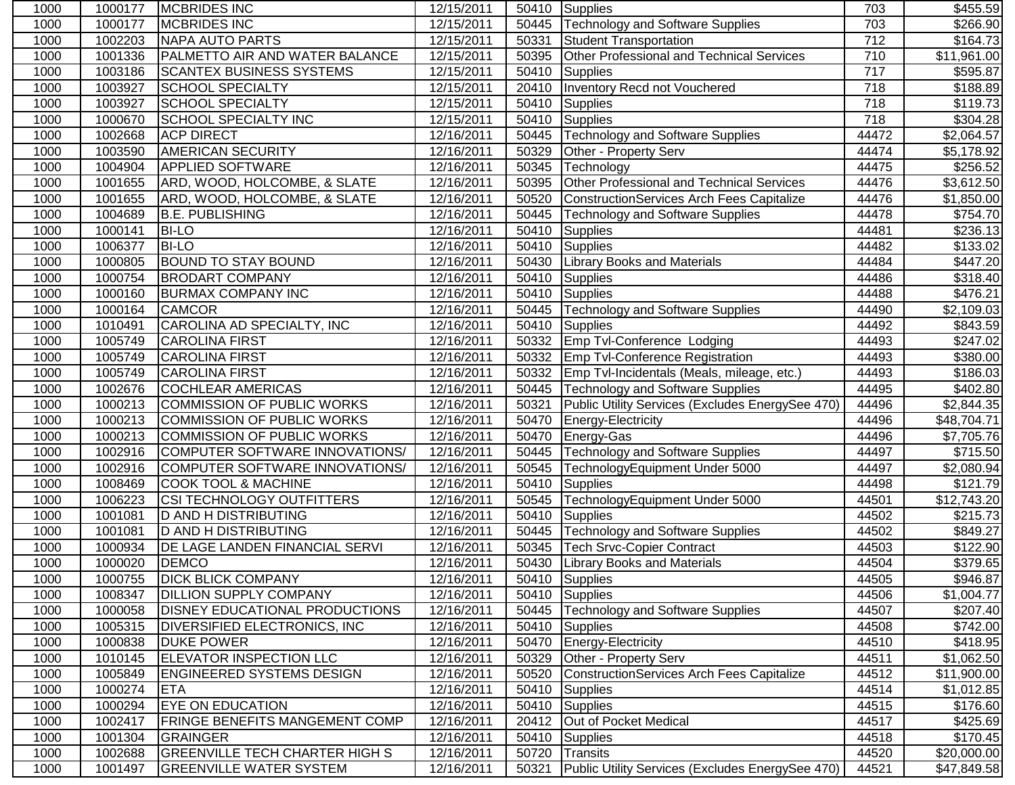| 1000 | 1000177 | <b>IMCBRIDES INC</b>                  | 12/15/2011              |       | 50410 Supplies                                   | 703              | \$455.59             |
|------|---------|---------------------------------------|-------------------------|-------|--------------------------------------------------|------------------|----------------------|
| 1000 | 1000177 | <b>MCBRIDES INC</b>                   | 12/15/2011              | 50445 | Technology and Software Supplies                 | 703              | $\overline{$}266.90$ |
| 1000 | 1002203 | <b>NAPA AUTO PARTS</b>                | $\overline{12/1}5/2011$ | 50331 | Student Transportation                           | $\frac{1}{712}$  | \$164.73             |
| 1000 | 1001336 | PALMETTO AIR AND WATER BALANCE        | 12/15/2011              | 50395 | Other Professional and Technical Services        | 710              | \$11,961.00          |
| 1000 | 1003186 | <b>SCANTEX BUSINESS SYSTEMS</b>       | 12/15/2011              | 50410 | Supplies                                         | $\overline{717}$ | \$595.87             |
| 1000 | 1003927 | <b>SCHOOL SPECIALTY</b>               | 12/15/2011              | 20410 | Inventory Recd not Vouchered                     | 718              | \$188.89             |
| 1000 | 1003927 | <b>SCHOOL SPECIALTY</b>               | 12/15/2011              | 50410 | Supplies                                         | 718              | \$119.73             |
| 1000 | 1000670 | <b>SCHOOL SPECIALTY INC</b>           | 12/15/2011              | 50410 | Supplies                                         | 718              | \$304.28             |
| 1000 | 1002668 | <b>ACP DIRECT</b>                     | 12/16/2011              | 50445 | Technology and Software Supplies                 | 44472            | \$2,064.57           |
| 1000 | 1003590 | <b>AMERICAN SECURITY</b>              | 12/16/2011              | 50329 | Other - Property Serv                            | 44474            | \$5,178.92           |
| 1000 | 1004904 | <b>APPLIED SOFTWARE</b>               | 12/16/2011              | 50345 | Technology                                       | 44475            | \$256.52             |
| 1000 | 1001655 | ARD, WOOD, HOLCOMBE, & SLATE          | 12/16/2011              | 50395 | Other Professional and Technical Services        | 44476            | \$3,612.50           |
| 1000 | 1001655 | ARD, WOOD, HOLCOMBE, & SLATE          | 12/16/2011              | 50520 | <b>ConstructionServices Arch Fees Capitalize</b> | 44476            | \$1,850.00           |
| 1000 | 1004689 | <b>B.E. PUBLISHING</b>                | 12/16/2011              | 50445 | <b>Technology and Software Supplies</b>          | 44478            | \$754.70             |
| 1000 | 1000141 | <b>BI-LO</b>                          | 12/16/2011              | 50410 | Supplies                                         | 44481            | \$236.13             |
| 1000 | 1006377 | <b>BI-LO</b>                          | 12/16/2011              | 50410 | Supplies                                         | 44482            | \$133.02             |
| 1000 | 1000805 | <b>BOUND TO STAY BOUND</b>            | 12/16/2011              | 50430 | <b>Library Books and Materials</b>               | 44484            | \$447.20             |
| 1000 | 1000754 | <b>BRODART COMPANY</b>                | 12/16/2011              | 50410 | Supplies                                         | 44486            | \$318.40             |
| 1000 | 1000160 | <b>BURMAX COMPANY INC</b>             | 12/16/2011              | 50410 | Supplies                                         | 44488            | $\sqrt{$476.21}$     |
| 1000 | 1000164 | <b>CAMCOR</b>                         | 12/16/2011              | 50445 | <b>Technology and Software Supplies</b>          | 44490            | \$2,109.03           |
| 1000 | 1010491 | CAROLINA AD SPECIALTY, INC            | 12/16/2011              | 50410 | Supplies                                         | 44492            | \$843.59             |
| 1000 | 1005749 | <b>CAROLINA FIRST</b>                 | 12/16/2011              | 50332 | <b>Emp Tvl-Conference Lodging</b>                | 44493            | \$247.02             |
| 1000 | 1005749 | <b>CAROLINA FIRST</b>                 | 12/16/2011              | 50332 | Emp Tvl-Conference Registration                  | 44493            | \$380.00             |
| 1000 | 1005749 | <b>CAROLINA FIRST</b>                 | 12/16/2011              | 50332 | Emp Tvl-Incidentals (Meals, mileage, etc.)       | 44493            | \$186.03             |
| 1000 | 1002676 | <b>COCHLEAR AMERICAS</b>              | 12/16/2011              | 50445 | Technology and Software Supplies                 | 44495            | \$402.80             |
| 1000 | 1000213 | COMMISSION OF PUBLIC WORKS            | 12/16/2011              | 50321 | Public Utility Services (Excludes EnergySee 470) | 44496            | \$2,844.35           |
| 1000 | 1000213 | COMMISSION OF PUBLIC WORKS            | 12/16/2011              | 50470 | Energy-Electricity                               | 44496            | \$48,704.71          |
| 1000 | 1000213 | COMMISSION OF PUBLIC WORKS            | 12/16/2011              | 50470 | Energy-Gas                                       | 44496            | \$7,705.76           |
| 1000 | 1002916 | COMPUTER SOFTWARE INNOVATIONS/        | 12/16/2011              | 50445 | <b>Technology and Software Supplies</b>          | 44497            | \$715.50             |
| 1000 | 1002916 | COMPUTER SOFTWARE INNOVATIONS/        | 12/16/2011              | 50545 | TechnologyEquipment Under 5000                   | 44497            | \$2,080.94           |
| 1000 | 1008469 | <b>COOK TOOL &amp; MACHINE</b>        | 12/16/2011              | 50410 | Supplies                                         | 44498            | $\overline{$}121.79$ |
| 1000 | 1006223 | <b>CSI TECHNOLOGY OUTFITTERS</b>      | 12/16/2011              | 50545 | TechnologyEquipment Under 5000                   | 44501            | \$12,743.20          |
| 1000 | 1001081 | <b>D AND H DISTRIBUTING</b>           | 12/16/2011              | 50410 | Supplies                                         | 44502            | \$215.73             |
| 1000 | 1001081 | <b>D AND H DISTRIBUTING</b>           | 12/16/2011              | 50445 | Technology and Software Supplies                 | 44502            | \$849.27             |
| 1000 | 1000934 | <b>DE LAGE LANDEN FINANCIAL SERVI</b> | 12/16/2011              | 50345 | Tech Srvc-Copier Contract                        | 44503            | \$122.90             |
| 1000 | 1000020 | <b>DEMCO</b>                          | 12/16/2011              | 50430 | <b>Library Books and Materials</b>               | 44504            | \$379.65             |
| 1000 | 1000755 | <b>DICK BLICK COMPANY</b>             | 12/16/2011              |       | 50410 Supplies                                   | 44505            | \$946.87             |
| 1000 | 1008347 | <b>DILLION SUPPLY COMPANY</b>         | 12/16/2011              | 50410 | Supplies                                         | 44506            | \$1,004.77           |
| 1000 | 1000058 | <b>DISNEY EDUCATIONAL PRODUCTIONS</b> | 12/16/2011              | 50445 | <b>Technology and Software Supplies</b>          | 44507            | \$207.40             |
| 1000 | 1005315 | <b>DIVERSIFIED ELECTRONICS, INC.</b>  | 12/16/2011              |       | 50410 Supplies                                   | 44508            | \$742.00             |
| 1000 | 1000838 | <b>DUKE POWER</b>                     | 12/16/2011              |       | 50470 Energy-Electricity                         | 44510            | \$418.95             |
| 1000 | 1010145 | <b>ELEVATOR INSPECTION LLC</b>        | 12/16/2011              | 50329 | Other - Property Serv                            | 44511            | \$1,062.50           |
| 1000 | 1005849 | <b>ENGINEERED SYSTEMS DESIGN</b>      | 12/16/2011              | 50520 | <b>ConstructionServices Arch Fees Capitalize</b> | 44512            | \$11,900.00          |
| 1000 | 1000274 | <b>ETA</b>                            | 12/16/2011              | 50410 | Supplies                                         | 44514            | \$1,012.85           |
| 1000 | 1000294 | <b>EYE ON EDUCATION</b>               | 12/16/2011              | 50410 | Supplies                                         | 44515            | \$176.60             |
| 1000 | 1002417 | <b>FRINGE BENEFITS MANGEMENT COMP</b> | 12/16/2011              | 20412 | Out of Pocket Medical                            | 44517            | \$425.69             |
| 1000 | 1001304 | <b>GRAINGER</b>                       | 12/16/2011              | 50410 | <b>Supplies</b>                                  | 44518            | \$170.45             |
| 1000 | 1002688 | <b>GREENVILLE TECH CHARTER HIGH S</b> | 12/16/2011              | 50720 | Transits                                         | 44520            | \$20,000.00          |
| 1000 | 1001497 | <b>GREENVILLE WATER SYSTEM</b>        | 12/16/2011              | 50321 | Public Utility Services (Excludes EnergySee 470) | 44521            | \$47,849.58          |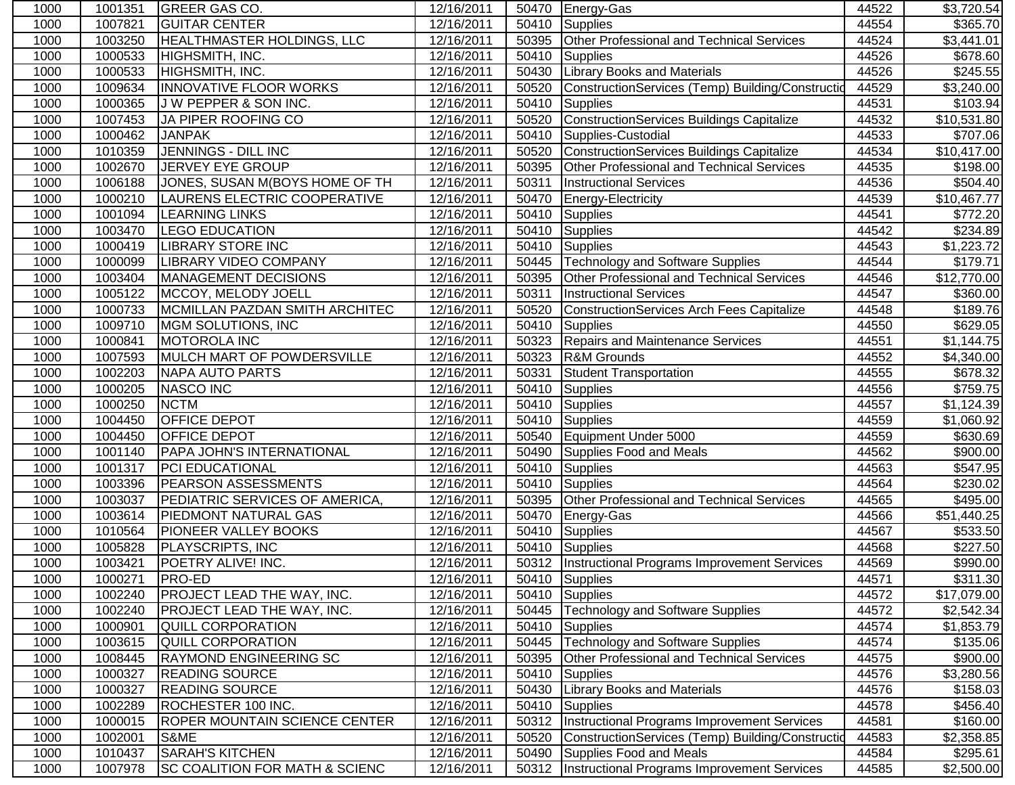| 1000 | 1001351 | <b>GREER GAS CO.</b>                      | 12/16/2011              |       | 50470 Energy-Gas                                    | 44522 | \$3,720.54  |
|------|---------|-------------------------------------------|-------------------------|-------|-----------------------------------------------------|-------|-------------|
| 1000 | 1007821 | <b>GUITAR CENTER</b>                      | 12/16/2011              | 50410 | <b>Supplies</b>                                     | 44554 | \$365.70    |
| 1000 | 1003250 | <b>HEALTHMASTER HOLDINGS, LLC</b>         | 12/16/2011              | 50395 | <b>Other Professional and Technical Services</b>    | 44524 | \$3,441.01  |
| 1000 | 1000533 | HIGHSMITH, INC.                           | 12/16/2011              | 50410 | Supplies                                            | 44526 | \$678.60    |
| 1000 | 1000533 | HIGHSMITH, INC.                           | 12/16/2011              | 50430 | <b>Library Books and Materials</b>                  | 44526 | \$245.55    |
| 1000 | 1009634 | <b>INNOVATIVE FLOOR WORKS</b>             | 12/16/2011              | 50520 | ConstructionServices (Temp) Building/Constructio    | 44529 | \$3,240.00  |
| 1000 | 1000365 | J W PEPPER & SON INC.                     | 12/16/2011              | 50410 | <b>Supplies</b>                                     | 44531 | \$103.94    |
| 1000 | 1007453 | JA PIPER ROOFING CO                       | 12/16/2011              | 50520 | ConstructionServices Buildings Capitalize           | 44532 | \$10,531.80 |
| 1000 | 1000462 | <b>JANPAK</b>                             | 12/16/2011              | 50410 | Supplies-Custodial                                  | 44533 | \$707.06    |
| 1000 | 1010359 | JENNINGS - DILL INC                       | 12/16/2011              | 50520 | <b>ConstructionServices Buildings Capitalize</b>    | 44534 | \$10,417.00 |
| 1000 | 1002670 | JERVEY EYE GROUP                          | 12/16/2011              | 50395 | Other Professional and Technical Services           | 44535 | \$198.00    |
| 1000 | 1006188 | JONES, SUSAN M(BOYS HOME OF TH            | 12/16/2011              | 50311 | <b>Instructional Services</b>                       | 44536 | \$504.40    |
| 1000 | 1000210 | LAURENS ELECTRIC COOPERATIVE              | 12/16/2011              | 50470 | Energy-Electricity                                  | 44539 | \$10,467.77 |
| 1000 | 1001094 | <b>LEARNING LINKS</b>                     | 12/16/2011              | 50410 | <b>Supplies</b>                                     | 44541 | \$772.20    |
| 1000 | 1003470 | <b>LEGO EDUCATION</b>                     | 12/16/2011              | 50410 | Supplies                                            | 44542 | \$234.89    |
| 1000 | 1000419 | <b>LIBRARY STORE INC</b>                  | 12/16/2011              | 50410 | Supplies                                            | 44543 | \$1,223.72  |
| 1000 | 1000099 | <b>LIBRARY VIDEO COMPANY</b>              | 12/16/2011              | 50445 | <b>Technology and Software Supplies</b>             | 44544 | \$179.71    |
| 1000 | 1003404 | MANAGEMENT DECISIONS                      | 12/16/2011              | 50395 | Other Professional and Technical Services           | 44546 | \$12,770.00 |
| 1000 | 1005122 | MCCOY, MELODY JOELL                       | 12/16/2011              | 50311 | <b>Instructional Services</b>                       | 44547 | \$360.00    |
| 1000 | 1000733 | MCMILLAN PAZDAN SMITH ARCHITEC            | $\overline{12}/16/2011$ | 50520 | ConstructionServices Arch Fees Capitalize           | 44548 | \$189.76    |
| 1000 | 1009710 | MGM SOLUTIONS, INC                        | 12/16/2011              | 50410 | <b>Supplies</b>                                     | 44550 | \$629.05    |
| 1000 | 1000841 | <b>MOTOROLA INC</b>                       | 12/16/2011              | 50323 | <b>Repairs and Maintenance Services</b>             | 44551 | \$1,144.75  |
| 1000 | 1007593 | MULCH MART OF POWDERSVILLE                | 12/16/2011              | 50323 | <b>R&amp;M Grounds</b>                              | 44552 | \$4,340.00  |
| 1000 | 1002203 | <b>NAPA AUTO PARTS</b>                    | 12/16/2011              | 50331 | <b>Student Transportation</b>                       | 44555 | \$678.32    |
| 1000 | 1000205 | <b>NASCO INC</b>                          | 12/16/2011              | 50410 | Supplies                                            | 44556 | \$759.75    |
| 1000 | 1000250 | <b>NCTM</b>                               | 12/16/2011              | 50410 | Supplies                                            | 44557 | \$1,124.39  |
| 1000 | 1004450 | OFFICE DEPOT                              | 12/16/2011              | 50410 | <b>Supplies</b>                                     | 44559 | \$1,060.92  |
| 1000 | 1004450 | OFFICE DEPOT                              | 12/16/2011              | 50540 | Equipment Under 5000                                | 44559 | \$630.69    |
| 1000 | 1001140 | PAPA JOHN'S INTERNATIONAL                 | 12/16/2011              | 50490 | Supplies Food and Meals                             | 44562 | \$900.00    |
| 1000 | 1001317 | <b>PCI EDUCATIONAL</b>                    | 12/16/2011              | 50410 | <b>Supplies</b>                                     | 44563 | \$547.95    |
| 1000 | 1003396 | PEARSON ASSESSMENTS                       | 12/16/2011              | 50410 | <b>Supplies</b>                                     | 44564 | \$230.02    |
| 1000 | 1003037 | PEDIATRIC SERVICES OF AMERICA,            | 12/16/2011              | 50395 | Other Professional and Technical Services           | 44565 | \$495.00    |
| 1000 | 1003614 | PIEDMONT NATURAL GAS                      | 12/16/2011              | 50470 | Energy-Gas                                          | 44566 | \$51,440.25 |
| 1000 | 1010564 | PIONEER VALLEY BOOKS                      | 12/16/2011              | 50410 | Supplies                                            | 44567 | \$533.50    |
| 1000 | 1005828 | PLAYSCRIPTS, INC                          | 12/16/2011              | 50410 | Supplies                                            | 44568 | \$227.50    |
| 1000 | 1003421 | POETRY ALIVE! INC.                        | 12/16/2011              |       | 50312  Instructional Programs Improvement Services  | 44569 | \$990.00    |
| 1000 | 1000271 | <b>PRO-ED</b>                             | 12/16/2011              |       | 50410 Supplies                                      | 44571 | \$311.30    |
| 1000 | 1002240 | <b>PROJECT LEAD THE WAY, INC.</b>         | 12/16/2011              | 50410 | Supplies                                            | 44572 | \$17,079.00 |
| 1000 | 1002240 | PROJECT LEAD THE WAY, INC.                | 12/16/2011              | 50445 | <b>Technology and Software Supplies</b>             | 44572 | \$2,542.34  |
| 1000 | 1000901 | QUILL CORPORATION                         | 12/16/2011              | 50410 | Supplies                                            | 44574 | \$1,853.79  |
| 1000 | 1003615 | <b>QUILL CORPORATION</b>                  | 12/16/2011              | 50445 | <b>Technology and Software Supplies</b>             | 44574 | \$135.06    |
| 1000 | 1008445 | <b>RAYMOND ENGINEERING SC</b>             | 12/16/2011              | 50395 | Other Professional and Technical Services           | 44575 | \$900.00    |
| 1000 | 1000327 | <b>READING SOURCE</b>                     | 12/16/2011              | 50410 | <b>Supplies</b>                                     | 44576 | \$3,280.56  |
| 1000 | 1000327 | <b>READING SOURCE</b>                     | 12/16/2011              | 50430 | <b>Library Books and Materials</b>                  | 44576 | \$158.03    |
| 1000 | 1002289 | ROCHESTER 100 INC.                        | 12/16/2011              | 50410 | <b>Supplies</b>                                     | 44578 | \$456.40    |
| 1000 | 1000015 | <b>ROPER MOUNTAIN SCIENCE CENTER</b>      | 12/16/2011              |       | 50312 Instructional Programs Improvement Services   | 44581 | \$160.00    |
| 1000 | 1002001 | S&ME                                      | 12/16/2011              | 50520 | ConstructionServices (Temp) Building/Constructid    | 44583 | \$2,358.85  |
| 1000 | 1010437 | <b>SARAH'S KITCHEN</b>                    | 12/16/2011              | 50490 | Supplies Food and Meals                             | 44584 | \$295.61    |
| 1000 | 1007978 | <b>SC COALITION FOR MATH &amp; SCIENC</b> | 12/16/2011              |       | 50312   Instructional Programs Improvement Services | 44585 | \$2,500.00  |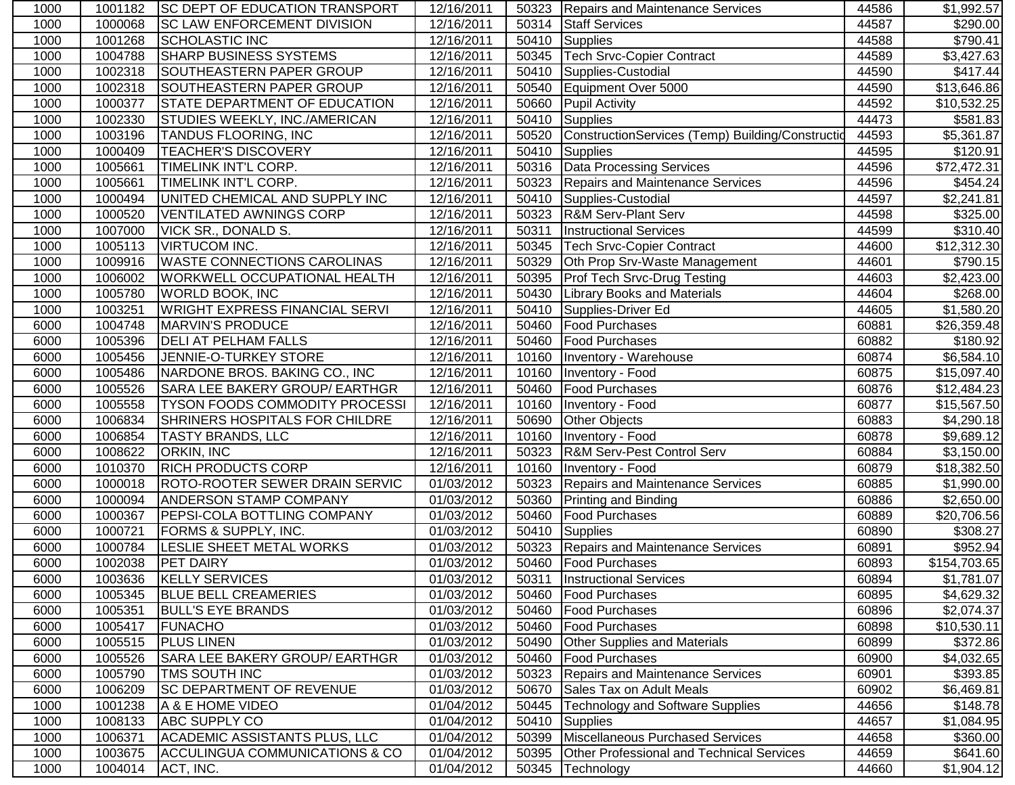| 1000 | 1001182 | <b>SC DEPT OF EDUCATION TRANSPORT</b>     | 12/16/2011 |       | 50323   Repairs and Maintenance Services          | 44586 | \$1,992.57   |
|------|---------|-------------------------------------------|------------|-------|---------------------------------------------------|-------|--------------|
| 1000 | 1000068 | <b>SC LAW ENFORCEMENT DIVISION</b>        | 12/16/2011 | 50314 | <b>Staff Services</b>                             | 44587 | \$290.00     |
| 1000 | 1001268 | <b>SCHOLASTIC INC</b>                     | 12/16/2011 | 50410 | Supplies                                          | 44588 | \$790.41     |
| 1000 | 1004788 | <b>SHARP BUSINESS SYSTEMS</b>             | 12/16/2011 | 50345 | <b>Tech Srvc-Copier Contract</b>                  | 44589 | \$3,427.63   |
| 1000 | 1002318 | SOUTHEASTERN PAPER GROUP                  | 12/16/2011 | 50410 | Supplies-Custodial                                | 44590 | \$417.44     |
| 1000 | 1002318 | <b>SOUTHEASTERN PAPER GROUP</b>           | 12/16/2011 | 50540 | Equipment Over 5000                               | 44590 | \$13,646.86  |
| 1000 | 1000377 | <b>STATE DEPARTMENT OF EDUCATION</b>      | 12/16/2011 | 50660 | <b>Pupil Activity</b>                             | 44592 | \$10,532.25  |
| 1000 | 1002330 | STUDIES WEEKLY, INC./AMERICAN             | 12/16/2011 |       | 50410 Supplies                                    | 44473 | \$581.83     |
| 1000 | 1003196 | <b>TANDUS FLOORING, INC</b>               | 12/16/2011 | 50520 | ConstructionServices (Temp) Building/Construction | 44593 | \$5,361.87   |
| 1000 | 1000409 | <b>TEACHER'S DISCOVERY</b>                | 12/16/2011 | 50410 | Supplies                                          | 44595 | \$120.91     |
| 1000 | 1005661 | TIMELINK INT'L CORP.                      | 12/16/2011 |       | 50316 Data Processing Services                    | 44596 | \$72,472.31  |
| 1000 | 1005661 | TIMELINK INT'L CORP.                      | 12/16/2011 | 50323 | Repairs and Maintenance Services                  | 44596 | \$454.24     |
| 1000 | 1000494 | UNITED CHEMICAL AND SUPPLY INC            | 12/16/2011 | 50410 | Supplies-Custodial                                | 44597 | \$2,241.81   |
| 1000 | 1000520 | VENTILATED AWNINGS CORP                   | 12/16/2011 | 50323 | <b>R&amp;M Serv-Plant Serv</b>                    | 44598 | \$325.00     |
| 1000 | 1007000 | <b>VICK SR., DONALD S.</b>                | 12/16/2011 | 50311 | <b>Instructional Services</b>                     | 44599 | \$310.40]    |
| 1000 | 1005113 | <b>VIRTUCOM INC.</b>                      | 12/16/2011 | 50345 | <b>Tech Srvc-Copier Contract</b>                  | 44600 | \$12,312.30  |
| 1000 | 1009916 | <b>WASTE CONNECTIONS CAROLINAS</b>        | 12/16/2011 | 50329 | Oth Prop Srv-Waste Management                     | 44601 | \$790.15     |
| 1000 | 1006002 | <b>WORKWELL OCCUPATIONAL HEALTH</b>       | 12/16/2011 |       | 50395 Prof Tech Srvc-Drug Testing                 | 44603 | \$2,423.00   |
| 1000 | 1005780 | <b>WORLD BOOK, INC</b>                    | 12/16/2011 | 50430 | <b>Library Books and Materials</b>                | 44604 | \$268.00     |
| 1000 | 1003251 | <b>WRIGHT EXPRESS FINANCIAL SERVI</b>     | 12/16/2011 | 50410 | Supplies-Driver Ed                                | 44605 | \$1,580.20   |
| 6000 | 1004748 | MARVIN'S PRODUCE                          | 12/16/2011 | 50460 | <b>Food Purchases</b>                             | 60881 | \$26,359.48  |
| 6000 | 1005396 | <b>DELI AT PELHAM FALLS</b>               | 12/16/2011 | 50460 | <b>Food Purchases</b>                             | 60882 | \$180.92     |
| 6000 | 1005456 | JENNIE-O-TURKEY STORE                     | 12/16/2011 | 10160 | Inventory - Warehouse                             | 60874 | \$6,584.10   |
| 6000 | 1005486 | NARDONE BROS. BAKING CO., INC             | 12/16/2011 | 10160 | Inventory - Food                                  | 60875 | \$15,097.40  |
| 6000 | 1005526 | SARA LEE BAKERY GROUP/ EARTHGR            | 12/16/2011 | 50460 | <b>Food Purchases</b>                             | 60876 | \$12,484.23  |
| 6000 | 1005558 | <b>TYSON FOODS COMMODITY PROCESSI</b>     | 12/16/2011 | 10160 | Inventory - Food                                  | 60877 | \$15,567.50  |
| 6000 | 1006834 | SHRINERS HOSPITALS FOR CHILDRE            | 12/16/2011 | 50690 | <b>Other Objects</b>                              | 60883 | \$4,290.18   |
| 6000 | 1006854 | <b>TASTY BRANDS, LLC</b>                  | 12/16/2011 | 10160 | Inventory - Food                                  | 60878 | \$9,689.12   |
| 6000 | 1008622 | <b>ORKIN, INC</b>                         | 12/16/2011 | 50323 | <b>R&amp;M Serv-Pest Control Serv</b>             | 60884 | \$3,150.00   |
| 6000 | 1010370 | <b>RICH PRODUCTS CORP</b>                 | 12/16/2011 | 10160 | Inventory - Food                                  | 60879 | \$18,382.50  |
| 6000 | 1000018 | <b>ROTO-ROOTER SEWER DRAIN SERVIC</b>     | 01/03/2012 | 50323 | <b>Repairs and Maintenance Services</b>           | 60885 | \$1,990.00   |
| 6000 | 1000094 | <b>ANDERSON STAMP COMPANY</b>             | 01/03/2012 | 50360 | <b>Printing and Binding</b>                       | 60886 | \$2,650.00   |
| 6000 | 1000367 | <b>PEPSI-COLA BOTTLING COMPANY</b>        | 01/03/2012 | 50460 | <b>Food Purchases</b>                             | 60889 | \$20,706.56  |
| 6000 | 1000721 | <b>FORMS &amp; SUPPLY, INC.</b>           | 01/03/2012 | 50410 | Supplies                                          | 60890 | \$308.27     |
| 6000 | 1000784 | LESLIE SHEET METAL WORKS                  | 01/03/2012 |       | 50323 Repairs and Maintenance Services            | 60891 | \$952.94     |
| 6000 | 1002038 | <b>PET DAIRY</b>                          | 01/03/2012 |       | 50460 Food Purchases                              | 60893 | \$154,703.65 |
| 6000 |         | 1003636 KELLY SERVICES                    | 01/03/2012 |       | 50311   Instructional Services                    | 60894 | \$1,781.07   |
| 6000 | 1005345 | <b>BLUE BELL CREAMERIES</b>               | 01/03/2012 | 50460 | <b>Food Purchases</b>                             | 60895 | \$4,629.32   |
| 6000 | 1005351 | <b>BULL'S EYE BRANDS</b>                  | 01/03/2012 | 50460 | <b>Food Purchases</b>                             | 60896 | \$2,074.37   |
| 6000 | 1005417 | FUNACHO                                   | 01/03/2012 | 50460 | Food Purchases                                    | 60898 | \$10,530.11  |
| 6000 | 1005515 | <b>PLUS LINEN</b>                         | 01/03/2012 | 50490 | <b>Other Supplies and Materials</b>               | 60899 | \$372.86     |
| 6000 | 1005526 | SARA LEE BAKERY GROUP/ EARTHGR            | 01/03/2012 | 50460 | <b>Food Purchases</b>                             | 60900 | \$4,032.65   |
| 6000 | 1005790 | <b>TMS SOUTH INC</b>                      | 01/03/2012 | 50323 | Repairs and Maintenance Services                  | 60901 | \$393.85     |
| 6000 | 1006209 | <b>SC DEPARTMENT OF REVENUE</b>           | 01/03/2012 | 50670 | Sales Tax on Adult Meals                          | 60902 | \$6,469.81   |
| 1000 | 1001238 | A & E HOME VIDEO                          | 01/04/2012 | 50445 | <b>Technology and Software Supplies</b>           | 44656 | \$148.78     |
| 1000 | 1008133 | <b>ABC SUPPLY CO</b>                      | 01/04/2012 | 50410 | Supplies                                          | 44657 | \$1,084.95   |
| 1000 | 1006371 | <b>ACADEMIC ASSISTANTS PLUS, LLC</b>      | 01/04/2012 | 50399 | Miscellaneous Purchased Services                  | 44658 | \$360.00     |
| 1000 | 1003675 | <b>ACCULINGUA COMMUNICATIONS &amp; CO</b> | 01/04/2012 | 50395 | <b>Other Professional and Technical Services</b>  | 44659 | \$641.60     |
| 1000 | 1004014 | ACT, INC.                                 | 01/04/2012 | 50345 | Technology                                        | 44660 | \$1,904.12   |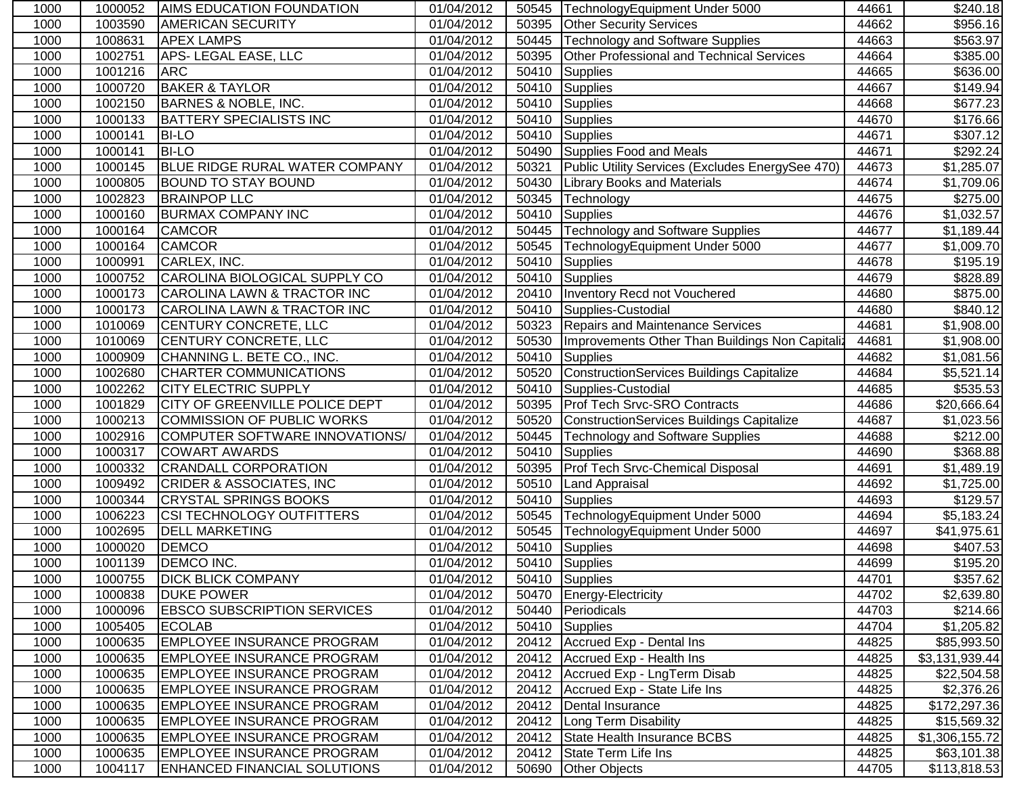| 1000 | 1000052 | <b>AIMS EDUCATION FOUNDATION</b>       | 01/04/2012 | 50545 | TechnologyEquipment Under 5000                   | 44661 | \$240.18       |
|------|---------|----------------------------------------|------------|-------|--------------------------------------------------|-------|----------------|
| 1000 | 1003590 | <b>AMERICAN SECURITY</b>               | 01/04/2012 | 50395 | <b>Other Security Services</b>                   | 44662 | \$956.16       |
| 1000 | 1008631 | <b>APEX LAMPS</b>                      | 01/04/2012 | 50445 | <b>Technology and Software Supplies</b>          | 44663 | \$563.97       |
| 1000 | 1002751 | <b>APS-LEGAL EASE, LLC</b>             | 01/04/2012 | 50395 | <b>Other Professional and Technical Services</b> | 44664 | \$385.00       |
| 1000 | 1001216 | <b>ARC</b>                             | 01/04/2012 | 50410 | <b>Supplies</b>                                  | 44665 | \$636.00       |
| 1000 | 1000720 | <b>BAKER &amp; TAYLOR</b>              | 01/04/2012 | 50410 | Supplies                                         | 44667 | \$149.94       |
| 1000 | 1002150 | BARNES & NOBLE, INC.                   | 01/04/2012 | 50410 | Supplies                                         | 44668 | \$677.23       |
| 1000 | 1000133 | <b>BATTERY SPECIALISTS INC</b>         | 01/04/2012 |       | 50410 Supplies                                   | 44670 | \$176.66       |
| 1000 | 1000141 | <b>BI-LO</b>                           | 01/04/2012 | 50410 | Supplies                                         | 44671 | \$307.12       |
| 1000 | 1000141 | <b>BI-LO</b>                           | 01/04/2012 | 50490 | Supplies Food and Meals                          | 44671 | \$292.24       |
| 1000 | 1000145 | BLUE RIDGE RURAL WATER COMPANY         | 01/04/2012 | 50321 | Public Utility Services (Excludes EnergySee 470) | 44673 | \$1,285.07     |
| 1000 | 1000805 | <b>BOUND TO STAY BOUND</b>             | 01/04/2012 | 50430 | <b>Library Books and Materials</b>               | 44674 | \$1,709.06     |
| 1000 | 1002823 | <b>BRAINPOP LLC</b>                    | 01/04/2012 | 50345 | Technology                                       | 44675 | \$275.00       |
| 1000 | 1000160 | <b>BURMAX COMPANY INC</b>              | 01/04/2012 | 50410 | <b>Supplies</b>                                  | 44676 | \$1,032.57     |
| 1000 | 1000164 | <b>CAMCOR</b>                          | 01/04/2012 | 50445 | Technology and Software Supplies                 | 44677 | \$1,189.44     |
| 1000 | 1000164 | <b>CAMCOR</b>                          | 01/04/2012 | 50545 | TechnologyEquipment Under 5000                   | 44677 | \$1,009.70     |
| 1000 | 1000991 | CARLEX, INC.                           | 01/04/2012 | 50410 | <b>Supplies</b>                                  | 44678 | \$195.19       |
| 1000 | 1000752 | CAROLINA BIOLOGICAL SUPPLY CO          | 01/04/2012 | 50410 | Supplies                                         | 44679 | \$828.89       |
| 1000 | 1000173 | CAROLINA LAWN & TRACTOR INC            | 01/04/2012 | 20410 | Inventory Recd not Vouchered                     | 44680 | \$875.00       |
| 1000 | 1000173 | <b>CAROLINA LAWN &amp; TRACTOR INC</b> | 01/04/2012 | 50410 | Supplies-Custodial                               | 44680 | \$840.12       |
| 1000 | 1010069 | <b>CENTURY CONCRETE, LLC</b>           | 01/04/2012 | 50323 | <b>Repairs and Maintenance Services</b>          | 44681 | \$1,908.00     |
| 1000 | 1010069 | CENTURY CONCRETE, LLC                  | 01/04/2012 | 50530 | Improvements Other Than Buildings Non Capitaliz  | 44681 | \$1,908.00     |
| 1000 | 1000909 | CHANNING L. BETE CO., INC.             | 01/04/2012 | 50410 | Supplies                                         | 44682 | \$1,081.56     |
| 1000 | 1002680 | <b>CHARTER COMMUNICATIONS</b>          | 01/04/2012 | 50520 | <b>ConstructionServices Buildings Capitalize</b> | 44684 | \$5,521.14     |
| 1000 | 1002262 | <b>CITY ELECTRIC SUPPLY</b>            | 01/04/2012 | 50410 | Supplies-Custodial                               | 44685 | \$535.53       |
| 1000 | 1001829 | <b>CITY OF GREENVILLE POLICE DEPT</b>  | 01/04/2012 | 50395 | Prof Tech Srvc-SRO Contracts                     | 44686 | \$20,666.64    |
| 1000 | 1000213 | <b>COMMISSION OF PUBLIC WORKS</b>      | 01/04/2012 | 50520 | <b>ConstructionServices Buildings Capitalize</b> | 44687 | \$1,023.56     |
| 1000 | 1002916 | COMPUTER SOFTWARE INNOVATIONS/         | 01/04/2012 | 50445 | Technology and Software Supplies                 | 44688 | \$212.00       |
| 1000 | 1000317 | <b>COWART AWARDS</b>                   | 01/04/2012 | 50410 | <b>Supplies</b>                                  | 44690 | \$368.88       |
| 1000 | 1000332 | <b>CRANDALL CORPORATION</b>            | 01/04/2012 | 50395 | Prof Tech Srvc-Chemical Disposal                 | 44691 | \$1,489.19     |
| 1000 | 1009492 | <b>CRIDER &amp; ASSOCIATES, INC</b>    | 01/04/2012 | 50510 | <b>Land Appraisal</b>                            | 44692 | \$1,725.00     |
| 1000 | 1000344 | <b>CRYSTAL SPRINGS BOOKS</b>           | 01/04/2012 | 50410 | <b>Supplies</b>                                  | 44693 | \$129.57       |
| 1000 | 1006223 | <b>CSI TECHNOLOGY OUTFITTERS</b>       | 01/04/2012 | 50545 | TechnologyEquipment Under 5000                   | 44694 | \$5,183.24     |
| 1000 | 1002695 | <b>DELL MARKETING</b>                  | 01/04/2012 | 50545 | TechnologyEquipment Under 5000                   | 44697 | \$41,975.61    |
| 1000 | 1000020 | <b>DEMCO</b>                           | 01/04/2012 | 50410 | Supplies                                         | 44698 | \$407.53       |
| 1000 | 1001139 | <b>DEMCO INC.</b>                      | 01/04/2012 |       | 50410 Supplies                                   | 44699 | \$195.20       |
| 1000 | 1000755 | <b>DICK BLICK COMPANY</b>              | 01/04/2012 |       | 50410 Supplies                                   | 44701 | \$357.62       |
| 1000 | 1000838 | <b>DUKE POWER</b>                      | 01/04/2012 |       | 50470 Energy-Electricity                         | 44702 | \$2,639.80     |
| 1000 | 1000096 | <b>EBSCO SUBSCRIPTION SERVICES</b>     | 01/04/2012 |       | 50440 Periodicals                                | 44703 | \$214.66       |
| 1000 | 1005405 | <b>ECOLAB</b>                          | 01/04/2012 |       | 50410 Supplies                                   | 44704 | \$1,205.82     |
| 1000 | 1000635 | <b>EMPLOYEE INSURANCE PROGRAM</b>      | 01/04/2012 |       | 20412   Accrued Exp - Dental Ins                 | 44825 | \$85,993.50    |
| 1000 | 1000635 | <b>EMPLOYEE INSURANCE PROGRAM</b>      | 01/04/2012 |       | 20412 Accrued Exp - Health Ins                   | 44825 | \$3,131,939.44 |
| 1000 | 1000635 | <b>EMPLOYEE INSURANCE PROGRAM</b>      | 01/04/2012 |       | 20412 Accrued Exp - LngTerm Disab                | 44825 | \$22,504.58    |
| 1000 | 1000635 | <b>EMPLOYEE INSURANCE PROGRAM</b>      | 01/04/2012 | 20412 | Accrued Exp - State Life Ins                     | 44825 | \$2,376.26     |
| 1000 | 1000635 | <b>EMPLOYEE INSURANCE PROGRAM</b>      | 01/04/2012 | 20412 | Dental Insurance                                 | 44825 | \$172,297.36   |
| 1000 | 1000635 | <b>EMPLOYEE INSURANCE PROGRAM</b>      | 01/04/2012 |       | 20412 Long Term Disability                       | 44825 | \$15,569.32    |
| 1000 | 1000635 | <b>EMPLOYEE INSURANCE PROGRAM</b>      | 01/04/2012 | 20412 | State Health Insurance BCBS                      | 44825 | \$1,306,155.72 |
| 1000 | 1000635 | <b>EMPLOYEE INSURANCE PROGRAM</b>      | 01/04/2012 | 20412 | State Term Life Ins                              | 44825 | \$63,101.38    |
| 1000 | 1004117 | <b>ENHANCED FINANCIAL SOLUTIONS</b>    | 01/04/2012 | 50690 | <b>Other Objects</b>                             | 44705 | \$113,818.53   |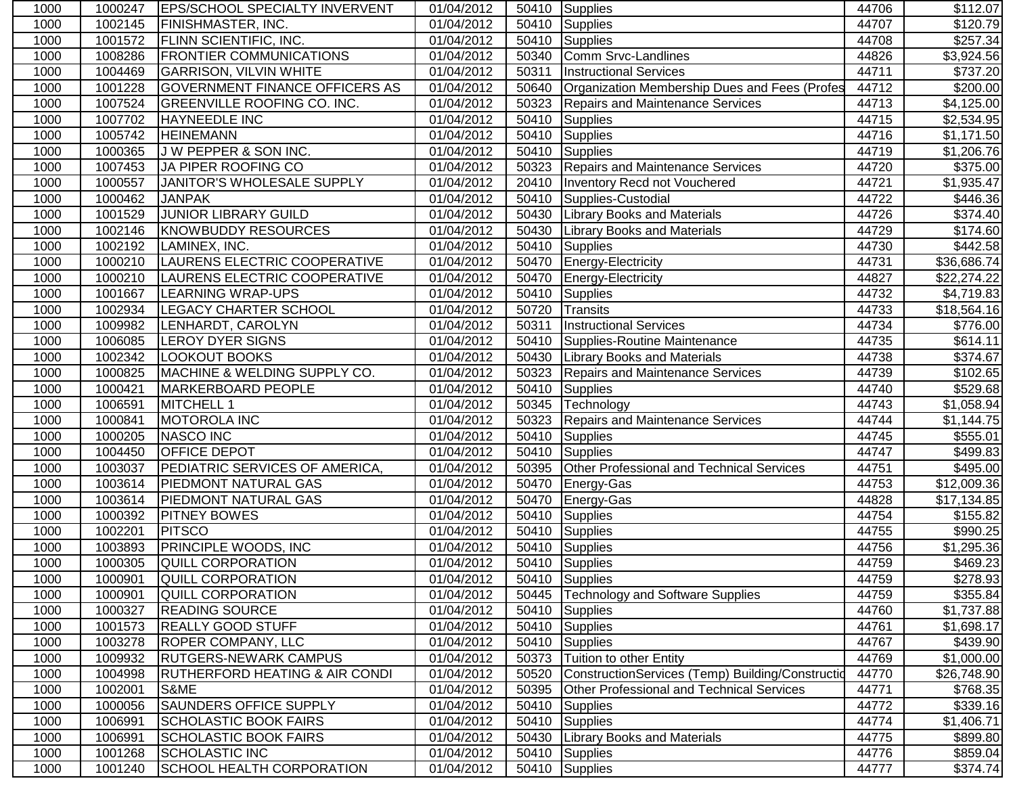| 1000 | 1000247 | <b>IEPS/SCHOOL SPECIALTY INVERVENT</b>    | 01/04/2012 |       | 50410 Supplies                                   | 44706 | \$112.07         |
|------|---------|-------------------------------------------|------------|-------|--------------------------------------------------|-------|------------------|
| 1000 | 1002145 | <b>FINISHMASTER, INC.</b>                 | 01/04/2012 | 50410 | Supplies                                         | 44707 | $\sqrt{$120.79}$ |
| 1000 | 1001572 | <b>FLINN SCIENTIFIC, INC.</b>             | 01/04/2012 | 50410 | Supplies                                         | 44708 | \$257.34         |
| 1000 | 1008286 | <b>FRONTIER COMMUNICATIONS</b>            | 01/04/2012 | 50340 | Comm Srvc-Landlines                              | 44826 | \$3,924.56       |
| 1000 | 1004469 | <b>GARRISON, VILVIN WHITE</b>             | 01/04/2012 | 50311 | <b>Instructional Services</b>                    | 44711 | \$737.20         |
| 1000 | 1001228 | <b>GOVERNMENT FINANCE OFFICERS AS</b>     | 01/04/2012 | 50640 | Organization Membership Dues and Fees (Profes    | 44712 | \$200.00         |
| 1000 | 1007524 | <b>GREENVILLE ROOFING CO. INC.</b>        | 01/04/2012 | 50323 | Repairs and Maintenance Services                 | 44713 | \$4,125.00       |
| 1000 | 1007702 | HAYNEEDLE INC                             | 01/04/2012 | 50410 | Supplies                                         | 44715 | \$2,534.95       |
| 1000 | 1005742 | <b>HEINEMANN</b>                          | 01/04/2012 | 50410 | Supplies                                         | 44716 | \$1,171.50       |
| 1000 | 1000365 | J W PEPPER & SON INC.                     | 01/04/2012 | 50410 | Supplies                                         | 44719 | \$1,206.76       |
| 1000 | 1007453 | JA PIPER ROOFING CO                       | 01/04/2012 | 50323 | Repairs and Maintenance Services                 | 44720 | \$375.00         |
| 1000 | 1000557 | JANITOR'S WHOLESALE SUPPLY                | 01/04/2012 | 20410 | Inventory Recd not Vouchered                     | 44721 | \$1,935.47       |
| 1000 | 1000462 | <b>JANPAK</b>                             | 01/04/2012 | 50410 | Supplies-Custodial                               | 44722 | \$446.36         |
| 1000 | 1001529 | JUNIOR LIBRARY GUILD                      | 01/04/2012 | 50430 | <b>Library Books and Materials</b>               | 44726 | \$374.40         |
| 1000 | 1002146 | <b>KNOWBUDDY RESOURCES</b>                | 01/04/2012 | 50430 | <b>Library Books and Materials</b>               | 44729 | \$174.60         |
| 1000 | 1002192 | LAMINEX, INC.                             | 01/04/2012 | 50410 | Supplies                                         | 44730 | \$442.58         |
| 1000 | 1000210 | LAURENS ELECTRIC COOPERATIVE              | 01/04/2012 | 50470 | Energy-Electricity                               | 44731 | \$36,686.74      |
| 1000 | 1000210 | LAURENS ELECTRIC COOPERATIVE              | 01/04/2012 | 50470 | Energy-Electricity                               | 44827 | \$22,274.22      |
| 1000 | 1001667 | LEARNING WRAP-UPS                         | 01/04/2012 | 50410 | Supplies                                         | 44732 | \$4,719.83       |
| 1000 | 1002934 | <b>LEGACY CHARTER SCHOOL</b>              | 01/04/2012 | 50720 | Transits                                         | 44733 | \$18,564.16      |
| 1000 | 1009982 | LENHARDT, CAROLYN                         | 01/04/2012 | 50311 | <b>Instructional Services</b>                    | 44734 | \$776.00         |
| 1000 | 1006085 | <b>LEROY DYER SIGNS</b>                   | 01/04/2012 | 50410 | Supplies-Routine Maintenance                     | 44735 | \$614.11         |
| 1000 | 1002342 | <b>LOOKOUT BOOKS</b>                      | 01/04/2012 | 50430 | <b>Library Books and Materials</b>               | 44738 | \$374.67         |
| 1000 | 1000825 | MACHINE & WELDING SUPPLY CO.              | 01/04/2012 | 50323 | <b>Repairs and Maintenance Services</b>          | 44739 | \$102.65         |
| 1000 | 1000421 | <b>MARKERBOARD PEOPLE</b>                 | 01/04/2012 | 50410 | <b>T</b> Supplies                                | 44740 | \$529.68         |
| 1000 | 1006591 | MITCHELL 1                                | 01/04/2012 | 50345 | Technology                                       | 44743 | \$1,058.94       |
| 1000 | 1000841 | <b>MOTOROLA INC</b>                       | 01/04/2012 | 50323 | Repairs and Maintenance Services                 | 44744 | \$1,144.75       |
| 1000 | 1000205 | <b>NASCO INC</b>                          | 01/04/2012 | 50410 | Supplies                                         | 44745 | \$555.01         |
| 1000 | 1004450 | OFFICE DEPOT                              | 01/04/2012 | 50410 | Supplies                                         | 44747 | \$499.83         |
| 1000 | 1003037 | PEDIATRIC SERVICES OF AMERICA,            | 01/04/2012 | 50395 | <b>Other Professional and Technical Services</b> | 44751 | \$495.00         |
| 1000 | 1003614 | PIEDMONT NATURAL GAS                      | 01/04/2012 | 50470 | Energy-Gas                                       | 44753 | \$12,009.36      |
| 1000 | 1003614 | PIEDMONT NATURAL GAS                      | 01/04/2012 | 50470 | Energy-Gas                                       | 44828 | \$17,134.85      |
| 1000 | 1000392 | <b>PITNEY BOWES</b>                       | 01/04/2012 | 50410 | Supplies                                         | 44754 | \$155.82         |
| 1000 | 1002201 | <b>PITSCO</b>                             | 01/04/2012 | 50410 | Supplies                                         | 44755 | \$990.25         |
| 1000 | 1003893 | <b>PRINCIPLE WOODS, INC</b>               | 01/04/2012 | 50410 | Supplies                                         | 44756 | \$1,295.36       |
| 1000 | 1000305 | <b>QUILL CORPORATION</b>                  | 01/04/2012 | 50410 | Supplies                                         | 44759 | \$469.23         |
| 1000 | 1000901 | <b>QUILL CORPORATION</b>                  | 01/04/2012 |       | 50410 Supplies                                   | 44759 | \$278.93         |
| 1000 | 1000901 | QUILL CORPORATION                         | 01/04/2012 |       | 50445   Technology and Software Supplies         | 44759 | \$355.84         |
| 1000 | 1000327 | <b>READING SOURCE</b>                     | 01/04/2012 | 50410 | Supplies                                         | 44760 | \$1,737.88       |
| 1000 | 1001573 | <b>REALLY GOOD STUFF</b>                  | 01/04/2012 |       | 50410 Supplies                                   | 44761 | \$1,698.17       |
| 1000 | 1003278 | <b>ROPER COMPANY, LLC</b>                 | 01/04/2012 |       | 50410 Supplies                                   | 44767 | \$439.90         |
| 1000 | 1009932 | <b>RUTGERS-NEWARK CAMPUS</b>              | 01/04/2012 | 50373 | Tuition to other Entity                          | 44769 | \$1,000.00       |
| 1000 | 1004998 | <b>RUTHERFORD HEATING &amp; AIR CONDI</b> | 01/04/2012 | 50520 | ConstructionServices (Temp) Building/Constructid | 44770 | \$26,748.90      |
| 1000 | 1002001 | S&ME                                      | 01/04/2012 | 50395 | <b>Other Professional and Technical Services</b> | 44771 | \$768.35         |
| 1000 | 1000056 | <b>SAUNDERS OFFICE SUPPLY</b>             | 01/04/2012 | 50410 | <b>Supplies</b>                                  | 44772 | \$339.16         |
| 1000 | 1006991 | <b>SCHOLASTIC BOOK FAIRS</b>              | 01/04/2012 | 50410 | Supplies                                         | 44774 | \$1,406.71       |
| 1000 | 1006991 | <b>SCHOLASTIC BOOK FAIRS</b>              | 01/04/2012 | 50430 | <b>Library Books and Materials</b>               | 44775 | \$899.80         |
| 1000 | 1001268 | <b>SCHOLASTIC INC</b>                     | 01/04/2012 | 50410 | Supplies                                         | 44776 | \$859.04         |
| 1000 | 1001240 | SCHOOL HEALTH CORPORATION                 | 01/04/2012 |       | 50410 Supplies                                   | 44777 | \$374.74         |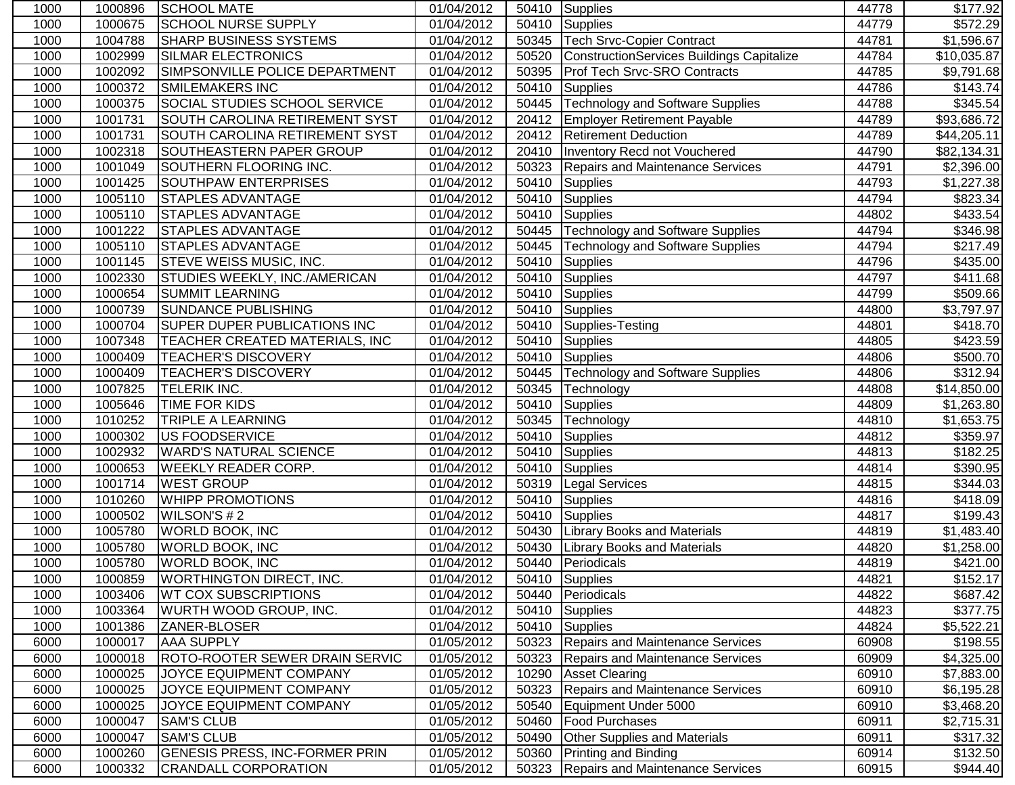| 1000 | 1000896 | SCHOOL MATE                           | 01/04/2012 |       | 50410 Supplies                            | 44778 | \$177.92             |
|------|---------|---------------------------------------|------------|-------|-------------------------------------------|-------|----------------------|
| 1000 | 1000675 | <b>SCHOOL NURSE SUPPLY</b>            | 01/04/2012 | 50410 | <b>Supplies</b>                           | 44779 | $\overline{$}572.29$ |
| 1000 | 1004788 | <b>SHARP BUSINESS SYSTEMS</b>         | 01/04/2012 | 50345 | <b>Tech Srvc-Copier Contract</b>          | 44781 | \$1,596.67           |
| 1000 | 1002999 | <b>SILMAR ELECTRONICS</b>             | 01/04/2012 | 50520 | ConstructionServices Buildings Capitalize | 44784 | \$10,035.87          |
| 1000 | 1002092 | SIMPSONVILLE POLICE DEPARTMENT        | 01/04/2012 | 50395 | Prof Tech Srvc-SRO Contracts              | 44785 | \$9,791.68           |
| 1000 | 1000372 | <b>SMILEMAKERS INC</b>                | 01/04/2012 | 50410 | <b>Supplies</b>                           | 44786 | \$143.74             |
| 1000 | 1000375 | SOCIAL STUDIES SCHOOL SERVICE         | 01/04/2012 | 50445 | <b>Technology and Software Supplies</b>   | 44788 | \$345.54             |
| 1000 | 1001731 | SOUTH CAROLINA RETIREMENT SYST        | 01/04/2012 |       | 20412 Employer Retirement Payable         | 44789 | \$93,686.72          |
| 1000 | 1001731 | SOUTH CAROLINA RETIREMENT SYST        | 01/04/2012 |       | 20412 Retirement Deduction                | 44789 | \$44,205.11          |
| 1000 | 1002318 | SOUTHEASTERN PAPER GROUP              | 01/04/2012 | 20410 | Inventory Recd not Vouchered              | 44790 | \$82,134.31          |
| 1000 | 1001049 | SOUTHERN FLOORING INC.                | 01/04/2012 | 50323 | <b>Repairs and Maintenance Services</b>   | 44791 | \$2,396.00           |
| 1000 | 1001425 | <b>SOUTHPAW ENTERPRISES</b>           | 01/04/2012 | 50410 | <b>Supplies</b>                           | 44793 | \$1,227.38           |
| 1000 | 1005110 | <b>STAPLES ADVANTAGE</b>              | 01/04/2012 | 50410 | <b>Supplies</b>                           | 44794 | \$823.34             |
| 1000 | 1005110 | <b>STAPLES ADVANTAGE</b>              | 01/04/2012 | 50410 | <b>Supplies</b>                           | 44802 | \$433.54             |
| 1000 | 1001222 | <b>STAPLES ADVANTAGE</b>              | 01/04/2012 | 50445 | <b>Technology and Software Supplies</b>   | 44794 | \$346.98             |
| 1000 | 1005110 | <b>STAPLES ADVANTAGE</b>              | 01/04/2012 | 50445 | <b>Technology and Software Supplies</b>   | 44794 | \$217.49             |
| 1000 | 1001145 | STEVE WEISS MUSIC, INC.               | 01/04/2012 | 50410 | <b>Supplies</b>                           | 44796 | \$435.00             |
| 1000 | 1002330 | STUDIES WEEKLY, INC./AMERICAN         | 01/04/2012 | 50410 | Supplies                                  | 44797 | \$411.68             |
| 1000 | 1000654 | <b>SUMMIT LEARNING</b>                | 01/04/2012 | 50410 | <b>Supplies</b>                           | 44799 | \$509.66             |
| 1000 | 1000739 | <b>SUNDANCE PUBLISHING</b>            | 01/04/2012 | 50410 | <b>Supplies</b>                           | 44800 | \$3,797.97           |
| 1000 | 1000704 | SUPER DUPER PUBLICATIONS INC          | 01/04/2012 | 50410 | Supplies-Testing                          | 44801 | \$418.70             |
| 1000 | 1007348 | TEACHER CREATED MATERIALS, INC        | 01/04/2012 | 50410 | <b>Supplies</b>                           | 44805 | \$423.59             |
| 1000 | 1000409 | <b>TEACHER'S DISCOVERY</b>            | 01/04/2012 | 50410 | <b>Supplies</b>                           | 44806 | \$500.70             |
| 1000 | 1000409 | <b>TEACHER'S DISCOVERY</b>            | 01/04/2012 | 50445 | <b>Technology and Software Supplies</b>   | 44806 | \$312.94             |
| 1000 | 1007825 | <b>TELERIK INC.</b>                   | 01/04/2012 | 50345 | Technology                                | 44808 | \$14,850.00          |
| 1000 | 1005646 | TIME FOR KIDS                         | 01/04/2012 | 50410 | <b>Supplies</b>                           | 44809 | \$1,263.80           |
| 1000 | 1010252 | TRIPLE A LEARNING                     | 01/04/2012 | 50345 | Technology                                | 44810 | \$1,653.75           |
| 1000 | 1000302 | <b>US FOODSERVICE</b>                 | 01/04/2012 | 50410 | Supplies                                  | 44812 | \$359.97             |
| 1000 | 1002932 | <b>WARD'S NATURAL SCIENCE</b>         | 01/04/2012 | 50410 | <b>Supplies</b>                           | 44813 | \$182.25             |
| 1000 | 1000653 | <b>WEEKLY READER CORP.</b>            | 01/04/2012 | 50410 | <b>Supplies</b>                           | 44814 | \$390.95             |
| 1000 | 1001714 | <b>WEST GROUP</b>                     | 01/04/2012 | 50319 | <b>Legal Services</b>                     | 44815 | \$344.03             |
| 1000 | 1010260 | <b>WHIPP PROMOTIONS</b>               | 01/04/2012 | 50410 | Supplies                                  | 44816 | \$418.09             |
| 1000 | 1000502 | WILSON'S #2                           | 01/04/2012 | 50410 | Supplies                                  | 44817 | \$199.43             |
| 1000 | 1005780 | <b>WORLD BOOK, INC</b>                | 01/04/2012 | 50430 | <b>Library Books and Materials</b>        | 44819 | \$1,483.40           |
| 1000 | 1005780 | <b>WORLD BOOK, INC</b>                | 01/04/2012 | 50430 | <b>Library Books and Materials</b>        | 44820 | \$1,258.00           |
| 1000 | 1005780 | <b>WORLD BOOK, INC</b>                | 01/04/2012 | 50440 | Periodicals                               | 44819 | \$421.00             |
| 1000 | 1000859 | <b>WORTHINGTON DIRECT, INC.</b>       | 01/04/2012 |       | 50410 Supplies                            | 44821 | \$152.17             |
| 1000 | 1003406 | <b>WT COX SUBSCRIPTIONS</b>           | 01/04/2012 |       | 50440 Periodicals                         | 44822 | \$687.42             |
| 1000 | 1003364 | WURTH WOOD GROUP, INC.                | 01/04/2012 | 50410 | Supplies                                  | 44823 | \$377.75             |
| 1000 | 1001386 | ZANER-BLOSER                          | 01/04/2012 |       | 50410 Supplies                            | 44824 | \$5,522.21           |
| 6000 | 1000017 | <b>AAA SUPPLY</b>                     | 01/05/2012 | 50323 | Repairs and Maintenance Services          | 60908 | \$198.55             |
| 6000 | 1000018 | <b>ROTO-ROOTER SEWER DRAIN SERVIC</b> | 01/05/2012 | 50323 | Repairs and Maintenance Services          | 60909 | \$4,325.00           |
| 6000 | 1000025 | JOYCE EQUIPMENT COMPANY               | 01/05/2012 | 10290 | <b>Asset Clearing</b>                     | 60910 | \$7,883.00           |
| 6000 | 1000025 | JOYCE EQUIPMENT COMPANY               | 01/05/2012 | 50323 | <b>Repairs and Maintenance Services</b>   | 60910 | \$6,195.28           |
| 6000 | 1000025 | JOYCE EQUIPMENT COMPANY               | 01/05/2012 | 50540 | Equipment Under 5000                      | 60910 | \$3,468.20           |
| 6000 | 1000047 | <b>SAM'S CLUB</b>                     | 01/05/2012 | 50460 | <b>Food Purchases</b>                     | 60911 | \$2,715.31           |
| 6000 | 1000047 | <b>SAM'S CLUB</b>                     | 01/05/2012 | 50490 | <b>Other Supplies and Materials</b>       | 60911 | \$317.32             |
| 6000 | 1000260 | <b>GENESIS PRESS, INC-FORMER PRIN</b> | 01/05/2012 | 50360 | <b>Printing and Binding</b>               | 60914 | \$132.50             |
| 6000 | 1000332 | <b>CRANDALL CORPORATION</b>           | 01/05/2012 | 50323 | <b>Repairs and Maintenance Services</b>   | 60915 | \$944.40             |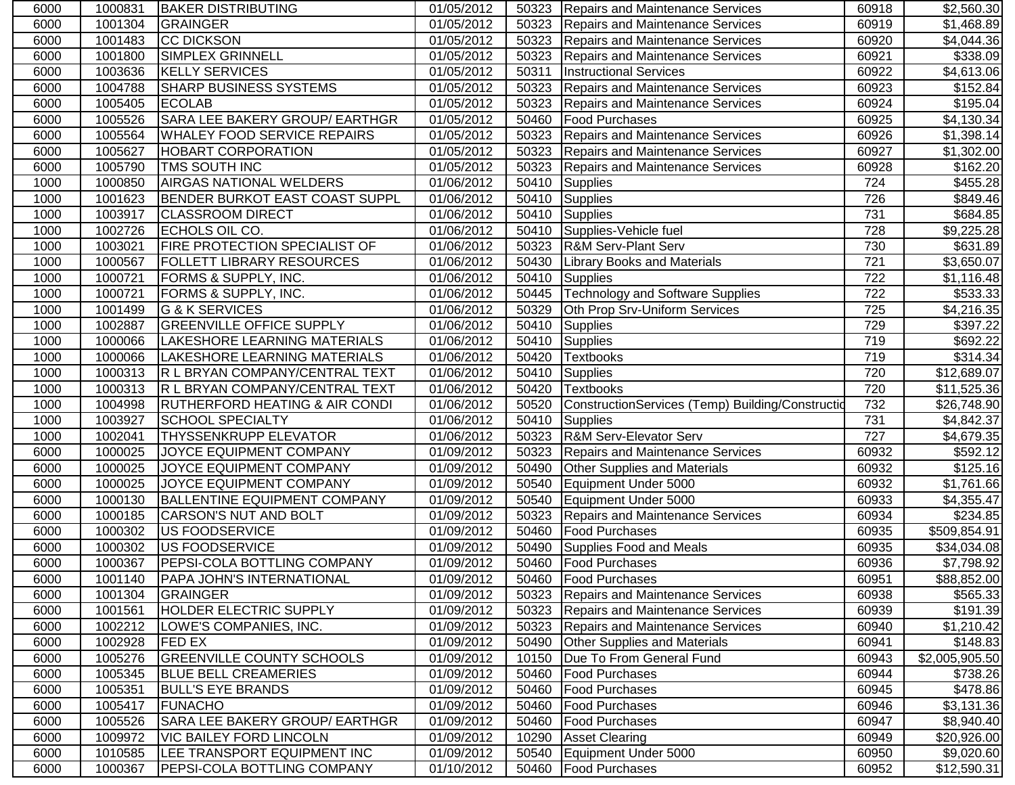| 6000 | 1000831 | <b>BAKER DISTRIBUTING</b>                 | 01/05/2012 | 50323 | Repairs and Maintenance Services                  | 60918 | \$2,560.30           |
|------|---------|-------------------------------------------|------------|-------|---------------------------------------------------|-------|----------------------|
| 6000 | 1001304 | GRAINGER                                  | 01/05/2012 | 50323 | <b>Repairs and Maintenance Services</b>           | 60919 | \$1,468.89           |
| 6000 | 1001483 | <b>CC DICKSON</b>                         | 01/05/2012 | 50323 | Repairs and Maintenance Services                  | 60920 | \$4,044.36           |
| 6000 | 1001800 | <b>SIMPLEX GRINNELL</b>                   | 01/05/2012 | 50323 | Repairs and Maintenance Services                  | 60921 | \$338.09             |
| 6000 | 1003636 | <b>KELLY SERVICES</b>                     | 01/05/2012 | 50311 | <b>Instructional Services</b>                     | 60922 | \$4,613.06           |
| 6000 | 1004788 | <b>SHARP BUSINESS SYSTEMS</b>             | 01/05/2012 | 50323 | <b>Repairs and Maintenance Services</b>           | 60923 | \$152.84             |
| 6000 | 1005405 | <b>ECOLAB</b>                             | 01/05/2012 | 50323 | <b>Repairs and Maintenance Services</b>           | 60924 | \$195.04             |
| 6000 | 1005526 | SARA LEE BAKERY GROUP/ EARTHGR            | 01/05/2012 | 50460 | <b>Food Purchases</b>                             | 60925 | \$4,130.34           |
| 6000 | 1005564 | <b>WHALEY FOOD SERVICE REPAIRS</b>        | 01/05/2012 | 50323 | <b>Repairs and Maintenance Services</b>           | 60926 | \$1,398.14           |
| 6000 | 1005627 | <b>HOBART CORPORATION</b>                 | 01/05/2012 | 50323 | <b>Repairs and Maintenance Services</b>           | 60927 | \$1,302.00           |
| 6000 | 1005790 | TMS SOUTH INC                             | 01/05/2012 | 50323 | <b>Repairs and Maintenance Services</b>           | 60928 | \$162.20             |
| 1000 | 1000850 | <b>AIRGAS NATIONAL WELDERS</b>            | 01/06/2012 | 50410 | <b>Supplies</b>                                   | 724   | \$455.28             |
| 1000 | 1001623 | <b>BENDER BURKOT EAST COAST SUPPL</b>     | 01/06/2012 | 50410 | <b>Supplies</b>                                   | 726   | \$849.46             |
| 1000 | 1003917 | <b>CLASSROOM DIRECT</b>                   | 01/06/2012 | 50410 | <b>Supplies</b>                                   | 731   | \$684.85             |
| 1000 | 1002726 | ECHOLS OIL CO.                            | 01/06/2012 | 50410 | Supplies-Vehicle fuel                             | 728   | \$9,225.28           |
| 1000 | 1003021 | <b>FIRE PROTECTION SPECIALIST OF</b>      | 01/06/2012 | 50323 | <b>R&amp;M Serv-Plant Serv</b>                    | 730   | \$631.89             |
| 1000 | 1000567 | <b>FOLLETT LIBRARY RESOURCES</b>          | 01/06/2012 | 50430 | <b>Library Books and Materials</b>                | 721   | \$3,650.07           |
| 1000 | 1000721 | <b>FORMS &amp; SUPPLY, INC.</b>           | 01/06/2012 | 50410 | Supplies                                          | 722   | \$1,116.48           |
| 1000 | 1000721 | <b>FORMS &amp; SUPPLY, INC.</b>           | 01/06/2012 | 50445 | <b>Technology and Software Supplies</b>           | 722   | \$533.33             |
| 1000 | 1001499 | <b>G &amp; K SERVICES</b>                 | 01/06/2012 | 50329 | Oth Prop Srv-Uniform Services                     | 725   | \$4,216.35           |
| 1000 | 1002887 | <b>GREENVILLE OFFICE SUPPLY</b>           | 01/06/2012 | 50410 | <b>Supplies</b>                                   | 729   | \$397.22             |
| 1000 | 1000066 | LAKESHORE LEARNING MATERIALS              | 01/06/2012 | 50410 | <b>Supplies</b>                                   | 719   | \$692.22             |
| 1000 | 1000066 | LAKESHORE LEARNING MATERIALS              | 01/06/2012 | 50420 | <b>Textbooks</b>                                  | 719   | $\overline{$}314.34$ |
| 1000 | 1000313 | R L BRYAN COMPANY/CENTRAL TEXT            | 01/06/2012 | 50410 | <b>Supplies</b>                                   | 720   | \$12,689.07          |
| 1000 | 1000313 | R L BRYAN COMPANY/CENTRAL TEXT            | 01/06/2012 | 50420 | <b>Textbooks</b>                                  | 720   | \$11,525.36          |
| 1000 | 1004998 | <b>RUTHERFORD HEATING &amp; AIR CONDI</b> | 01/06/2012 | 50520 | ConstructionServices (Temp) Building/Construction | 732   | \$26,748.90          |
| 1000 | 1003927 | <b>SCHOOL SPECIALTY</b>                   | 01/06/2012 | 50410 | Supplies                                          | 731   | \$4,842.37           |
| 1000 | 1002041 | THYSSENKRUPP ELEVATOR                     | 01/06/2012 | 50323 | <b>R&amp;M Serv-Elevator Serv</b>                 | 727   | \$4,679.35           |
| 6000 | 1000025 | JOYCE EQUIPMENT COMPANY                   | 01/09/2012 | 50323 | <b>Repairs and Maintenance Services</b>           | 60932 | \$592.12             |
| 6000 | 1000025 | JOYCE EQUIPMENT COMPANY                   | 01/09/2012 | 50490 | Other Supplies and Materials                      | 60932 | \$125.16             |
| 6000 | 1000025 | JOYCE EQUIPMENT COMPANY                   | 01/09/2012 | 50540 | Equipment Under 5000                              | 60932 | \$1,761.66           |
| 6000 | 1000130 | <b>BALLENTINE EQUIPMENT COMPANY</b>       | 01/09/2012 | 50540 | Equipment Under 5000                              | 60933 | \$4,355.47           |
| 6000 | 1000185 | <b>CARSON'S NUT AND BOLT</b>              | 01/09/2012 | 50323 | <b>Repairs and Maintenance Services</b>           | 60934 | $\overline{$}234.85$ |
| 6000 | 1000302 | <b>US FOODSERVICE</b>                     | 01/09/2012 | 50460 | <b>Food Purchases</b>                             | 60935 | \$509,854.91         |
| 6000 | 1000302 | <b>US FOODSERVICE</b>                     | 01/09/2012 | 50490 | Supplies Food and Meals                           | 60935 | \$34,034.08          |
| 6000 | 1000367 | <b>PEPSI-COLA BOTTLING COMPANY</b>        | 01/09/2012 | 50460 | <b>Food Purchases</b>                             | 60936 | \$7,798.92           |
| 6000 |         | 1001140   PAPA JOHN'S INTERNATIONAL       | 01/09/2012 |       | 50460 Food Purchases                              | 60951 | \$88,852.00          |
| 6000 | 1001304 | <b>GRAINGER</b>                           | 01/09/2012 | 50323 | Repairs and Maintenance Services                  | 60938 | \$565.33             |
| 6000 | 1001561 | HOLDER ELECTRIC SUPPLY                    | 01/09/2012 | 50323 | Repairs and Maintenance Services                  | 60939 | \$191.39             |
| 6000 | 1002212 | LOWE'S COMPANIES, INC.                    | 01/09/2012 | 50323 | Repairs and Maintenance Services                  | 60940 | \$1,210.42           |
| 6000 | 1002928 | <b>FED EX</b>                             | 01/09/2012 | 50490 | <b>Other Supplies and Materials</b>               | 60941 | \$148.83             |
| 6000 | 1005276 | <b>GREENVILLE COUNTY SCHOOLS</b>          | 01/09/2012 | 10150 | Due To From General Fund                          | 60943 | \$2,005,905.50       |
| 6000 | 1005345 | <b>BLUE BELL CREAMERIES</b>               | 01/09/2012 | 50460 | <b>Food Purchases</b>                             | 60944 | \$738.26             |
| 6000 | 1005351 | <b>BULL'S EYE BRANDS</b>                  | 01/09/2012 | 50460 | <b>Food Purchases</b>                             | 60945 | \$478.86             |
| 6000 | 1005417 | <b>FUNACHO</b>                            | 01/09/2012 | 50460 | <b>Food Purchases</b>                             | 60946 | \$3,131.36           |
| 6000 | 1005526 | <b>SARA LEE BAKERY GROUP/ EARTHGR</b>     | 01/09/2012 | 50460 | <b>Food Purchases</b>                             | 60947 | \$8,940.40           |
| 6000 | 1009972 | VIC BAILEY FORD LINCOLN                   | 01/09/2012 | 10290 | <b>Asset Clearing</b>                             | 60949 | \$20,926.00          |
| 6000 | 1010585 | LEE TRANSPORT EQUIPMENT INC               | 01/09/2012 | 50540 | Equipment Under 5000                              | 60950 | \$9,020.60           |
| 6000 | 1000367 | <b>PEPSI-COLA BOTTLING COMPANY</b>        | 01/10/2012 | 50460 | <b>Food Purchases</b>                             | 60952 | \$12,590.31          |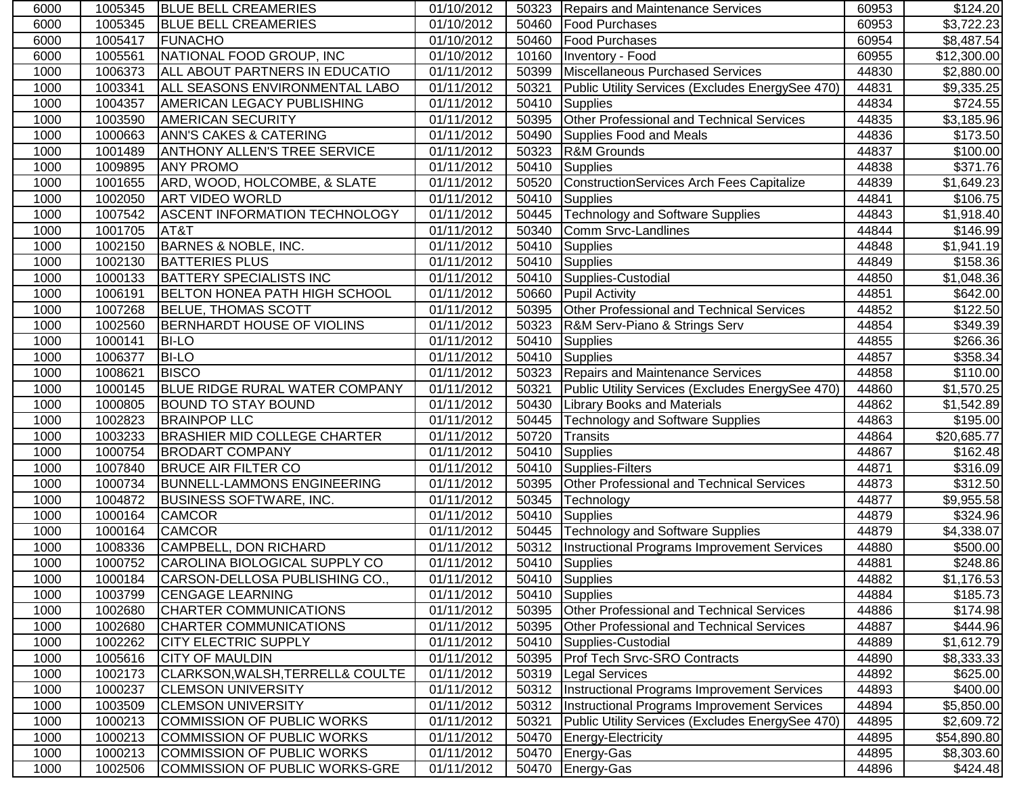| 6000 | 1005345 | <b>BLUE BELL CREAMERIES</b>          | 01/10/2012 |       | 50323   Repairs and Maintenance Services            | 60953 | \$124.20                |
|------|---------|--------------------------------------|------------|-------|-----------------------------------------------------|-------|-------------------------|
| 6000 | 1005345 | <b>BLUE BELL CREAMERIES</b>          | 01/10/2012 | 50460 | <b>Food Purchases</b>                               | 60953 | $\overline{\$3,722.23}$ |
| 6000 | 1005417 | <b>FUNACHO</b>                       | 01/10/2012 | 50460 | <b>Food Purchases</b>                               | 60954 | \$8,487.54              |
| 6000 | 1005561 | NATIONAL FOOD GROUP, INC             | 01/10/2012 | 10160 | Inventory - Food                                    | 60955 | \$12,300.00             |
| 1000 | 1006373 | ALL ABOUT PARTNERS IN EDUCATIO       | 01/11/2012 | 50399 | Miscellaneous Purchased Services                    | 44830 | \$2,880.00              |
| 1000 | 1003341 | ALL SEASONS ENVIRONMENTAL LABO       | 01/11/2012 | 50321 | Public Utility Services (Excludes EnergySee 470)    | 44831 | \$9,335.25              |
| 1000 | 1004357 | <b>AMERICAN LEGACY PUBLISHING</b>    | 01/11/2012 | 50410 | Supplies                                            | 44834 | \$724.55                |
| 1000 | 1003590 | <b>AMERICAN SECURITY</b>             | 01/11/2012 | 50395 | Other Professional and Technical Services           | 44835 | \$3,185.96              |
| 1000 | 1000663 | <b>ANN'S CAKES &amp; CATERING</b>    | 01/11/2012 | 50490 | Supplies Food and Meals                             | 44836 | \$173.50                |
| 1000 | 1001489 | <b>ANTHONY ALLEN'S TREE SERVICE</b>  | 01/11/2012 | 50323 | R&M Grounds                                         | 44837 | \$100.00                |
| 1000 | 1009895 | <b>ANY PROMO</b>                     | 01/11/2012 | 50410 | <b>Supplies</b>                                     | 44838 | \$371.76                |
| 1000 | 1001655 | ARD, WOOD, HOLCOMBE, & SLATE         | 01/11/2012 | 50520 | ConstructionServices Arch Fees Capitalize           | 44839 | \$1,649.23              |
| 1000 | 1002050 | <b>ART VIDEO WORLD</b>               | 01/11/2012 | 50410 | <b>Supplies</b>                                     | 44841 | \$106.75                |
| 1000 | 1007542 | <b>ASCENT INFORMATION TECHNOLOGY</b> | 01/11/2012 | 50445 | <b>Technology and Software Supplies</b>             | 44843 | \$1,918.40              |
| 1000 | 1001705 | AT&T                                 | 01/11/2012 | 50340 | Comm Srvc-Landlines                                 | 44844 | \$146.99                |
| 1000 | 1002150 | BARNES & NOBLE, INC.                 | 01/11/2012 | 50410 | Supplies                                            | 44848 | \$1,941.19              |
| 1000 | 1002130 | <b>BATTERIES PLUS</b>                | 01/11/2012 | 50410 | Supplies                                            | 44849 | \$158.36                |
| 1000 | 1000133 | <b>BATTERY SPECIALISTS INC</b>       | 01/11/2012 | 50410 | Supplies-Custodial                                  | 44850 | \$1,048.36              |
| 1000 | 1006191 | BELTON HONEA PATH HIGH SCHOOL        | 01/11/2012 | 50660 | <b>Pupil Activity</b>                               | 44851 | \$642.00                |
| 1000 | 1007268 | <b>BELUE, THOMAS SCOTT</b>           | 01/11/2012 | 50395 | Other Professional and Technical Services           | 44852 | \$122.50                |
| 1000 | 1002560 | <b>BERNHARDT HOUSE OF VIOLINS</b>    | 01/11/2012 | 50323 | R&M Serv-Piano & Strings Serv                       | 44854 | \$349.39                |
| 1000 | 1000141 | <b>BI-LO</b>                         | 01/11/2012 | 50410 | Supplies                                            | 44855 | $\overline{$}266.36$    |
| 1000 | 1006377 | <b>BI-LO</b>                         | 01/11/2012 | 50410 | Supplies                                            | 44857 | \$358.34                |
| 1000 | 1008621 | <b>BISCO</b>                         | 01/11/2012 | 50323 | Repairs and Maintenance Services                    | 44858 | \$110.00                |
| 1000 | 1000145 | BLUE RIDGE RURAL WATER COMPANY       | 01/11/2012 | 50321 | Public Utility Services (Excludes EnergySee 470)    | 44860 | \$1,570.25              |
| 1000 | 1000805 | <b>BOUND TO STAY BOUND</b>           | 01/11/2012 | 50430 | <b>Library Books and Materials</b>                  | 44862 | \$1,542.89              |
| 1000 | 1002823 | <b>BRAINPOP LLC</b>                  | 01/11/2012 | 50445 | <b>Technology and Software Supplies</b>             | 44863 | \$195.00                |
| 1000 | 1003233 | <b>BRASHIER MID COLLEGE CHARTER</b>  | 01/11/2012 | 50720 | Transits                                            | 44864 | \$20,685.77             |
| 1000 | 1000754 | <b>BRODART COMPANY</b>               | 01/11/2012 | 50410 | <b>Supplies</b>                                     | 44867 | \$162.48                |
| 1000 | 1007840 | <b>BRUCE AIR FILTER CO</b>           | 01/11/2012 | 50410 | Supplies-Filters                                    | 44871 | \$316.09                |
| 1000 | 1000734 | BUNNELL-LAMMONS ENGINEERING          | 01/11/2012 | 50395 | Other Professional and Technical Services           | 44873 | \$312.50                |
| 1000 | 1004872 | <b>BUSINESS SOFTWARE, INC.</b>       | 01/11/2012 | 50345 | Technology                                          | 44877 | \$9,955.58              |
| 1000 | 1000164 | <b>CAMCOR</b>                        | 01/11/2012 | 50410 | Supplies                                            | 44879 | \$324.96                |
| 1000 | 1000164 | <b>CAMCOR</b>                        | 01/11/2012 |       | 50445   Technology and Software Supplies            | 44879 | \$4,338.07              |
| 1000 | 1008336 | CAMPBELL, DON RICHARD                | 01/11/2012 |       | 50312  Instructional Programs Improvement Services  | 44880 | \$500.00                |
| 1000 | 1000752 | CAROLINA BIOLOGICAL SUPPLY CO        | 01/11/2012 | 50410 | Supplies                                            | 44881 | \$248.86                |
| 1000 | 1000184 | CARSON-DELLOSA PUBLISHING CO.        | 01/11/2012 |       | 50410 Supplies                                      | 44882 | \$1,176.53              |
| 1000 | 1003799 | <b>CENGAGE LEARNING</b>              | 01/11/2012 | 50410 | Supplies                                            | 44884 | \$185.73                |
| 1000 | 1002680 | CHARTER COMMUNICATIONS               | 01/11/2012 | 50395 | Other Professional and Technical Services           | 44886 | \$174.98                |
| 1000 | 1002680 | <b>CHARTER COMMUNICATIONS</b>        | 01/11/2012 | 50395 | <b>Other Professional and Technical Services</b>    | 44887 | \$444.96                |
| 1000 | 1002262 | <b>CITY ELECTRIC SUPPLY</b>          | 01/11/2012 |       | 50410 Supplies-Custodial                            | 44889 | \$1,612.79              |
| 1000 | 1005616 | <b>CITY OF MAULDIN</b>               | 01/11/2012 | 50395 | <b>Prof Tech Srvc-SRO Contracts</b>                 | 44890 | \$8,333.33              |
| 1000 | 1002173 | CLARKSON, WALSH, TERRELL& COULTE     | 01/11/2012 |       | 50319   Legal Services                              | 44892 | \$625.00                |
| 1000 | 1000237 | <b>CLEMSON UNIVERSITY</b>            | 01/11/2012 |       | 50312   Instructional Programs Improvement Services | 44893 | \$400.00                |
| 1000 | 1003509 | <b>CLEMSON UNIVERSITY</b>            | 01/11/2012 |       | 50312  Instructional Programs Improvement Services  | 44894 | \$5,850.00              |
| 1000 | 1000213 | COMMISSION OF PUBLIC WORKS           | 01/11/2012 | 50321 | Public Utility Services (Excludes EnergySee 470)    | 44895 | \$2,609.72              |
| 1000 | 1000213 | COMMISSION OF PUBLIC WORKS           | 01/11/2012 | 50470 | Energy-Electricity                                  | 44895 | \$54,890.80             |
| 1000 | 1000213 | COMMISSION OF PUBLIC WORKS           | 01/11/2012 | 50470 | Energy-Gas                                          | 44895 | \$8,303.60              |
| 1000 | 1002506 | COMMISSION OF PUBLIC WORKS-GRE       | 01/11/2012 |       | 50470 Energy-Gas                                    | 44896 | \$424.48                |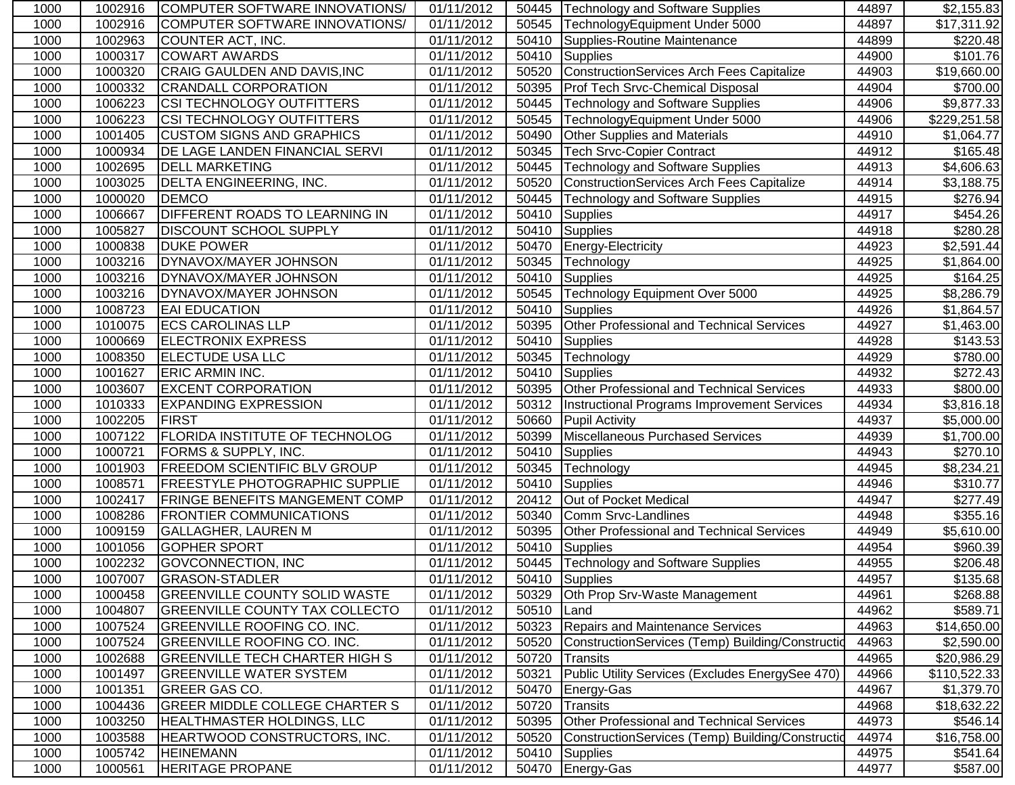| 1000 | 1002916 | COMPUTER SOFTWARE INNOVATIONS/        | 01/11/2012              |            | 50445   Technology and Software Supplies          | 44897 | \$2,155.83             |
|------|---------|---------------------------------------|-------------------------|------------|---------------------------------------------------|-------|------------------------|
| 1000 | 1002916 | COMPUTER SOFTWARE INNOVATIONS/        | 01/11/2012              | 50545      | TechnologyEquipment Under 5000                    | 44897 | \$17,311.92            |
| 1000 | 1002963 | COUNTER ACT, INC.                     | $\overline{0}1/11/2012$ | 50410      | Supplies-Routine Maintenance                      | 44899 | \$220.48]              |
| 1000 | 1000317 | <b>COWART AWARDS</b>                  | 01/11/2012              | 50410      | <b>Supplies</b>                                   | 44900 | \$101.76               |
| 1000 | 1000320 | CRAIG GAULDEN AND DAVIS, INC          | 01/11/2012              | 50520      | ConstructionServices Arch Fees Capitalize         | 44903 | \$19,660.00            |
| 1000 | 1000332 | <b>CRANDALL CORPORATION</b>           | $\overline{01/11}/2012$ | 50395      | <b>Prof Tech Srvc-Chemical Disposal</b>           | 44904 | \$700.00               |
| 1000 | 1006223 | <b>CSI TECHNOLOGY OUTFITTERS</b>      | 01/11/2012              | 50445      | <b>Technology and Software Supplies</b>           | 44906 | $\overline{$9,877.33}$ |
| 1000 | 1006223 | <b>CSI TECHNOLOGY OUTFITTERS</b>      | 01/11/2012              | 50545      | TechnologyEquipment Under 5000                    | 44906 | \$229,251.58           |
| 1000 | 1001405 | <b>CUSTOM SIGNS AND GRAPHICS</b>      | 01/11/2012              | 50490      | Other Supplies and Materials                      | 44910 | \$1,064.77             |
| 1000 | 1000934 | <b>DE LAGE LANDEN FINANCIAL SERVI</b> | 01/11/2012              | 50345      | <b>Tech Srvc-Copier Contract</b>                  | 44912 | \$165.48               |
| 1000 | 1002695 | <b>DELL MARKETING</b>                 | 01/11/2012              | 50445      | <b>Technology and Software Supplies</b>           | 44913 | \$4,606.63             |
| 1000 | 1003025 | <b>DELTA ENGINEERING, INC.</b>        | 01/11/2012              | 50520      | ConstructionServices Arch Fees Capitalize         | 44914 | \$3,188.75             |
| 1000 | 1000020 | <b>DEMCO</b>                          | 01/11/2012              | 50445      | <b>Technology and Software Supplies</b>           | 44915 | \$276.94               |
| 1000 | 1006667 | <b>DIFFERENT ROADS TO LEARNING IN</b> | 01/11/2012              | 50410      | Supplies                                          | 44917 | \$454.26               |
| 1000 | 1005827 | <b>DISCOUNT SCHOOL SUPPLY</b>         | 01/11/2012              | 50410      | Supplies                                          | 44918 | \$280.28               |
| 1000 | 1000838 | <b>DUKE POWER</b>                     | 01/11/2012              | 50470      | <b>Energy-Electricity</b>                         | 44923 | \$2,591.44             |
| 1000 | 1003216 | DYNAVOX/MAYER JOHNSON                 | 01/11/2012              | 50345      | Technology                                        | 44925 | \$1,864.00             |
| 1000 | 1003216 | DYNAVOX/MAYER JOHNSON                 | 01/11/2012              | 50410      | Supplies                                          | 44925 | \$164.25               |
| 1000 | 1003216 | DYNAVOX/MAYER JOHNSON                 | 01/11/2012              | 50545      | Technology Equipment Over 5000                    | 44925 | $\overline{$8,286.79}$ |
| 1000 | 1008723 | <b>EAI EDUCATION</b>                  | 01/11/2012              | 50410      | Supplies                                          | 44926 | \$1,864.57             |
| 1000 | 1010075 | <b>ECS CAROLINAS LLP</b>              | 01/11/2012              | 50395      | <b>Other Professional and Technical Services</b>  | 44927 | \$1,463.00             |
| 1000 | 1000669 | <b>ELECTRONIX EXPRESS</b>             | 01/11/2012              | 50410      | Supplies                                          | 44928 | \$143.53               |
| 1000 | 1008350 | <b>ELECTUDE USA LLC</b>               | 01/11/2012              | 50345      | Technology                                        | 44929 | \$780.00               |
| 1000 | 1001627 | <b>ERIC ARMIN INC.</b>                | 01/11/2012              | 50410      | Supplies                                          | 44932 | \$272.43               |
| 1000 | 1003607 | <b>EXCENT CORPORATION</b>             | 01/11/2012              | 50395      | Other Professional and Technical Services         | 44933 | \$800.00               |
| 1000 | 1010333 | <b>EXPANDING EXPRESSION</b>           | 01/11/2012              | 50312      | Instructional Programs Improvement Services       | 44934 | \$3,816.18             |
| 1000 | 1002205 | <b>FIRST</b>                          | 01/11/2012              | 50660      | <b>Pupil Activity</b>                             | 44937 | \$5,000.00             |
| 1000 | 1007122 | <b>FLORIDA INSTITUTE OF TECHNOLOG</b> | 01/11/2012              | 50399      | Miscellaneous Purchased Services                  | 44939 | \$1,700.00             |
| 1000 | 1000721 | <b>FORMS &amp; SUPPLY, INC.</b>       | 01/11/2012              | 50410      | <b>Supplies</b>                                   | 44943 | \$270.10               |
| 1000 | 1001903 | <b>FREEDOM SCIENTIFIC BLV GROUP</b>   | 01/11/2012              | 50345      | Technology                                        | 44945 | \$8,234.21             |
| 1000 | 1008571 | <b>FREESTYLE PHOTOGRAPHIC SUPPLIE</b> | 01/11/2012              | 50410      | <b>Supplies</b>                                   | 44946 | \$310.77               |
| 1000 | 1002417 | <b>FRINGE BENEFITS MANGEMENT COMP</b> | 01/11/2012              | 20412      | Out of Pocket Medical                             | 44947 | \$277.49               |
| 1000 | 1008286 | <b>FRONTIER COMMUNICATIONS</b>        | 01/11/2012              | 50340      | Comm Srvc-Landlines                               | 44948 | \$355.16               |
| 1000 | 1009159 | <b>GALLAGHER, LAUREN M</b>            | 01/11/2012              | 50395      | Other Professional and Technical Services         | 44949 | \$5,610.00             |
| 1000 | 1001056 | <b>GOPHER SPORT</b>                   | 01/11/2012              | 50410      | <b>Supplies</b>                                   | 44954 | \$960.39               |
| 1000 | 1002232 | <b>GOVCONNECTION, INC</b>             | 01/11/2012              |            | 50445 Technology and Software Supplies            | 44955 | \$206.48               |
| 1000 | 1007007 | <b>GRASON-STADLER</b>                 | 01/11/2012              |            | 50410 Supplies                                    | 44957 | \$135.68               |
| 1000 | 1000458 | <b>GREENVILLE COUNTY SOLID WASTE</b>  | 01/11/2012              |            | 50329 Oth Prop Srv-Waste Management               | 44961 | \$268.88               |
| 1000 | 1004807 | <b>GREENVILLE COUNTY TAX COLLECTO</b> | 01/11/2012              | 50510 Land |                                                   | 44962 | \$589.71               |
| 1000 | 1007524 | <b>GREENVILLE ROOFING CO. INC.</b>    | 01/11/2012              |            | 50323 Repairs and Maintenance Services            | 44963 | \$14,650.00            |
| 1000 | 1007524 | <b>GREENVILLE ROOFING CO. INC.</b>    | 01/11/2012              | 50520      | ConstructionServices (Temp) Building/Construction | 44963 | \$2,590.00             |
| 1000 | 1002688 | <b>GREENVILLE TECH CHARTER HIGH S</b> | 01/11/2012              | 50720      | Transits                                          | 44965 | \$20,986.29            |
| 1000 | 1001497 | <b>GREENVILLE WATER SYSTEM</b>        | 01/11/2012              | 50321      | Public Utility Services (Excludes EnergySee 470)  | 44966 | \$110,522.33           |
| 1000 | 1001351 | <b>GREER GAS CO.</b>                  | 01/11/2012              | 50470      | Energy-Gas                                        | 44967 | \$1,379.70             |
| 1000 | 1004436 | <b>GREER MIDDLE COLLEGE CHARTER S</b> | 01/11/2012              | 50720      | <b>Transits</b>                                   | 44968 | \$18,632.22            |
| 1000 | 1003250 | HEALTHMASTER HOLDINGS, LLC            | 01/11/2012              | 50395      | Other Professional and Technical Services         | 44973 | \$546.14]              |
| 1000 | 1003588 | HEARTWOOD CONSTRUCTORS, INC.          | 01/11/2012              | 50520      | ConstructionServices (Temp) Building/Constructio  | 44974 | \$16,758.00            |
| 1000 | 1005742 | <b>HEINEMANN</b>                      | 01/11/2012              | 50410      | Supplies                                          | 44975 | \$541.64]              |
| 1000 | 1000561 | <b>HERITAGE PROPANE</b>               | 01/11/2012              |            | 50470 Energy-Gas                                  | 44977 | \$587.00               |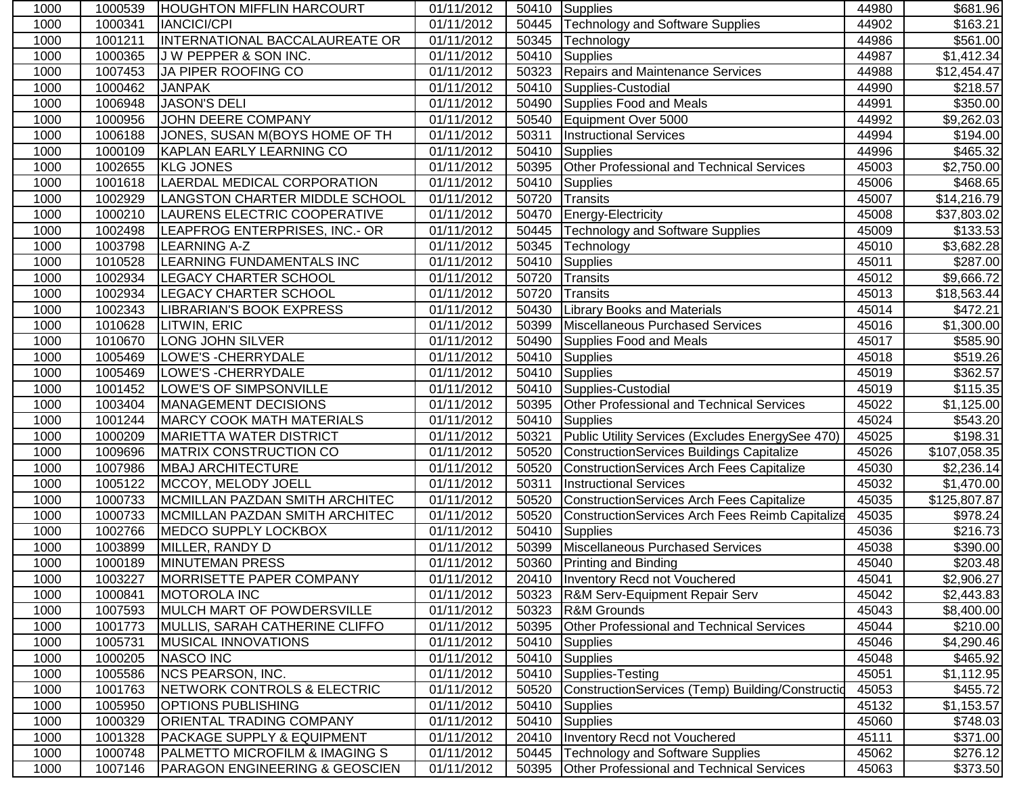| 1000 | 1000539 | <b>HOUGHTON MIFFLIN HARCOURT</b>          | 01/11/2012              |       | 50410 Supplies                                   | 44980 | \$681.96                |
|------|---------|-------------------------------------------|-------------------------|-------|--------------------------------------------------|-------|-------------------------|
| 1000 | 1000341 | <b>IANCICI/CPI</b>                        | 01/11/2012              | 50445 | Technology and Software Supplies                 | 44902 | $\overline{$}163.21$    |
| 1000 | 1001211 | <b>INTERNATIONAL BACCALAUREATE OR</b>     | $\overline{0}1/11/2012$ | 50345 | Technology                                       | 44986 | \$561.00                |
| 1000 | 1000365 | J W PEPPER & SON INC.                     | 01/11/2012              | 50410 | Supplies                                         | 44987 | \$1,412.34              |
| 1000 | 1007453 | JA PIPER ROOFING CO                       | 01/11/2012              | 50323 | Repairs and Maintenance Services                 | 44988 | \$12,454.47             |
| 1000 | 1000462 | <b>JANPAK</b>                             | 01/11/2012              | 50410 | Supplies-Custodial                               | 44990 | \$218.57                |
| 1000 | 1006948 | <b>JASON'S DELI</b>                       | 01/11/2012              | 50490 | Supplies Food and Meals                          | 44991 | \$350.00                |
| 1000 | 1000956 | JOHN DEERE COMPANY                        | 01/11/2012              | 50540 | Equipment Over 5000                              | 44992 | \$9,262.03              |
| 1000 | 1006188 | JONES, SUSAN M(BOYS HOME OF TH            | 01/11/2012              | 50311 | <b>Instructional Services</b>                    | 44994 | \$194.00                |
| 1000 | 1000109 | KAPLAN EARLY LEARNING CO                  | 01/11/2012              | 50410 | Supplies                                         | 44996 | \$465.32                |
| 1000 | 1002655 | <b>KLG JONES</b>                          | 01/11/2012              | 50395 | Other Professional and Technical Services        | 45003 | \$2,750.00              |
| 1000 | 1001618 | <b>LAERDAL MEDICAL CORPORATION</b>        | 01/11/2012              | 50410 | <b>Supplies</b>                                  | 45006 | \$468.65                |
| 1000 | 1002929 | LANGSTON CHARTER MIDDLE SCHOOL            | 01/11/2012              | 50720 | Transits                                         | 45007 | \$14,216.79             |
| 1000 | 1000210 | LAURENS ELECTRIC COOPERATIVE              | 01/11/2012              | 50470 | Energy-Electricity                               | 45008 | \$37,803.02             |
| 1000 | 1002498 | LEAPFROG ENTERPRISES, INC.- OR            | 01/11/2012              | 50445 | Technology and Software Supplies                 | 45009 | \$133.53                |
| 1000 | 1003798 | <b>LEARNING A-Z</b>                       | 01/11/2012              | 50345 | Technology                                       | 45010 | \$3,682.28              |
| 1000 | 1010528 | <b>LEARNING FUNDAMENTALS INC</b>          | 01/11/2012              | 50410 | Supplies                                         | 45011 | \$287.00                |
| 1000 | 1002934 | <b>LEGACY CHARTER SCHOOL</b>              | 01/11/2012              | 50720 | Transits                                         | 45012 | \$9,666.72              |
| 1000 | 1002934 | <b>LEGACY CHARTER SCHOOL</b>              | 01/11/2012              | 50720 | Transits                                         | 45013 | $\overline{$}18,563.44$ |
| 1000 | 1002343 | LIBRARIAN'S BOOK EXPRESS                  | 01/11/2012              | 50430 | <b>Library Books and Materials</b>               | 45014 | \$472.21                |
| 1000 | 1010628 | LITWIN, ERIC                              | 01/11/2012              | 50399 | Miscellaneous Purchased Services                 | 45016 | \$1,300.00              |
| 1000 | 1010670 | <b>LONG JOHN SILVER</b>                   | 01/11/2012              | 50490 | Supplies Food and Meals                          | 45017 | \$585.90                |
| 1000 | 1005469 | LOWE'S - CHERRYDALE                       | 01/11/2012              | 50410 | Supplies                                         | 45018 | \$519.26                |
| 1000 | 1005469 | LOWE'S - CHERRYDALE                       | 01/11/2012              | 50410 | Supplies                                         | 45019 | \$362.57                |
| 1000 | 1001452 | <b>LOWE'S OF SIMPSONVILLE</b>             | 01/11/2012              | 50410 | Supplies-Custodial                               | 45019 | \$115.35                |
| 1000 | 1003404 | MANAGEMENT DECISIONS                      | 01/11/2012              | 50395 | Other Professional and Technical Services        | 45022 | \$1,125.00              |
| 1000 | 1001244 | <b>MARCY COOK MATH MATERIALS</b>          | 01/11/2012              | 50410 | Supplies                                         | 45024 | \$543.20                |
| 1000 | 1000209 | <b>MARIETTA WATER DISTRICT</b>            | 01/11/2012              | 50321 | Public Utility Services (Excludes EnergySee 470) | 45025 | \$198.31                |
| 1000 | 1009696 | <b>MATRIX CONSTRUCTION CO</b>             | 01/11/2012              | 50520 | ConstructionServices Buildings Capitalize        | 45026 | \$107,058.35            |
| 1000 | 1007986 | <b>MBAJ ARCHITECTURE</b>                  | 01/11/2012              | 50520 | <b>ConstructionServices Arch Fees Capitalize</b> | 45030 | \$2,236.14              |
| 1000 | 1005122 | MCCOY, MELODY JOELL                       | 01/11/2012              | 50311 | <b>Instructional Services</b>                    | 45032 | \$1,470.00              |
| 1000 | 1000733 | MCMILLAN PAZDAN SMITH ARCHITEC            | 01/11/2012              | 50520 | ConstructionServices Arch Fees Capitalize        | 45035 | \$125,807.87            |
| 1000 | 1000733 | MCMILLAN PAZDAN SMITH ARCHITEC            | 01/11/2012              | 50520 | ConstructionServices Arch Fees Reimb Capitalize  | 45035 | \$978.24                |
| 1000 | 1002766 | MEDCO SUPPLY LOCKBOX                      | 01/11/2012              | 50410 | Supplies                                         | 45036 | \$216.73                |
| 1000 | 1003899 | MILLER, RANDY D                           | 01/11/2012              | 50399 | Miscellaneous Purchased Services                 | 45038 | \$390.00                |
| 1000 | 1000189 | <b>MINUTEMAN PRESS</b>                    | 01/11/2012              | 50360 | Printing and Binding                             | 45040 | \$203.48                |
| 1000 | 1003227 | MORRISETTE PAPER COMPANY                  | 01/11/2012              |       | 20410 Inventory Recd not Vouchered               | 45041 | \$2,906.27              |
| 1000 | 1000841 | <b>MOTOROLA INC</b>                       | 01/11/2012              |       | 50323   R&M Serv-Equipment Repair Serv           | 45042 | \$2,443.83              |
| 1000 | 1007593 | MULCH MART OF POWDERSVILLE                | 01/11/2012              | 50323 | <b>R&amp;M Grounds</b>                           | 45043 | \$8,400.00              |
| 1000 | 1001773 | MULLIS, SARAH CATHERINE CLIFFO            | 01/11/2012              | 50395 | <b>Other Professional and Technical Services</b> | 45044 | \$210.00                |
| 1000 | 1005731 | <b>MUSICAL INNOVATIONS</b>                | 01/11/2012              |       | 50410 Supplies                                   | 45046 | \$4,290.46              |
| 1000 | 1000205 | NASCO INC                                 | 01/11/2012              |       | 50410 Supplies                                   | 45048 | \$465.92                |
| 1000 | 1005586 | <b>NCS PEARSON, INC.</b>                  | 01/11/2012              | 50410 | Supplies-Testing                                 | 45051 | \$1,112.95              |
| 1000 | 1001763 | NETWORK CONTROLS & ELECTRIC               | 01/11/2012              | 50520 | ConstructionServices (Temp) Building/Constructio | 45053 | \$455.72                |
| 1000 | 1005950 | <b>OPTIONS PUBLISHING</b>                 | 01/11/2012              | 50410 | Supplies                                         | 45132 | \$1,153.57              |
| 1000 | 1000329 | <b>ORIENTAL TRADING COMPANY</b>           | 01/11/2012              | 50410 | Supplies                                         | 45060 | \$748.03                |
| 1000 | 1001328 | <b>PACKAGE SUPPLY &amp; EQUIPMENT</b>     | 01/11/2012              | 20410 | Inventory Recd not Vouchered                     | 45111 | \$371.00                |
| 1000 | 1000748 | <b>PALMETTO MICROFILM &amp; IMAGING S</b> | 01/11/2012              | 50445 | <b>Technology and Software Supplies</b>          | 45062 | \$276.12                |
| 1000 | 1007146 | <b>PARAGON ENGINEERING &amp; GEOSCIEN</b> | 01/11/2012              | 50395 | Other Professional and Technical Services        | 45063 | \$373.50                |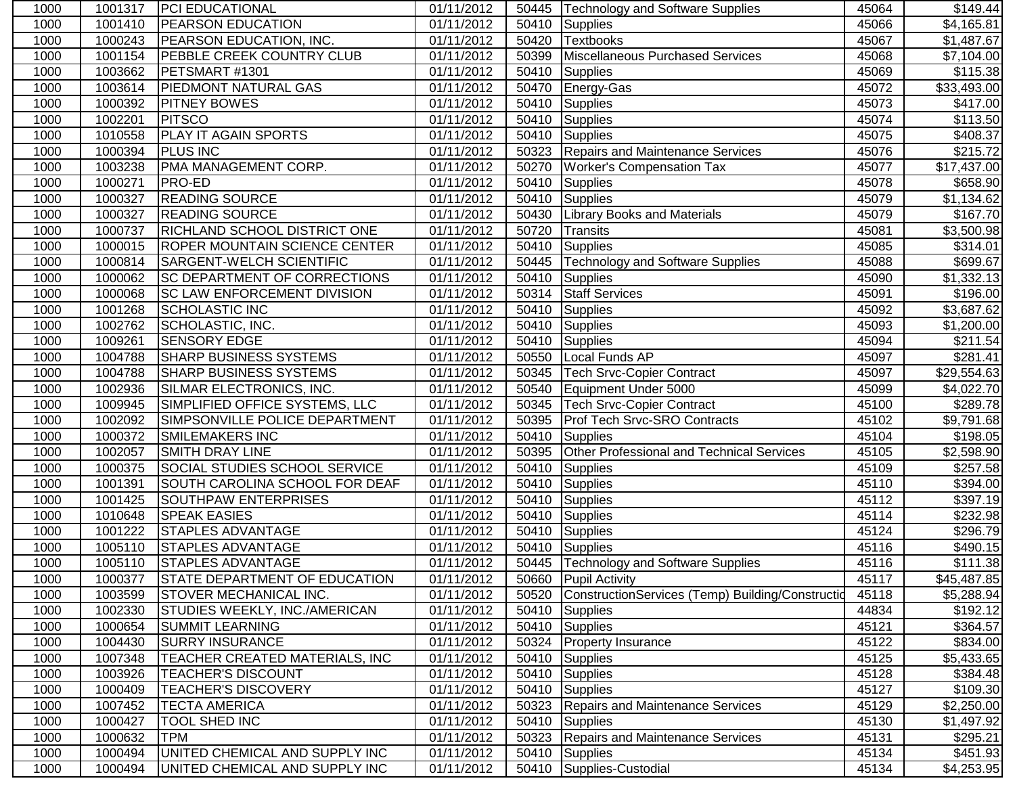| 1000 | 1001317 | <b>PCI EDUCATIONAL</b>               | 01/11/2012              |       | 50445   Technology and Software Supplies         | 45064 | \$149.44                 |
|------|---------|--------------------------------------|-------------------------|-------|--------------------------------------------------|-------|--------------------------|
| 1000 | 1001410 | <b>PEARSON EDUCATION</b>             | 01/11/2012              | 50410 | Supplies                                         | 45066 | $\overline{34}$ , 165.81 |
| 1000 | 1000243 | <b>PEARSON EDUCATION, INC.</b>       | $\overline{0}1/11/2012$ | 50420 | <b>Textbooks</b>                                 | 45067 | \$1,487.67               |
| 1000 | 1001154 | <b>PEBBLE CREEK COUNTRY CLUB</b>     | $\overline{01}/11/2012$ | 50399 | Miscellaneous Purchased Services                 | 45068 | \$7,104.00               |
| 1000 | 1003662 | PETSMART #1301                       | $\overline{01/11}/2012$ | 50410 | Supplies                                         | 45069 | \$115.38                 |
| 1000 | 1003614 | <b>PIEDMONT NATURAL GAS</b>          | 01/11/2012              | 50470 | Energy-Gas                                       | 45072 | \$33,493.00              |
| 1000 | 1000392 | <b>PITNEY BOWES</b>                  | 01/11/2012              |       | 50410 Supplies                                   | 45073 | \$417.00                 |
| 1000 | 1002201 | <b>PITSCO</b>                        | 01/11/2012              |       | 50410 Supplies                                   | 45074 | \$113.50                 |
| 1000 | 1010558 | <b>PLAY IT AGAIN SPORTS</b>          | 01/11/2012              | 50410 | Supplies                                         | 45075 | \$408.37                 |
| 1000 | 1000394 | <b>PLUS INC</b>                      | 01/11/2012              |       | 50323 Repairs and Maintenance Services           | 45076 | \$215.72                 |
| 1000 | 1003238 | PMA MANAGEMENT CORP.                 | 01/11/2012              | 50270 | <b>Worker's Compensation Tax</b>                 | 45077 | \$17,437.00              |
| 1000 | 1000271 | <b>PRO-ED</b>                        | 01/11/2012              | 50410 | <b>Supplies</b>                                  | 45078 | \$658.90                 |
| 1000 | 1000327 | <b>READING SOURCE</b>                | 01/11/2012              | 50410 | Supplies                                         | 45079 | \$1,134.62               |
| 1000 | 1000327 | <b>READING SOURCE</b>                | 01/11/2012              | 50430 | <b>Library Books and Materials</b>               | 45079 | \$167.70                 |
| 1000 | 1000737 | <b>RICHLAND SCHOOL DISTRICT ONE</b>  | 01/11/2012              | 50720 | <b>Transits</b>                                  | 45081 | \$3,500.98               |
| 1000 | 1000015 | <b>ROPER MOUNTAIN SCIENCE CENTER</b> | 01/11/2012              | 50410 | Supplies                                         | 45085 | \$314.01                 |
| 1000 | 1000814 | <b>SARGENT-WELCH SCIENTIFIC</b>      | 01/11/2012              | 50445 | <b>Technology and Software Supplies</b>          | 45088 | \$699.67                 |
| 1000 | 1000062 | <b>SC DEPARTMENT OF CORRECTIONS</b>  | 01/11/2012              | 50410 | Supplies                                         | 45090 | \$1,332.13               |
| 1000 | 1000068 | <b>SC LAW ENFORCEMENT DIVISION</b>   | 01/11/2012              | 50314 | <b>Staff Services</b>                            | 45091 | \$196.00                 |
| 1000 | 1001268 | <b>SCHOLASTIC INC</b>                | 01/11/2012              | 50410 | Supplies                                         | 45092 | \$3,687.62               |
| 1000 | 1002762 | SCHOLASTIC, INC.                     | 01/11/2012              | 50410 | Supplies                                         | 45093 | \$1,200.00               |
| 1000 | 1009261 | <b>SENSORY EDGE</b>                  | 01/11/2012              | 50410 | Supplies                                         | 45094 | \$211.54                 |
| 1000 | 1004788 | <b>SHARP BUSINESS SYSTEMS</b>        | 01/11/2012              | 50550 | Local Funds AP                                   | 45097 | \$281.41                 |
| 1000 | 1004788 | <b>SHARP BUSINESS SYSTEMS</b>        | 01/11/2012              | 50345 | <b>Tech Srvc-Copier Contract</b>                 | 45097 | \$29,554.63              |
| 1000 | 1002936 | SILMAR ELECTRONICS, INC.             | 01/11/2012              | 50540 | Equipment Under 5000                             | 45099 | \$4,022.70               |
| 1000 | 1009945 | SIMPLIFIED OFFICE SYSTEMS, LLC       | 01/11/2012              | 50345 | <b>Tech Srvc-Copier Contract</b>                 | 45100 | \$289.78                 |
| 1000 | 1002092 | SIMPSONVILLE POLICE DEPARTMENT       | 01/11/2012              | 50395 | <b>Prof Tech Srvc-SRO Contracts</b>              | 45102 | \$9,791.68               |
| 1000 | 1000372 | <b>SMILEMAKERS INC</b>               | 01/11/2012              | 50410 | Supplies                                         | 45104 | \$198.05                 |
| 1000 | 1002057 | <b>SMITH DRAY LINE</b>               | 01/11/2012              | 50395 | <b>Other Professional and Technical Services</b> | 45105 | $\overline{$2,598.90}$   |
| 1000 | 1000375 | <b>SOCIAL STUDIES SCHOOL SERVICE</b> | 01/11/2012              | 50410 | Supplies                                         | 45109 | \$257.58                 |
| 1000 | 1001391 | SOUTH CAROLINA SCHOOL FOR DEAF       | 01/11/2012              | 50410 | Supplies                                         | 45110 | \$394.00                 |
| 1000 | 1001425 | <b>SOUTHPAW ENTERPRISES</b>          | 01/11/2012              | 50410 | Supplies                                         | 45112 | \$397.19                 |
| 1000 | 1010648 | <b>SPEAK EASIES</b>                  | 01/11/2012              |       | 50410 Supplies                                   | 45114 | $\overline{$}232.98$     |
| 1000 | 1001222 | <b>STAPLES ADVANTAGE</b>             | 01/11/2012              |       | 50410 Supplies                                   | 45124 | \$296.79                 |
| 1000 | 1005110 | <b>STAPLES ADVANTAGE</b>             | 01/11/2012              | 50410 | Supplies                                         | 45116 | \$490.15                 |
| 1000 | 1005110 | <b>STAPLES ADVANTAGE</b>             | 01/11/2012              |       | 50445   Technology and Software Supplies         | 45116 | \$111.38                 |
| 1000 | 1000377 | STATE DEPARTMENT OF EDUCATION        | 01/11/2012              |       | 50660 Pupil Activity                             | 45117 | \$45,487.85              |
| 1000 | 1003599 | <b>STOVER MECHANICAL INC.</b>        | 01/11/2012              | 50520 | ConstructionServices (Temp) Building/Constructio | 45118 | \$5,288.94               |
| 1000 | 1002330 | <b>STUDIES WEEKLY, INC./AMERICAN</b> | 01/11/2012              | 50410 | Supplies                                         | 44834 | \$192.12                 |
| 1000 | 1000654 | <b>SUMMIT LEARNING</b>               | 01/11/2012              |       | 50410 Supplies                                   | 45121 | \$364.57                 |
| 1000 | 1004430 | <b>SURRY INSURANCE</b>               | 01/11/2012              |       | 50324 Property Insurance                         | 45122 | \$834.00                 |
| 1000 | 1007348 | TEACHER CREATED MATERIALS, INC       | 01/11/2012              |       | 50410 Supplies                                   | 45125 | \$5,433.65               |
| 1000 | 1003926 | <b>TEACHER'S DISCOUNT</b>            | 01/11/2012              |       | 50410 Supplies                                   | 45128 | \$384.48                 |
| 1000 | 1000409 | <b>TEACHER'S DISCOVERY</b>           | 01/11/2012              |       | 50410 Supplies                                   | 45127 | \$109.30                 |
| 1000 | 1007452 | <b>TECTA AMERICA</b>                 | 01/11/2012              |       | 50323 Repairs and Maintenance Services           | 45129 | \$2,250.00               |
| 1000 | 1000427 | TOOL SHED INC                        | 01/11/2012              |       | 50410 Supplies                                   | 45130 | \$1,497.92               |
| 1000 | 1000632 | <b>TPM</b>                           | 01/11/2012              | 50323 | <b>Repairs and Maintenance Services</b>          | 45131 | \$295.21                 |
| 1000 | 1000494 | UNITED CHEMICAL AND SUPPLY INC       | 01/11/2012              |       | 50410 Supplies                                   | 45134 | \$451.93                 |
| 1000 | 1000494 | UNITED CHEMICAL AND SUPPLY INC       | 01/11/2012              |       | 50410 Supplies-Custodial                         | 45134 | \$4,253.95               |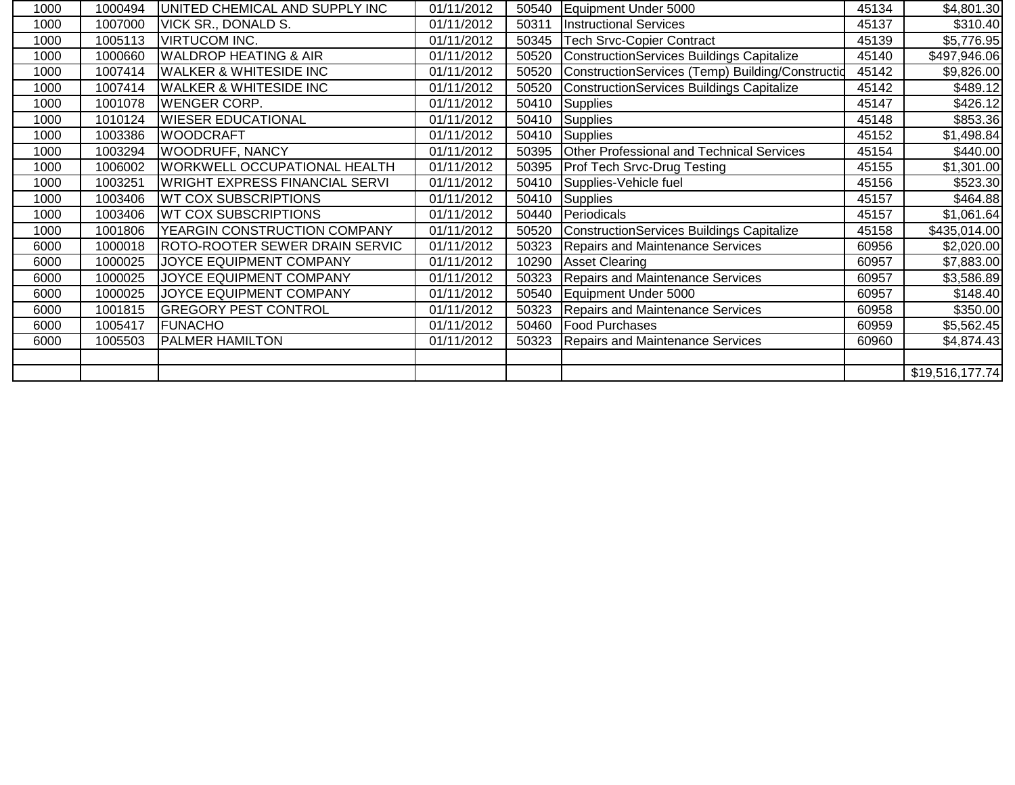| 1000 | 1000494 | UNITED CHEMICAL AND SUPPLY INC      | 01/11/2012 |       | 50540 Equipment Under 5000                        | 45134 | \$4,801.30      |
|------|---------|-------------------------------------|------------|-------|---------------------------------------------------|-------|-----------------|
| 1000 | 1007000 | <b>VICK SR., DONALD S.</b>          | 01/11/2012 | 50311 | <b>Instructional Services</b>                     | 45137 | \$310.40        |
| 1000 | 1005113 | <b>VIRTUCOM INC.</b>                | 01/11/2012 | 50345 | <b>Tech Srvc-Copier Contract</b>                  | 45139 | \$5,776.95      |
| 1000 | 1000660 | <b>WALDROP HEATING &amp; AIR</b>    | 01/11/2012 | 50520 | ConstructionServices Buildings Capitalize         | 45140 | \$497,946.06    |
| 1000 | 1007414 | <b>WALKER &amp; WHITESIDE INC</b>   | 01/11/2012 | 50520 | ConstructionServices (Temp) Building/Construction | 45142 | \$9,826.00      |
| 1000 | 1007414 | <b>WALKER &amp; WHITESIDE INC</b>   | 01/11/2012 | 50520 | ConstructionServices Buildings Capitalize         | 45142 | \$489.12        |
| 1000 | 1001078 | <b>WENGER CORP.</b>                 | 01/11/2012 |       | $\overline{50}410$ Supplies                       | 45147 | \$426.12        |
| 1000 | 1010124 | <b>WIESER EDUCATIONAL</b>           | 01/11/2012 |       | 50410 Supplies                                    | 45148 | \$853.36        |
| 1000 | 1003386 | <b>WOODCRAFT</b>                    | 01/11/2012 |       | 50410 Supplies                                    | 45152 | \$1,498.84      |
| 1000 | 1003294 | <b>WOODRUFF, NANCY</b>              | 01/11/2012 | 50395 | <b>Other Professional and Technical Services</b>  | 45154 | \$440.00]       |
| 1000 | 1006002 | <b>WORKWELL OCCUPATIONAL HEALTH</b> | 01/11/2012 | 50395 | <b>Prof Tech Srvc-Drug Testing</b>                | 45155 | \$1,301.00      |
| 1000 | 1003251 | WRIGHT EXPRESS FINANCIAL SERVI      | 01/11/2012 |       | 50410 Supplies-Vehicle fuel                       | 45156 | \$523.30        |
| 1000 | 1003406 | <b>WT COX SUBSCRIPTIONS</b>         | 01/11/2012 |       | 50410 Supplies                                    | 45157 | \$464.88        |
| 1000 | 1003406 | <b>WT COX SUBSCRIPTIONS</b>         | 01/11/2012 | 50440 | Periodicals                                       | 45157 | \$1,061.64      |
| 1000 | 1001806 | <b>YEARGIN CONSTRUCTION COMPANY</b> | 01/11/2012 |       | 50520 ConstructionServices Buildings Capitalize   | 45158 | \$435,014.00    |
| 6000 | 1000018 | ROTO-ROOTER SEWER DRAIN SERVIC      | 01/11/2012 | 50323 | Repairs and Maintenance Services                  | 60956 | \$2,020.00      |
| 6000 | 1000025 | JOYCE EQUIPMENT COMPANY             | 01/11/2012 |       | 10290 Asset Clearing                              | 60957 | \$7,883.00      |
| 6000 | 1000025 | JOYCE EQUIPMENT COMPANY             | 01/11/2012 | 50323 | <b>Repairs and Maintenance Services</b>           | 60957 | \$3,586.89      |
| 6000 | 1000025 | <b>JOYCE EQUIPMENT COMPANY</b>      | 01/11/2012 |       | 50540 Equipment Under 5000                        | 60957 | \$148.40        |
| 6000 | 1001815 | <b>GREGORY PEST CONTROL</b>         | 01/11/2012 | 50323 | Repairs and Maintenance Services                  | 60958 | \$350.00        |
| 6000 | 1005417 | <b>FUNACHO</b>                      | 01/11/2012 |       | 50460   Food Purchases                            | 60959 | \$5,562.45      |
| 6000 | 1005503 | <b>PALMER HAMILTON</b>              | 01/11/2012 |       | 50323 Repairs and Maintenance Services            | 60960 | \$4,874.43      |
|      |         |                                     |            |       |                                                   |       |                 |
|      |         |                                     |            |       |                                                   |       | \$19,516,177.74 |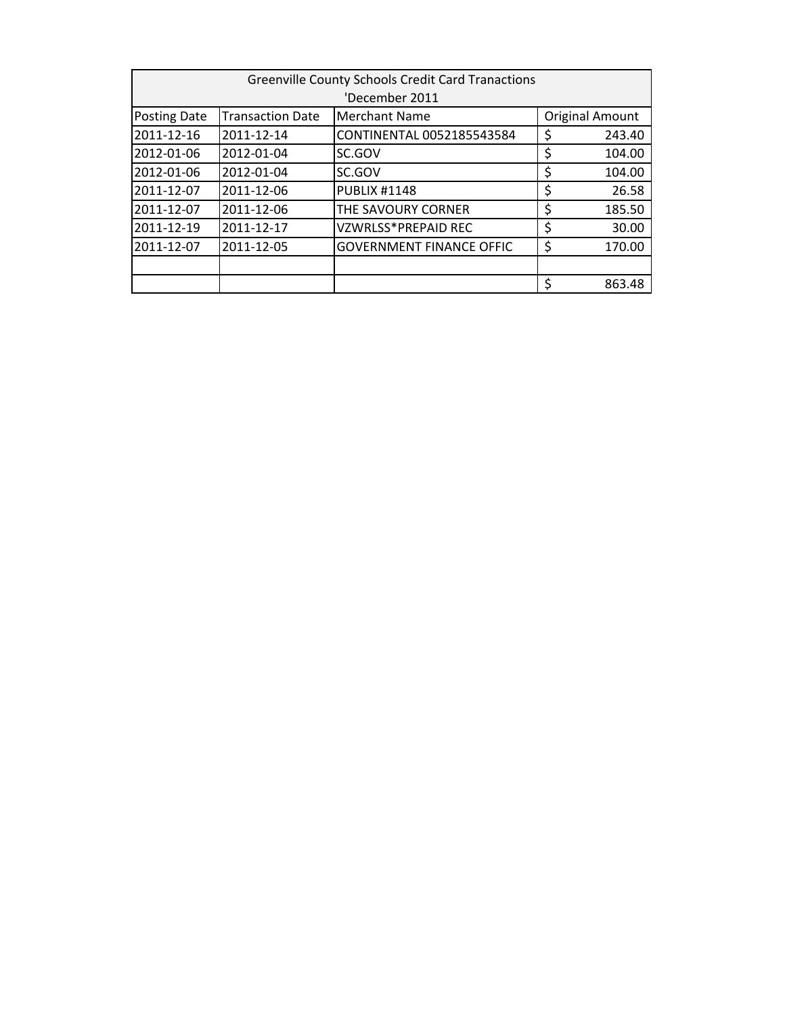| <b>Greenville County Schools Credit Card Tranactions</b> |                         |                                 |    |                        |
|----------------------------------------------------------|-------------------------|---------------------------------|----|------------------------|
|                                                          |                         | 'December 2011                  |    |                        |
| Posting Date                                             | <b>Transaction Date</b> | <b>Merchant Name</b>            |    | <b>Original Amount</b> |
| 2011-12-16                                               | 2011-12-14              | CONTINENTAL 0052185543584       | \$ | 243.40                 |
| 2012-01-06                                               | 2012-01-04              | SC.GOV                          | \$ | 104.00                 |
| 2012-01-06                                               | 2012-01-04              | SC.GOV                          | \$ | 104.00                 |
| 2011-12-07                                               | 2011-12-06              | <b>PUBLIX #1148</b>             | \$ | 26.58                  |
| 2011-12-07                                               | 2011-12-06              | THE SAVOURY CORNER              | \$ | 185.50                 |
| 2011-12-19                                               | 2011-12-17              | <b>VZWRLSS*PREPAID REC</b>      | \$ | 30.00                  |
| 2011-12-07                                               | 2011-12-05              | <b>GOVERNMENT FINANCE OFFIC</b> | \$ | 170.00                 |
|                                                          |                         |                                 |    |                        |
|                                                          |                         |                                 | \$ | 863.48                 |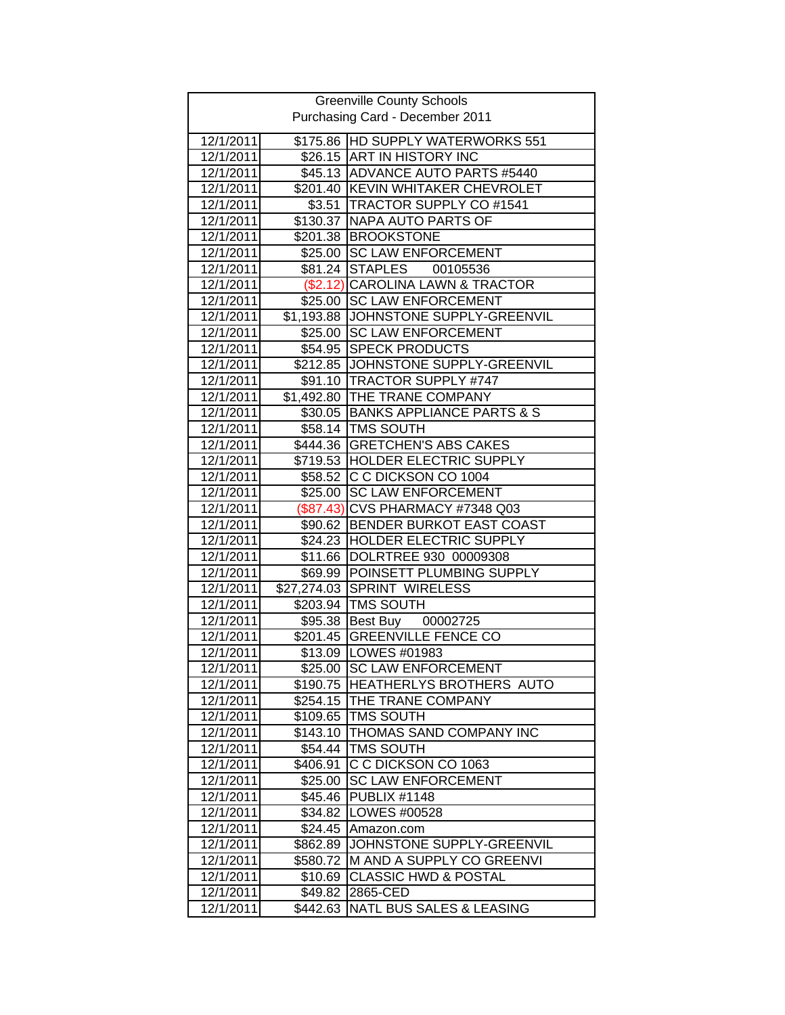| <b>Greenville County Schools</b> |                      |                                                                 |  |
|----------------------------------|----------------------|-----------------------------------------------------------------|--|
| Purchasing Card - December 2011  |                      |                                                                 |  |
|                                  |                      |                                                                 |  |
| 12/1/2011<br>12/1/2011           |                      | \$175.86 HD SUPPLY WATERWORKS 551<br>\$26.15 ART IN HISTORY INC |  |
|                                  |                      | \$45.13 ADVANCE AUTO PARTS #5440                                |  |
| 12/1/2011<br>12/1/2011           |                      | \$201.40 KEVIN WHITAKER CHEVROLET                               |  |
| 12/1/2011                        |                      | \$3.51 TRACTOR SUPPLY CO #1541                                  |  |
| 12/1/2011                        |                      | \$130.37 NAPA AUTO PARTS OF                                     |  |
| 12/1/2011                        |                      | \$201.38 BROOKSTONE                                             |  |
| 12/1/2011                        |                      | \$25.00 SC LAW ENFORCEMENT                                      |  |
| 12/1/2011                        |                      | \$81.24 STAPLES<br>00105536                                     |  |
| 12/1/2011                        |                      | (\$2.12) CAROLINA LAWN & TRACTOR                                |  |
| 12/1/2011                        |                      | \$25.00 SC LAW ENFORCEMENT                                      |  |
| 12/1/2011                        |                      | \$1,193.88 JOHNSTONE SUPPLY-GREENVIL                            |  |
| 12/1/2011                        |                      | \$25.00 SC LAW ENFORCEMENT                                      |  |
| 12/1/2011                        |                      | \$54.95 SPECK PRODUCTS                                          |  |
| 12/1/2011                        |                      | \$212.85 JOHNSTONE SUPPLY-GREENVIL                              |  |
| 12/1/2011                        |                      | \$91.10 TRACTOR SUPPLY #747                                     |  |
| 12/1/2011                        |                      | \$1,492.80 THE TRANE COMPANY                                    |  |
| 12/1/2011                        |                      | \$30.05 BANKS APPLIANCE PARTS & S                               |  |
|                                  |                      |                                                                 |  |
| 12/1/2011                        |                      | \$58.14   TMS SOUTH                                             |  |
| 12/1/2011                        |                      | \$444.36   GRETCHEN'S ABS CAKES                                 |  |
| 12/1/2011                        |                      | \$719.53 HOLDER ELECTRIC SUPPLY                                 |  |
| 12/1/2011                        |                      | \$58.52 C C DICKSON CO 1004                                     |  |
| 12/1/2011                        |                      | \$25.00 SC LAW ENFORCEMENT                                      |  |
| 12/1/2011                        |                      | (\$87.43) CVS PHARMACY #7348 Q03                                |  |
| 12/1/2011                        |                      | \$90.62 BENDER BURKOT EAST COAST                                |  |
| 12/1/2011                        |                      | \$24.23 HOLDER ELECTRIC SUPPLY                                  |  |
| 12/1/2011                        |                      | \$11.66 DOLRTREE 930 00009308                                   |  |
| 12/1/2011<br>12/1/2011           | $\sqrt{27,274.03}$   | \$69.99 POINSETT PLUMBING SUPPLY<br><b>SPRINT WIRELESS</b>      |  |
| 12/1/2011                        |                      | \$203.94 TMS SOUTH                                              |  |
| 12/1/2011                        |                      |                                                                 |  |
| 12/1/2011                        |                      | \$95.38 Best Buy 00002725<br>\$201.45 GREENVILLE FENCE CO       |  |
|                                  |                      |                                                                 |  |
| 12/1/2011<br>12/1/2011           |                      | \$13.09 LOWES #01983<br>\$25.00 SC LAW ENFORCEMENT              |  |
|                                  |                      | \$190.75 HEATHERLYS BROTHERS AUTO                               |  |
| 12/1/2011<br>12/1/2011           |                      | THE TRANE COMPANY                                               |  |
| 12/1/2011                        | \$254.15<br>\$109.65 | <b>TMS SOUTH</b>                                                |  |
| 12/1/2011                        | \$143.10             | THOMAS SAND COMPANY INC                                         |  |
| 12/1/2011                        | \$54.44              | <b>TMS SOUTH</b>                                                |  |
| 12/1/2011                        | \$406.91             | C C DICKSON CO 1063                                             |  |
| 12/1/2011                        | \$25.00              | <b>SC LAW ENFORCEMENT</b>                                       |  |
| 12/1/2011                        | \$45.46              | <b>PUBLIX #1148</b>                                             |  |
| 12/1/2011                        | \$34.82              | LOWES #00528                                                    |  |
| 12/1/2011                        | \$24.45              | Amazon.com                                                      |  |
| 12/1/2011                        | \$862.89             | JOHNSTONE SUPPLY-GREENVIL                                       |  |
| 12/1/2011                        | \$580.72             | M AND A SUPPLY CO GREENVI                                       |  |
| 12/1/2011                        | \$10.69              | <b>CLASSIC HWD &amp; POSTAL</b>                                 |  |
| 12/1/2011                        | \$49.82              | 2865-CED                                                        |  |
| 12/1/2011                        | \$442.63             | NATL BUS SALES & LEASING                                        |  |
|                                  |                      |                                                                 |  |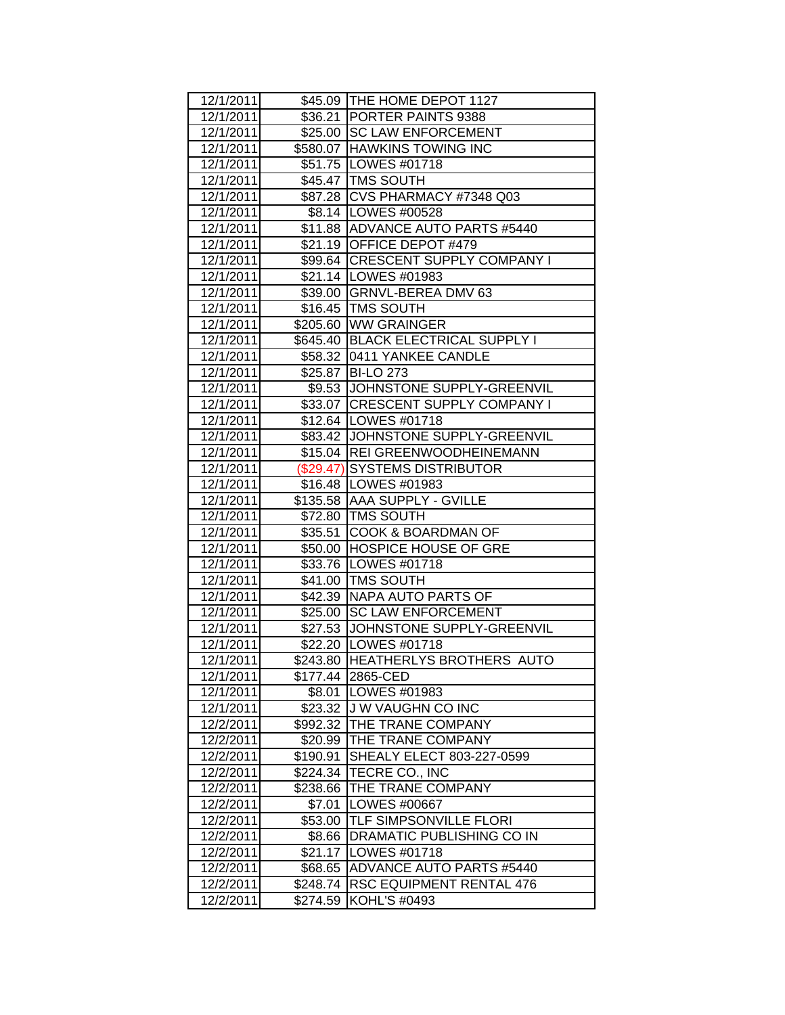| 12/1/2011 |          | \$45.09 THE HOME DEPOT 1127         |
|-----------|----------|-------------------------------------|
| 12/1/2011 |          | \$36.21   PORTER PAINTS 9388        |
| 12/1/2011 |          | \$25.00 SC LAW ENFORCEMENT          |
| 12/1/2011 |          | \$580.07 HAWKINS TOWING INC         |
| 12/1/2011 |          | \$51.75   LOWES #01718              |
|           |          |                                     |
| 12/1/2011 |          | \$45.47 TMS SOUTH                   |
| 12/1/2011 |          | \$87.28 CVS PHARMACY #7348 Q03      |
| 12/1/2011 |          | \$8.14   LOWES #00528               |
| 12/1/2011 |          | \$11.88 ADVANCE AUTO PARTS #5440    |
| 12/1/2011 |          | \$21.19 OFFICE DEPOT #479           |
| 12/1/2011 |          | \$99.64   CRESCENT SUPPLY COMPANY I |
| 12/1/2011 |          | \$21.14   LOWES #01983              |
| 12/1/2011 |          | \$39.00   GRNVL-BEREA DMV 63        |
| 12/1/2011 |          | \$16.45   TMS SOUTH                 |
| 12/1/2011 |          | \$205.60 WW GRAINGER                |
| 12/1/2011 |          | \$645.40 BLACK ELECTRICAL SUPPLY I  |
| 12/1/2011 |          | \$58.32 0411 YANKEE CANDLE          |
| 12/1/2011 |          | \$25.87 BI-LO 273                   |
| 12/1/2011 |          | \$9.53 JOHNSTONE SUPPLY-GREENVIL    |
| 12/1/2011 |          | \$33.07 CRESCENT SUPPLY COMPANY I   |
| 12/1/2011 |          | \$12.64   LOWES #01718              |
| 12/1/2011 |          | \$83.42 JJOHNSTONE SUPPLY-GREENVIL  |
| 12/1/2011 |          | \$15.04   REI GREENWOODHEINEMANN    |
| 12/1/2011 |          | (\$29.47) SYSTEMS DISTRIBUTOR       |
| 12/1/2011 |          | \$16.48   LOWES #01983              |
| 12/1/2011 |          | \$135.58   AAA SUPPLY - GVILLE      |
| 12/1/2011 |          | \$72.80   TMS SOUTH                 |
| 12/1/2011 |          | \$35.51 COOK & BOARDMAN OF          |
| 12/1/2011 |          | \$50.00 HOSPICE HOUSE OF GRE        |
| 12/1/2011 |          | \$33.76 LOWES #01718                |
| 12/1/2011 |          | \$41.00 TMS SOUTH                   |
| 12/1/2011 |          | \$42.39 NAPA AUTO PARTS OF          |
| 12/1/2011 |          | \$25.00 SC LAW ENFORCEMENT          |
| 12/1/2011 |          | \$27.53 JJOHNSTONE SUPPLY-GREENVIL  |
| 12/1/2011 |          | \$22.20 LOWES #01718                |
| 12/1/2011 |          | \$243.80 HEATHERLYS BROTHERS AUTO   |
| 12/1/2011 |          | \$177.44 2865-CED                   |
| 12/1/2011 | \$8.01   | LOWES #01983                        |
| 12/1/2011 | \$23.32  | J W VAUGHN CO INC                   |
| 12/2/2011 | \$992.32 | THE TRANE COMPANY                   |
| 12/2/2011 | \$20.99  | THE TRANE COMPANY                   |
| 12/2/2011 | \$190.91 | SHEALY ELECT 803-227-0599           |
| 12/2/2011 | \$224.34 | TECRE CO., INC                      |
| 12/2/2011 | \$238.66 | THE TRANE COMPANY                   |
| 12/2/2011 | \$7.01   | LOWES #00667                        |
| 12/2/2011 | \$53.00  | <b>TLF SIMPSONVILLE FLORI</b>       |
| 12/2/2011 | \$8.66   | DRAMATIC PUBLISHING CO IN           |
| 12/2/2011 | \$21.17  | LOWES #01718                        |
| 12/2/2011 | \$68.65  | <b>ADVANCE AUTO PARTS #5440</b>     |
| 12/2/2011 | \$248.74 | <b>RSC EQUIPMENT RENTAL 476</b>     |
| 12/2/2011 | \$274.59 | KOHL'S #0493                        |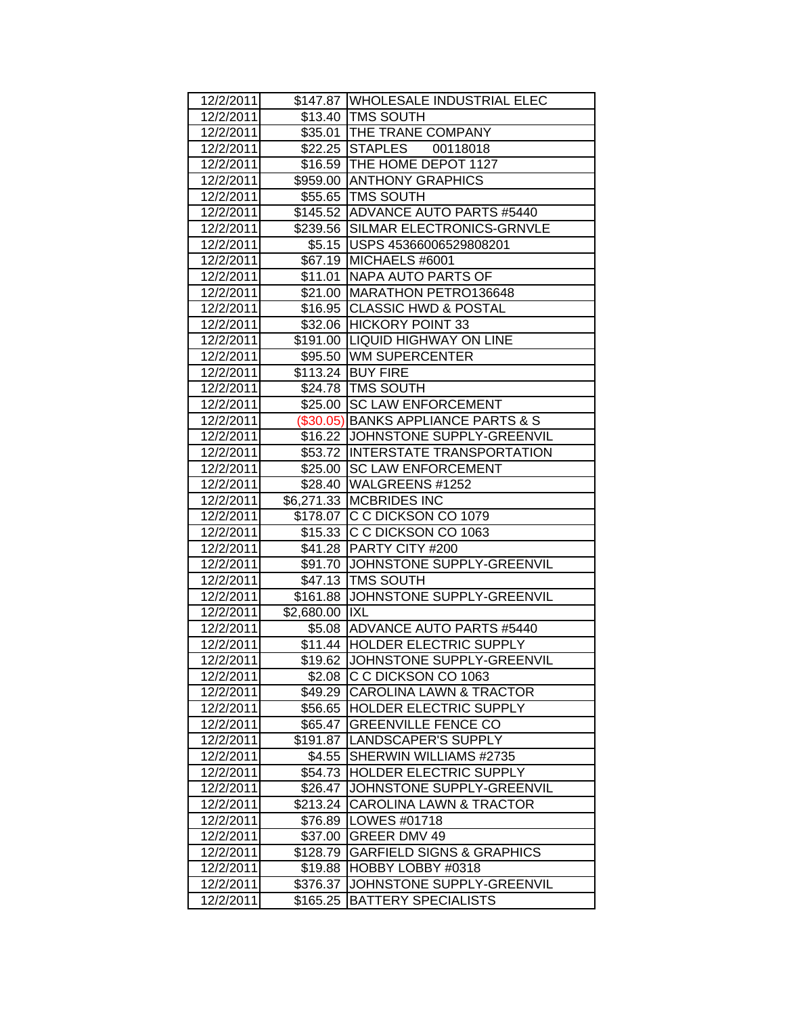| 12/2/2011              |                     | \$147.87  WHOLESALE INDUSTRIAL ELEC                             |
|------------------------|---------------------|-----------------------------------------------------------------|
| 12/2/2011              |                     | \$13.40   TMS SOUTH                                             |
| 12/2/2011              |                     | \$35.01 THE TRANE COMPANY                                       |
| 12/2/2011              |                     | \$22.25 STAPLES 00118018                                        |
| 12/2/2011              |                     | \$16.59 THE HOME DEPOT 1127                                     |
| 12/2/2011              |                     | \$959.00 ANTHONY GRAPHICS                                       |
| 12/2/2011              |                     | \$55.65 TMS SOUTH                                               |
| 12/2/2011              |                     | \$145.52 ADVANCE AUTO PARTS #5440                               |
| 12/2/2011              |                     | \$239.56 SILMAR ELECTRONICS-GRNVLE                              |
| 12/2/2011              |                     | \$5.15   USPS 45366006529808201                                 |
| 12/2/2011              |                     | \$67.19 MICHAELS #6001                                          |
| 12/2/2011              |                     | \$11.01   NAPA AUTO PARTS OF                                    |
| 12/2/2011              |                     | \$21.00 MARATHON PETRO136648                                    |
| 12/2/2011              |                     | \$16.95 CLASSIC HWD & POSTAL                                    |
| 12/2/2011              |                     | \$32.06 HICKORY POINT 33                                        |
| 12/2/2011              |                     | \$191.00  LIQUID HIGHWAY ON LINE                                |
| 12/2/2011              |                     | \$95.50 WM SUPERCENTER                                          |
| 12/2/2011              |                     | \$113.24 BUY FIRE                                               |
| 12/2/2011              |                     | \$24.78 TMS SOUTH                                               |
| 12/2/2011              |                     | \$25.00 SC LAW ENFORCEMENT                                      |
| 12/2/2011              |                     | (\$30.05) BANKS APPLIANCE PARTS & S                             |
| 12/2/2011              |                     | \$16.22 JJOHNSTONE SUPPLY-GREENVIL                              |
| 12/2/2011              |                     | \$53.72  INTERSTATE TRANSPORTATION                              |
| 12/2/2011              |                     | \$25.00 SC LAW ENFORCEMENT                                      |
| 12/2/2011              |                     | \$28.40   WALGREENS #1252                                       |
| 12/2/2011              |                     | \$6,271.33 MCBRIDES INC                                         |
| 12/2/2011              |                     | \$178.07 C C DICKSON CO 1079                                    |
| 12/2/2011              |                     | \$15.33 C C DICKSON CO 1063                                     |
| 12/2/2011              |                     | \$41.28 PARTY CITY #200                                         |
| 12/2/2011              |                     | \$91.70 JJOHNSTONE SUPPLY-GREENVIL                              |
| 12/2/2011              |                     | \$47.13 TMS SOUTH                                               |
| 12/2/2011              |                     | \$161.88 JOHNSTONE SUPPLY-GREENVIL                              |
| 12/2/2011              | \$2,680.00 IXL      |                                                                 |
| 12/2/2011              |                     | \$5.08 ADVANCE AUTO PARTS #5440                                 |
| 12/2/2011              |                     | \$11.44 HOLDER ELECTRIC SUPPLY                                  |
| 12/2/2011              |                     | \$19.62 JOHNSTONE SUPPLY-GREENVIL                               |
| 12/2/2011              |                     | \$2.08 C C DICKSON CO 1063                                      |
| 12/2/2011              | \$49.29             | CAROLINA LAWN & TRACTOR                                         |
| 12/2/2011              |                     | \$56.65  HOLDER ELECTRIC SUPPLY                                 |
| 12/2/2011              | \$65.47             | <b>GREENVILLE FENCE CO</b>                                      |
| 12/2/2011              |                     | \$191.87   LANDSCAPER'S SUPPLY                                  |
| 12/2/2011              |                     | \$4.55 SHERWIN WILLIAMS #2735<br>\$54.73 HOLDER ELECTRIC SUPPLY |
| 12/2/2011              |                     |                                                                 |
| 12/2/2011              | \$26.47             | JOHNSTONE SUPPLY-GREENVIL                                       |
| 12/2/2011              | \$213.24            | <b>CAROLINA LAWN &amp; TRACTOR</b>                              |
| 12/2/2011              |                     | \$76.89   LOWES #01718                                          |
| 12/2/2011              | \$37.00             | GREER DMV 49<br><b>GARFIELD SIGNS &amp; GRAPHICS</b>            |
| 12/2/2011<br>12/2/2011 | \$128.79<br>\$19.88 | HOBBY LOBBY #0318                                               |
|                        |                     | JOHNSTONE SUPPLY-GREENVIL                                       |
| 12/2/2011              | \$376.37            |                                                                 |
| 12/2/2011              | \$165.25            | <b>BATTERY SPECIALISTS</b>                                      |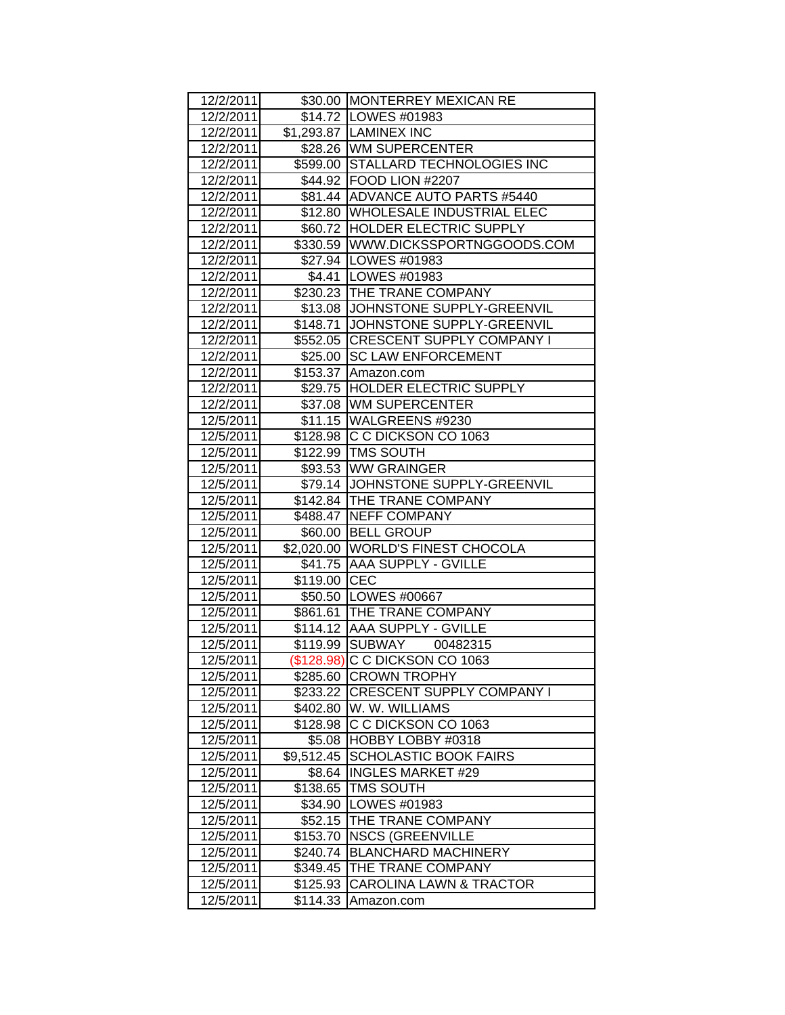| 12/2/2011              |                      | \$30.00 MONTERREY MEXICAN RE                              |
|------------------------|----------------------|-----------------------------------------------------------|
| 12/2/2011              |                      | \$14.72   LOWES #01983                                    |
| 12/2/2011              |                      | \$1,293.87 LAMINEX INC                                    |
| 12/2/2011              |                      | \$28.26 WM SUPERCENTER                                    |
| 12/2/2011              |                      | \$599.00 STALLARD TECHNOLOGIES INC                        |
| 12/2/2011              |                      | \$44.92 FOOD LION #2207                                   |
| 12/2/2011              |                      | \$81.44 ADVANCE AUTO PARTS #5440                          |
| 12/2/2011              |                      | \$12.80 WHOLESALE INDUSTRIAL ELEC                         |
| 12/2/2011              |                      | \$60.72 HOLDER ELECTRIC SUPPLY                            |
| 12/2/2011              |                      | \$330.59   WWW.DICKSSPORTNGGOODS.COM                      |
| 12/2/2011              |                      | \$27.94 LOWES #01983                                      |
| 12/2/2011              |                      | \$4.41 LOWES #01983                                       |
| 12/2/2011              |                      | \$230.23 THE TRANE COMPANY                                |
| 12/2/2011              |                      | \$13.08 JJOHNSTONE SUPPLY-GREENVIL                        |
| 12/2/2011              |                      | \$148.71 JJOHNSTONE SUPPLY-GREENVIL                       |
| 12/2/2011              |                      | \$552.05 CRESCENT SUPPLY COMPANY I                        |
| 12/2/2011              |                      | \$25.00 SC LAW ENFORCEMENT                                |
| 12/2/2011              |                      | \$153.37 Amazon.com                                       |
| 12/2/2011              |                      | \$29.75 HOLDER ELECTRIC SUPPLY                            |
| 12/2/2011              |                      | \$37.08 WM SUPERCENTER                                    |
| 12/5/2011              |                      | \$11.15 WALGREENS #9230                                   |
| 12/5/2011              |                      | \$128.98 C C DICKSON CO 1063                              |
| 12/5/2011              |                      | \$122.99 TMS SOUTH                                        |
| 12/5/2011              |                      | \$93.53 WW GRAINGER                                       |
| 12/5/2011              |                      | \$79.14 JOHNSTONE SUPPLY-GREENVIL                         |
| 12/5/2011              |                      | \$142.84   THE TRANE COMPANY                              |
| 12/5/2011              |                      | \$488.47 NEFF COMPANY                                     |
| 12/5/2011              |                      | \$60.00 BELL GROUP                                        |
| 12/5/2011              |                      | \$2,020.00 WORLD'S FINEST CHOCOLA                         |
| 12/5/2011              |                      | \$41.75 AAA SUPPLY - GVILLE                               |
| 12/5/2011              | \$119.00 CEC         |                                                           |
| 12/5/2011              |                      | \$50.50 LOWES #00667                                      |
| 12/5/2011              |                      | \$861.61 THE TRANE COMPANY                                |
| 12/5/2011              |                      | \$114.12 AAA SUPPLY - GVILLE                              |
| 12/5/2011              |                      | \$119.99 SUBWAY<br>00482315                               |
| 12/5/2011              |                      | (\$128.98) C C DICKSON CO 1063                            |
| 12/5/2011              |                      | \$285.60 CROWN TROPHY                                     |
| 12/5/2011              | \$233.22             | <b>CRESCENT SUPPLY COMPANY I</b>                          |
| 12/5/2011              | \$402.80             | W. W. WILLIAMS                                            |
| 12/5/2011              | \$128.98             | C C DICKSON CO 1063                                       |
| 12/5/2011              |                      | \$5.08 HOBBY LOBBY #0318                                  |
| 12/5/2011              | \$9,512.45           | <b>SCHOLASTIC BOOK FAIRS</b>                              |
| 12/5/2011              | \$8.64               | <b>INGLES MARKET #29</b>                                  |
| 12/5/2011              | \$138.65             | <b>TMS SOUTH</b>                                          |
| 12/5/2011              | \$34.90              | LOWES #01983<br>THE TRANE COMPANY                         |
| 12/5/2011              | \$52.15              |                                                           |
| 12/5/2011              |                      | \$153.70   NSCS (GREENVILLE<br><b>BLANCHARD MACHINERY</b> |
| 12/5/2011<br>12/5/2011 | \$240.74             | THE TRANE COMPANY                                         |
| 12/5/2011              | \$349.45<br>\$125.93 | <b>CAROLINA LAWN &amp; TRACTOR</b>                        |
| 12/5/2011              | \$114.33             | Amazon.com                                                |
|                        |                      |                                                           |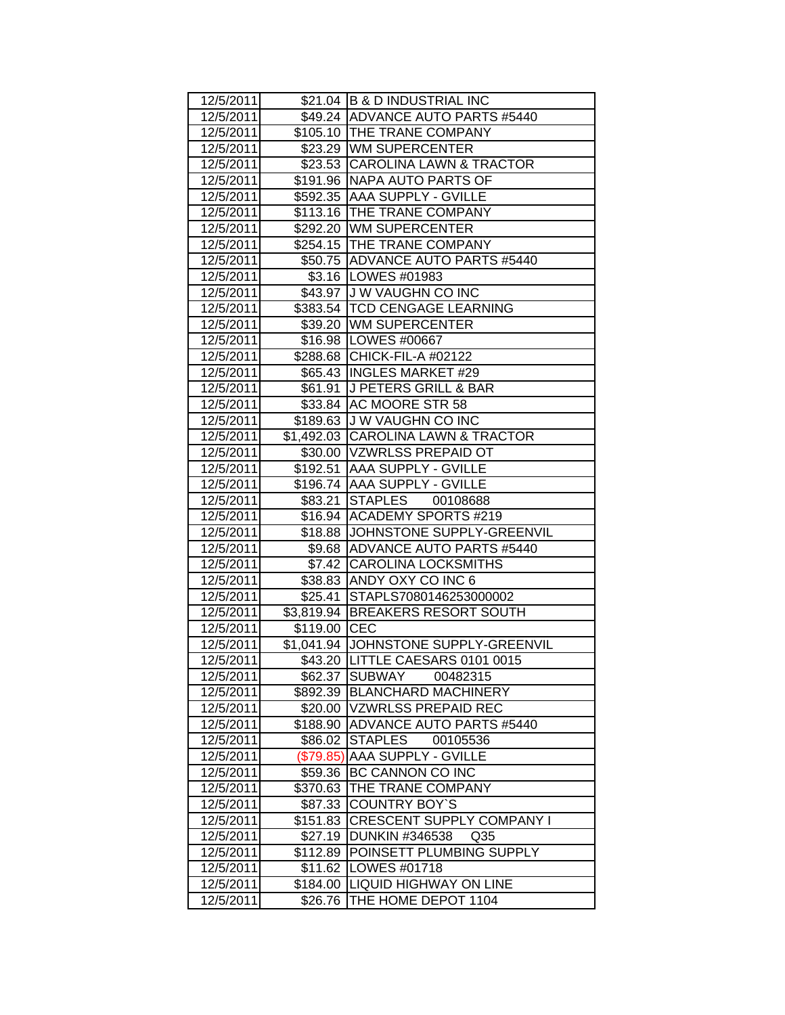| 12/5/2011 |              | \$21.04 B & D INDUSTRIAL INC             |
|-----------|--------------|------------------------------------------|
| 12/5/2011 |              | \$49.24 ADVANCE AUTO PARTS #5440         |
| 12/5/2011 |              | \$105.10 THE TRANE COMPANY               |
| 12/5/2011 |              | \$23.29 WM SUPERCENTER                   |
| 12/5/2011 |              | \$23.53 CAROLINA LAWN & TRACTOR          |
| 12/5/2011 |              | \$191.96 NAPA AUTO PARTS OF              |
| 12/5/2011 |              | \$592.35 AAA SUPPLY - GVILLE             |
| 12/5/2011 |              | \$113.16 THE TRANE COMPANY               |
| 12/5/2011 |              | \$292.20 WM SUPERCENTER                  |
| 12/5/2011 |              | \$254.15 THE TRANE COMPANY               |
| 12/5/2011 |              | \$50.75 ADVANCE AUTO PARTS #5440         |
| 12/5/2011 |              | \$3.16   LOWES #01983                    |
| 12/5/2011 |              | \$43.97 J W VAUGHN CO INC                |
| 12/5/2011 |              | \$383.54   TCD CENGAGE LEARNING          |
| 12/5/2011 |              | \$39.20 WM SUPERCENTER                   |
| 12/5/2011 |              | \$16.98   LOWES #00667                   |
| 12/5/2011 |              | \$288.68 CHICK-FIL-A #02122              |
| 12/5/2011 |              | \$65.43  INGLES MARKET #29               |
| 12/5/2011 |              | \$61.91 J PETERS GRILL & BAR             |
| 12/5/2011 |              | \$33.84 AC MOORE STR 58                  |
| 12/5/2011 |              | \$189.63 J W VAUGHN CO INC               |
| 12/5/2011 |              | \$1,492.03 CAROLINA LAWN & TRACTOR       |
| 12/5/2011 |              | \$30.00 VZWRLSS PREPAID OT               |
| 12/5/2011 |              | \$192.51   AAA SUPPLY - GVILLE           |
| 12/5/2011 |              | \$196.74   AAA SUPPLY - GVILLE           |
| 12/5/2011 |              | \$83.21 STAPLES 00108688                 |
| 12/5/2011 |              | \$16.94   ACADEMY SPORTS #219            |
| 12/5/2011 |              | \$18.88 JJOHNSTONE SUPPLY-GREENVIL       |
| 12/5/2011 |              | \$9.68 ADVANCE AUTO PARTS #5440          |
| 12/5/2011 |              | \$7.42 CAROLINA LOCKSMITHS               |
| 12/5/2011 |              | \$38.83 ANDY OXY CO INC 6                |
| 12/5/2011 |              | \$25.41 STAPLS7080146253000002           |
| 12/5/2011 |              | \$3,819.94 BREAKERS RESORT SOUTH         |
| 12/5/2011 | \$119.00 CEC |                                          |
| 12/5/2011 |              | \$1,041.94 JOHNSTONE SUPPLY-GREENVIL     |
| 12/5/2011 |              | \$43.20 LITTLE CAESARS 0101 0015         |
| 12/5/2011 | \$62.37      | SUBWAY<br>00482315                       |
| 12/5/2011 | \$892.39     | <b>BLANCHARD MACHINERY</b>               |
| 12/5/2011 | \$20.00      | <b>VZWRLSS PREPAID REC</b>               |
| 12/5/2011 |              | \$188.90 ADVANCE AUTO PARTS #5440        |
| 12/5/2011 | \$86.02      | <b>STAPLES</b><br>00105536               |
| 12/5/2011 | (\$79.85)    | AAA SUPPLY - GVILLE                      |
| 12/5/2011 | \$59.36      | BC CANNON CO INC                         |
| 12/5/2011 | \$370.63     | THE TRANE COMPANY                        |
| 12/5/2011 | \$87.33      | <b>COUNTRY BOY'S</b>                     |
| 12/5/2011 | \$151.83     | <b>CRESCENT SUPPLY COMPANY I</b>         |
| 12/5/2011 | \$27.19      | <b>DUNKIN #346538</b><br>Q <sub>35</sub> |
| 12/5/2011 | \$112.89     | POINSETT PLUMBING SUPPLY                 |
| 12/5/2011 | \$11.62      | LOWES #01718                             |
| 12/5/2011 | \$184.00     | <b>LIQUID HIGHWAY ON LINE</b>            |
| 12/5/2011 | \$26.76      | THE HOME DEPOT 1104                      |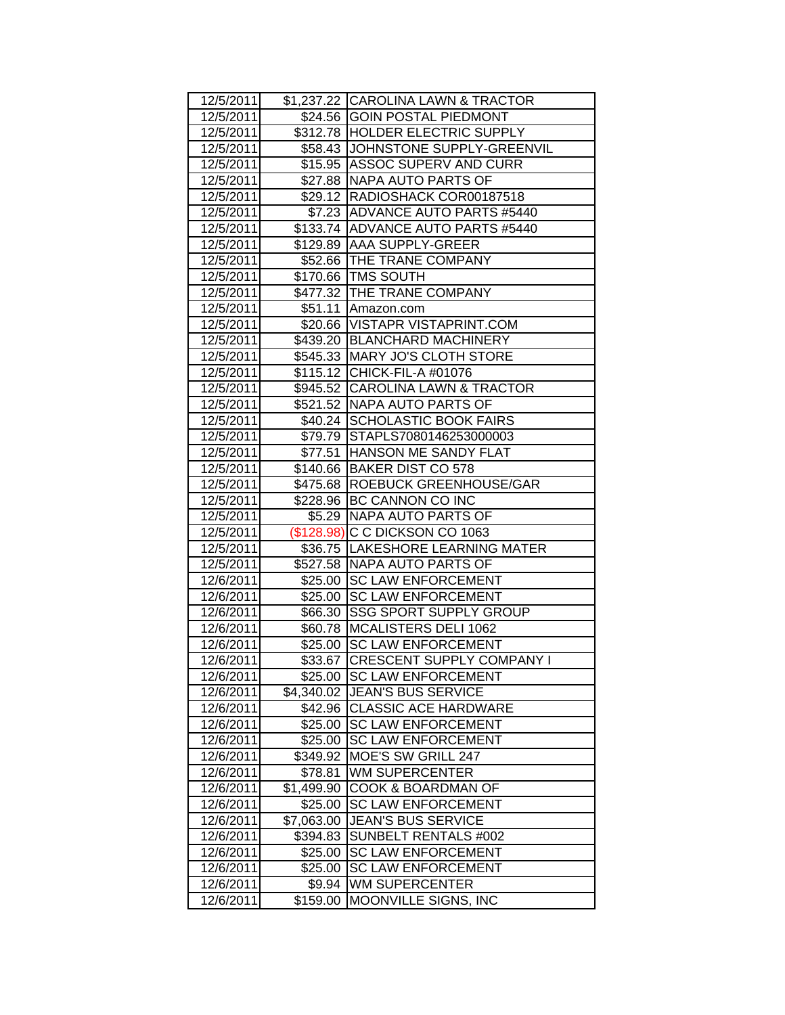| 12/5/2011 |            | \$1,237.22 CAROLINA LAWN & TRACTOR |
|-----------|------------|------------------------------------|
| 12/5/2011 |            | \$24.56 GOIN POSTAL PIEDMONT       |
| 12/5/2011 |            | \$312.78 HOLDER ELECTRIC SUPPLY    |
| 12/5/2011 |            | \$58.43 JJOHNSTONE SUPPLY-GREENVIL |
| 12/5/2011 |            | \$15.95 ASSOC SUPERV AND CURR      |
| 12/5/2011 |            | \$27.88 NAPA AUTO PARTS OF         |
| 12/5/2011 |            | \$29.12 RADIOSHACK COR00187518     |
| 12/5/2011 |            | \$7.23 ADVANCE AUTO PARTS #5440    |
| 12/5/2011 |            | \$133.74 ADVANCE AUTO PARTS #5440  |
| 12/5/2011 |            | \$129.89 AAA SUPPLY-GREER          |
| 12/5/2011 |            | \$52.66   THE TRANE COMPANY        |
| 12/5/2011 |            | \$170.66 TMS SOUTH                 |
| 12/5/2011 |            | \$477.32   THE TRANE COMPANY       |
| 12/5/2011 |            | \$51.11 Amazon.com                 |
| 12/5/2011 |            | \$20.66 VISTAPR VISTAPRINT.COM     |
| 12/5/2011 |            | \$439.20 BLANCHARD MACHINERY       |
| 12/5/2011 |            | \$545.33 MARY JO'S CLOTH STORE     |
| 12/5/2011 |            | \$115.12 CHICK-FIL-A #01076        |
| 12/5/2011 |            | \$945.52 CAROLINA LAWN & TRACTOR   |
| 12/5/2011 |            | \$521.52 NAPA AUTO PARTS OF        |
| 12/5/2011 |            | \$40.24 SCHOLASTIC BOOK FAIRS      |
| 12/5/2011 |            | \$79.79 STAPLS7080146253000003     |
| 12/5/2011 |            | \$77.51 HANSON ME SANDY FLAT       |
| 12/5/2011 |            | \$140.66 BAKER DIST CO 578         |
| 12/5/2011 |            | \$475.68  ROEBUCK GREENHOUSE/GAR   |
| 12/5/2011 |            | \$228.96 BC CANNON CO INC          |
| 12/5/2011 |            | \$5.29   NAPA AUTO PARTS OF        |
| 12/5/2011 |            | (\$128.98) C C DICKSON CO 1063     |
| 12/5/2011 |            | \$36.75 LAKESHORE LEARNING MATER   |
| 12/5/2011 |            | \$527.58 NAPA AUTO PARTS OF        |
| 12/6/2011 |            | \$25.00 SC LAW ENFORCEMENT         |
| 12/6/2011 |            | \$25.00 SC LAW ENFORCEMENT         |
| 12/6/2011 |            | \$66.30 SSG SPORT SUPPLY GROUP     |
| 12/6/2011 |            | \$60.78   MCALISTERS DELI 1062     |
| 12/6/2011 |            | \$25.00 SC LAW ENFORCEMENT         |
| 12/6/2011 |            | \$33.67 CRESCENT SUPPLY COMPANY I  |
| 12/6/2011 | \$25.00    | <b>SC LAW ENFORCEMENT</b>          |
| 12/6/2011 | \$4,340.02 | JEAN'S BUS SERVICE                 |
| 12/6/2011 | \$42.96    | <b>CLASSIC ACE HARDWARE</b>        |
| 12/6/2011 | \$25.00    | <b>SC LAW ENFORCEMENT</b>          |
| 12/6/2011 | \$25.00    | <b>SC LAW ENFORCEMENT</b>          |
| 12/6/2011 | \$349.92   | MOE'S SW GRILL 247                 |
| 12/6/2011 | \$78.81    | <b>WM SUPERCENTER</b>              |
| 12/6/2011 | \$1,499.90 | COOK & BOARDMAN OF                 |
| 12/6/2011 | \$25.00    | <b>SC LAW ENFORCEMENT</b>          |
| 12/6/2011 | \$7,063.00 | <b>JEAN'S BUS SERVICE</b>          |
| 12/6/2011 | \$394.83   | SUNBELT RENTALS #002               |
| 12/6/2011 | \$25.00    | <b>SC LAW ENFORCEMENT</b>          |
| 12/6/2011 | \$25.00    | <b>SC LAW ENFORCEMENT</b>          |
| 12/6/2011 | \$9.94     | <b>WM SUPERCENTER</b>              |
| 12/6/2011 | \$159.00   | MOONVILLE SIGNS, INC               |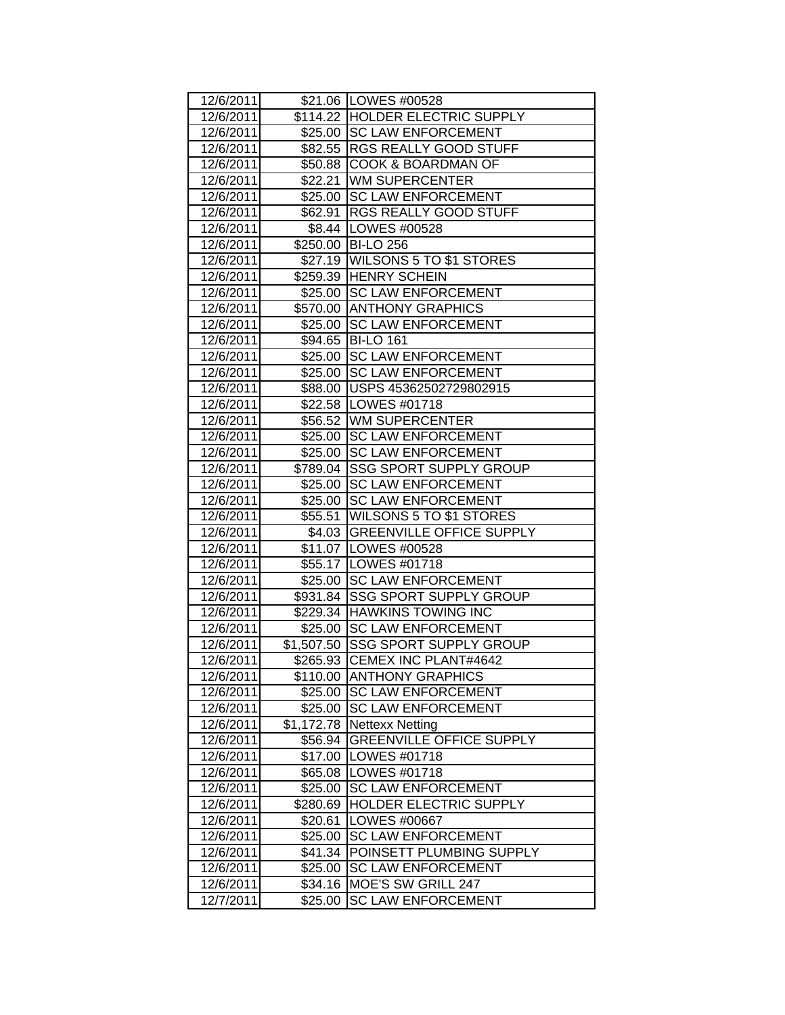| 12/6/2011 |          | \$21.06   LOWES #00528            |
|-----------|----------|-----------------------------------|
| 12/6/2011 |          | \$114.22 HOLDER ELECTRIC SUPPLY   |
| 12/6/2011 |          | \$25.00 SC LAW ENFORCEMENT        |
| 12/6/2011 |          | \$82.55 RGS REALLY GOOD STUFF     |
| 12/6/2011 |          | \$50.88 COOK & BOARDMAN OF        |
| 12/6/2011 |          | \$22.21 WM SUPERCENTER            |
| 12/6/2011 |          | \$25.00 SC LAW ENFORCEMENT        |
| 12/6/2011 |          | \$62.91   RGS REALLY GOOD STUFF   |
| 12/6/2011 |          | \$8.44 LOWES #00528               |
| 12/6/2011 |          | \$250.00 BI-LO 256                |
| 12/6/2011 |          | \$27.19 WILSONS 5 TO \$1 STORES   |
| 12/6/2011 |          | \$259.39 HENRY SCHEIN             |
| 12/6/2011 |          | \$25.00 SC LAW ENFORCEMENT        |
| 12/6/2011 |          | \$570.00 ANTHONY GRAPHICS         |
| 12/6/2011 |          | \$25.00 SC LAW ENFORCEMENT        |
| 12/6/2011 |          | \$94.65 BI-LO 161                 |
| 12/6/2011 |          | \$25.00 SC LAW ENFORCEMENT        |
| 12/6/2011 |          | \$25.00 SC LAW ENFORCEMENT        |
| 12/6/2011 |          | \$88.00 USPS 45362502729802915    |
| 12/6/2011 |          | \$22.58   LOWES #01718            |
| 12/6/2011 |          | \$56.52 WM SUPERCENTER            |
| 12/6/2011 |          | \$25.00 SC LAW ENFORCEMENT        |
| 12/6/2011 |          | \$25.00 SC LAW ENFORCEMENT        |
| 12/6/2011 |          | \$789.04 SSG SPORT SUPPLY GROUP   |
| 12/6/2011 |          | \$25.00 SC LAW ENFORCEMENT        |
| 12/6/2011 |          | \$25.00 SC LAW ENFORCEMENT        |
| 12/6/2011 |          | \$55.51 WILSONS 5 TO \$1 STORES   |
| 12/6/2011 |          | \$4.03 GREENVILLE OFFICE SUPPLY   |
| 12/6/2011 |          | \$11.07   LOWES #00528            |
| 12/6/2011 |          | \$55.17   LOWES #01718            |
| 12/6/2011 |          | \$25.00 SC LAW ENFORCEMENT        |
| 12/6/2011 |          | \$931.84 SSG SPORT SUPPLY GROUP   |
| 12/6/2011 |          | \$229.34 HAWKINS TOWING INC       |
| 12/6/2011 |          | \$25.00 SC LAW ENFORCEMENT        |
| 12/6/2011 |          | \$1,507.50 SSG SPORT SUPPLY GROUP |
| 12/6/2011 |          | \$265.93 CEMEX INC PLANT#4642     |
| 12/6/2011 |          | \$110.00 ANTHONY GRAPHICS         |
| 12/6/2011 | \$25.00  | <b>SC LAW ENFORCEMENT</b>         |
| 12/6/2011 |          | \$25.00 SC LAW ENFORCEMENT        |
| 12/6/2011 |          | \$1,172.78 Nettexx Netting        |
| 12/6/2011 | \$56.94  | <b>GREENVILLE OFFICE SUPPLY</b>   |
| 12/6/2011 |          | \$17.00   LOWES #01718            |
| 12/6/2011 |          | \$65.08   LOWES #01718            |
| 12/6/2011 | \$25.00  | <b>SC LAW ENFORCEMENT</b>         |
| 12/6/2011 | \$280.69 | <b>HOLDER ELECTRIC SUPPLY</b>     |
| 12/6/2011 | \$20.61  | LOWES #00667                      |
| 12/6/2011 | \$25.00  | <b>SC LAW ENFORCEMENT</b>         |
| 12/6/2011 | \$41.34  | POINSETT PLUMBING SUPPLY          |
| 12/6/2011 | \$25.00  | <b>SC LAW ENFORCEMENT</b>         |
| 12/6/2011 | \$34.16  | <b>MOE'S SW GRILL 247</b>         |
| 12/7/2011 | \$25.00  | <b>SC LAW ENFORCEMENT</b>         |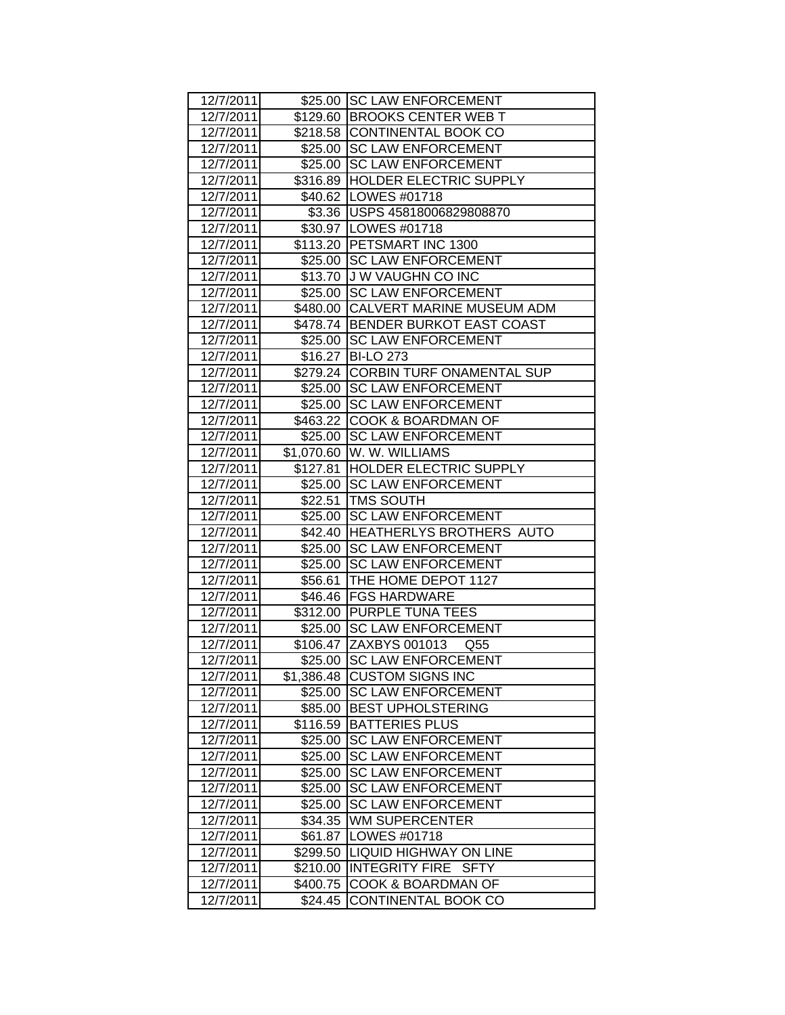| 12/7/2011 |            | \$25.00 SC LAW ENFORCEMENT           |
|-----------|------------|--------------------------------------|
| 12/7/2011 |            | \$129.60 BROOKS CENTER WEB T         |
| 12/7/2011 |            | \$218.58 CONTINENTAL BOOK CO         |
| 12/7/2011 |            | \$25.00 SC LAW ENFORCEMENT           |
| 12/7/2011 |            | \$25.00 SC LAW ENFORCEMENT           |
| 12/7/2011 |            | \$316.89 HOLDER ELECTRIC SUPPLY      |
| 12/7/2011 |            | \$40.62 LOWES #01718                 |
| 12/7/2011 |            | \$3.36 USPS 45818006829808870        |
| 12/7/2011 |            | \$30.97   LOWES #01718               |
| 12/7/2011 |            | \$113.20 PETSMART INC 1300           |
| 12/7/2011 |            | \$25.00 SC LAW ENFORCEMENT           |
| 12/7/2011 |            | \$13.70 J W VAUGHN CO INC            |
| 12/7/2011 |            | \$25.00 SC LAW ENFORCEMENT           |
| 12/7/2011 |            | \$480.00 CALVERT MARINE MUSEUM ADM   |
| 12/7/2011 |            | \$478.74 BENDER BURKOT EAST COAST    |
| 12/7/2011 |            | \$25.00 SC LAW ENFORCEMENT           |
| 12/7/2011 |            | \$16.27 BI-LO 273                    |
| 12/7/2011 |            | \$279.24 CORBIN TURF ONAMENTAL SUP   |
| 12/7/2011 |            | \$25.00 SC LAW ENFORCEMENT           |
| 12/7/2011 |            | \$25.00 SC LAW ENFORCEMENT           |
| 12/7/2011 |            | \$463.22 COOK & BOARDMAN OF          |
| 12/7/2011 |            | \$25.00 SC LAW ENFORCEMENT           |
| 12/7/2011 |            | \$1,070.60   W. W. WILLIAMS          |
| 12/7/2011 |            | \$127.81  HOLDER ELECTRIC SUPPLY     |
| 12/7/2011 |            | \$25.00 SC LAW ENFORCEMENT           |
| 12/7/2011 |            | \$22.51   TMS SOUTH                  |
| 12/7/2011 |            | \$25.00 SC LAW ENFORCEMENT           |
| 12/7/2011 |            | \$42.40 HEATHERLYS BROTHERS AUTO     |
| 12/7/2011 |            | \$25.00 SC LAW ENFORCEMENT           |
| 12/7/2011 |            | \$25.00 SC LAW ENFORCEMENT           |
| 12/7/2011 |            | \$56.61 THE HOME DEPOT 1127          |
| 12/7/2011 |            | \$46.46 FGS HARDWARE                 |
| 12/7/2011 |            | \$312.00 PURPLE TUNA TEES            |
| 12/7/2011 |            | \$25.00 SC LAW ENFORCEMENT           |
| 12/7/2011 |            | \$106.47 ZAXBYS 001013<br>Q55        |
| 12/7/2011 |            | \$25.00 SC LAW ENFORCEMENT           |
| 12/7/2011 | \$1,386.48 | <b>CUSTOM SIGNS INC</b>              |
| 12/7/2011 | \$25.00    | <b>SC LAW ENFORCEMENT</b>            |
| 12/7/2011 | \$85.00    | <b>BEST UPHOLSTERING</b>             |
| 12/7/2011 | \$116.59   | <b>BATTERIES PLUS</b>                |
| 12/7/2011 | \$25.00    | <b>SC LAW ENFORCEMENT</b>            |
| 12/7/2011 | \$25.00    | <b>SC LAW ENFORCEMENT</b>            |
| 12/7/2011 | \$25.00    | <b>SC LAW ENFORCEMENT</b>            |
| 12/7/2011 | \$25.00    | <b>SC LAW ENFORCEMENT</b>            |
| 12/7/2011 | \$25.00    | <b>SC LAW ENFORCEMENT</b>            |
| 12/7/2011 | \$34.35    | <b>WM SUPERCENTER</b>                |
| 12/7/2011 | \$61.87    | LOWES #01718                         |
| 12/7/2011 | \$299.50   | <b>LIQUID HIGHWAY ON LINE</b>        |
| 12/7/2011 | \$210.00   | <b>INTEGRITY FIRE</b><br><b>SFTY</b> |
| 12/7/2011 | \$400.75   | COOK & BOARDMAN OF                   |
| 12/7/2011 | \$24.45    | CONTINENTAL BOOK CO                  |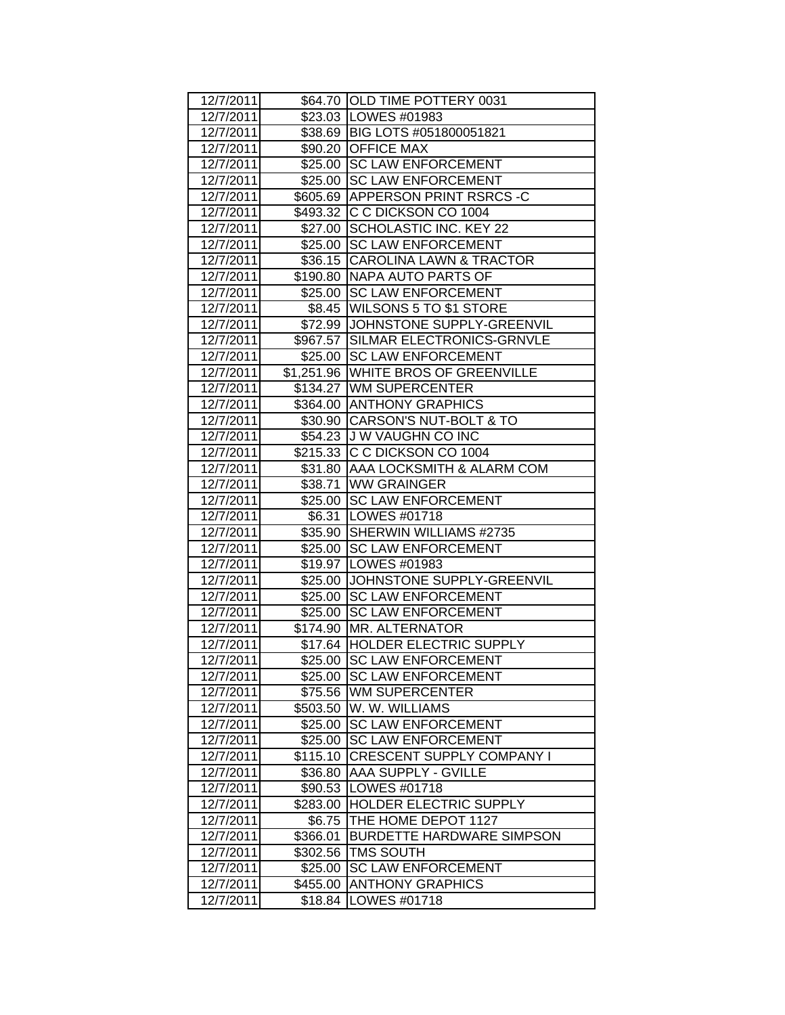| 12/7/2011 |          | \$64.70 OLD TIME POTTERY 0031       |
|-----------|----------|-------------------------------------|
| 12/7/2011 |          | \$23.03   LOWES #01983              |
| 12/7/2011 |          | \$38.69 BIG LOTS #051800051821      |
| 12/7/2011 |          | \$90.20 OFFICE MAX                  |
| 12/7/2011 |          | \$25.00 SC LAW ENFORCEMENT          |
| 12/7/2011 |          | \$25.00 SC LAW ENFORCEMENT          |
| 12/7/2011 |          | \$605.69 APPERSON PRINT RSRCS -C    |
| 12/7/2011 |          | \$493.32 C C DICKSON CO 1004        |
| 12/7/2011 |          | \$27.00 SCHOLASTIC INC. KEY 22      |
| 12/7/2011 |          | \$25.00 SC LAW ENFORCEMENT          |
| 12/7/2011 |          | \$36.15 CAROLINA LAWN & TRACTOR     |
| 12/7/2011 |          | \$190.80 NAPA AUTO PARTS OF         |
| 12/7/2011 |          | \$25.00 SC LAW ENFORCEMENT          |
| 12/7/2011 |          | \$8.45   WILSONS 5 TO \$1 STORE     |
| 12/7/2011 |          | \$72.99 JOHNSTONE SUPPLY-GREENVIL   |
| 12/7/2011 |          | \$967.57 SILMAR ELECTRONICS-GRNVLE  |
| 12/7/2011 |          | \$25.00 SC LAW ENFORCEMENT          |
| 12/7/2011 |          | \$1,251.96 WHITE BROS OF GREENVILLE |
| 12/7/2011 |          | \$134.27 WM SUPERCENTER             |
| 12/7/2011 |          | \$364.00 ANTHONY GRAPHICS           |
| 12/7/2011 |          | \$30.90 CARSON'S NUT-BOLT & TO      |
| 12/7/2011 |          | \$54.23 J W VAUGHN CO INC           |
| 12/7/2011 |          | \$215.33 C C DICKSON CO 1004        |
| 12/7/2011 |          | \$31.80   AAA LOCKSMITH & ALARM COM |
| 12/7/2011 |          | \$38.71 WW GRAINGER                 |
| 12/7/2011 |          | \$25.00 SC LAW ENFORCEMENT          |
| 12/7/2011 |          | \$6.31   LOWES #01718               |
| 12/7/2011 |          | \$35.90 SHERWIN WILLIAMS #2735      |
| 12/7/2011 |          | \$25.00 SC LAW ENFORCEMENT          |
| 12/7/2011 |          | \$19.97 LOWES #01983                |
| 12/7/2011 |          | \$25.00 JJOHNSTONE SUPPLY-GREENVIL  |
| 12/7/2011 |          | \$25.00 SC LAW ENFORCEMENT          |
| 12/7/2011 |          | \$25.00 SC LAW ENFORCEMENT          |
| 12/7/2011 |          | \$174.90 MR. ALTERNATOR             |
| 12/7/2011 |          | \$17.64   HOLDER ELECTRIC SUPPLY    |
| 12/7/2011 |          | \$25.00 SC LAW ENFORCEMENT          |
| 12/7/2011 | \$25.00  | <b>SC LAW ENFORCEMENT</b>           |
| 12/7/2011 | \$75.56  | <b>WM SUPERCENTER</b>               |
| 12/7/2011 | \$503.50 | W. W. WILLIAMS                      |
| 12/7/2011 | \$25.00  | <b>SC LAW ENFORCEMENT</b>           |
| 12/7/2011 | \$25.00  | <b>SC LAW ENFORCEMENT</b>           |
| 12/7/2011 | \$115.10 | <b>CRESCENT SUPPLY COMPANY I</b>    |
| 12/7/2011 |          | \$36.80 AAA SUPPLY - GVILLE         |
| 12/7/2011 | \$90.53  | LOWES #01718                        |
| 12/7/2011 |          | \$283.00 HOLDER ELECTRIC SUPPLY     |
| 12/7/2011 | \$6.75   | THE HOME DEPOT 1127                 |
| 12/7/2011 | \$366.01 | <b>BURDETTE HARDWARE SIMPSON</b>    |
| 12/7/2011 | \$302.56 | <b>TMS SOUTH</b>                    |
| 12/7/2011 | \$25.00  | <b>SC LAW ENFORCEMENT</b>           |
| 12/7/2011 | \$455.00 | <b>ANTHONY GRAPHICS</b>             |
| 12/7/2011 | \$18.84  | LOWES #01718                        |
|           |          |                                     |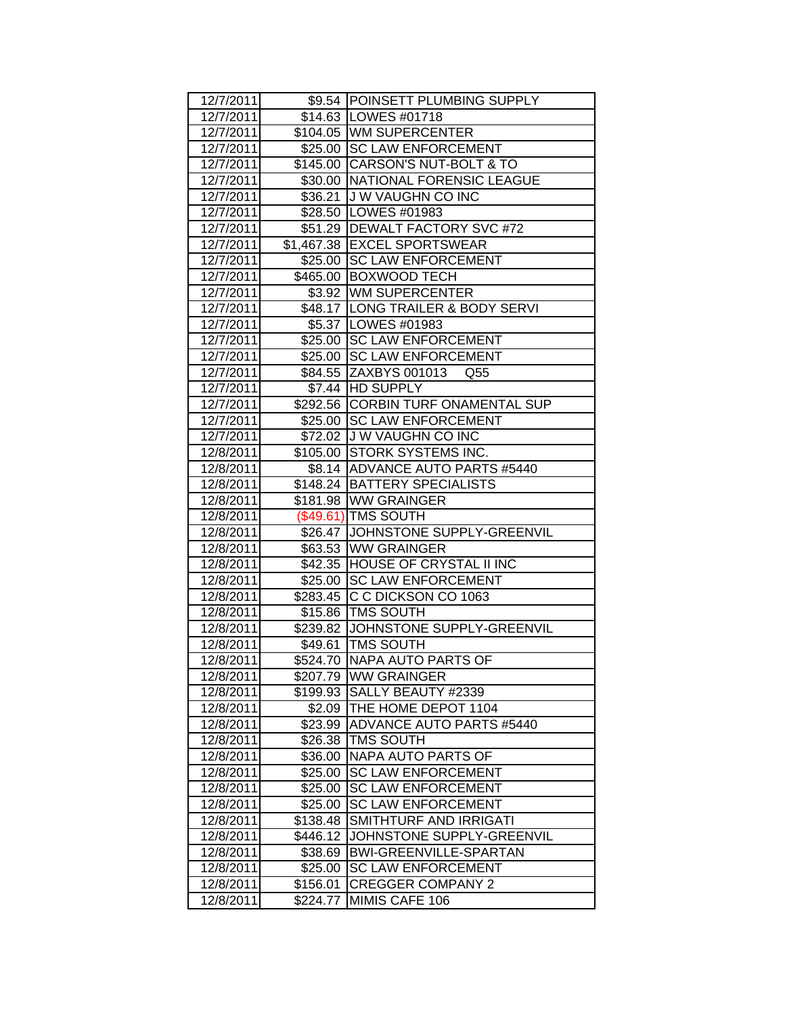| 12/7/2011 |          | \$9.54 POINSETT PLUMBING SUPPLY     |
|-----------|----------|-------------------------------------|
| 12/7/2011 |          | \$14.63   LOWES #01718              |
| 12/7/2011 |          | \$104.05 WM SUPERCENTER             |
| 12/7/2011 |          | \$25.00 SC LAW ENFORCEMENT          |
| 12/7/2011 |          | \$145.00 CARSON'S NUT-BOLT & TO     |
| 12/7/2011 |          | \$30.00 NATIONAL FORENSIC LEAGUE    |
| 12/7/2011 |          | \$36.21 J W VAUGHN CO INC           |
| 12/7/2011 |          | \$28.50 LOWES #01983                |
| 12/7/2011 |          | \$51.29 DEWALT FACTORY SVC #72      |
| 12/7/2011 |          | \$1,467.38 EXCEL SPORTSWEAR         |
| 12/7/2011 |          | \$25.00 SC LAW ENFORCEMENT          |
| 12/7/2011 |          | \$465.00 BOXWOOD TECH               |
| 12/7/2011 |          | \$3.92   WM SUPERCENTER             |
| 12/7/2011 |          | \$48.17 LONG TRAILER & BODY SERVI   |
| 12/7/2011 |          | \$5.37  LOWES #01983                |
| 12/7/2011 |          | \$25.00 SC LAW ENFORCEMENT          |
| 12/7/2011 |          | \$25.00 SC LAW ENFORCEMENT          |
| 12/7/2011 |          | \$84.55 ZAXBYS 001013 Q55           |
| 12/7/2011 |          | \$7.44 HD SUPPLY                    |
| 12/7/2011 |          | \$292.56 CORBIN TURF ONAMENTAL SUP  |
| 12/7/2011 |          | \$25.00 SC LAW ENFORCEMENT          |
| 12/7/2011 |          | \$72.02 J W VAUGHN CO INC           |
| 12/8/2011 |          | \$105.00 STORK SYSTEMS INC.         |
| 12/8/2011 |          | \$8.14   ADVANCE AUTO PARTS #5440   |
| 12/8/2011 |          | \$148.24   BATTERY SPECIALISTS      |
| 12/8/2011 |          | \$181.98 WW GRAINGER                |
| 12/8/2011 |          | (\$49.61) TMS SOUTH                 |
| 12/8/2011 |          | \$26.47 JOHNSTONE SUPPLY-GREENVIL   |
| 12/8/2011 |          | \$63.53 WW GRAINGER                 |
| 12/8/2011 |          | \$42.35 HOUSE OF CRYSTAL II INC     |
| 12/8/2011 |          | \$25.00 SC LAW ENFORCEMENT          |
| 12/8/2011 |          | \$283.45 C C DICKSON CO 1063        |
| 12/8/2011 |          | \$15.86 TMS SOUTH                   |
| 12/8/2011 |          | \$239.82 JJOHNSTONE SUPPLY-GREENVIL |
| 12/8/2011 |          | \$49.61   TMS SOUTH                 |
| 12/8/2011 |          | \$524.70 NAPA AUTO PARTS OF         |
| 12/8/2011 |          | \$207.79 WW GRAINGER                |
| 12/8/2011 | \$199.93 | SALLY BEAUTY #2339                  |
| 12/8/2011 | \$2.09   | THE HOME DEPOT 1104                 |
| 12/8/2011 | \$23.99  | <b>ADVANCE AUTO PARTS #5440</b>     |
| 12/8/2011 | \$26.38  | <b>TMS SOUTH</b>                    |
| 12/8/2011 | \$36.00  | NAPA AUTO PARTS OF                  |
| 12/8/2011 | \$25.00  | <b>SC LAW ENFORCEMENT</b>           |
| 12/8/2011 | \$25.00  | <b>SC LAW ENFORCEMENT</b>           |
| 12/8/2011 | \$25.00  | <b>SC LAW ENFORCEMENT</b>           |
| 12/8/2011 | \$138.48 | SMITHTURF AND IRRIGATI              |
| 12/8/2011 | \$446.12 | JOHNSTONE SUPPLY-GREENVIL           |
| 12/8/2011 | \$38.69  | BWI-GREENVILLE-SPARTAN              |
| 12/8/2011 | \$25.00  | <b>SC LAW ENFORCEMENT</b>           |
| 12/8/2011 | \$156.01 | <b>CREGGER COMPANY 2</b>            |
| 12/8/2011 | \$224.77 | MIMIS CAFE 106                      |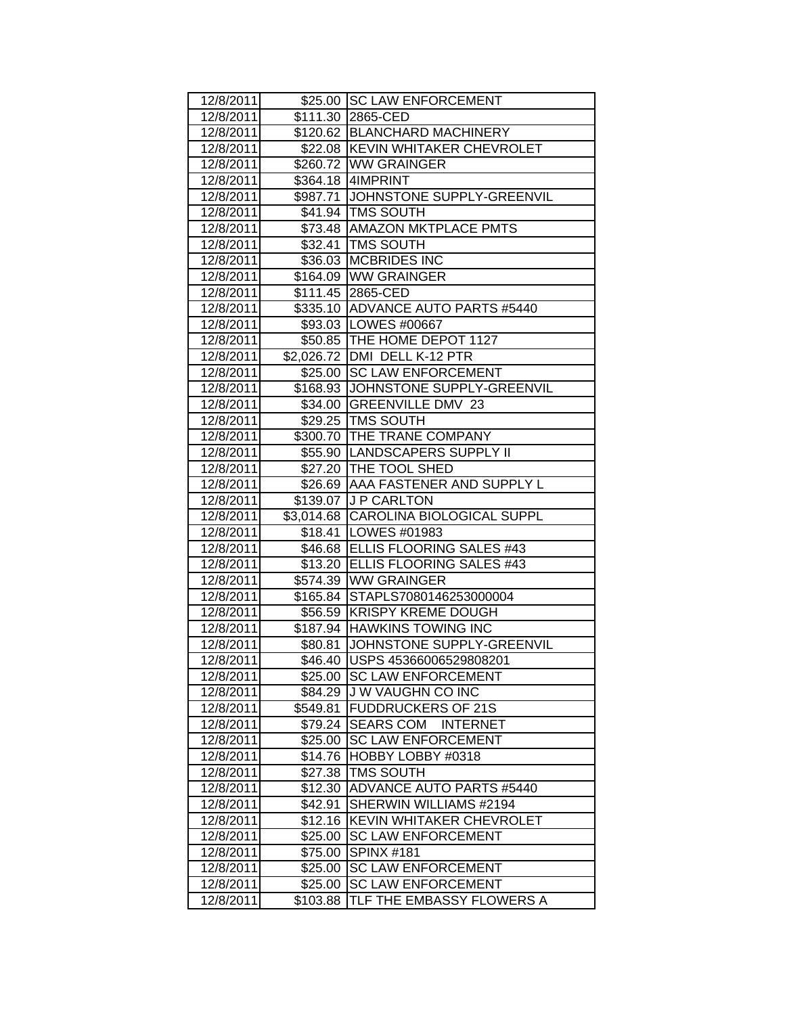| 12/8/2011 |          | \$25.00 SC LAW ENFORCEMENT           |
|-----------|----------|--------------------------------------|
| 12/8/2011 |          | \$111.30 2865-CED                    |
| 12/8/2011 |          | \$120.62 BLANCHARD MACHINERY         |
| 12/8/2011 |          | \$22.08 KEVIN WHITAKER CHEVROLET     |
| 12/8/2011 |          | \$260.72 WW GRAINGER                 |
| 12/8/2011 |          | \$364.18 4IMPRINT                    |
| 12/8/2011 |          | \$987.71 JOHNSTONE SUPPLY-GREENVIL   |
| 12/8/2011 |          | \$41.94 TMS SOUTH                    |
| 12/8/2011 |          | \$73.48 AMAZON MKTPLACE PMTS         |
| 12/8/2011 |          | \$32.41   TMS SOUTH                  |
| 12/8/2011 |          | \$36.03 MCBRIDES INC                 |
| 12/8/2011 |          | \$164.09 WW GRAINGER                 |
| 12/8/2011 |          | \$111.45 2865-CED                    |
| 12/8/2011 |          | \$335.10   ADVANCE AUTO PARTS #5440  |
| 12/8/2011 |          | \$93.03   LOWES #00667               |
| 12/8/2011 |          | \$50.85 THE HOME DEPOT 1127          |
| 12/8/2011 |          | \$2,026.72 DMI DELL K-12 PTR         |
| 12/8/2011 |          | \$25.00   SC LAW ENFORCEMENT         |
| 12/8/2011 |          | \$168.93 JOHNSTONE SUPPLY-GREENVIL   |
| 12/8/2011 |          | \$34.00 GREENVILLE DMV 23            |
| 12/8/2011 |          | \$29.25 TMS SOUTH                    |
| 12/8/2011 |          | \$300.70 THE TRANE COMPANY           |
| 12/8/2011 |          | \$55.90 LANDSCAPERS SUPPLY II        |
| 12/8/2011 |          | \$27.20   THE TOOL SHED              |
| 12/8/2011 |          | \$26.69 AAA FASTENER AND SUPPLY L    |
| 12/8/2011 |          | \$139.07 J P CARLTON                 |
| 12/8/2011 |          | \$3,014.68 CAROLINA BIOLOGICAL SUPPL |
| 12/8/2011 |          | \$18.41   LOWES #01983               |
| 12/8/2011 |          | \$46.68 ELLIS FLOORING SALES #43     |
| 12/8/2011 |          | \$13.20 ELLIS FLOORING SALES #43     |
| 12/8/2011 |          | \$574.39 WW GRAINGER                 |
| 12/8/2011 |          | \$165.84 STAPLS7080146253000004      |
| 12/8/2011 |          | \$56.59 KRISPY KREME DOUGH           |
| 12/8/2011 |          | \$187.94 HAWKINS TOWING INC          |
| 12/8/2011 |          | \$80.81 JOHNSTONE SUPPLY-GREENVIL    |
| 12/8/2011 |          | \$46.40 USPS 45366006529808201       |
| 12/8/2011 |          | \$25.00 SC LAW ENFORCEMENT           |
| 12/8/2011 | \$84.29  | <b>JW VAUGHN CO INC</b>              |
| 12/8/2011 | \$549.81 | <b>FUDDRUCKERS OF 21S</b>            |
| 12/8/2011 | \$79.24  | <b>SEARS COM</b><br><b>INTERNET</b>  |
| 12/8/2011 | \$25.00  | <b>SC LAW ENFORCEMENT</b>            |
| 12/8/2011 | \$14.76  | HOBBY LOBBY #0318                    |
| 12/8/2011 | \$27.38  | <b>TMS SOUTH</b>                     |
| 12/8/2011 | \$12.30  | <b>ADVANCE AUTO PARTS #5440</b>      |
| 12/8/2011 | \$42.91  | SHERWIN WILLIAMS #2194               |
| 12/8/2011 | \$12.16  | <b>KEVIN WHITAKER CHEVROLET</b>      |
| 12/8/2011 | \$25.00  | <b>SC LAW ENFORCEMENT</b>            |
| 12/8/2011 | \$75.00  | <b>SPINX #181</b>                    |
| 12/8/2011 | \$25.00  | <b>SC LAW ENFORCEMENT</b>            |
| 12/8/2011 | \$25.00  | <b>SC LAW ENFORCEMENT</b>            |
|           |          |                                      |
| 12/8/2011 | \$103.88 | TLF THE EMBASSY FLOWERS A            |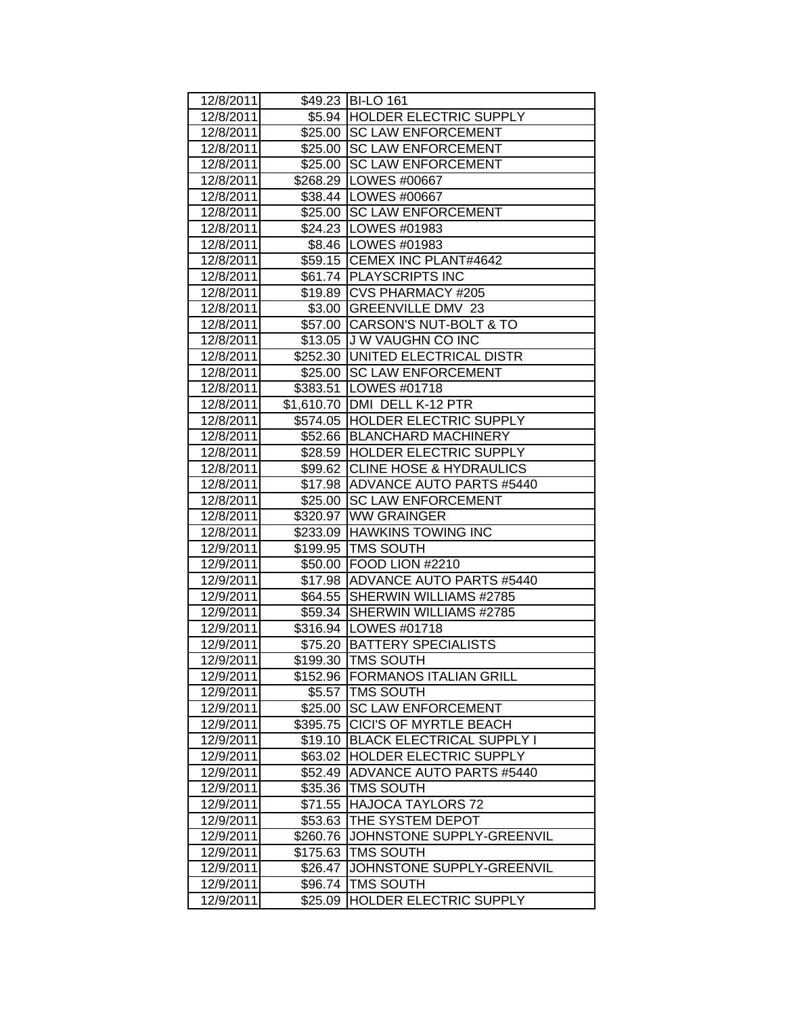| 12/8/2011 |          | \$49.23 BI-LO 161                |
|-----------|----------|----------------------------------|
| 12/8/2011 |          | \$5.94 HOLDER ELECTRIC SUPPLY    |
| 12/8/2011 |          | \$25.00 SC LAW ENFORCEMENT       |
| 12/8/2011 |          | \$25.00 SC LAW ENFORCEMENT       |
| 12/8/2011 |          | \$25.00 SC LAW ENFORCEMENT       |
| 12/8/2011 |          | \$268.29   LOWES #00667          |
| 12/8/2011 |          | \$38.44   LOWES #00667           |
| 12/8/2011 |          | \$25.00 SC LAW ENFORCEMENT       |
| 12/8/2011 |          | \$24.23   LOWES #01983           |
| 12/8/2011 |          | \$8.46   LOWES #01983            |
| 12/8/2011 |          | \$59.15 CEMEX INC PLANT#4642     |
| 12/8/2011 |          | \$61.74 PLAYSCRIPTS INC          |
| 12/8/2011 |          | \$19.89 CVS PHARMACY #205        |
| 12/8/2011 |          | \$3.00 GREENVILLE DMV 23         |
| 12/8/2011 |          | \$57.00 CARSON'S NUT-BOLT & TO   |
| 12/8/2011 |          | \$13.05 J W VAUGHN CO INC        |
| 12/8/2011 |          | \$252.30 UNITED ELECTRICAL DISTR |
| 12/8/2011 |          | \$25.00 SC LAW ENFORCEMENT       |
| 12/8/2011 |          | \$383.51   LOWES #01718          |
| 12/8/2011 |          | \$1,610.70 DMI DELL K-12 PTR     |
| 12/8/2011 |          | \$574.05 HOLDER ELECTRIC SUPPLY  |
| 12/8/2011 |          | \$52.66 BLANCHARD MACHINERY      |
| 12/8/2011 |          | \$28.59 HOLDER ELECTRIC SUPPLY   |
| 12/8/2011 |          | \$99.62 CLINE HOSE & HYDRAULICS  |
| 12/8/2011 |          | \$17.98 ADVANCE AUTO PARTS #5440 |
| 12/8/2011 |          | \$25.00 SC LAW ENFORCEMENT       |
| 12/8/2011 |          | \$320.97 WW GRAINGER             |
| 12/8/2011 |          | \$233.09 HAWKINS TOWING INC      |
| 12/9/2011 |          | \$199.95 TMS SOUTH               |
| 12/9/2011 |          | \$50.00 FOOD LION #2210          |
| 12/9/2011 |          | \$17.98 ADVANCE AUTO PARTS #5440 |
| 12/9/2011 |          | \$64.55 SHERWIN WILLIAMS #2785   |
| 12/9/2011 |          | \$59.34 SHERWIN WILLIAMS #2785   |
| 12/9/2011 |          | \$316.94   LOWES #01718          |
| 12/9/2011 |          | \$75.20   BATTERY SPECIALISTS    |
| 12/9/2011 |          | \$199.30 TMS SOUTH               |
| 12/9/2011 |          | \$152.96 FORMANOS ITALIAN GRILL  |
| 12/9/2011 | \$5.57   | TMS SOUTH                        |
| 12/9/2011 | \$25.00  | <b>SC LAW ENFORCEMENT</b>        |
| 12/9/2011 | \$395.75 | <b>CICI'S OF MYRTLE BEACH</b>    |
| 12/9/2011 | \$19.10  | <b>BLACK ELECTRICAL SUPPLY I</b> |
| 12/9/2011 |          | \$63.02 HOLDER ELECTRIC SUPPLY   |
| 12/9/2011 | \$52.49  | <b>ADVANCE AUTO PARTS #5440</b>  |
| 12/9/2011 | \$35.36  | <b>TMS SOUTH</b>                 |
| 12/9/2011 | \$71.55  | <b>HAJOCA TAYLORS 72</b>         |
| 12/9/2011 | \$53.63  | THE SYSTEM DEPOT                 |
| 12/9/2011 | \$260.76 | JOHNSTONE SUPPLY-GREENVIL        |
| 12/9/2011 | \$175.63 | <b>TMS SOUTH</b>                 |
| 12/9/2011 | \$26.47  | JOHNSTONE SUPPLY-GREENVIL        |
| 12/9/2011 | \$96.74  | <b>TMS SOUTH</b>                 |
| 12/9/2011 | \$25.09  | HOLDER ELECTRIC SUPPLY           |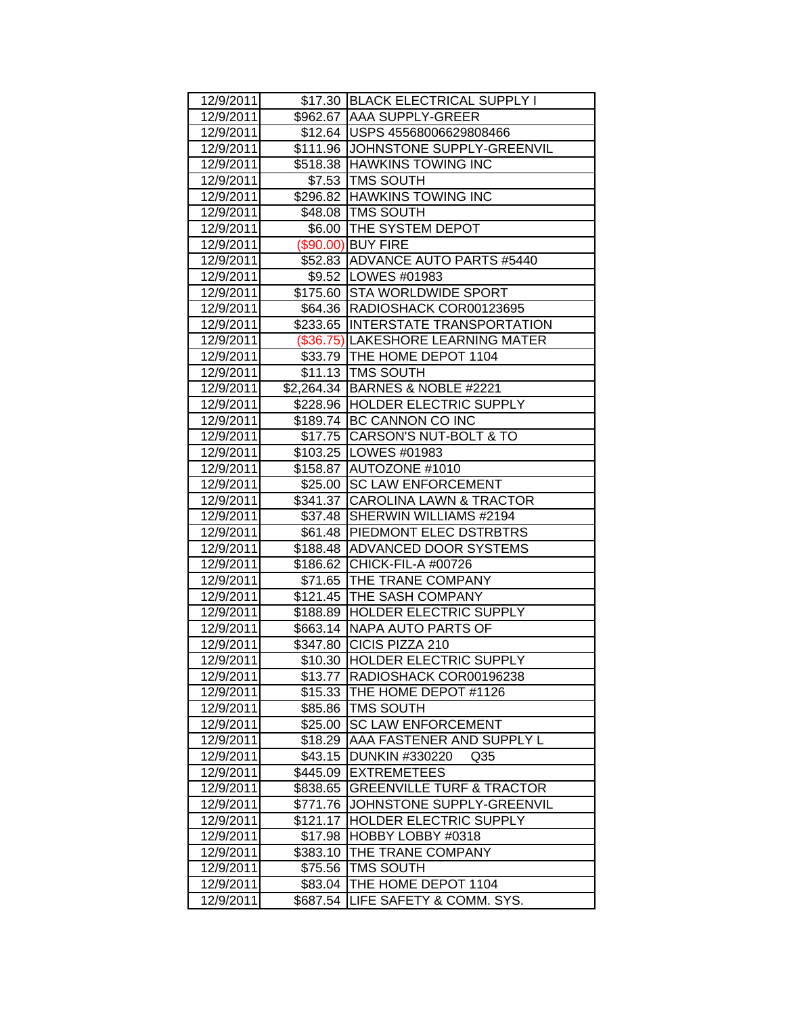| 12/9/2011 |          | \$17.30 BLACK ELECTRICAL SUPPLY I    |
|-----------|----------|--------------------------------------|
| 12/9/2011 |          | \$962.67 AAA SUPPLY-GREER            |
| 12/9/2011 |          | \$12.64   USPS 45568006629808466     |
| 12/9/2011 |          | \$111.96 JOHNSTONE SUPPLY-GREENVIL   |
| 12/9/2011 |          | \$518.38 HAWKINS TOWING INC          |
| 12/9/2011 |          | \$7.53 TMS SOUTH                     |
| 12/9/2011 |          | \$296.82 HAWKINS TOWING INC          |
| 12/9/2011 |          | \$48.08 TMS SOUTH                    |
| 12/9/2011 |          | \$6.00   THE SYSTEM DEPOT            |
| 12/9/2011 |          | (\$90.00) BUY FIRE                   |
| 12/9/2011 |          | \$52.83 ADVANCE AUTO PARTS #5440     |
| 12/9/2011 |          | \$9.52   LOWES #01983                |
| 12/9/2011 |          | \$175.60 STA WORLDWIDE SPORT         |
| 12/9/2011 |          | \$64.36   RADIOSHACK COR00123695     |
| 12/9/2011 |          | \$233.65 INTERSTATE TRANSPORTATION   |
| 12/9/2011 |          | (\$36.75) LAKESHORE LEARNING MATER   |
| 12/9/2011 |          | \$33.79 THE HOME DEPOT 1104          |
| 12/9/2011 |          | \$11.13 TMS SOUTH                    |
| 12/9/2011 |          | \$2,264.34 BARNES & NOBLE #2221      |
| 12/9/2011 |          | \$228.96 HOLDER ELECTRIC SUPPLY      |
| 12/9/2011 |          | \$189.74 BC CANNON CO INC            |
| 12/9/2011 |          | \$17.75 CARSON'S NUT-BOLT & TO       |
| 12/9/2011 |          | \$103.25   LOWES #01983              |
| 12/9/2011 |          | \$158.87 AUTOZONE #1010              |
| 12/9/2011 |          | \$25.00 SC LAW ENFORCEMENT           |
| 12/9/2011 |          | \$341.37 CAROLINA LAWN & TRACTOR     |
| 12/9/2011 |          | \$37.48 SHERWIN WILLIAMS #2194       |
| 12/9/2011 |          | \$61.48   PIEDMONT ELEC DSTRBTRS     |
| 12/9/2011 |          | \$188.48 ADVANCED DOOR SYSTEMS       |
| 12/9/2011 |          | \$186.62 CHICK-FIL-A #00726          |
| 12/9/2011 |          | \$71.65 THE TRANE COMPANY            |
| 12/9/2011 |          | \$121.45 THE SASH COMPANY            |
| 12/9/2011 |          | \$188.89 HOLDER ELECTRIC SUPPLY      |
| 12/9/2011 |          | \$663.14 NAPA AUTO PARTS OF          |
| 12/9/2011 |          | \$347.80 CICIS PIZZA 210             |
| 12/9/2011 |          | \$10.30 HOLDER ELECTRIC SUPPLY       |
| 12/9/2011 | \$13.77  | RADIOSHACK COR00196238               |
| 12/9/2011 | \$15.33  | THE HOME DEPOT #1126                 |
| 12/9/2011 | \$85.86  | <b>TMS SOUTH</b>                     |
| 12/9/2011 | \$25.00  | <b>SC LAW ENFORCEMENT</b>            |
| 12/9/2011 | \$18.29  | AAA FASTENER AND SUPPLY L            |
| 12/9/2011 | \$43.15  | DUNKIN #330220<br>Q <sub>35</sub>    |
| 12/9/2011 | \$445.09 | <b>EXTREMETEES</b>                   |
| 12/9/2011 | \$838.65 | <b>GREENVILLE TURF &amp; TRACTOR</b> |
| 12/9/2011 | \$771.76 | JOHNSTONE SUPPLY-GREENVIL            |
| 12/9/2011 | \$121.17 | HOLDER ELECTRIC SUPPLY               |
| 12/9/2011 | \$17.98  | HOBBY LOBBY #0318                    |
| 12/9/2011 | \$383.10 | THE TRANE COMPANY                    |
| 12/9/2011 | \$75.56  | <b>TMS SOUTH</b>                     |
| 12/9/2011 | \$83.04  | THE HOME DEPOT 1104                  |
| 12/9/2011 | \$687.54 | LIFE SAFETY & COMM. SYS.             |
|           |          |                                      |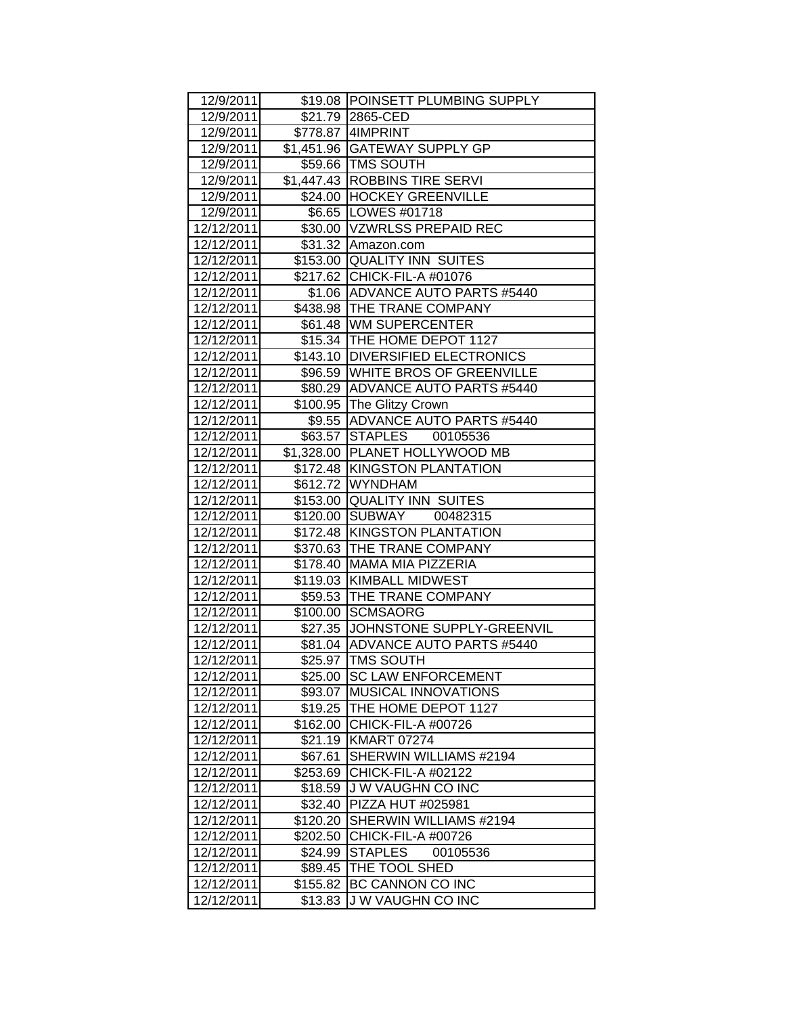| 12/9/2011  |          | \$19.08 POINSETT PLUMBING SUPPLY   |
|------------|----------|------------------------------------|
| 12/9/2011  |          | \$21.79 2865-CED                   |
| 12/9/2011  |          | \$778.87   4IMPRINT                |
| 12/9/2011  |          | \$1,451.96 GATEWAY SUPPLY GP       |
| 12/9/2011  |          | \$59.66 TMS SOUTH                  |
| 12/9/2011  |          | \$1,447.43 ROBBINS TIRE SERVI      |
| 12/9/2011  |          | \$24.00 HOCKEY GREENVILLE          |
| 12/9/2011  |          | \$6.65   LOWES #01718              |
| 12/12/2011 |          | \$30.00 VZWRLSS PREPAID REC        |
| 12/12/2011 |          | \$31.32 Amazon.com                 |
| 12/12/2011 |          | \$153.00 QUALITY INN SUITES        |
| 12/12/2011 |          | \$217.62 CHICK-FIL-A #01076        |
| 12/12/2011 |          | \$1.06 ADVANCE AUTO PARTS #5440    |
| 12/12/2011 |          | \$438.98 THE TRANE COMPANY         |
| 12/12/2011 |          | \$61.48 WM SUPERCENTER             |
| 12/12/2011 |          | \$15.34 THE HOME DEPOT 1127        |
| 12/12/2011 |          | \$143.10 DIVERSIFIED ELECTRONICS   |
| 12/12/2011 |          | \$96.59 WHITE BROS OF GREENVILLE   |
| 12/12/2011 |          | \$80.29 ADVANCE AUTO PARTS #5440   |
| 12/12/2011 |          | \$100.95 The Glitzy Crown          |
| 12/12/2011 |          | \$9.55 ADVANCE AUTO PARTS #5440    |
| 12/12/2011 |          | \$63.57 STAPLES 00105536           |
| 12/12/2011 |          | \$1,328.00 PLANET HOLLYWOOD MB     |
| 12/12/2011 |          | \$172.48 KINGSTON PLANTATION       |
| 12/12/2011 |          | \$612.72 WYNDHAM                   |
| 12/12/2011 |          | \$153.00 QUALITY INN SUITES        |
| 12/12/2011 |          | \$120.00 SUBWAY<br>00482315        |
| 12/12/2011 |          | \$172.48 KINGSTON PLANTATION       |
| 12/12/2011 |          | \$370.63 THE TRANE COMPANY         |
| 12/12/2011 |          | \$178.40 MAMA MIA PIZZERIA         |
| 12/12/2011 |          | \$119.03 KIMBALL MIDWEST           |
| 12/12/2011 |          | \$59.53 THE TRANE COMPANY          |
| 12/12/2011 |          | \$100.00 SCMSAORG                  |
| 12/12/2011 |          | \$27.35 JJOHNSTONE SUPPLY-GREENVIL |
| 12/12/2011 |          | \$81.04 ADVANCE AUTO PARTS #5440   |
| 12/12/2011 |          | \$25.97 TMS SOUTH                  |
| 12/12/2011 | \$25.00  | <b>SC LAW ENFORCEMENT</b>          |
| 12/12/2011 | \$93.07  | <b>MUSICAL INNOVATIONS</b>         |
| 12/12/2011 | \$19.25  | THE HOME DEPOT 1127                |
| 12/12/2011 | \$162.00 | CHICK-FIL-A #00726                 |
| 12/12/2011 |          | \$21.19 KMART 07274                |
| 12/12/2011 | \$67.61  | SHERWIN WILLIAMS #2194             |
| 12/12/2011 | \$253.69 | <b>CHICK-FIL-A #02122</b>          |
| 12/12/2011 | \$18.59  | J W VAUGHN CO INC                  |
| 12/12/2011 | \$32.40  | PIZZA HUT #025981                  |
| 12/12/2011 | \$120.20 | SHERWIN WILLIAMS #2194             |
| 12/12/2011 | \$202.50 | CHICK-FIL-A #00726                 |
| 12/12/2011 | \$24.99  | <b>STAPLES</b><br>00105536         |
| 12/12/2011 | \$89.45  | THE TOOL SHED                      |
| 12/12/2011 | \$155.82 | BC CANNON CO INC                   |
| 12/12/2011 | \$13.83  | J W VAUGHN CO INC                  |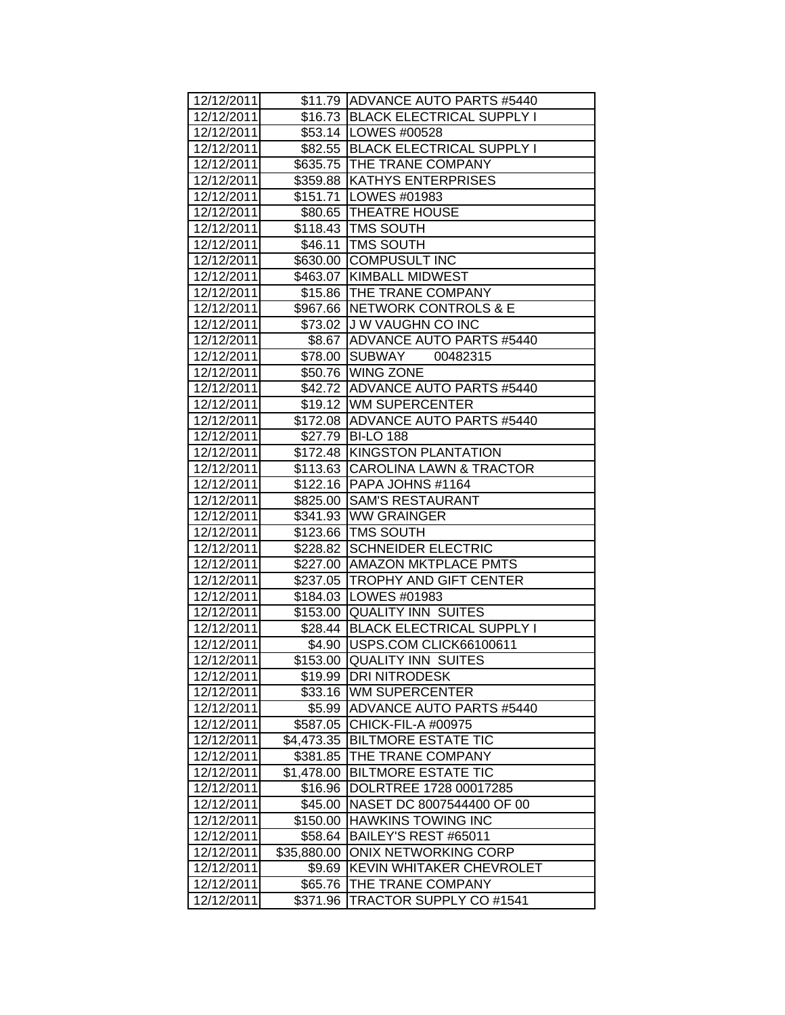| 12/12/2011 |             | \$11.79 ADVANCE AUTO PARTS #5440  |
|------------|-------------|-----------------------------------|
| 12/12/2011 |             | \$16.73 BLACK ELECTRICAL SUPPLY I |
| 12/12/2011 |             | \$53.14   LOWES #00528            |
| 12/12/2011 |             | \$82.55 BLACK ELECTRICAL SUPPLY I |
| 12/12/2011 |             | \$635.75 THE TRANE COMPANY        |
| 12/12/2011 |             | \$359.88 KATHYS ENTERPRISES       |
| 12/12/2011 |             | \$151.71   LOWES #01983           |
| 12/12/2011 |             | \$80.65   THEATRE HOUSE           |
| 12/12/2011 |             | \$118.43 TMS SOUTH                |
| 12/12/2011 |             | \$46.11   TMS SOUTH               |
| 12/12/2011 |             | \$630.00 COMPUSULT INC            |
| 12/12/2011 |             | \$463.07 KIMBALL MIDWEST          |
| 12/12/2011 |             | \$15.86   THE TRANE COMPANY       |
| 12/12/2011 |             | \$967.66 NETWORK CONTROLS & E     |
| 12/12/2011 |             | \$73.02 J W VAUGHN CO INC         |
| 12/12/2011 |             | \$8.67 ADVANCE AUTO PARTS #5440   |
| 12/12/2011 |             | \$78.00 SUBWAY<br>00482315        |
| 12/12/2011 |             | \$50.76 WING ZONE                 |
| 12/12/2011 |             | \$42.72 ADVANCE AUTO PARTS #5440  |
| 12/12/2011 |             | \$19.12 WM SUPERCENTER            |
| 12/12/2011 |             | \$172.08 ADVANCE AUTO PARTS #5440 |
| 12/12/2011 |             | \$27.79 BI-LO 188                 |
| 12/12/2011 |             | \$172.48 KINGSTON PLANTATION      |
| 12/12/2011 |             | \$113.63 CAROLINA LAWN & TRACTOR  |
| 12/12/2011 |             | \$122.16   PAPA JOHNS #1164       |
| 12/12/2011 |             | \$825.00 SAM'S RESTAURANT         |
| 12/12/2011 |             | \$341.93 WW GRAINGER              |
| 12/12/2011 |             | \$123.66 TMS SOUTH                |
| 12/12/2011 |             | \$228.82 SCHNEIDER ELECTRIC       |
| 12/12/2011 |             | \$227.00   AMAZON MKTPLACE PMTS   |
| 12/12/2011 |             | \$237.05 TROPHY AND GIFT CENTER   |
| 12/12/2011 |             | \$184.03   LOWES #01983           |
| 12/12/2011 |             | \$153.00 QUALITY INN SUITES       |
| 12/12/2011 |             | \$28.44 BLACK ELECTRICAL SUPPLY I |
| 12/12/2011 |             | \$4.90 USPS.COM CLICK66100611     |
| 12/12/2011 |             | \$153.00 QUALITY INN SUITES       |
| 12/12/2011 | \$19.99     | <b>DRI NITRODESK</b>              |
| 12/12/2011 | \$33.16     | <b>WM SUPERCENTER</b>             |
| 12/12/2011 | \$5.99      | <b>ADVANCE AUTO PARTS #5440</b>   |
| 12/12/2011 | \$587.05    | CHICK-FIL-A #00975                |
| 12/12/2011 | \$4,473.35  | <b>BILTMORE ESTATE TIC</b>        |
| 12/12/2011 | \$381.85    | THE TRANE COMPANY                 |
| 12/12/2011 | \$1,478.00  | <b>BILTMORE ESTATE TIC</b>        |
| 12/12/2011 | \$16.96     | DOLRTREE 1728 00017285            |
| 12/12/2011 | \$45.00     | NASET DC 8007544400 OF 00         |
| 12/12/2011 | \$150.00    | <b>HAWKINS TOWING INC</b>         |
| 12/12/2011 | \$58.64     | BAILEY'S REST #65011              |
| 12/12/2011 | \$35,880.00 | <b>ONIX NETWORKING CORP</b>       |
| 12/12/2011 | \$9.69      | KEVIN WHITAKER CHEVROLET          |
| 12/12/2011 | \$65.76     | THE TRANE COMPANY                 |
| 12/12/2011 | \$371.96    | <b>TRACTOR SUPPLY CO #1541</b>    |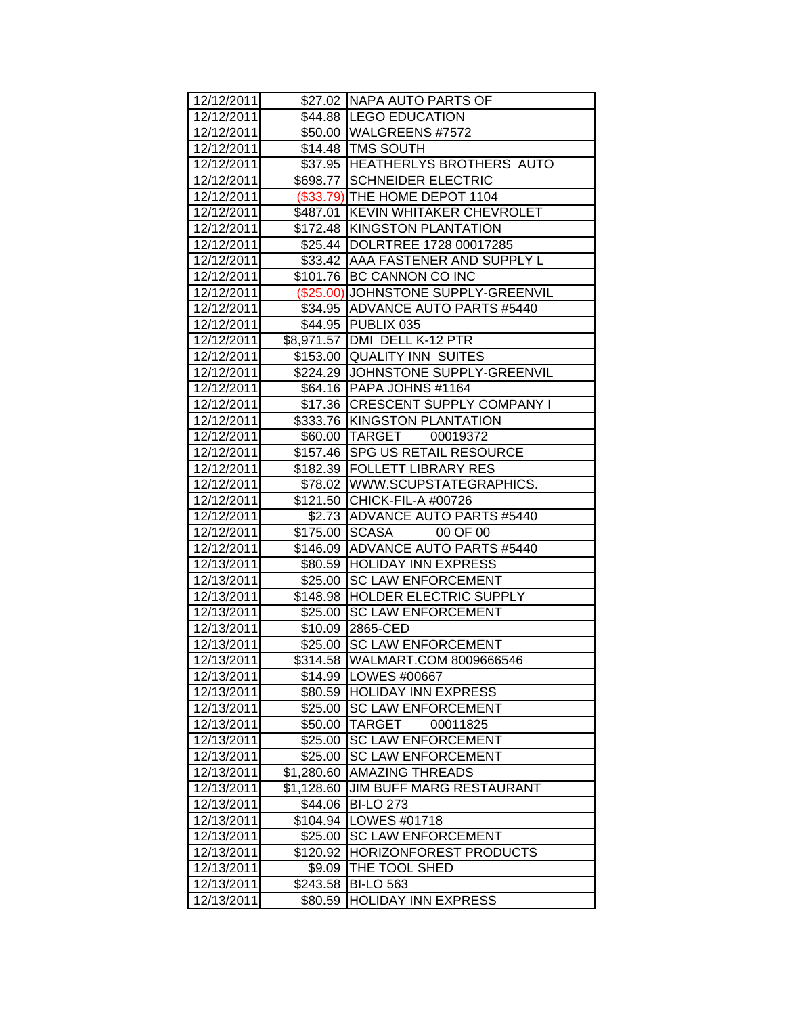| 12/12/2011 |            | \$27.02 NAPA AUTO PARTS OF          |
|------------|------------|-------------------------------------|
| 12/12/2011 |            | \$44.88 LEGO EDUCATION              |
| 12/12/2011 |            | \$50.00 WALGREENS #7572             |
| 12/12/2011 |            | \$14.48 TMS SOUTH                   |
| 12/12/2011 |            | \$37.95 HEATHERLYS BROTHERS AUTO    |
| 12/12/2011 |            | \$698.77 SCHNEIDER ELECTRIC         |
| 12/12/2011 |            | (\$33.79) THE HOME DEPOT 1104       |
| 12/12/2011 |            | \$487.01 KEVIN WHITAKER CHEVROLET   |
| 12/12/2011 |            | \$172.48 KINGSTON PLANTATION        |
| 12/12/2011 |            | \$25.44  DOLRTREE 1728 00017285     |
| 12/12/2011 |            | \$33.42   AAA FASTENER AND SUPPLY L |
| 12/12/2011 |            | \$101.76 BC CANNON CO INC           |
| 12/12/2011 |            | (\$25.00) JOHNSTONE SUPPLY-GREENVIL |
| 12/12/2011 |            | \$34.95 ADVANCE AUTO PARTS #5440    |
| 12/12/2011 |            | \$44.95 PUBLIX 035                  |
| 12/12/2011 |            | \$8,971.57 DMI DELL K-12 PTR        |
| 12/12/2011 |            | \$153.00 QUALITY INN SUITES         |
| 12/12/2011 |            | \$224.29 JOHNSTONE SUPPLY-GREENVIL  |
| 12/12/2011 |            | \$64.16 PAPA JOHNS #1164            |
| 12/12/2011 |            | \$17.36 CRESCENT SUPPLY COMPANY I   |
| 12/12/2011 |            | \$333.76 KINGSTON PLANTATION        |
| 12/12/2011 |            | \$60.00 TARGET 00019372             |
| 12/12/2011 | \$157.46   | <b>SPG US RETAIL RESOURCE</b>       |
| 12/12/2011 |            | \$182.39 FOLLETT LIBRARY RES        |
| 12/12/2011 |            | \$78.02   WWW.SCUPSTATEGRAPHICS.    |
| 12/12/2011 |            | \$121.50 CHICK-FIL-A #00726         |
| 12/12/2011 |            | \$2.73 ADVANCE AUTO PARTS #5440     |
| 12/12/2011 |            | \$175.00 SCASA<br>00 OF 00          |
| 12/12/2011 |            | \$146.09 ADVANCE AUTO PARTS #5440   |
| 12/13/2011 |            | \$80.59 HOLIDAY INN EXPRESS         |
| 12/13/2011 | \$25.00    | <b>SC LAW ENFORCEMENT</b>           |
| 12/13/2011 |            | \$148.98 HOLDER ELECTRIC SUPPLY     |
| 12/13/2011 | \$25.00    | <b>SC LAW ENFORCEMENT</b>           |
| 12/13/2011 | \$10.09    | 2865-CED                            |
| 12/13/2011 | \$25.00    | <b>SC LAW ENFORCEMENT</b>           |
| 12/13/2011 | \$314.58   | WALMART.COM 8009666546              |
| 12/13/2011 | \$14.99    | LOWES #00667                        |
| 12/13/2011 | \$80.59    | <b>HOLIDAY INN EXPRESS</b>          |
| 12/13/2011 | \$25.00    | <b>SC LAW ENFORCEMENT</b>           |
| 12/13/2011 | \$50.00    | <b>TARGET</b><br>00011825           |
| 12/13/2011 | \$25.00    | <b>SC LAW ENFORCEMENT</b>           |
| 12/13/2011 | \$25.00    | <b>SC LAW ENFORCEMENT</b>           |
| 12/13/2011 | \$1,280.60 | <b>AMAZING THREADS</b>              |
| 12/13/2011 | \$1,128.60 | <b>JIM BUFF MARG RESTAURANT</b>     |
| 12/13/2011 | \$44.06    | <b>BI-LO 273</b>                    |
| 12/13/2011 | \$104.94   | LOWES #01718                        |
| 12/13/2011 | \$25.00    | <b>SC LAW ENFORCEMENT</b>           |
| 12/13/2011 | \$120.92   | <b>HORIZONFOREST PRODUCTS</b>       |
| 12/13/2011 | \$9.09     | THE TOOL SHED                       |
| 12/13/2011 | \$243.58   | <b>BI-LO 563</b>                    |
| 12/13/2011 | \$80.59    | <b>HOLIDAY INN EXPRESS</b>          |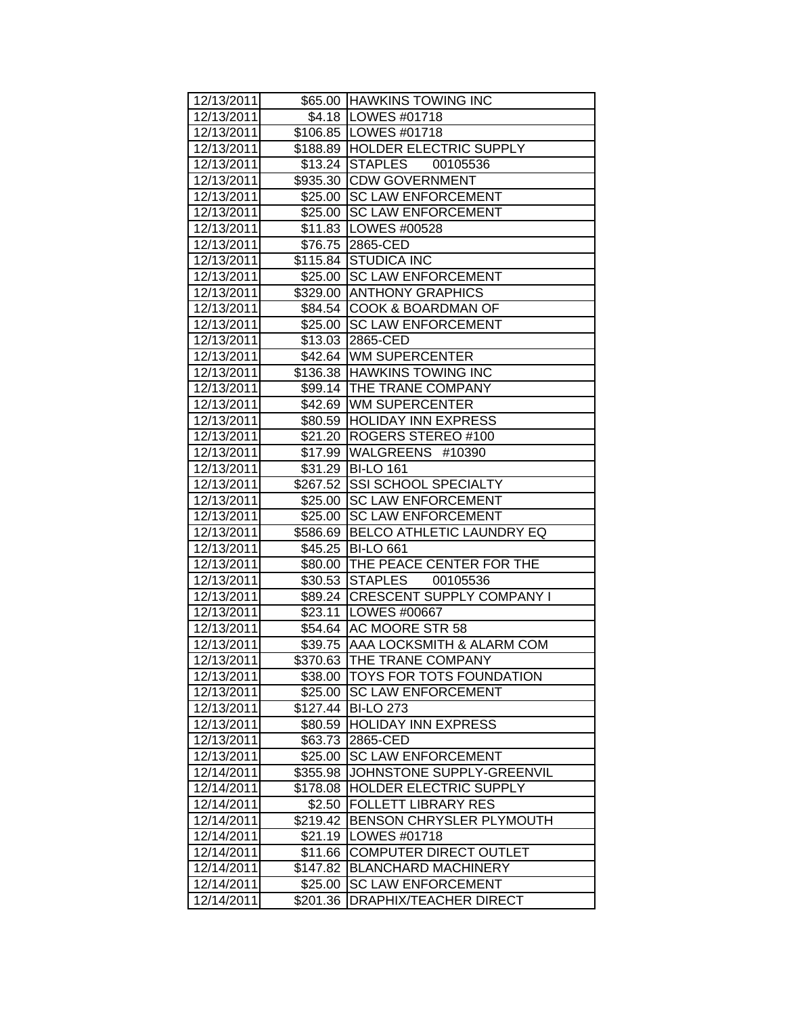| 12/13/2011               |          | \$65.00 HAWKINS TOWING INC           |
|--------------------------|----------|--------------------------------------|
| 12/13/2011               |          | \$4.18   LOWES #01718                |
| 12/13/2011               |          | \$106.85   LOWES #01718              |
| 12/13/2011               |          | \$188.89 HOLDER ELECTRIC SUPPLY      |
| 12/13/2011               |          | \$13.24 STAPLES 00105536             |
| 12/13/2011               |          | \$935.30 CDW GOVERNMENT              |
| 12/13/2011               |          | \$25.00 SC LAW ENFORCEMENT           |
| 12/13/2011               |          | \$25.00 SC LAW ENFORCEMENT           |
| 12/13/2011               |          | \$11.83   LOWES #00528               |
| 12/13/2011               |          | \$76.75 2865-CED                     |
| 12/13/2011               |          | \$115.84 STUDICA INC                 |
| 12/13/2011               |          | \$25.00 SC LAW ENFORCEMENT           |
| 12/13/2011               |          | \$329.00 ANTHONY GRAPHICS            |
| 12/13/2011               |          | \$84.54 COOK & BOARDMAN OF           |
| 12/13/2011               |          | \$25.00 SC LAW ENFORCEMENT           |
| 12/13/2011               |          | \$13.03 2865-CED                     |
| 12/13/2011               |          | \$42.64 WM SUPERCENTER               |
| 12/13/2011               |          | \$136.38 HAWKINS TOWING INC          |
| 12/13/2011               |          | \$99.14 THE TRANE COMPANY            |
| 12/13/2011               |          | \$42.69 WM SUPERCENTER               |
| 12/13/2011               |          | \$80.59 HOLIDAY INN EXPRESS          |
| 12/13/2011               |          | \$21.20   ROGERS STEREO #100         |
| 12/13/2011               |          | \$17.99 WALGREENS #10390             |
| 12/13/2011               |          | \$31.29 BI-LO 161                    |
| 12/13/2011               |          | \$267.52 SSI SCHOOL SPECIALTY        |
| 12/13/2011               |          | \$25.00 SC LAW ENFORCEMENT           |
| 12/13/2011               |          | \$25.00 SC LAW ENFORCEMENT           |
| 12/13/2011               |          | \$586.69   BELCO ATHLETIC LAUNDRY EQ |
| 12/13/2011               |          | \$45.25 BI-LO 661                    |
| 12/13/2011               |          | \$80.00 THE PEACE CENTER FOR THE     |
| 12/13/2011               |          | \$30.53 STAPLES 00105536             |
| 12/13/2011               |          | \$89.24 CRESCENT SUPPLY COMPANY I    |
| 12/13/2011               |          | \$23.11 LOWES #00667                 |
| 12/13/2011               |          | \$54.64 AC MOORE STR 58              |
| 12/13/2011               |          | \$39.75 AAA LOCKSMITH & ALARM COM    |
| 12/13/2011               |          | \$370.63 THE TRANE COMPANY           |
| 12/13/2011               |          | \$38.00 TOYS FOR TOTS FOUNDATION     |
| 12/13/2011               | \$25.00  | <b>SC LAW ENFORCEMENT</b>            |
| 12/13/2011               | \$127.44 | <b>BI-LO 273</b>                     |
| 12/13/2011               |          | \$80.59 HOLIDAY INN EXPRESS          |
| 12/13/2011               | \$63.73  | 2865-CED                             |
| 12/13/2011               | \$25.00  | <b>SC LAW ENFORCEMENT</b>            |
| 12/14/2011               | \$355.98 | JOHNSTONE SUPPLY-GREENVIL            |
| 12/14/2011               | \$178.08 | HOLDER ELECTRIC SUPPLY               |
| 12/14/2011               | \$2.50   | <b>FOLLETT LIBRARY RES</b>           |
| 12/14/2011               |          | \$219.42 BENSON CHRYSLER PLYMOUTH    |
|                          |          |                                      |
| 12/14/2011<br>12/14/2011 | \$21.19  | LOWES #01718                         |
|                          | \$11.66  | <b>COMPUTER DIRECT OUTLET</b>        |
| 12/14/2011               | \$147.82 | <b>BLANCHARD MACHINERY</b>           |
| 12/14/2011               | \$25.00  | <b>SC LAW ENFORCEMENT</b>            |
| 12/14/2011               | \$201.36 | DRAPHIX/TEACHER DIRECT               |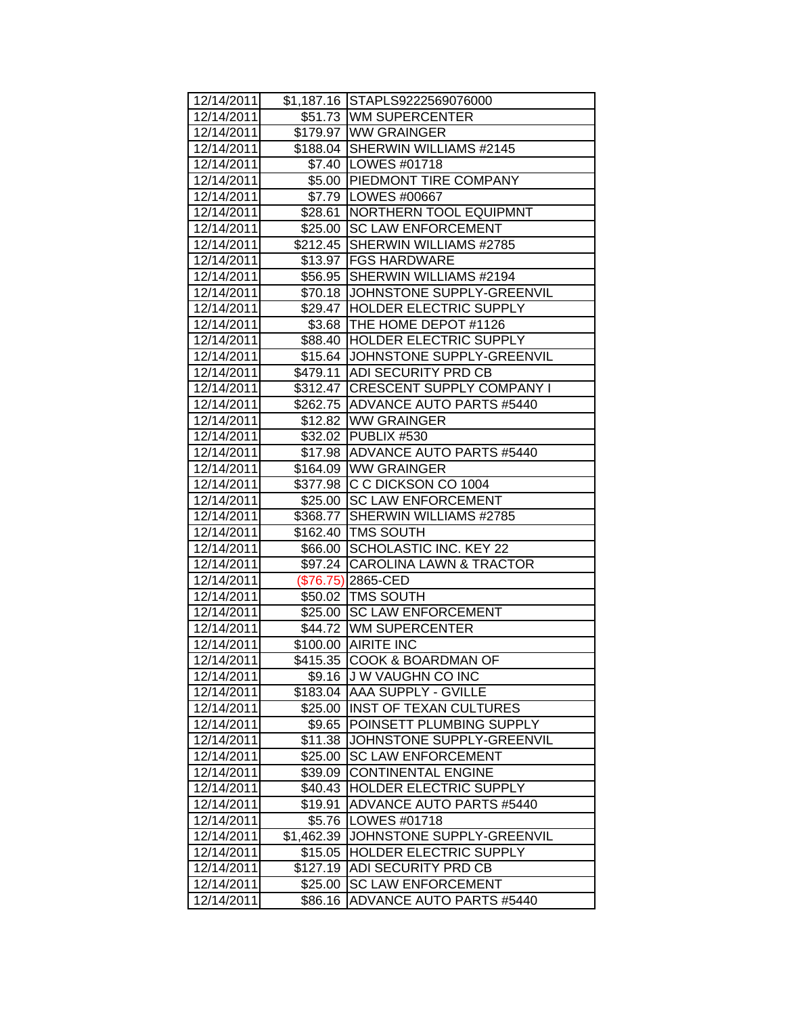| 12/14/2011 |            | \$1,187.16 STAPLS9222569076000     |
|------------|------------|------------------------------------|
| 12/14/2011 |            | \$51.73 WM SUPERCENTER             |
| 12/14/2011 |            | \$179.97 WW GRAINGER               |
| 12/14/2011 |            | \$188.04 SHERWIN WILLIAMS #2145    |
| 12/14/2011 |            | \$7.40   LOWES #01718              |
| 12/14/2011 |            | \$5.00 PIEDMONT TIRE COMPANY       |
| 12/14/2011 |            | \$7.79 LOWES #00667                |
| 12/14/2011 |            | \$28.61   NORTHERN TOOL EQUIPMNT   |
| 12/14/2011 |            | \$25.00 SC LAW ENFORCEMENT         |
| 12/14/2011 |            | \$212.45 SHERWIN WILLIAMS #2785    |
| 12/14/2011 |            | \$13.97   FGS HARDWARE             |
| 12/14/2011 |            | \$56.95 SHERWIN WILLIAMS #2194     |
| 12/14/2011 |            | \$70.18 JJOHNSTONE SUPPLY-GREENVIL |
| 12/14/2011 |            | \$29.47  HOLDER ELECTRIC SUPPLY    |
| 12/14/2011 |            | \$3.68   THE HOME DEPOT #1126      |
| 12/14/2011 |            | \$88.40  HOLDER ELECTRIC SUPPLY    |
| 12/14/2011 |            | \$15.64 JJOHNSTONE SUPPLY-GREENVIL |
| 12/14/2011 |            | \$479.11 ADI SECURITY PRD CB       |
| 12/14/2011 |            | \$312.47 CRESCENT SUPPLY COMPANY I |
| 12/14/2011 |            | \$262.75 ADVANCE AUTO PARTS #5440  |
| 12/14/2011 |            | \$12.82 WW GRAINGER                |
| 12/14/2011 |            | \$32.02 PUBLIX #530                |
| 12/14/2011 |            | \$17.98 ADVANCE AUTO PARTS #5440   |
| 12/14/2011 |            | \$164.09 WW GRAINGER               |
| 12/14/2011 |            | \$377.98 C C DICKSON CO 1004       |
| 12/14/2011 |            | \$25.00 ISC LAW ENFORCEMENT        |
| 12/14/2011 |            | \$368.77   SHERWIN WILLIAMS #2785  |
| 12/14/2011 |            | \$162.40   TMS SOUTH               |
| 12/14/2011 |            | \$66.00 SCHOLASTIC INC. KEY 22     |
| 12/14/2011 |            | \$97.24 CAROLINA LAWN & TRACTOR    |
| 12/14/2011 |            | $($76.75)$ 2865-CED                |
| 12/14/2011 |            | \$50.02 TMS SOUTH                  |
| 12/14/2011 |            | \$25.00 SC LAW ENFORCEMENT         |
| 12/14/2011 |            | \$44.72 WM SUPERCENTER             |
| 12/14/2011 |            | \$100.00 AIRITE INC                |
| 12/14/2011 |            | \$415.35 COOK & BOARDMAN OF        |
| 12/14/2011 |            | \$9.16 J W VAUGHN CO INC           |
| 12/14/2011 |            | \$183.04 AAA SUPPLY - GVILLE       |
| 12/14/2011 | \$25.00    | <b>INST OF TEXAN CULTURES</b>      |
| 12/14/2011 | \$9.65     | POINSETT PLUMBING SUPPLY           |
| 12/14/2011 | \$11.38    | JOHNSTONE SUPPLY-GREENVIL          |
| 12/14/2011 | \$25.00    | <b>SC LAW ENFORCEMENT</b>          |
| 12/14/2011 | \$39.09    | <b>CONTINENTAL ENGINE</b>          |
| 12/14/2011 | \$40.43    | HOLDER ELECTRIC SUPPLY             |
| 12/14/2011 | \$19.91    | <b>ADVANCE AUTO PARTS #5440</b>    |
| 12/14/2011 | \$5.76     | LOWES #01718                       |
| 12/14/2011 | \$1,462.39 | JOHNSTONE SUPPLY-GREENVIL          |
| 12/14/2011 | \$15.05    | <b>HOLDER ELECTRIC SUPPLY</b>      |
| 12/14/2011 | \$127.19   | ADI SECURITY PRD CB                |
| 12/14/2011 | \$25.00    | <b>SC LAW ENFORCEMENT</b>          |
| 12/14/2011 | \$86.16    | <b>ADVANCE AUTO PARTS #5440</b>    |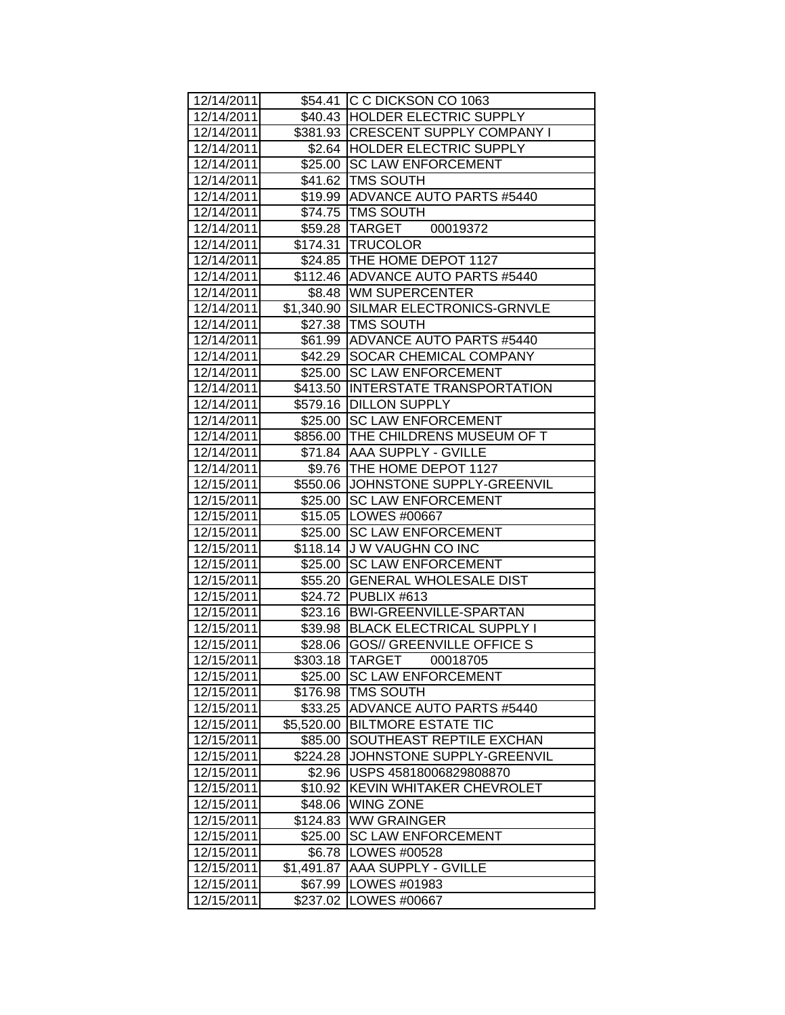| 12/14/2011 |            | \$54.41 C C DICKSON CO 1063          |
|------------|------------|--------------------------------------|
| 12/14/2011 |            | \$40.43 HOLDER ELECTRIC SUPPLY       |
| 12/14/2011 |            | \$381.93 CRESCENT SUPPLY COMPANY I   |
| 12/14/2011 |            | \$2.64 HOLDER ELECTRIC SUPPLY        |
| 12/14/2011 |            | \$25.00 SC LAW ENFORCEMENT           |
| 12/14/2011 |            | \$41.62 TMS SOUTH                    |
| 12/14/2011 |            | \$19.99 ADVANCE AUTO PARTS #5440     |
| 12/14/2011 |            | \$74.75   TMS SOUTH                  |
| 12/14/2011 |            | \$59.28 TARGET 00019372              |
| 12/14/2011 |            | \$174.31   TRUCOLOR                  |
| 12/14/2011 |            | \$24.85 THE HOME DEPOT 1127          |
| 12/14/2011 |            | \$112.46 ADVANCE AUTO PARTS #5440    |
| 12/14/2011 |            | \$8.48 WM SUPERCENTER                |
| 12/14/2011 |            | \$1,340.90 SILMAR ELECTRONICS-GRNVLE |
| 12/14/2011 |            | \$27.38   TMS SOUTH                  |
| 12/14/2011 |            | \$61.99 ADVANCE AUTO PARTS #5440     |
| 12/14/2011 |            | \$42.29 SOCAR CHEMICAL COMPANY       |
| 12/14/2011 |            | \$25.00 SC LAW ENFORCEMENT           |
| 12/14/2011 |            | \$413.50 INTERSTATE TRANSPORTATION   |
| 12/14/2011 |            | \$579.16 DILLON SUPPLY               |
| 12/14/2011 |            | \$25.00 SC LAW ENFORCEMENT           |
| 12/14/2011 |            | \$856.00 THE CHILDRENS MUSEUM OF T   |
| 12/14/2011 |            | \$71.84 AAA SUPPLY - GVILLE          |
| 12/14/2011 |            | \$9.76   THE HOME DEPOT 1127         |
| 12/15/2011 |            | \$550.06 JOHNSTONE SUPPLY-GREENVIL   |
| 12/15/2011 |            | \$25.00 SC LAW ENFORCEMENT           |
| 12/15/2011 |            | \$15.05   LOWES #00667               |
| 12/15/2011 |            | \$25.00 SC LAW ENFORCEMENT           |
| 12/15/2011 |            | \$118.14 J W VAUGHN CO INC           |
| 12/15/2011 |            | \$25.00 SC LAW ENFORCEMENT           |
| 12/15/2011 |            | \$55.20 GENERAL WHOLESALE DIST       |
| 12/15/2011 |            | \$24.72 PUBLIX #613                  |
| 12/15/2011 |            | \$23.16   BWI-GREENVILLE-SPARTAN     |
| 12/15/2011 |            | \$39.98 BLACK ELECTRICAL SUPPLY I    |
| 12/15/2011 |            | \$28.06 GOS// GREENVILLE OFFICE S    |
| 12/15/2011 |            | \$303.18 TARGET<br>00018705          |
| 12/15/2011 | \$25.00    | <b>SC LAW ENFORCEMENT</b>            |
| 12/15/2011 | \$176.98   | <b>TMS SOUTH</b>                     |
| 12/15/2011 | \$33.25    | <b>ADVANCE AUTO PARTS #5440</b>      |
| 12/15/2011 | \$5,520.00 | <b>BILTMORE ESTATE TIC</b>           |
| 12/15/2011 | \$85.00    | SOUTHEAST REPTILE EXCHAN             |
| 12/15/2011 | \$224.28   | JOHNSTONE SUPPLY-GREENVIL            |
| 12/15/2011 | \$2.96     | USPS 45818006829808870               |
| 12/15/2011 | \$10.92    | KEVIN WHITAKER CHEVROLET             |
| 12/15/2011 | \$48.06    | <b>WING ZONE</b>                     |
| 12/15/2011 | \$124.83   | <b>WW GRAINGER</b>                   |
| 12/15/2011 | \$25.00    | <b>SC LAW ENFORCEMENT</b>            |
| 12/15/2011 | \$6.78     | LOWES #00528                         |
| 12/15/2011 | \$1,491.87 | AAA SUPPLY - GVILLE                  |
| 12/15/2011 | \$67.99    | LOWES #01983                         |
| 12/15/2011 | \$237.02   | LOWES #00667                         |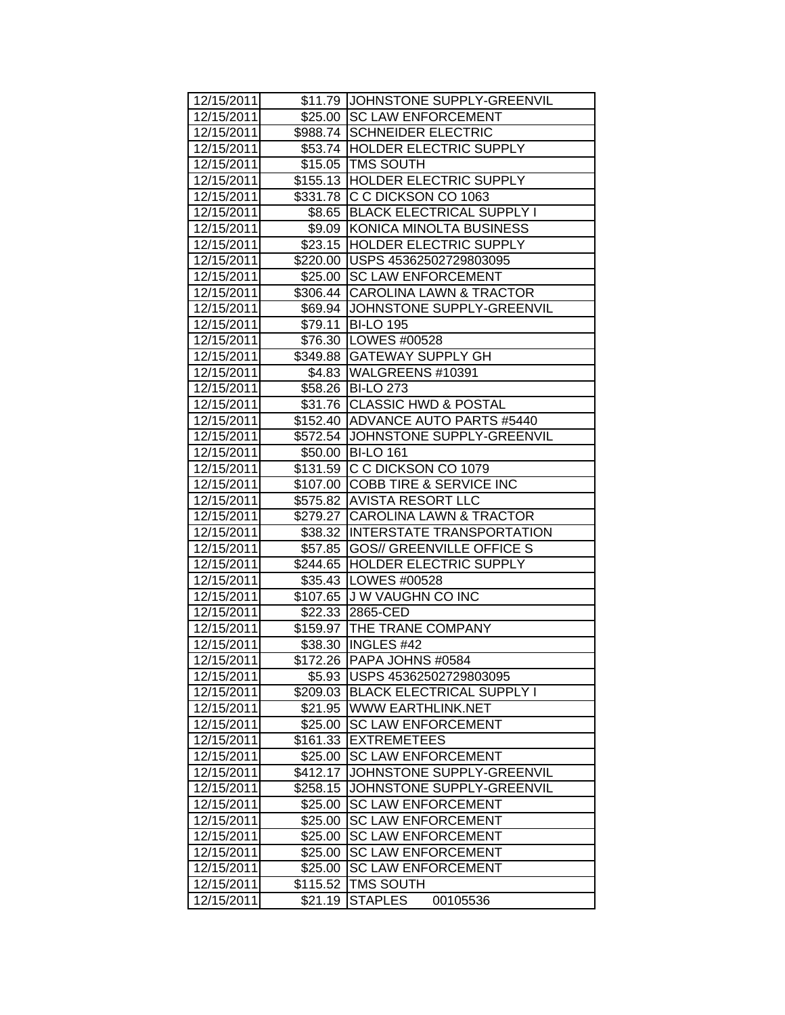| 12/15/2011 |          | \$11.79 JOHNSTONE SUPPLY-GREENVIL  |
|------------|----------|------------------------------------|
| 12/15/2011 |          | \$25.00 SC LAW ENFORCEMENT         |
| 12/15/2011 |          | \$988.74 SCHNEIDER ELECTRIC        |
| 12/15/2011 |          | \$53.74 HOLDER ELECTRIC SUPPLY     |
| 12/15/2011 |          | \$15.05 TMS SOUTH                  |
| 12/15/2011 |          | \$155.13 HOLDER ELECTRIC SUPPLY    |
| 12/15/2011 | \$331.78 | C C DICKSON CO 1063                |
| 12/15/2011 |          | \$8.65 BLACK ELECTRICAL SUPPLY I   |
| 12/15/2011 | \$9.09   | KONICA MINOLTA BUSINESS            |
| 12/15/2011 | \$23.15  | HOLDER ELECTRIC SUPPLY             |
| 12/15/2011 | \$220.00 | USPS 45362502729803095             |
| 12/15/2011 | \$25.00  | <b>SC LAW ENFORCEMENT</b>          |
| 12/15/2011 | \$306.44 | CAROLINA LAWN & TRACTOR            |
| 12/15/2011 | \$69.94  | JOHNSTONE SUPPLY-GREENVIL          |
| 12/15/2011 | \$79.11  | <b>BI-LO 195</b>                   |
| 12/15/2011 |          | \$76.30 LOWES #00528               |
| 12/15/2011 | \$349.88 | <b>GATEWAY SUPPLY GH</b>           |
| 12/15/2011 | \$4.83   | WALGREENS #10391                   |
| 12/15/2011 | \$58.26  | <b>BI-LO 273</b>                   |
| 12/15/2011 | \$31.76  | <b>CLASSIC HWD &amp; POSTAL</b>    |
| 12/15/2011 |          | \$152.40 ADVANCE AUTO PARTS #5440  |
| 12/15/2011 | \$572.54 | JOHNSTONE SUPPLY-GREENVIL          |
| 12/15/2011 | \$50.00  | <b>BI-LO 161</b>                   |
| 12/15/2011 | \$131.59 | C C DICKSON CO 1079                |
| 12/15/2011 | \$107.00 | <b>COBB TIRE &amp; SERVICE INC</b> |
| 12/15/2011 |          | \$575.82 AVISTA RESORT LLC         |
| 12/15/2011 | \$279.27 | <b>CAROLINA LAWN &amp; TRACTOR</b> |
| 12/15/2011 |          | \$38.32 INTERSTATE TRANSPORTATION  |
| 12/15/2011 | \$57.85  | <b>GOS// GREENVILLE OFFICE S</b>   |
| 12/15/2011 |          | \$244.65 HOLDER ELECTRIC SUPPLY    |
| 12/15/2011 |          | \$35.43   LOWES #00528             |
| 12/15/2011 |          | \$107.65 J W VAUGHN CO INC         |
| 12/15/2011 | \$22.33  | 2865-CED                           |
| 12/15/2011 |          | \$159.97 THE TRANE COMPANY         |
| 12/15/2011 |          | \$38.30   INGLES #42               |
| 12/15/2011 |          | \$172.26 PAPA JOHNS #0584          |
| 12/15/2011 | \$5.93   | USPS 45362502729803095             |
| 12/15/2011 | \$209.03 | <b>BLACK ELECTRICAL SUPPLY I</b>   |
| 12/15/2011 | \$21.95  | WWW EARTHLINK.NET                  |
| 12/15/2011 | \$25.00  | <b>SC LAW ENFORCEMENT</b>          |
| 12/15/2011 | \$161.33 | <b>EXTREMETEES</b>                 |
| 12/15/2011 | \$25.00  | <b>SC LAW ENFORCEMENT</b>          |
| 12/15/2011 | \$412.17 | JOHNSTONE SUPPLY-GREENVIL          |
| 12/15/2011 | \$258.15 | JOHNSTONE SUPPLY-GREENVIL          |
| 12/15/2011 | \$25.00  | <b>SC LAW ENFORCEMENT</b>          |
| 12/15/2011 | \$25.00  | <b>SC LAW ENFORCEMENT</b>          |
| 12/15/2011 | \$25.00  | <b>SC LAW ENFORCEMENT</b>          |
| 12/15/2011 | \$25.00  | <b>SC LAW ENFORCEMENT</b>          |
| 12/15/2011 | \$25.00  | <b>SC LAW ENFORCEMENT</b>          |
| 12/15/2011 | \$115.52 | <b>TMS SOUTH</b>                   |
| 12/15/2011 | \$21.19  | <b>STAPLES</b><br>00105536         |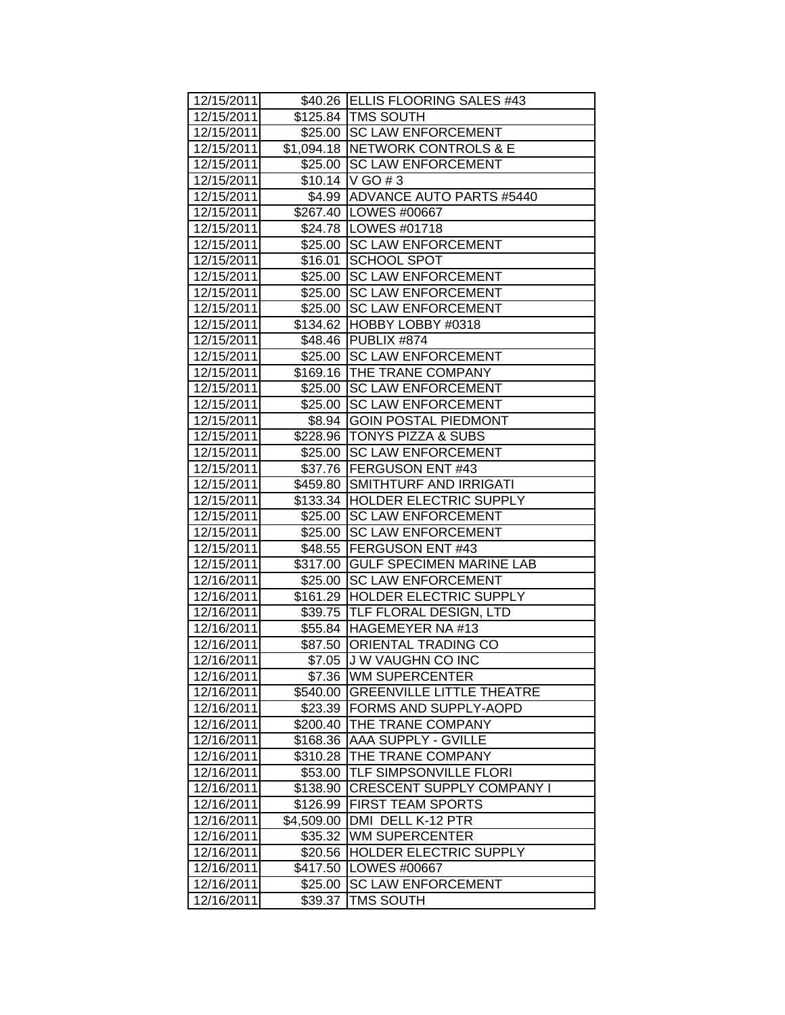| 12/15/2011 |            | \$40.26 ELLIS FLOORING SALES #43  |
|------------|------------|-----------------------------------|
| 12/15/2011 |            | \$125.84   TMS SOUTH              |
| 12/15/2011 |            | \$25.00 SC LAW ENFORCEMENT        |
| 12/15/2011 |            | \$1,094.18 NETWORK CONTROLS & E   |
| 12/15/2011 |            | \$25.00 SC LAW ENFORCEMENT        |
| 12/15/2011 |            | $$10.14$ V GO # 3                 |
| 12/15/2011 |            | \$4.99 ADVANCE AUTO PARTS #5440   |
| 12/15/2011 |            | \$267.40   LOWES #00667           |
| 12/15/2011 |            | \$24.78   LOWES #01718            |
| 12/15/2011 |            | \$25.00 SC LAW ENFORCEMENT        |
| 12/15/2011 | \$16.01    | <b>SCHOOL SPOT</b>                |
| 12/15/2011 | \$25.00    | <b>SC LAW ENFORCEMENT</b>         |
| 12/15/2011 | \$25.00    | <b>SC LAW ENFORCEMENT</b>         |
| 12/15/2011 | \$25.00    | <b>SC LAW ENFORCEMENT</b>         |
| 12/15/2011 |            | \$134.62 HOBBY LOBBY #0318        |
| 12/15/2011 |            | \$48.46 PUBLIX #874               |
| 12/15/2011 | \$25.00    | <b>SC LAW ENFORCEMENT</b>         |
| 12/15/2011 | \$169.16   | THE TRANE COMPANY                 |
| 12/15/2011 | \$25.00    | <b>SC LAW ENFORCEMENT</b>         |
| 12/15/2011 | \$25.00    | <b>SC LAW ENFORCEMENT</b>         |
| 12/15/2011 | \$8.94     | <b>GOIN POSTAL PIEDMONT</b>       |
| 12/15/2011 |            | \$228.96   TONYS PIZZA & SUBS     |
| 12/15/2011 | \$25.00    | <b>SC LAW ENFORCEMENT</b>         |
| 12/15/2011 |            | \$37.76   FERGUSON ENT #43        |
| 12/15/2011 | \$459.80   | SMITHTURF AND IRRIGATI            |
| 12/15/2011 |            | \$133.34   HOLDER ELECTRIC SUPPLY |
| 12/15/2011 |            | \$25.00 SC LAW ENFORCEMENT        |
| 12/15/2011 |            | \$25.00 SC LAW ENFORCEMENT        |
| 12/15/2011 |            | \$48.55 FERGUSON ENT #43          |
| 12/15/2011 | \$317.00   | <b>GULF SPECIMEN MARINE LAB</b>   |
| 12/16/2011 |            | \$25.00 SC LAW ENFORCEMENT        |
| 12/16/2011 |            | \$161.29 HOLDER ELECTRIC SUPPLY   |
| 12/16/2011 |            | \$39.75  TLF FLORAL DESIGN, LTD   |
| 12/16/2011 |            | \$55.84 HAGEMEYER NA #13          |
| 12/16/2011 |            | \$87.50 ORIENTAL TRADING CO       |
| 12/16/2011 |            | \$7.05 J W VAUGHN CO INC          |
| 12/16/2011 | \$7.36     | <b>WM SUPERCENTER</b>             |
| 12/16/2011 | \$540.00   | <b>GREENVILLE LITTLE THEATRE</b>  |
| 12/16/2011 | \$23.39    | FORMS AND SUPPLY-AOPD             |
| 12/16/2011 | \$200.40   | THE TRANE COMPANY                 |
| 12/16/2011 | \$168.36   | AAA SUPPLY - GVILLE               |
| 12/16/2011 | \$310.28   | THE TRANE COMPANY                 |
| 12/16/2011 | \$53.00    | TLF SIMPSONVILLE FLORI            |
| 12/16/2011 | \$138.90   | <b>CRESCENT SUPPLY COMPANY I</b>  |
| 12/16/2011 | \$126.99   | FIRST TEAM SPORTS                 |
| 12/16/2011 | \$4,509.00 | DMI DELL K-12 PTR                 |
| 12/16/2011 | \$35.32    | <b>WM SUPERCENTER</b>             |
| 12/16/2011 | \$20.56    | HOLDER ELECTRIC SUPPLY            |
| 12/16/2011 | \$417.50   | LOWES #00667                      |
| 12/16/2011 | \$25.00    | <b>SC LAW ENFORCEMENT</b>         |
| 12/16/2011 | \$39.37    | <b>TMS SOUTH</b>                  |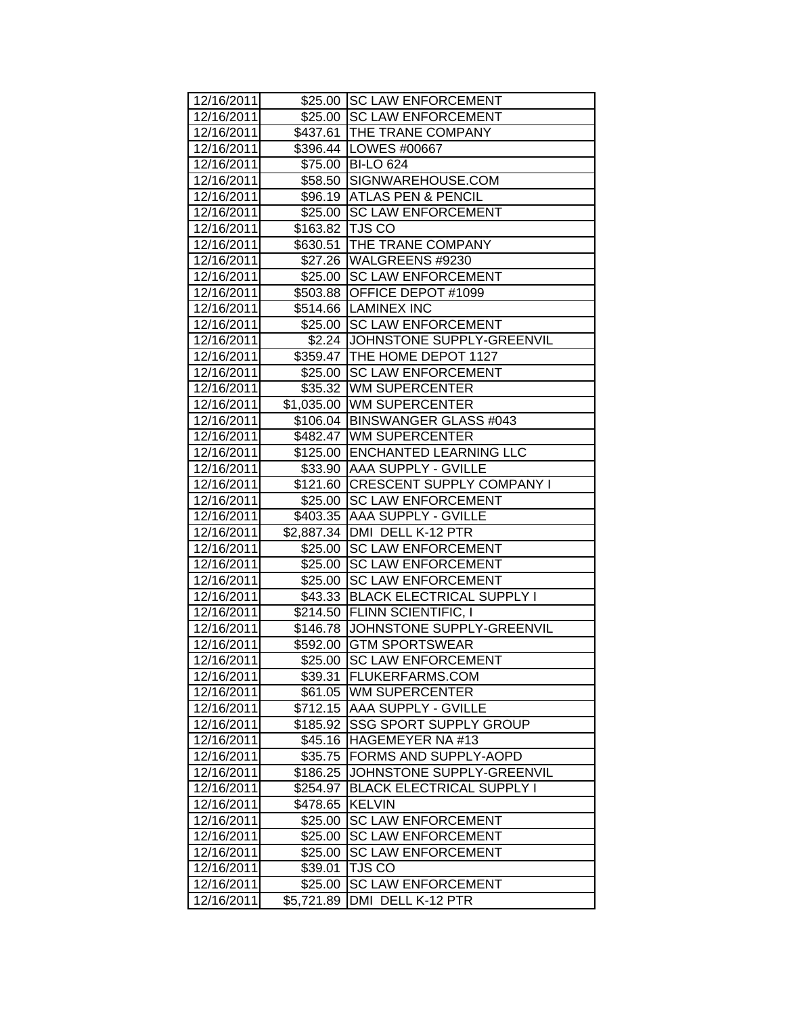| 12/16/2011 |            | \$25.00 SC LAW ENFORCEMENT         |
|------------|------------|------------------------------------|
| 12/16/2011 |            | \$25.00 SC LAW ENFORCEMENT         |
| 12/16/2011 |            | \$437.61   THE TRANE COMPANY       |
| 12/16/2011 |            | \$396.44 LOWES #00667              |
| 12/16/2011 |            | \$75.00 BI-LO 624                  |
| 12/16/2011 | \$58.50    | SIGNWAREHOUSE.COM                  |
| 12/16/2011 |            | \$96.19 ATLAS PEN & PENCIL         |
| 12/16/2011 | \$25.00    | <b>SC LAW ENFORCEMENT</b>          |
| 12/16/2011 | \$163.82   | <b>TJS CO</b>                      |
| 12/16/2011 | \$630.51   | THE TRANE COMPANY                  |
| 12/16/2011 |            | \$27.26 WALGREENS #9230            |
| 12/16/2011 | \$25.00    | <b>SC LAW ENFORCEMENT</b>          |
| 12/16/2011 | \$503.88   | OFFICE DEPOT #1099                 |
| 12/16/2011 |            | \$514.66 LAMINEX INC               |
| 12/16/2011 |            | \$25.00 SC LAW ENFORCEMENT         |
| 12/16/2011 | \$2.24     | JOHNSTONE SUPPLY-GREENVIL          |
| 12/16/2011 | \$359.47   | THE HOME DEPOT 1127                |
| 12/16/2011 | \$25.00    | <b>SC LAW ENFORCEMENT</b>          |
| 12/16/2011 | \$35.32    | <b>WM SUPERCENTER</b>              |
| 12/16/2011 | \$1,035.00 | <b>WM SUPERCENTER</b>              |
| 12/16/2011 |            | \$106.04   BINSWANGER GLASS #043   |
| 12/16/2011 |            | \$482.47 WM SUPERCENTER            |
| 12/16/2011 |            | \$125.00 ENCHANTED LEARNING LLC    |
| 12/16/2011 |            | \$33.90 AAA SUPPLY - GVILLE        |
| 12/16/2011 |            | \$121.60 CRESCENT SUPPLY COMPANY I |
| 12/16/2011 |            | \$25.00 SC LAW ENFORCEMENT         |
| 12/16/2011 |            | \$403.35   AAA SUPPLY - GVILLE     |
| 12/16/2011 |            | \$2,887.34   DMI DELL K-12 PTR     |
| 12/16/2011 |            | \$25.00 SC LAW ENFORCEMENT         |
| 12/16/2011 | \$25.00    | <b>SC LAW ENFORCEMENT</b>          |
| 12/16/2011 | \$25.00    | <b>SC LAW ENFORCEMENT</b>          |
| 12/16/2011 | \$43.33    | <b>BLACK ELECTRICAL SUPPLY I</b>   |
| 12/16/2011 |            | \$214.50 FLINN SCIENTIFIC, I       |
| 12/16/2011 |            | \$146.78 JOHNSTONE SUPPLY-GREENVIL |
| 12/16/2011 | \$592.00   | <b>GTM SPORTSWEAR</b>              |
| 12/16/2011 | \$25.00    | <b>SC LAW ENFORCEMENT</b>          |
| 12/16/2011 |            | \$39.31 FLUKERFARMS.COM            |
| 12/16/2011 | \$61.05    | WM SUPERCENTER                     |
| 12/16/2011 | \$712.15   | AAA SUPPLY - GVILLE                |
| 12/16/2011 | \$185.92   | <b>SSG SPORT SUPPLY GROUP</b>      |
| 12/16/2011 | \$45.16    | HAGEMEYER NA #13                   |
| 12/16/2011 | \$35.75    | FORMS AND SUPPLY-AOPD              |
| 12/16/2011 | \$186.25   | JOHNSTONE SUPPLY-GREENVIL          |
| 12/16/2011 | \$254.97   | <b>BLACK ELECTRICAL SUPPLY I</b>   |
| 12/16/2011 | \$478.65   | <b>KELVIN</b>                      |
| 12/16/2011 | \$25.00    | <b>SC LAW ENFORCEMENT</b>          |
| 12/16/2011 | \$25.00    | <b>SC LAW ENFORCEMENT</b>          |
| 12/16/2011 | \$25.00    | <b>SC LAW ENFORCEMENT</b>          |
| 12/16/2011 | \$39.01    | <b>TJS CO</b>                      |
| 12/16/2011 | \$25.00    | <b>SC LAW ENFORCEMENT</b>          |
| 12/16/2011 | \$5,721.89 | DMI DELL K-12 PTR                  |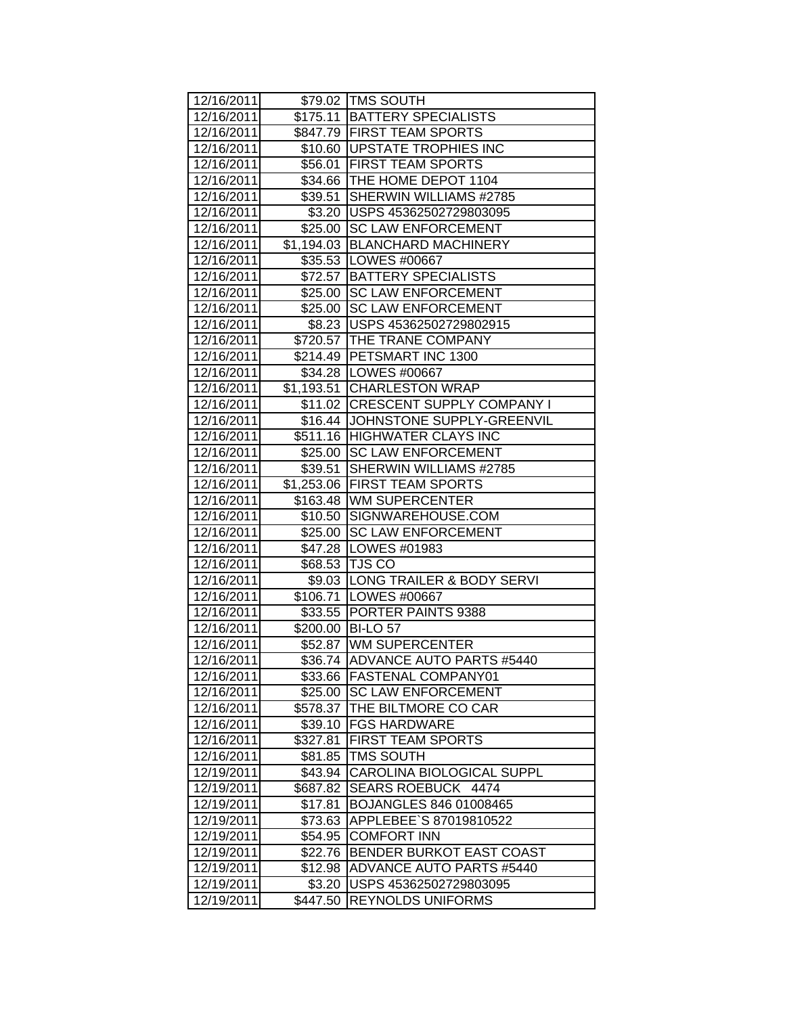| 12/16/2011 |          | \$79.02 TMS SOUTH                  |
|------------|----------|------------------------------------|
| 12/16/2011 |          | \$175.11   BATTERY SPECIALISTS     |
| 12/16/2011 |          | \$847.79 FIRST TEAM SPORTS         |
| 12/16/2011 |          | \$10.60 UPSTATE TROPHIES INC       |
| 12/16/2011 |          | \$56.01 FIRST TEAM SPORTS          |
| 12/16/2011 |          | \$34.66 THE HOME DEPOT 1104        |
| 12/16/2011 | \$39.51  | SHERWIN WILLIAMS #2785             |
| 12/16/2011 |          | \$3.20 USPS 45362502729803095      |
| 12/16/2011 |          | \$25.00 SC LAW ENFORCEMENT         |
| 12/16/2011 |          | \$1,194.03 BLANCHARD MACHINERY     |
| 12/16/2011 |          | \$35.53   LOWES #00667             |
| 12/16/2011 |          | \$72.57   BATTERY SPECIALISTS      |
| 12/16/2011 |          | \$25.00 SC LAW ENFORCEMENT         |
| 12/16/2011 |          | \$25.00 SC LAW ENFORCEMENT         |
| 12/16/2011 |          | \$8.23 USPS 45362502729802915      |
| 12/16/2011 |          | \$720.57 THE TRANE COMPANY         |
| 12/16/2011 |          | \$214.49 PETSMART INC 1300         |
| 12/16/2011 |          | \$34.28 LOWES #00667               |
| 12/16/2011 |          | \$1,193.51 CHARLESTON WRAP         |
| 12/16/2011 |          | \$11.02 CRESCENT SUPPLY COMPANY I  |
| 12/16/2011 |          | \$16.44 JJOHNSTONE SUPPLY-GREENVIL |
| 12/16/2011 |          | \$511.16 HIGHWATER CLAYS INC       |
| 12/16/2011 | \$25.00  | <b>SC LAW ENFORCEMENT</b>          |
| 12/16/2011 | \$39.51  | SHERWIN WILLIAMS #2785             |
| 12/16/2011 |          | \$1,253.06 FIRST TEAM SPORTS       |
| 12/16/2011 |          | \$163.48 WM SUPERCENTER            |
| 12/16/2011 |          | \$10.50 SIGNWAREHOUSE.COM          |
| 12/16/2011 |          | \$25.00 SC LAW ENFORCEMENT         |
| 12/16/2011 |          | \$47.28 LOWES #01983               |
| 12/16/2011 |          | \$68.53 TJS CO                     |
| 12/16/2011 |          | \$9.03 LONG TRAILER & BODY SERVI   |
| 12/16/2011 |          | \$106.71   LOWES #00667            |
| 12/16/2011 |          | \$33.55 PORTER PAINTS 9388         |
| 12/16/2011 |          | \$200.00 BI-LO 57                  |
| 12/16/2011 |          | \$52.87 WM SUPERCENTER             |
| 12/16/2011 |          | \$36.74 ADVANCE AUTO PARTS #5440   |
| 12/16/2011 |          | \$33.66 FASTENAL COMPANY01         |
| 12/16/2011 | \$25.00  | <b>SC LAW ENFORCEMENT</b>          |
| 12/16/2011 | \$578.37 | THE BILTMORE CO CAR                |
| 12/16/2011 |          | \$39.10 FGS HARDWARE               |
| 12/16/2011 | \$327.81 | <b>FIRST TEAM SPORTS</b>           |
| 12/16/2011 | \$81.85  | <b>TMS SOUTH</b>                   |
| 12/19/2011 | \$43.94  | <b>CAROLINA BIOLOGICAL SUPPL</b>   |
| 12/19/2011 | \$687.82 | SEARS ROEBUCK 4474                 |
| 12/19/2011 | \$17.81  | BOJANGLES 846 01008465             |
| 12/19/2011 | \$73.63  | APPLEBEE`S 87019810522             |
| 12/19/2011 | \$54.95  | <b>COMFORT INN</b>                 |
| 12/19/2011 | \$22.76  | <b>BENDER BURKOT EAST COAST</b>    |
| 12/19/2011 | \$12.98  | ADVANCE AUTO PARTS #5440           |
| 12/19/2011 | \$3.20   | USPS 45362502729803095             |
| 12/19/2011 | \$447.50 | <b>REYNOLDS UNIFORMS</b>           |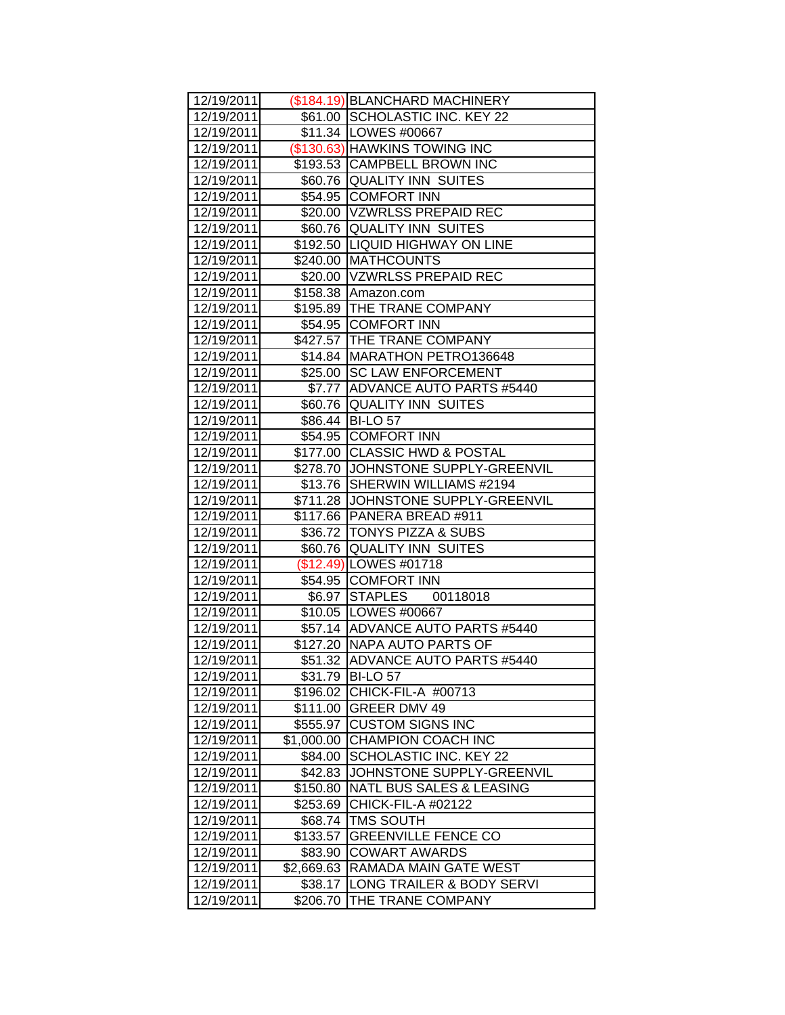| 12/19/2011               |            | (\$184.19) BLANCHARD MACHINERY                        |
|--------------------------|------------|-------------------------------------------------------|
| 12/19/2011               |            | \$61.00 SCHOLASTIC INC. KEY 22                        |
| 12/19/2011               |            | \$11.34   LOWES #00667                                |
| 12/19/2011               |            | (\$130.63) HAWKINS TOWING INC                         |
| 12/19/2011               |            | \$193.53 CAMPBELL BROWN INC                           |
| 12/19/2011               |            | \$60.76 QUALITY INN SUITES                            |
| 12/19/2011               |            | \$54.95 COMFORT INN                                   |
| 12/19/2011               |            | \$20.00 VZWRLSS PREPAID REC                           |
| 12/19/2011               |            | \$60.76 QUALITY INN SUITES                            |
| 12/19/2011               |            | \$192.50 LIQUID HIGHWAY ON LINE                       |
| 12/19/2011               |            | \$240.00 MATHCOUNTS                                   |
| 12/19/2011               |            | \$20.00 VZWRLSS PREPAID REC                           |
| 12/19/2011               |            | \$158.38 Amazon.com                                   |
| 12/19/2011               |            | \$195.89 THE TRANE COMPANY                            |
| 12/19/2011               |            | \$54.95 COMFORT INN                                   |
| 12/19/2011               |            | \$427.57 THE TRANE COMPANY                            |
| 12/19/2011               |            | \$14.84 MARATHON PETRO136648                          |
| 12/19/2011               |            | \$25.00 SC LAW ENFORCEMENT                            |
| 12/19/2011               |            | \$7.77 ADVANCE AUTO PARTS #5440                       |
| 12/19/2011               |            | \$60.76 QUALITY INN SUITES                            |
| 12/19/2011               |            | \$86.44 BI-LO 57                                      |
| 12/19/2011               |            | \$54.95 COMFORT INN                                   |
| 12/19/2011               |            | \$177.00 CLASSIC HWD & POSTAL                         |
| 12/19/2011               |            | \$278.70 JJOHNSTONE SUPPLY-GREENVIL                   |
| 12/19/2011               |            | \$13.76   SHERWIN WILLIAMS #2194                      |
| 12/19/2011               |            | \$711.28 JJOHNSTONE SUPPLY-GREENVIL                   |
| 12/19/2011               |            | \$117.66 PANERA BREAD #911                            |
| 12/19/2011               |            | \$36.72   TONYS PIZZA & SUBS                          |
| 12/19/2011               |            | \$60.76 QUALITY INN SUITES<br>$($12.49)$ LOWES #01718 |
| 12/19/2011<br>12/19/2011 |            | \$54.95 COMFORT INN                                   |
| 12/19/2011               |            | \$6.97 STAPLES 00118018                               |
| 12/19/2011               |            | \$10.05 LOWES #00667                                  |
| 12/19/2011               |            | \$57.14 ADVANCE AUTO PARTS #5440                      |
| 12/19/2011               |            | \$127.20 NAPA AUTO PARTS OF                           |
| 12/19/2011               |            | \$51.32 ADVANCE AUTO PARTS #5440                      |
| 12/19/2011               |            | \$31.79 BI-LO 57                                      |
| 12/19/2011               | \$196.02   | CHICK-FIL-A #00713                                    |
| 12/19/2011               | \$111.00   | <b>GREER DMV 49</b>                                   |
| 12/19/2011               | \$555.97   | <b>CUSTOM SIGNS INC</b>                               |
| 12/19/2011               | \$1,000.00 | <b>CHAMPION COACH INC</b>                             |
| 12/19/2011               | \$84.00    | SCHOLASTIC INC. KEY 22                                |
| 12/19/2011               | \$42.83    | JOHNSTONE SUPPLY-GREENVIL                             |
| 12/19/2011               | \$150.80   | NATL BUS SALES & LEASING                              |
| 12/19/2011               | \$253.69   | <b>CHICK-FIL-A #02122</b>                             |
| 12/19/2011               | \$68.74    | <b>TMS SOUTH</b>                                      |
| 12/19/2011               | \$133.57   | <b>GREENVILLE FENCE CO</b>                            |
| 12/19/2011               | \$83.90    | <b>COWART AWARDS</b>                                  |
| 12/19/2011               | \$2,669.63 | RAMADA MAIN GATE WEST                                 |
| 12/19/2011               | \$38.17    | LONG TRAILER & BODY SERVI                             |
| 12/19/2011               | \$206.70   | THE TRANE COMPANY                                     |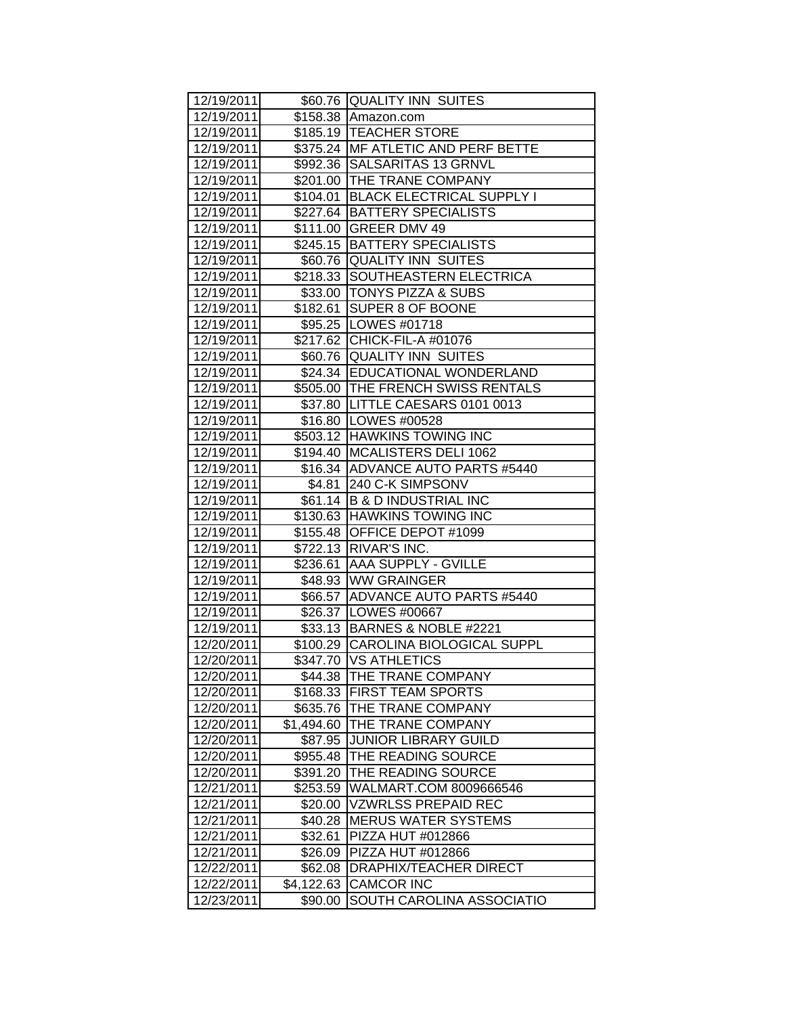| 12/19/2011 |            | \$60.76 QUALITY INN SUITES         |
|------------|------------|------------------------------------|
| 12/19/2011 |            | \$158.38 Amazon.com                |
| 12/19/2011 |            | \$185.19 TEACHER STORE             |
| 12/19/2011 |            | \$375.24 MF ATLETIC AND PERF BETTE |
| 12/19/2011 |            | \$992.36 SALSARITAS 13 GRNVL       |
| 12/19/2011 |            | \$201.00 THE TRANE COMPANY         |
| 12/19/2011 |            | \$104.01 BLACK ELECTRICAL SUPPLY I |
| 12/19/2011 |            | \$227.64 BATTERY SPECIALISTS       |
| 12/19/2011 |            | \$111.00 GREER DMV 49              |
| 12/19/2011 |            | \$245.15   BATTERY SPECIALISTS     |
| 12/19/2011 |            | \$60.76 QUALITY INN SUITES         |
| 12/19/2011 | \$218.33   | SOUTHEASTERN ELECTRICA             |
| 12/19/2011 |            | \$33.00  TONYS PIZZA & SUBS        |
| 12/19/2011 | \$182.61   | SUPER 8 OF BOONE                   |
| 12/19/2011 |            | \$95.25   LOWES #01718             |
| 12/19/2011 |            | \$217.62 CHICK-FIL-A #01076        |
| 12/19/2011 | \$60.76    | <b>QUALITY INN SUITES</b>          |
| 12/19/2011 |            | \$24.34 EDUCATIONAL WONDERLAND     |
| 12/19/2011 |            | \$505.00 THE FRENCH SWISS RENTALS  |
| 12/19/2011 |            | \$37.80 LITTLE CAESARS 0101 0013   |
| 12/19/2011 |            | \$16.80   LOWES #00528             |
| 12/19/2011 |            | \$503.12 HAWKINS TOWING INC        |
| 12/19/2011 |            | \$194.40 MCALISTERS DELI 1062      |
| 12/19/2011 |            | \$16.34 ADVANCE AUTO PARTS #5440   |
| 12/19/2011 | \$4.81     | 240 C-K SIMPSONV                   |
| 12/19/2011 |            | \$61.14 B & D INDUSTRIAL INC       |
| 12/19/2011 |            | \$130.63 HAWKINS TOWING INC        |
| 12/19/2011 |            | \$155.48 OFFICE DEPOT #1099        |
| 12/19/2011 |            | \$722.13 RIVAR'S INC.              |
| 12/19/2011 |            | \$236.61 AAA SUPPLY - GVILLE       |
| 12/19/2011 |            | \$48.93 WW GRAINGER                |
| 12/19/2011 |            | \$66.57 ADVANCE AUTO PARTS #5440   |
| 12/19/2011 |            | \$26.37   LOWES #00667             |
| 12/19/2011 |            | \$33.13 BARNES & NOBLE #2221       |
| 12/20/2011 |            | \$100.29 CAROLINA BIOLOGICAL SUPPL |
| 12/20/2011 |            | \$347.70 VS ATHLETICS              |
| 12/20/2011 | \$44.38    | THE TRANE COMPANY                  |
| 12/20/2011 | \$168.33   | <b>FIRST TEAM SPORTS</b>           |
| 12/20/2011 | \$635.76   | THE TRANE COMPANY                  |
| 12/20/2011 | \$1,494.60 | THE TRANE COMPANY                  |
| 12/20/2011 | \$87.95    | <b>JUNIOR LIBRARY GUILD</b>        |
| 12/20/2011 | \$955.48   | THE READING SOURCE                 |
| 12/20/2011 | \$391.20   | THE READING SOURCE                 |
| 12/21/2011 | \$253.59   | WALMART.COM 8009666546             |
| 12/21/2011 | \$20.00    | <b>VZWRLSS PREPAID REC</b>         |
| 12/21/2011 | \$40.28    | <b>MERUS WATER SYSTEMS</b>         |
| 12/21/2011 | \$32.61    | PIZZA HUT #012866                  |
| 12/21/2011 | \$26.09    | PIZZA HUT #012866                  |
| 12/22/2011 | \$62.08    | DRAPHIX/TEACHER DIRECT             |
| 12/22/2011 | \$4,122.63 | <b>CAMCOR INC</b>                  |
| 12/23/2011 | \$90.00    | SOUTH CAROLINA ASSOCIATIO          |